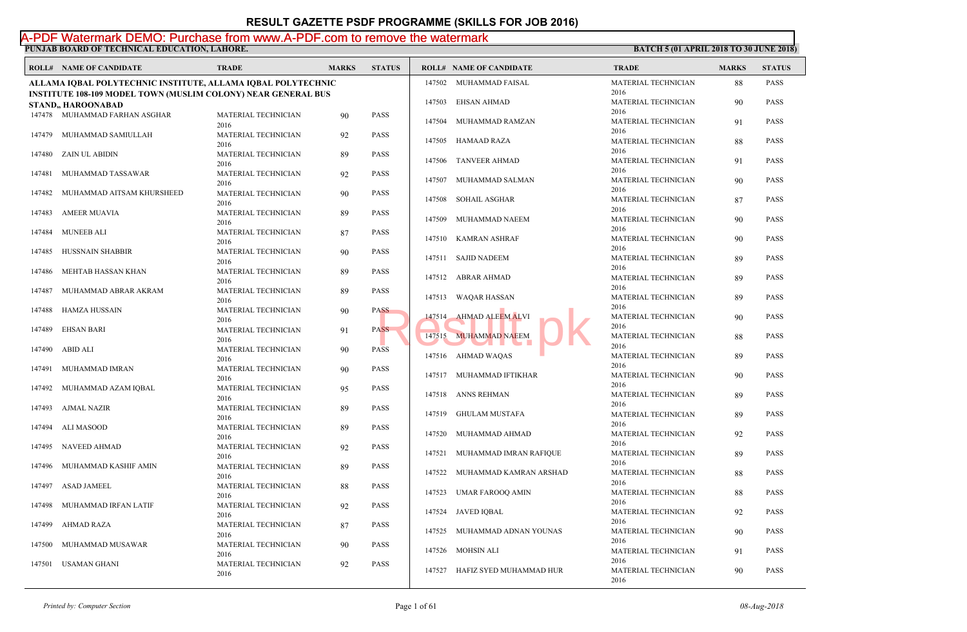**PUNJAB BOARD OF TECHNICAL EDUCATION, LAHORE. BATCH 5 (01 APRIL 2018 TO 30 JUNE 2018)** 

#### A-PDF Watermark DEMO: Purchase from www.A-PDF.com to remove the watermark

|        | <b>ROLL# NAME OF CANDIDATE</b>                                       | <b>TRADE</b>                | <b>MARKS</b> | <b>STATUS</b> |        | <b>ROLL# NAME OF CANDIDATE</b> | <b>TRAL</b>         |
|--------|----------------------------------------------------------------------|-----------------------------|--------------|---------------|--------|--------------------------------|---------------------|
|        | ALLAMA IQBAL POLYTECHNIC INSTITUTE, ALLAMA IQBAL POLYTECHNIC         |                             |              |               |        | 147502 MUHAMMAD FAISAL         | <b>MATE</b><br>2016 |
|        | <b>INSTITUTE 108-109 MODEL TOWN (MUSLIM COLONY) NEAR GENERAL BUS</b> |                             |              |               | 147503 | <b>EHSAN AHMAD</b>             | <b>MATE</b>         |
|        | <b>STAND, HAROONABAD</b>                                             |                             |              |               |        |                                | 2016                |
|        | 147478 MUHAMMAD FARHAN ASGHAR                                        | MATERIAL TECHNICIAN<br>2016 | 90           | <b>PASS</b>   | 147504 | MUHAMMAD RAMZAN                | <b>MATE</b>         |
| 147479 | MUHAMMAD SAMIULLAH                                                   | MATERIAL TECHNICIAN         | 92           | <b>PASS</b>   |        |                                | 2016                |
|        |                                                                      | 2016                        |              |               | 147505 | HAMAAD RAZA                    | <b>MATE</b>         |
| 147480 | ZAIN UL ABIDIN                                                       | MATERIAL TECHNICIAN         | 89           | <b>PASS</b>   |        |                                | 2016                |
|        |                                                                      | 2016                        |              |               | 147506 | <b>TANVEER AHMAD</b>           | <b>MATE</b>         |
| 147481 | MUHAMMAD TASSAWAR                                                    | MATERIAL TECHNICIAN         | 92           | <b>PASS</b>   |        |                                | 2016                |
|        |                                                                      | 2016                        |              |               |        | 147507 MUHAMMAD SALMAN         | <b>MATE</b>         |
| 147482 | MUHAMMAD AITSAM KHURSHEED                                            | MATERIAL TECHNICIAN         | 90           | <b>PASS</b>   |        |                                | 2016                |
|        |                                                                      | 2016                        |              |               | 147508 | SOHAIL ASGHAR                  | <b>MATE</b>         |
| 147483 | AMEER MUAVIA                                                         | MATERIAL TECHNICIAN         | 89           | <b>PASS</b>   |        |                                | 2016                |
|        |                                                                      | 2016                        |              |               | 147509 | MUHAMMAD NAEEM                 | <b>MATE</b>         |
| 147484 | <b>MUNEEB ALI</b>                                                    | MATERIAL TECHNICIAN         | 87           | <b>PASS</b>   |        |                                | 2016                |
|        |                                                                      | 2016                        |              |               | 147510 | KAMRAN ASHRAF                  | <b>MATE</b>         |
| 147485 | HUSSNAIN SHABBIR                                                     | MATERIAL TECHNICIAN         | 90           | <b>PASS</b>   |        |                                | 2016                |
|        |                                                                      | 2016                        |              |               |        | 147511 SAJID NADEEM            | <b>MATE</b>         |
| 147486 | MEHTAB HASSAN KHAN                                                   | MATERIAL TECHNICIAN         | 89           | <b>PASS</b>   |        |                                | 2016<br><b>MATE</b> |
|        |                                                                      | 2016                        |              |               |        | 147512 ABRAR AHMAD             | 2016                |
| 147487 | MUHAMMAD ABRAR AKRAM                                                 | MATERIAL TECHNICIAN         | 89           | <b>PASS</b>   |        | 147513 WAQAR HASSAN            | <b>MATE</b>         |
|        |                                                                      | 2016                        |              |               |        |                                | 2016                |
| 147488 | HAMZA HUSSAIN                                                        | MATERIAL TECHNICIAN         | 90           | <b>PASS</b>   |        | 147514 AHMAD ALEEM ALVI        | <b>MATE</b>         |
|        |                                                                      | 2016                        |              |               |        |                                | 2016                |
| 147489 | <b>EHSAN BARI</b>                                                    | MATERIAL TECHNICIAN         | 91           | <b>PASS</b>   |        | 147515 MUHAMMAD NAEEM          | <b>MATE</b>         |
|        |                                                                      | 2016                        |              |               |        |                                | 2016                |
| 147490 | ABID ALI                                                             | MATERIAL TECHNICIAN         | 90           | <b>PASS</b>   |        | 147516 AHMAD WAQAS             | <b>MATE</b>         |
| 147491 | MUHAMMAD IMRAN                                                       | 2016                        |              | <b>PASS</b>   |        |                                | 2016                |
|        |                                                                      | MATERIAL TECHNICIAN<br>2016 | 90           |               |        | 147517 MUHAMMAD IFTIKHAR       | <b>MATE</b>         |
| 147492 | MUHAMMAD AZAM IQBAL                                                  | MATERIAL TECHNICIAN         | 95           | <b>PASS</b>   |        |                                | 2016                |
|        |                                                                      | 2016                        |              |               |        | 147518 ANNS REHMAN             | <b>MATE</b>         |
| 147493 | AJMAL NAZIR                                                          | MATERIAL TECHNICIAN         | 89           | <b>PASS</b>   |        |                                | 2016                |
|        |                                                                      | 2016                        |              |               | 147519 | GHULAM MUSTAFA                 | <b>MATE</b>         |
| 147494 | ALI MASOOD                                                           | MATERIAL TECHNICIAN         | 89           | <b>PASS</b>   |        |                                | 2016                |
|        |                                                                      | 2016                        |              |               | 147520 | MUHAMMAD AHMAD                 | <b>MATE</b>         |
| 147495 | NAVEED AHMAD                                                         | MATERIAL TECHNICIAN         | 92           | <b>PASS</b>   |        |                                | 2016                |
|        |                                                                      | 2016                        |              |               | 147521 | MUHAMMAD IMRAN RAFIQUE         | <b>MATE</b>         |
| 147496 | MUHAMMAD KASHIF AMIN                                                 | MATERIAL TECHNICIAN         | 89           | <b>PASS</b>   |        |                                | 2016                |
|        |                                                                      | 2016                        |              |               | 147522 | MUHAMMAD KAMRAN ARSHAD         | <b>MATE</b>         |
| 147497 | <b>ASAD JAMEEL</b>                                                   | MATERIAL TECHNICIAN         | 88           | <b>PASS</b>   |        |                                | 2016                |
|        |                                                                      | 2016                        |              |               | 147523 | UMAR FAROOQ AMIN               | <b>MATE</b>         |
| 147498 | MUHAMMAD IRFAN LATIF                                                 | MATERIAL TECHNICIAN         | 92           | <b>PASS</b>   |        |                                | 2016                |
|        |                                                                      | 2016                        |              |               |        | 147524 JAVED IQBAL             | <b>MATE</b>         |
| 147499 | AHMAD RAZA                                                           | MATERIAL TECHNICIAN         | 87           | <b>PASS</b>   |        |                                | 2016                |
|        |                                                                      | 2016                        |              |               |        | 147525 MUHAMMAD ADNAN YOUNAS   | <b>MATE</b>         |
| 147500 | MUHAMMAD MUSAWAR                                                     | MATERIAL TECHNICIAN         | 90           | <b>PASS</b>   |        |                                | 2016                |
|        |                                                                      | 2016                        |              |               |        | 147526 MOHSIN ALI              | <b>MATE</b>         |
| 147501 | USAMAN GHANI                                                         | MATERIAL TECHNICIAN         | 92           | <b>PASS</b>   |        |                                | 2016                |
|        |                                                                      | 2016                        |              |               |        | 147527 HAFIZ SYED MUHAMMAD HUR | <b>MATE</b>         |
|        |                                                                      |                             |              |               |        |                                | 2016                |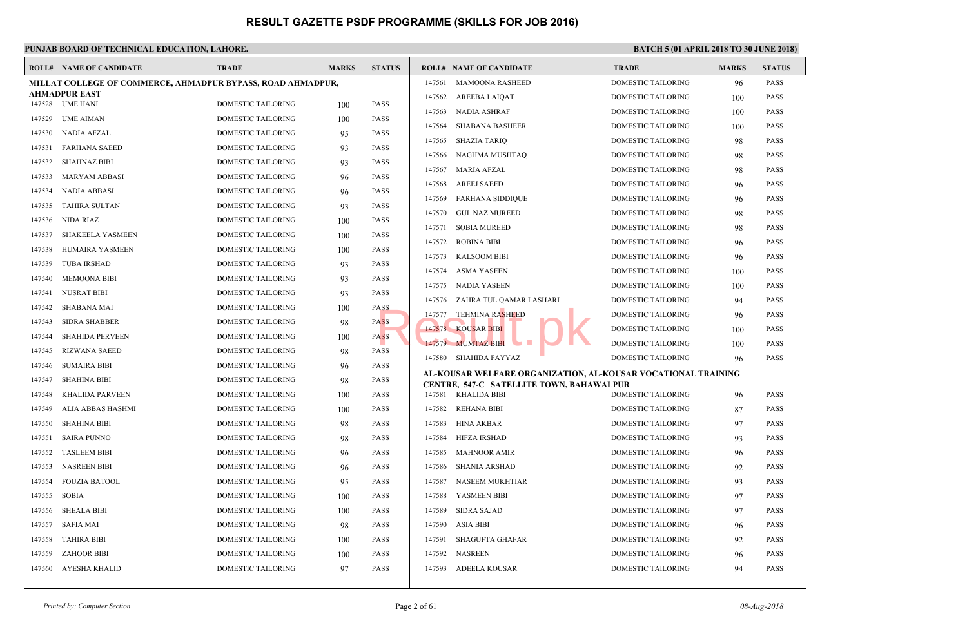|        | <b>ROLL# NAME OF CANDIDATE</b>                              | <b>TRADE</b>              | <b>MARKS</b> | <b>STATUS</b> |        | <b>ROLL# NAME OF CANDIDATE</b>                                                       | <b>TRAL</b> |
|--------|-------------------------------------------------------------|---------------------------|--------------|---------------|--------|--------------------------------------------------------------------------------------|-------------|
|        | MILLAT COLLEGE OF COMMERCE, AHMADPUR BYPASS, ROAD AHMADPUR, |                           |              |               | 147561 | <b>MAMOONA RASHEED</b>                                                               | <b>DOME</b> |
|        | <b>AHMADPUR EAST</b><br>147528 UME HANI                     | DOMESTIC TAILORING        |              | <b>PASS</b>   | 147562 | AREEBA LAIQAT                                                                        | <b>DOME</b> |
|        |                                                             |                           | 100          |               | 147563 | NADIA ASHRAF                                                                         | <b>DOME</b> |
| 147529 | UME AIMAN                                                   | <b>DOMESTIC TAILORING</b> | 100          | <b>PASS</b>   | 147564 | <b>SHABANA BASHEER</b>                                                               | <b>DOME</b> |
| 147530 | NADIA AFZAL                                                 | DOMESTIC TAILORING        | 95           | PASS          | 147565 | SHAZIA TARIQ                                                                         | <b>DOME</b> |
| 147531 | <b>FARHANA SAEED</b>                                        | DOMESTIC TAILORING        | 93           | <b>PASS</b>   | 147566 | NAGHMA MUSHTAQ                                                                       | <b>DOME</b> |
| 147532 | <b>SHAHNAZ BIBI</b>                                         | DOMESTIC TAILORING        | 93           | <b>PASS</b>   | 147567 | MARIA AFZAL                                                                          | <b>DOME</b> |
| 147533 | <b>MARYAM ABBASI</b>                                        | DOMESTIC TAILORING        | 96           | PASS          | 147568 | <b>AREEJ SAEED</b>                                                                   | <b>DOME</b> |
| 147534 | <b>NADIA ABBASI</b>                                         | DOMESTIC TAILORING        | 96           | PASS          | 147569 | <b>FARHANA SIDDIQUE</b>                                                              | <b>DOME</b> |
| 147535 | <b>TAHIRA SULTAN</b>                                        | DOMESTIC TAILORING        | 93           | <b>PASS</b>   | 147570 | <b>GUL NAZ MUREED</b>                                                                | <b>DOME</b> |
| 147536 | NIDA RIAZ                                                   | DOMESTIC TAILORING        | 100          | <b>PASS</b>   | 147571 | <b>SOBIA MUREED</b>                                                                  | <b>DOME</b> |
| 147537 | <b>SHAKEELA YASMEEN</b>                                     | DOMESTIC TAILORING        | 100          | <b>PASS</b>   | 147572 | <b>ROBINA BIBI</b>                                                                   | <b>DOME</b> |
| 147538 | HUMAIRA YASMEEN                                             | DOMESTIC TAILORING        | 100          | <b>PASS</b>   | 147573 | <b>KALSOOM BIBI</b>                                                                  | <b>DOME</b> |
| 147539 | <b>TUBA IRSHAD</b>                                          | DOMESTIC TAILORING        | 93           | <b>PASS</b>   | 147574 | ASMA YASEEN                                                                          | <b>DOME</b> |
| 147540 | <b>MEMOONA BIBI</b>                                         | DOMESTIC TAILORING        | 93           | <b>PASS</b>   |        | 147575 NADIA YASEEN                                                                  | <b>DOME</b> |
| 147541 | NUSRAT BIBI                                                 | DOMESTIC TAILORING        | 93           | PASS          |        |                                                                                      | <b>DOME</b> |
| 147542 | SHABANA MAI                                                 | DOMESTIC TAILORING        | 100          | <b>PASS</b>   |        | 147576 ZAHRA TUL QAMAR LASHARI                                                       |             |
| 147543 | <b>SIDRA SHABBER</b>                                        | DOMESTIC TAILORING        | 98           | <b>PASS</b>   |        | 147577 TEHMINA RASHEED                                                               | <b>DOME</b> |
| 147544 | <b>SHAHIDA PERVEEN</b>                                      | DOMESTIC TAILORING        | 100          | <b>PASS</b>   |        | 147578 KOUSAR BIBI                                                                   | <b>DOME</b> |
| 147545 | <b>RIZWANA SAEED</b>                                        | DOMESTIC TAILORING        | 98           | PASS          |        | 147579 MUMTAZ BIBI<br>a se                                                           | <b>DOME</b> |
| 147546 | <b>SUMAIRA BIBI</b>                                         | DOMESTIC TAILORING        | 96           | <b>PASS</b>   |        | 147580 SHAHIDA FAYYAZ                                                                | <b>DOME</b> |
| 147547 | <b>SHAHINA BIBI</b>                                         | DOMESTIC TAILORING        | 98           | PASS          |        | AL-KOUSAR WELFARE ORGANIZATION, AL-KOUSA<br>CENTRE, 547-C SATELLITE TOWN, BAHAWALPUR |             |
| 147548 | <b>KHALIDA PARVEEN</b>                                      | DOMESTIC TAILORING        | 100          | <b>PASS</b>   |        | 147581 KHALIDA BIBI                                                                  | <b>DOME</b> |
| 147549 | ALIA ABBAS HASHMI                                           | DOMESTIC TAILORING        | 100          | PASS          | 147582 | <b>REHANA BIBI</b>                                                                   | <b>DOME</b> |
| 147550 | <b>SHAHINA BIBI</b>                                         | DOMESTIC TAILORING        | 98           | PASS          | 147583 | HINA AKBAR                                                                           | <b>DOME</b> |
| 147551 | <b>SAIRA PUNNO</b>                                          | DOMESTIC TAILORING        | 98           | <b>PASS</b>   | 147584 | <b>HIFZA IRSHAD</b>                                                                  | <b>DOME</b> |
| 147552 | <b>TASLEEM BIBI</b>                                         | DOMESTIC TAILORING        | 96           | PASS          | 147585 | <b>MAHNOOR AMIR</b>                                                                  | <b>DOME</b> |
| 147553 | <b>NASREEN BIBI</b>                                         | DOMESTIC TAILORING        | 96           | <b>PASS</b>   | 147586 | <b>SHANIA ARSHAD</b>                                                                 | <b>DOME</b> |
| 147554 | <b>FOUZIA BATOOL</b>                                        | <b>DOMESTIC TAILORING</b> | 95           | <b>PASS</b>   | 147587 | NASEEM MUKHTIAR                                                                      | <b>DOME</b> |
| 147555 | SOBIA                                                       | DOMESTIC TAILORING        | 100          | <b>PASS</b>   | 147588 | YASMEEN BIBI                                                                         | <b>DOME</b> |
| 147556 | <b>SHEALA BIBI</b>                                          | DOMESTIC TAILORING        | 100          | PASS          | 147589 | SIDRA SAJAD                                                                          | <b>DOME</b> |
| 147557 | <b>SAFIA MAI</b>                                            | DOMESTIC TAILORING        | 98           | PASS          | 147590 | ASIA BIBI                                                                            | <b>DOME</b> |
|        | <b>TAHIRA BIBI</b>                                          | DOMESTIC TAILORING        |              | PASS          | 147591 | SHAGUFTA GHAFAR                                                                      | <b>DOME</b> |
| 147558 |                                                             |                           | 100          |               |        |                                                                                      |             |
| 147559 | <b>ZAHOOR BIBI</b>                                          | DOMESTIC TAILORING        | 100          | PASS          | 147592 | <b>NASREEN</b>                                                                       | <b>DOME</b> |
| 147560 | AYESHA KHALID                                               | DOMESTIC TAILORING        | 97           | PASS          |        | 147593 ADEELA KOUSAR                                                                 | <b>DOME</b> |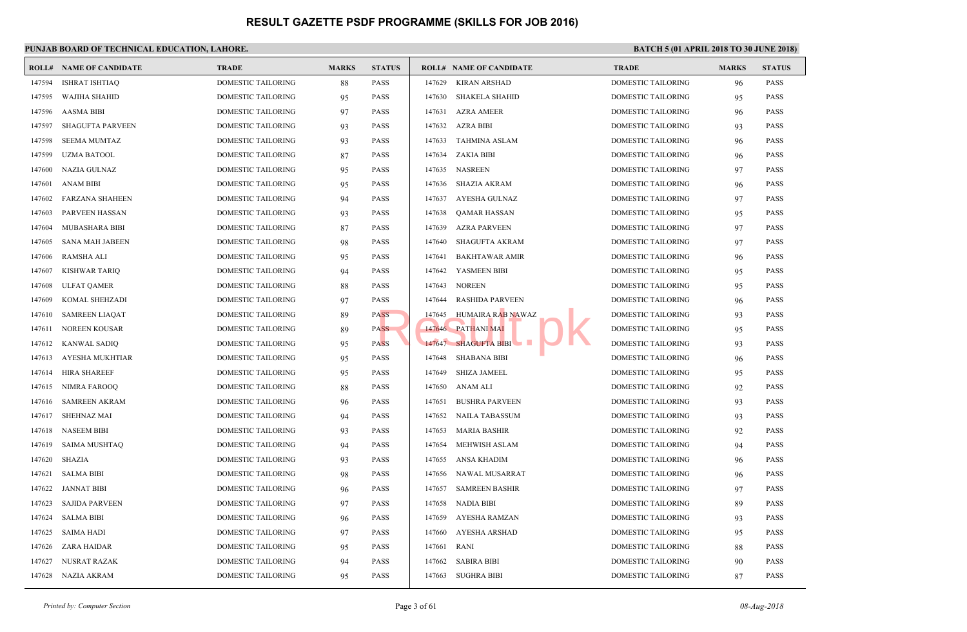|        | <b>ROLL# NAME OF CANDIDATE</b> | <b>TRADE</b>              | <b>MARKS</b> | <b>STATUS</b> |        | <b>ROLL# NAME OF CANDIDATE</b> | <b>TRAL</b> |
|--------|--------------------------------|---------------------------|--------------|---------------|--------|--------------------------------|-------------|
| 147594 | <b>ISHRAT ISHTIAQ</b>          | DOMESTIC TAILORING        | 88           | <b>PASS</b>   | 147629 | KIRAN ARSHAD                   | <b>DOME</b> |
| 147595 | WAJIHA SHAHID                  | DOMESTIC TAILORING        | 95           | <b>PASS</b>   | 147630 | <b>SHAKELA SHAHID</b>          | <b>DOME</b> |
| 147596 | AASMA BIBI                     | DOMESTIC TAILORING        | 97           | <b>PASS</b>   | 147631 | <b>AZRA AMEER</b>              | <b>DOME</b> |
| 147597 | <b>SHAGUFTA PARVEEN</b>        | DOMESTIC TAILORING        | 93           | <b>PASS</b>   | 147632 | AZRA BIBI                      | <b>DOME</b> |
| 147598 | <b>SEEMA MUMTAZ</b>            | DOMESTIC TAILORING        | 93           | <b>PASS</b>   | 147633 | TAHMINA ASLAM                  | <b>DOME</b> |
| 147599 | <b>UZMA BATOOL</b>             | DOMESTIC TAILORING        | 87           | <b>PASS</b>   |        | 147634 ZAKIA BIBI              | <b>DOME</b> |
| 147600 | NAZIA GULNAZ                   | DOMESTIC TAILORING        | 95           | <b>PASS</b>   | 147635 | <b>NASREEN</b>                 | <b>DOME</b> |
| 147601 | <b>ANAM BIBI</b>               | DOMESTIC TAILORING        | 95           | <b>PASS</b>   | 147636 | SHAZIA AKRAM                   | <b>DOME</b> |
| 147602 | <b>FARZANA SHAHEEN</b>         | DOMESTIC TAILORING        | 94           | <b>PASS</b>   | 147637 | AYESHA GULNAZ                  | <b>DOME</b> |
| 147603 | <b>PARVEEN HASSAN</b>          | DOMESTIC TAILORING        | 93           | <b>PASS</b>   | 147638 | QAMAR HASSAN                   | <b>DOME</b> |
| 147604 | MUBASHARA BIBI                 | DOMESTIC TAILORING        | 87           | <b>PASS</b>   | 147639 | <b>AZRA PARVEEN</b>            | <b>DOME</b> |
| 147605 | <b>SANA MAH JABEEN</b>         | DOMESTIC TAILORING        | 98           | <b>PASS</b>   | 147640 | SHAGUFTA AKRAM                 | <b>DOME</b> |
| 147606 | <b>RAMSHA ALI</b>              | DOMESTIC TAILORING        | 95           | <b>PASS</b>   | 147641 | <b>BAKHTAWAR AMIR</b>          | <b>DOME</b> |
| 147607 | <b>KISHWAR TARIQ</b>           | DOMESTIC TAILORING        | 94           | <b>PASS</b>   | 147642 | YASMEEN BIBI                   | <b>DOME</b> |
| 147608 | <b>ULFAT QAMER</b>             | DOMESTIC TAILORING        | 88           | <b>PASS</b>   | 147643 | <b>NOREEN</b>                  | <b>DOME</b> |
| 147609 | KOMAL SHEHZADI                 | DOMESTIC TAILORING        | 97           | <b>PASS</b>   | 147644 | <b>RASHIDA PARVEEN</b>         | <b>DOME</b> |
| 147610 | <b>SAMREEN LIAQAT</b>          | DOMESTIC TAILORING        | 89           | <b>PASS</b>   | 147645 | HUMAIRA RAB NAWAZ              | <b>DOME</b> |
| 147611 | <b>NOREEN KOUSAR</b>           | DOMESTIC TAILORING        | 89           | <b>PASS</b>   |        | 147646 PATHANI MAI             | <b>DOME</b> |
| 147612 | <b>KANWAL SADIQ</b>            | DOMESTIC TAILORING        | 95           | <b>PASS</b>   |        | 147647 SHAGUFTA BIBI           | <b>DOME</b> |
| 147613 | AYESHA MUKHTIAR                | DOMESTIC TAILORING        | 95           | <b>PASS</b>   | 147648 | <b>SHABANA BIBI</b>            | <b>DOME</b> |
| 147614 | <b>HIRA SHAREEF</b>            | DOMESTIC TAILORING        | 95           | <b>PASS</b>   | 147649 | <b>SHIZA JAMEEL</b>            | DOME        |
| 147615 | NIMRA FAROOQ                   | DOMESTIC TAILORING        | 88           | <b>PASS</b>   | 147650 | <b>ANAM ALI</b>                | <b>DOME</b> |
| 147616 | <b>SAMREEN AKRAM</b>           | DOMESTIC TAILORING        | 96           | <b>PASS</b>   | 147651 | <b>BUSHRA PARVEEN</b>          | <b>DOME</b> |
| 147617 | <b>SHEHNAZ MAI</b>             | DOMESTIC TAILORING        | 94           | <b>PASS</b>   | 147652 | <b>NAILA TABASSUM</b>          | <b>DOME</b> |
| 147618 | <b>NASEEM BIBI</b>             | DOMESTIC TAILORING        | 93           | <b>PASS</b>   | 147653 | MARIA BASHIR                   | <b>DOME</b> |
| 147619 | <b>SAIMA MUSHTAQ</b>           | DOMESTIC TAILORING        | 94           | <b>PASS</b>   | 147654 | MEHWISH ASLAM                  | <b>DOME</b> |
| 147620 | <b>SHAZIA</b>                  | DOMESTIC TAILORING        | 93           | <b>PASS</b>   | 147655 | ANSA KHADIM                    | <b>DOME</b> |
| 147621 | <b>SALMA BIBI</b>              | DOMESTIC TAILORING        | 98           | <b>PASS</b>   | 147656 | NAWAL MUSARRAT                 | <b>DOME</b> |
| 147622 | <b>JANNAT BIBI</b>             | DOMESTIC TAILORING        | 96           | <b>PASS</b>   | 147657 | <b>SAMREEN BASHIR</b>          | <b>DOME</b> |
| 147623 | <b>SAJIDA PARVEEN</b>          | DOMESTIC TAILORING        | 97           | <b>PASS</b>   | 147658 | NADIA BIBI                     | <b>DOME</b> |
| 147624 | <b>SALMA BIBI</b>              | DOMESTIC TAILORING        | 96           | <b>PASS</b>   | 147659 | AYESHA RAMZAN                  | <b>DOME</b> |
| 147625 | <b>SAIMA HADI</b>              | DOMESTIC TAILORING        | 97           | <b>PASS</b>   | 147660 | AYESHA ARSHAD                  | <b>DOME</b> |
| 147626 | ZARA HAIDAR                    | DOMESTIC TAILORING        | 95           | <b>PASS</b>   | 147661 | <b>RANI</b>                    | <b>DOME</b> |
| 147627 | NUSRAT RAZAK                   | DOMESTIC TAILORING        | 94           | <b>PASS</b>   | 147662 | <b>SABIRA BIBI</b>             | <b>DOME</b> |
|        | 147628 NAZIA AKRAM             | <b>DOMESTIC TAILORING</b> | 95           | <b>PASS</b>   |        | 147663 SUGHRA BIBI             | <b>DOME</b> |
|        |                                |                           |              |               |        |                                |             |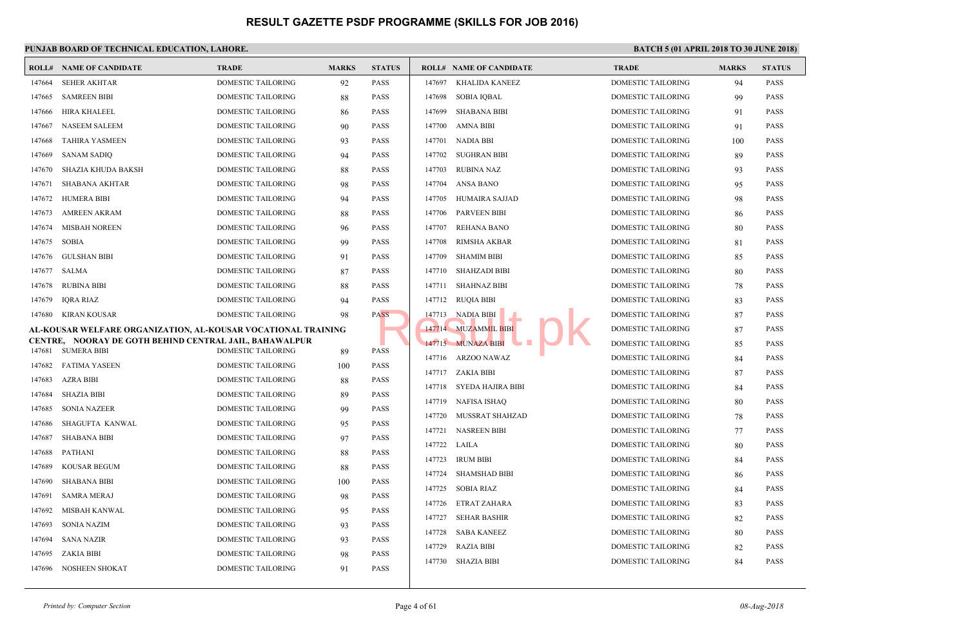|        | <b>ROLL# NAME OF CANDIDATE</b>                                               | <b>TRADE</b>              | <b>MARKS</b> | <b>STATUS</b> |        | <b>ROLL# NAME OF CANDIDATE</b> | <b>TRAL</b> |
|--------|------------------------------------------------------------------------------|---------------------------|--------------|---------------|--------|--------------------------------|-------------|
| 147664 | <b>SEHER AKHTAR</b>                                                          | DOMESTIC TAILORING        | 92           | <b>PASS</b>   | 147697 | KHALIDA KANEEZ                 | <b>DOME</b> |
| 147665 | <b>SAMREEN BIBI</b>                                                          | <b>DOMESTIC TAILORING</b> | 88           | <b>PASS</b>   | 147698 | <b>SOBIA IQBAL</b>             | <b>DOME</b> |
| 147666 | <b>HIRA KHALEEL</b>                                                          | DOMESTIC TAILORING        | 86           | <b>PASS</b>   | 147699 | <b>SHABANA BIBI</b>            | <b>DOME</b> |
| 147667 | <b>NASEEM SALEEM</b>                                                         | DOMESTIC TAILORING        | 90           | <b>PASS</b>   | 147700 | AMNA BIBI                      | <b>DOME</b> |
| 147668 | <b>TAHIRA YASMEEN</b>                                                        | DOMESTIC TAILORING        | 93           | <b>PASS</b>   |        | 147701 NADIA BBI               | <b>DOME</b> |
| 147669 | <b>SANAM SADIQ</b>                                                           | DOMESTIC TAILORING        | 94           | <b>PASS</b>   | 147702 | <b>SUGHRAN BIBI</b>            | <b>DOME</b> |
| 147670 | SHAZIA KHUDA BAKSH                                                           | DOMESTIC TAILORING        | 88           | <b>PASS</b>   | 147703 | <b>RUBINA NAZ</b>              | <b>DOME</b> |
| 147671 | <b>SHABANA AKHTAR</b>                                                        | DOMESTIC TAILORING        | 98           | <b>PASS</b>   | 147704 | ANSA BANO                      | <b>DOME</b> |
| 147672 | <b>HUMERA BIBI</b>                                                           | DOMESTIC TAILORING        | 94           | <b>PASS</b>   | 147705 | HUMAIRA SAJJAD                 | <b>DOME</b> |
| 147673 | <b>AMREEN AKRAM</b>                                                          | DOMESTIC TAILORING        | 88           | <b>PASS</b>   | 147706 | <b>PARVEEN BIBI</b>            | <b>DOME</b> |
| 147674 | <b>MISBAH NOREEN</b>                                                         | DOMESTIC TAILORING        | 96           | <b>PASS</b>   | 147707 | <b>REHANA BANO</b>             | <b>DOME</b> |
| 147675 | <b>SOBIA</b>                                                                 | <b>DOMESTIC TAILORING</b> | 99           | <b>PASS</b>   | 147708 | <b>RIMSHA AKBAR</b>            | <b>DOME</b> |
| 147676 | <b>GULSHAN BIBI</b>                                                          | DOMESTIC TAILORING        | 91           | <b>PASS</b>   | 147709 | <b>SHAMIM BIBI</b>             | <b>DOME</b> |
| 147677 | SALMA                                                                        | DOMESTIC TAILORING        | 87           | <b>PASS</b>   | 147710 | <b>SHAHZADI BIBI</b>           | <b>DOME</b> |
| 147678 | <b>RUBINA BIBI</b>                                                           | DOMESTIC TAILORING        | 88           | <b>PASS</b>   | 147711 | <b>SHAHNAZ BIBI</b>            | <b>DOME</b> |
| 147679 | <b>IQRA RIAZ</b>                                                             | DOMESTIC TAILORING        | 94           | <b>PASS</b>   |        | 147712 RUQIA BIBI              | <b>DOME</b> |
| 147680 | KIRAN KOUSAR                                                                 | DOMESTIC TAILORING        | 98           | <b>PASS</b>   |        | 147713 NADIA BIBI              | <b>DOME</b> |
|        | AL-KOUSAR WELFARE ORGANIZATION, AL-KOUSAR VOCATIONAL TRAINING                |                           |              |               |        | 147714 MUZAMMIL BIBI           | <b>DOME</b> |
| 147681 | CENTRE, NOORAY DE GOTH BEHIND CENTRAL JAIL, BAHAWALPUR<br><b>SUMERA BIBI</b> | DOMESTIC TAILORING        |              | <b>PASS</b>   |        | 147715 MUNAZA BIBI             | <b>DOME</b> |
| 147682 | <b>FATIMA YASEEN</b>                                                         | DOMESTIC TAILORING        | 89           | <b>PASS</b>   |        | 147716 ARZOO NAWAZ             | <b>DOME</b> |
|        |                                                                              |                           | 100          | <b>PASS</b>   |        | 147717 ZAKIA BIBI              | <b>DOME</b> |
| 147683 | <b>AZRA BIBI</b>                                                             | DOMESTIC TAILORING        | 88           |               |        | 147718 SYEDA HAJIRA BIBI       | <b>DOME</b> |
| 147684 | <b>SHAZIA BIBI</b>                                                           | DOMESTIC TAILORING        | 89           | <b>PASS</b>   |        | 147719 NAFISA ISHAQ            | <b>DOME</b> |
| 147685 | <b>SONIA NAZEER</b>                                                          | DOMESTIC TAILORING        | 99           | <b>PASS</b>   |        | 147720 MUSSRAT SHAHZAD         | <b>DOME</b> |
| 147686 | <b>SHAGUFTA KANWAL</b>                                                       | DOMESTIC TAILORING        | 95           | <b>PASS</b>   |        | 147721 NASREEN BIBI            | <b>DOME</b> |
| 147687 | <b>SHABANA BIBI</b>                                                          | DOMESTIC TAILORING        | 97           | <b>PASS</b>   |        | 147722 LAILA                   | <b>DOME</b> |
| 147688 | PATHANI                                                                      | DOMESTIC TAILORING        | 88           | <b>PASS</b>   | 147723 | <b>IRUM BIBI</b>               | <b>DOME</b> |
| 147689 | <b>KOUSAR BEGUM</b>                                                          | <b>DOMESTIC TAILORING</b> | 88           | <b>PASS</b>   | 147724 | <b>SHAMSHAD BIBI</b>           | <b>DOME</b> |
| 147690 | <b>SHABANA BIBI</b>                                                          | DOMESTIC TAILORING        | 100          | <b>PASS</b>   | 147725 | <b>SOBIA RIAZ</b>              | <b>DOME</b> |
| 147691 | <b>SAMRA MERAJ</b>                                                           | DOMESTIC TAILORING        | 98           | <b>PASS</b>   |        | 147726 ETRAT ZAHARA            | <b>DOME</b> |
| 147692 | MISBAH KANWAL                                                                | DOMESTIC TAILORING        | 95           | <b>PASS</b>   | 147727 | <b>SEHAR BASHIR</b>            | <b>DOME</b> |
| 147693 | <b>SONIA NAZIM</b>                                                           | DOMESTIC TAILORING        | 93           | <b>PASS</b>   | 147728 | <b>SABA KANEEZ</b>             | <b>DOME</b> |
| 147694 | <b>SANA NAZIR</b>                                                            | DOMESTIC TAILORING        | 93           | <b>PASS</b>   | 147729 | <b>RAZIA BIBI</b>              | <b>DOME</b> |
| 147695 | <b>ZAKIA BIBI</b>                                                            | DOMESTIC TAILORING        | 98           | <b>PASS</b>   |        | 147730 SHAZIA BIBI             | <b>DOME</b> |
|        | 147696 NOSHEEN SHOKAT                                                        | DOMESTIC TAILORING        | 91           | <b>PASS</b>   |        |                                |             |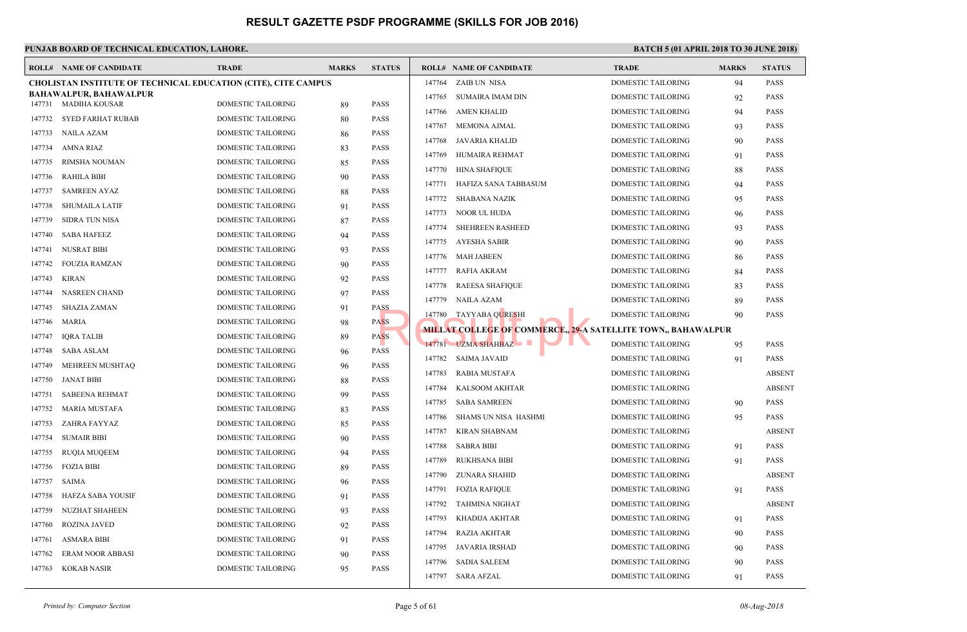|        | <b>ROLL# NAME OF CANDIDATE</b>                                        | <b>TRADE</b>              | <b>MARKS</b> | <b>STATUS</b> |        | <b>ROLL# NAME OF CANDIDATE</b>                   | <b>TRAL</b> |
|--------|-----------------------------------------------------------------------|---------------------------|--------------|---------------|--------|--------------------------------------------------|-------------|
|        | <b>CHOLISTAN INSTITUTE OF TECHNICAL EDUCATION (CITE), CITE CAMPUS</b> |                           |              |               | 147764 | ZAIB UN NISA                                     | <b>DOME</b> |
|        | BAHAWALPUR, BAHAWALPUR                                                |                           |              | <b>PASS</b>   | 147765 | SUMAIRA IMAM DIN                                 | <b>DOME</b> |
|        | 147731 MADIHA KOUSAR                                                  | DOMESTIC TAILORING        | 89           | <b>PASS</b>   | 147766 | <b>AMEN KHALID</b>                               | <b>DOME</b> |
| 147732 | SYED FARHAT RUBAB                                                     | <b>DOMESTIC TAILORING</b> | 80           |               | 147767 | MEMONA AJMAL                                     | <b>DOME</b> |
| 147733 | NAILA AZAM                                                            | DOMESTIC TAILORING        | 86           | <b>PASS</b>   | 147768 | JAVARIA KHALID                                   | <b>DOME</b> |
| 147734 | AMNA RIAZ                                                             | DOMESTIC TAILORING        | 83           | <b>PASS</b>   | 147769 | HUMAIRA REHMAT                                   | <b>DOME</b> |
| 147735 | RIMSHA NOUMAN                                                         | DOMESTIC TAILORING        | 85           | <b>PASS</b>   | 147770 | <b>HINA SHAFIQUE</b>                             | <b>DOME</b> |
| 147736 | RAHILA BIBI                                                           | DOMESTIC TAILORING        | 90           | <b>PASS</b>   | 147771 | HAFIZA SANA TABBASUM                             | <b>DOME</b> |
| 147737 | <b>SAMREEN AYAZ</b>                                                   | DOMESTIC TAILORING        | 88           | <b>PASS</b>   | 147772 | SHABANA NAZIK                                    | <b>DOME</b> |
| 147738 | <b>SHUMAILA LATIF</b>                                                 | DOMESTIC TAILORING        | 91           | <b>PASS</b>   | 147773 | NOOR UL HUDA                                     | <b>DOME</b> |
| 147739 | <b>SIDRA TUN NISA</b>                                                 | DOMESTIC TAILORING        | 87           | <b>PASS</b>   | 147774 | SHEHREEN RASHEED                                 | <b>DOME</b> |
| 147740 | <b>SABA HAFEEZ</b>                                                    | DOMESTIC TAILORING        | 94           | <b>PASS</b>   | 147775 | AYESHA SABIR                                     | <b>DOME</b> |
| 147741 | <b>NUSRAT BIBI</b>                                                    | DOMESTIC TAILORING        | 93           | <b>PASS</b>   | 147776 | MAH JABEEN                                       | <b>DOME</b> |
| 147742 | FOUZIA RAMZAN                                                         | DOMESTIC TAILORING        | 90           | <b>PASS</b>   | 147777 | RAFIA AKRAM                                      | <b>DOME</b> |
| 147743 | <b>KIRAN</b>                                                          | DOMESTIC TAILORING        | 92           | <b>PASS</b>   | 147778 | <b>RAEESA SHAFIQUE</b>                           | <b>DOME</b> |
| 147744 | <b>NASREEN CHAND</b>                                                  | <b>DOMESTIC TAILORING</b> | 97           | <b>PASS</b>   | 147779 | NAILA AZAM                                       | <b>DOME</b> |
| 147745 | <b>SHAZIA ZAMAN</b>                                                   | DOMESTIC TAILORING        | 91           | <b>PASS</b>   | 147780 | TAYYABA QURESHI                                  | <b>DOME</b> |
| 147746 | MARIA                                                                 | DOMESTIC TAILORING        | 98           | <b>PASS</b>   |        | <b>MILLAT COLLEGE OF COMMERCE, 29-A SATELLIT</b> |             |
| 147747 | <b>IQRA TALIB</b>                                                     | DOMESTIC TAILORING        | 89           | <b>PASS</b>   |        | 147781 UZMA SHAHBAZ                              | <b>DOME</b> |
| 147748 | SABA ASLAM                                                            | DOMESTIC TAILORING        | 96           | <b>PASS</b>   | 147782 | SAIMA JAVAID                                     | <b>DOME</b> |
| 147749 | MEHREEN MUSHTAQ                                                       | DOMESTIC TAILORING        | 96           | <b>PASS</b>   |        |                                                  | <b>DOME</b> |
| 147750 | JANAT BIBI                                                            | DOMESTIC TAILORING        | 88           | <b>PASS</b>   | 147783 | RABIA MUSTAFA                                    |             |
| 147751 | <b>SABEENA REHMAT</b>                                                 | DOMESTIC TAILORING        | 99           | <b>PASS</b>   | 147784 | <b>KALSOOM AKHTAR</b>                            | <b>DOME</b> |
| 147752 | <b>MARIA MUSTAFA</b>                                                  | DOMESTIC TAILORING        | 83           | <b>PASS</b>   | 147785 | <b>SABA SAMREEN</b>                              | <b>DOME</b> |
| 147753 | ZAHRA FAYYAZ                                                          | DOMESTIC TAILORING        | 85           | <b>PASS</b>   | 147786 | SHAMS UN NISA HASHMI                             | <b>DOME</b> |
| 147754 | <b>SUMAIR BIBI</b>                                                    | DOMESTIC TAILORING        | 90           | <b>PASS</b>   | 147787 | <b>KIRAN SHABNAM</b>                             | <b>DOME</b> |
| 147755 | <b>RUQIA MUQEEM</b>                                                   | DOMESTIC TAILORING        | 94           | <b>PASS</b>   | 147788 | <b>SABRA BIBI</b>                                | <b>DOME</b> |
| 147756 | <b>FOZIA BIBI</b>                                                     | DOMESTIC TAILORING        | 89           | <b>PASS</b>   | 147789 | RUKHSANA BIBI                                    | <b>DOME</b> |
| 147757 | <b>SAIMA</b>                                                          | DOMESTIC TAILORING        | 96           | <b>PASS</b>   | 147790 | ZUNARA SHAHID                                    | <b>DOME</b> |
| 147758 | HAFZA SABA YOUSIF                                                     | DOMESTIC TAILORING        | 91           | <b>PASS</b>   | 147791 | <b>FOZIA RAFIQUE</b>                             | <b>DOME</b> |
| 147759 | <b>NUZHAT SHAHEEN</b>                                                 | DOMESTIC TAILORING        | 93           | <b>PASS</b>   | 147792 | TAHMINA NIGHAT                                   | <b>DOME</b> |
| 147760 | <b>ROZINA JAVED</b>                                                   | DOMESTIC TAILORING        | 92           | <b>PASS</b>   | 147793 | KHADIJA AKHTAR                                   | <b>DOME</b> |
| 147761 | <b>ASMARA BIBI</b>                                                    | DOMESTIC TAILORING        | 91           | <b>PASS</b>   | 147794 | <b>RAZIA AKHTAR</b>                              | <b>DOME</b> |
| 147762 | <b>ERAM NOOR ABBASI</b>                                               | <b>DOMESTIC TAILORING</b> | 90           | <b>PASS</b>   | 147795 | JAVARIA IRSHAD                                   | <b>DOME</b> |
| 147763 | <b>KOKAB NASIR</b>                                                    | DOMESTIC TAILORING        | 95           | <b>PASS</b>   | 147796 | <b>SADIA SALEEM</b>                              | <b>DOME</b> |
|        |                                                                       |                           |              |               |        | 147797 SARA AFZAL                                | <b>DOME</b> |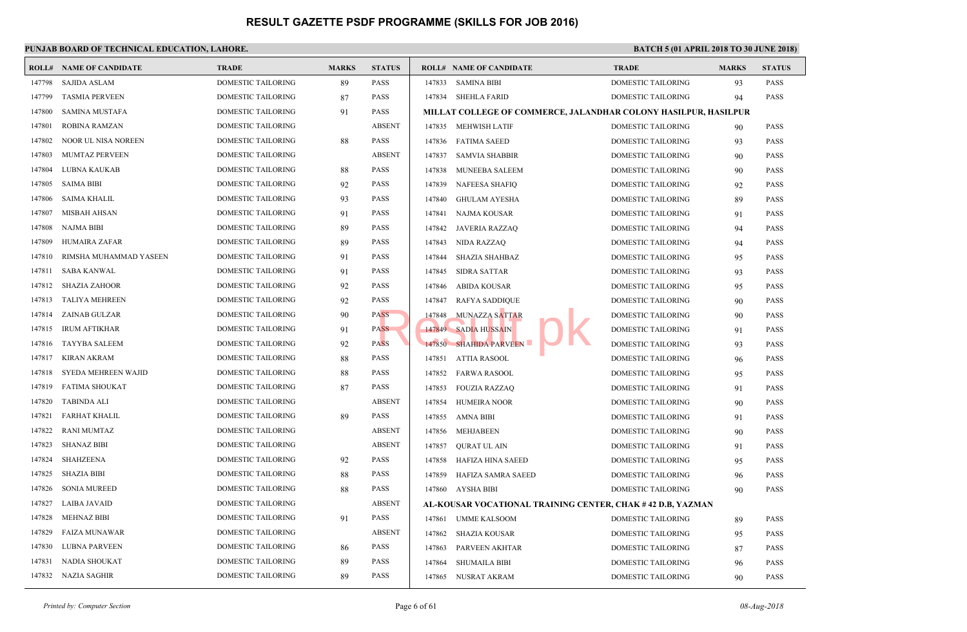|        | <b>ROLL# NAME OF CANDIDATE</b> | <b>TRADE</b>              | <b>MARKS</b> | <b>STATUS</b> | <b>ROLL# NAME OF CANDIDATE</b>                  | <b>TRAD</b> |
|--------|--------------------------------|---------------------------|--------------|---------------|-------------------------------------------------|-------------|
| 147798 | <b>SAJIDA ASLAM</b>            | <b>DOMESTIC TAILORING</b> | 89           | <b>PASS</b>   | 147833<br><b>SAMINA BIBI</b>                    | <b>DOME</b> |
| 147799 | <b>TASMIA PERVEEN</b>          | DOMESTIC TAILORING        | 87           | <b>PASS</b>   | <b>SHEHLA FARID</b><br>147834                   | <b>DOME</b> |
| 147800 | SAMINA MUSTAFA                 | DOMESTIC TAILORING        | 91           | <b>PASS</b>   | <b>MILLAT COLLEGE OF COMMERCE, JALANDHAR CO</b> |             |
| 147801 | ROBINA RAMZAN                  | DOMESTIC TAILORING        |              | <b>ABSENT</b> | 147835 MEHWISH LATIF                            | <b>DOME</b> |
| 147802 | NOOR UL NISA NOREEN            | DOMESTIC TAILORING        | 88           | <b>PASS</b>   | <b>FATIMA SAEED</b><br>147836                   | <b>DOME</b> |
| 147803 | <b>MUMTAZ PERVEEN</b>          | DOMESTIC TAILORING        |              | <b>ABSENT</b> | 147837<br>SAMVIA SHABBIR                        | <b>DOME</b> |
| 147804 | LUBNA KAUKAB                   | <b>DOMESTIC TAILORING</b> | 88           | <b>PASS</b>   | 147838<br>MUNEEBA SALEEM                        | <b>DOME</b> |
| 147805 | SAIMA BIBI                     | DOMESTIC TAILORING        | 92           | PASS          | 147839<br><b>NAFEESA SHAFIQ</b>                 | <b>DOME</b> |
| 147806 | SAIMA KHALIL                   | DOMESTIC TAILORING        | 93           | PASS          | <b>GHULAM AYESHA</b><br>147840                  | <b>DOME</b> |
| 147807 | <b>MISBAH AHSAN</b>            | DOMESTIC TAILORING        | 91           | <b>PASS</b>   | 147841<br>NAJMA KOUSAR                          | <b>DOME</b> |
| 147808 | <b>NAJMA BIBI</b>              | DOMESTIC TAILORING        | 89           | PASS          | 147842<br>JAVERIA RAZZAQ                        | <b>DOME</b> |
| 147809 | HUMAIRA ZAFAR                  | DOMESTIC TAILORING        | 89           | PASS          | 147843<br>NIDA RAZZAQ                           | <b>DOME</b> |
| 147810 | RIMSHA MUHAMMAD YASEEN         | <b>DOMESTIC TAILORING</b> | 91           | <b>PASS</b>   | 147844<br>SHAZIA SHAHBAZ                        | <b>DOME</b> |
| 147811 | <b>SABA KANWAL</b>             | DOMESTIC TAILORING        | 91           | <b>PASS</b>   | 147845<br><b>SIDRA SATTAR</b>                   | <b>DOME</b> |
| 147812 | <b>SHAZIA ZAHOOR</b>           | DOMESTIC TAILORING        | 92           | PASS          | ABIDA KOUSAR<br>147846                          | <b>DOME</b> |
| 147813 | <b>TALIYA MEHREEN</b>          | DOMESTIC TAILORING        | 92           | <b>PASS</b>   | 147847<br><b>RAFYA SADDIQUE</b>                 | <b>DOME</b> |
| 147814 | ZAINAB GULZAR                  | DOMESTIC TAILORING        | 90           | <b>PASS</b>   | MUNAZZA SATTAR<br>147848                        | <b>DOME</b> |
| 147815 | <b>IRUM AFTIKHAR</b>           | DOMESTIC TAILORING        | 91           | <b>PASS</b>   | 147849 SADIA HUSSAIN                            | <b>DOME</b> |
| 147816 | TAYYBA SALEEM                  | DOMESTIC TAILORING        | 92           | <b>PASS</b>   | 147850 SHAHIDA PARVEEN                          | <b>DOME</b> |
| 147817 | <b>KIRAN AKRAM</b>             | DOMESTIC TAILORING        | 88           | <b>PASS</b>   | 147851<br><b>ATTIA RASOOL</b>                   | <b>DOME</b> |
| 147818 | SYEDA MEHREEN WAJID            | DOMESTIC TAILORING        | 88           | PASS          | 147852<br><b>FARWA RASOOL</b>                   | <b>DOME</b> |
| 147819 | <b>FATIMA SHOUKAT</b>          | DOMESTIC TAILORING        | 87           | <b>PASS</b>   | 147853<br><b>FOUZIA RAZZAQ</b>                  | <b>DOME</b> |
| 147820 | <b>TABINDA ALI</b>             | DOMESTIC TAILORING        |              | <b>ABSENT</b> | 147854<br><b>HUMEIRA NOOR</b>                   | <b>DOME</b> |
| 147821 | <b>FARHAT KHALIL</b>           | DOMESTIC TAILORING        | 89           | <b>PASS</b>   | 147855<br><b>AMNA BIBI</b>                      | <b>DOME</b> |
| 147822 | <b>RANI MUMTAZ</b>             | DOMESTIC TAILORING        |              | <b>ABSENT</b> | 147856<br>MEHJABEEN                             | <b>DOME</b> |
| 147823 | <b>SHANAZ BIBI</b>             | DOMESTIC TAILORING        |              | <b>ABSENT</b> | 147857<br>QURAT UL AIN                          | <b>DOME</b> |
| 147824 | <b>SHAHZEENA</b>               | <b>DOMESTIC TAILORING</b> | 92           | <b>PASS</b>   | 147858<br>HAFIZA HINA SAEED                     | <b>DOME</b> |
| 147825 | SHAZIA BIBI                    | DOMESTIC TAILORING        | 88           | PASS          | 147859<br>HAFIZA SAMRA SAEED                    | <b>DOME</b> |
| 147826 | <b>SONIA MUREED</b>            | DOMESTIC TAILORING        | 88           | PASS          | AYSHA BIBI<br>147860                            | <b>DOME</b> |
| 147827 | <b>LAIBA JAVAID</b>            | DOMESTIC TAILORING        |              | <b>ABSENT</b> | AL-KOUSAR VOCATIONAL TRAINING CENTER, CHA       |             |
| 147828 | <b>MEHNAZ BIBI</b>             | DOMESTIC TAILORING        | 91           | PASS          | 147861<br><b>UMME KALSOOM</b>                   | <b>DOME</b> |
| 147829 | FAIZA MUNAWAR                  | DOMESTIC TAILORING        |              | <b>ABSENT</b> | 147862<br>SHAZIA KOUSAR                         | <b>DOME</b> |
| 147830 | <b>LUBNA PARVEEN</b>           | <b>DOMESTIC TAILORING</b> | 86           | <b>PASS</b>   | 147863<br>PARVEEN AKHTAR                        | <b>DOME</b> |
| 147831 | NADIA SHOUKAT                  | DOMESTIC TAILORING        | 89           | PASS          | 147864<br><b>SHUMAILA BIBI</b>                  | <b>DOME</b> |
| 147832 | NAZIA SAGHIR                   | DOMESTIC TAILORING        | 89           | PASS          | 147865 NUSRAT AKRAM                             | <b>DOME</b> |
|        |                                |                           |              |               |                                                 |             |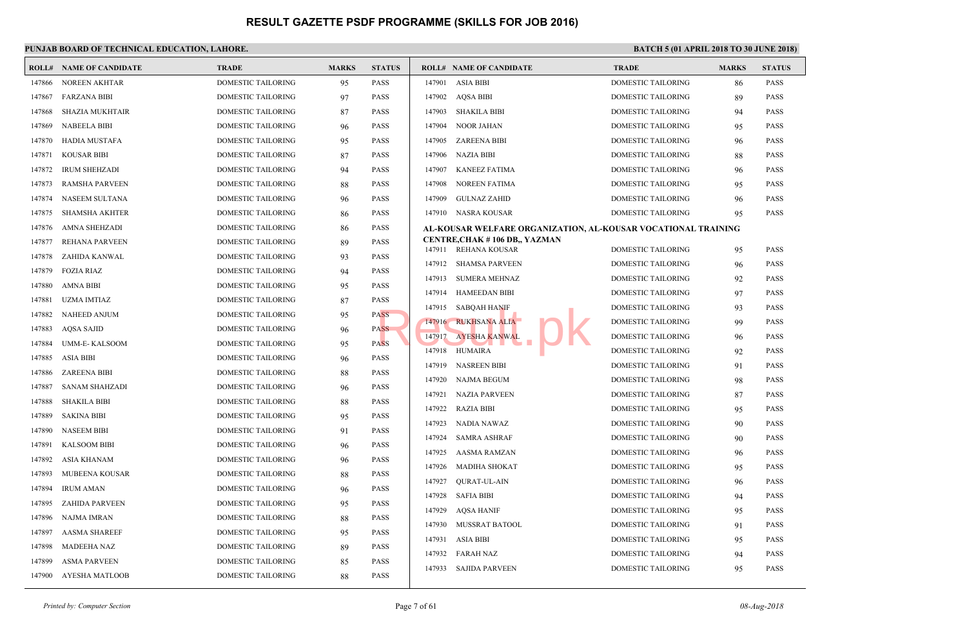|        | <b>ROLL# NAME OF CANDIDATE</b> | <b>TRADE</b>              | <b>MARKS</b> | <b>STATUS</b> |        | <b>ROLL# NAME OF CANDIDATE</b>                        | <b>TRAL</b> |
|--------|--------------------------------|---------------------------|--------------|---------------|--------|-------------------------------------------------------|-------------|
| 147866 | <b>NOREEN AKHTAR</b>           | DOMESTIC TAILORING        | 95           | <b>PASS</b>   | 147901 | <b>ASIA BIBI</b>                                      | <b>DOME</b> |
| 147867 | <b>FARZANA BIBI</b>            | DOMESTIC TAILORING        | 97           | <b>PASS</b>   | 147902 | AOSA BIBI                                             | <b>DOME</b> |
| 147868 | <b>SHAZIA MUKHTAIR</b>         | DOMESTIC TAILORING        | 87           | <b>PASS</b>   | 147903 | SHAKILA BIBI                                          | <b>DOME</b> |
| 147869 | <b>NABEELA BIBI</b>            | DOMESTIC TAILORING        | 96           | <b>PASS</b>   |        | 147904 NOOR JAHAN                                     | <b>DOME</b> |
| 147870 | <b>HADIA MUSTAFA</b>           | DOMESTIC TAILORING        | 95           | <b>PASS</b>   | 147905 | ZAREENA BIBI                                          | <b>DOME</b> |
| 147871 | <b>KOUSAR BIBI</b>             | DOMESTIC TAILORING        | 87           | <b>PASS</b>   | 147906 | NAZIA BIBI                                            | <b>DOME</b> |
| 147872 | <b>IRUM SHEHZADI</b>           | DOMESTIC TAILORING        | 94           | <b>PASS</b>   | 147907 | KANEEZ FATIMA                                         | <b>DOME</b> |
| 147873 | <b>RAMSHA PARVEEN</b>          | DOMESTIC TAILORING        | 88           | <b>PASS</b>   | 147908 | NOREEN FATIMA                                         | <b>DOME</b> |
| 147874 | NASEEM SULTANA                 | DOMESTIC TAILORING        | 96           | <b>PASS</b>   | 147909 | <b>GULNAZ ZAHID</b>                                   | <b>DOME</b> |
| 147875 | <b>SHAMSHA AKHTER</b>          | DOMESTIC TAILORING        | 86           | <b>PASS</b>   |        | 147910 NASRA KOUSAR                                   | <b>DOME</b> |
| 147876 | <b>AMNA SHEHZADI</b>           | DOMESTIC TAILORING        | 86           | <b>PASS</b>   |        | AL-KOUSAR WELFARE ORGANIZATION, AL-KOUSA              |             |
| 147877 | REHANA PARVEEN                 | DOMESTIC TAILORING        | 89           | <b>PASS</b>   |        | CENTRE, CHAK #106 DB., YAZMAN<br>147911 REHANA KOUSAR | <b>DOME</b> |
| 147878 | ZAHIDA KANWAL                  | DOMESTIC TAILORING        | 93           | <b>PASS</b>   |        | 147912 SHAMSA PARVEEN                                 | <b>DOME</b> |
| 147879 | <b>FOZIA RIAZ</b>              | DOMESTIC TAILORING        | 94           | <b>PASS</b>   | 147913 | SUMERA MEHNAZ                                         | <b>DOME</b> |
| 147880 | AMNA BIBI                      | DOMESTIC TAILORING        | 95           | <b>PASS</b>   |        | 147914 HAMEEDAN BIBI                                  | <b>DOME</b> |
| 147881 | <b>UZMA IMTIAZ</b>             | <b>DOMESTIC TAILORING</b> | 87           | <b>PASS</b>   |        |                                                       | <b>DOME</b> |
| 147882 | <b>NAHEED ANJUM</b>            | DOMESTIC TAILORING        | 95           | <b>PASS</b>   |        | 147915 SABQAH HANIF<br>147916 RUKHSANA ALIA           | <b>DOME</b> |
| 147883 | <b>AQSA SAJID</b>              | DOMESTIC TAILORING        | 96           | <b>PASS</b>   | 147917 | <b>AYESHA KANWAL</b>                                  | <b>DOME</b> |
| 147884 | <b>UMM-E-KALSOOM</b>           | DOMESTIC TAILORING        | 95           | <b>PASS</b>   | 147918 | HUMAIRA                                               | <b>DOME</b> |
| 147885 | <b>ASIA BIBI</b>               | DOMESTIC TAILORING        | 96           | <b>PASS</b>   |        | 147919 NASREEN BIBI                                   | <b>DOME</b> |
| 147886 | <b>ZAREENA BIBI</b>            | DOMESTIC TAILORING        | 88           | <b>PASS</b>   |        |                                                       |             |
| 147887 | <b>SANAM SHAHZADI</b>          | DOMESTIC TAILORING        | 96           | <b>PASS</b>   |        | 147920 NAJMA BEGUM                                    | <b>DOME</b> |
| 147888 | <b>SHAKILA BIBI</b>            | <b>DOMESTIC TAILORING</b> | 88           | <b>PASS</b>   |        | 147921 NAZIA PARVEEN                                  | <b>DOME</b> |
| 147889 | <b>SAKINA BIBI</b>             | DOMESTIC TAILORING        | 95           | <b>PASS</b>   | 147922 | RAZIA BIBI                                            | <b>DOME</b> |
| 147890 | <b>NASEEM BIBI</b>             | DOMESTIC TAILORING        | 91           | <b>PASS</b>   |        | 147923 NADIA NAWAZ                                    | <b>DOME</b> |
| 147891 | <b>KALSOOM BIBI</b>            | DOMESTIC TAILORING        | 96           | <b>PASS</b>   |        | 147924 SAMRA ASHRAF                                   | <b>DOME</b> |
| 147892 | ASIA KHANAM                    | DOMESTIC TAILORING        | 96           | <b>PASS</b>   | 147925 | AASMA RAMZAN                                          | <b>DOME</b> |
| 147893 | MUBEENA KOUSAR                 | DOMESTIC TAILORING        | 88           | <b>PASS</b>   | 147926 | MADIHA SHOKAT                                         | <b>DOME</b> |
| 147894 | <b>IRUM AMAN</b>               | DOMESTIC TAILORING        | 96           | <b>PASS</b>   | 147927 | <b>QURAT-UL-AIN</b>                                   | <b>DOME</b> |
| 147895 | <b>ZAHIDA PARVEEN</b>          | DOMESTIC TAILORING        | 95           | <b>PASS</b>   | 147928 | SAFIA BIBI                                            | <b>DOME</b> |
| 147896 | NAJMA IMRAN                    | DOMESTIC TAILORING        | 88           | <b>PASS</b>   | 147929 | AQSA HANIF                                            | <b>DOME</b> |
| 147897 | <b>AASMA SHAREEF</b>           | DOMESTIC TAILORING        | 95           | <b>PASS</b>   | 147930 | MUSSRAT BATOOL                                        | <b>DOME</b> |
| 147898 | MADEEHA NAZ                    | DOMESTIC TAILORING        | 89           | <b>PASS</b>   | 147931 | ASIA BIBI                                             | <b>DOME</b> |
| 147899 | <b>ASMA PARVEEN</b>            | DOMESTIC TAILORING        | 85           | PASS          | 147932 | FARAH NAZ                                             | <b>DOME</b> |
| 147900 | AYESHA MATLOOB                 | <b>DOMESTIC TAILORING</b> | 88           | <b>PASS</b>   |        | 147933 SAJIDA PARVEEN                                 | <b>DOME</b> |
|        |                                |                           |              |               |        |                                                       |             |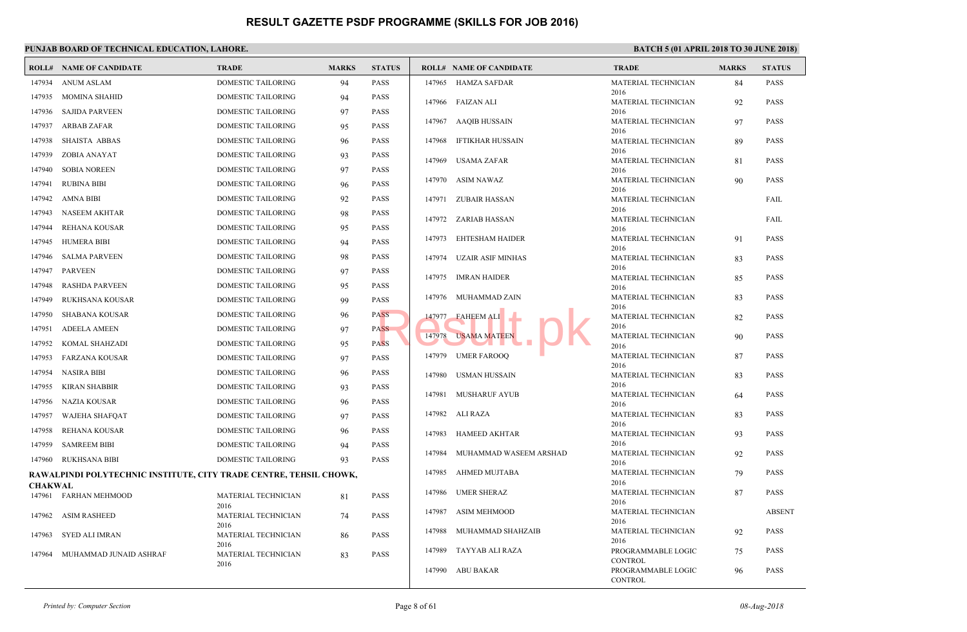|                | <b>ROLL# NAME OF CANDIDATE</b>                                     | <b>TRADE</b>                | <b>MARKS</b> | <b>STATUS</b> |        | <b>ROLL# NAME OF CANDIDATE</b> | <b>TRAL</b>                 |
|----------------|--------------------------------------------------------------------|-----------------------------|--------------|---------------|--------|--------------------------------|-----------------------------|
| 147934         | <b>ANUM ASLAM</b>                                                  | DOMESTIC TAILORING          | 94           | <b>PASS</b>   |        | 147965 HAMZA SAFDAR            | <b>MATE</b>                 |
| 147935         | <b>MOMINA SHAHID</b>                                               | DOMESTIC TAILORING          | 94           | <b>PASS</b>   |        |                                | 2016                        |
| 147936         | SAJIDA PARVEEN                                                     | DOMESTIC TAILORING          | 97           | <b>PASS</b>   |        | 147966 FAIZAN ALI              | <b>MATE</b><br>2016         |
| 147937         | ARBAB ZAFAR                                                        | DOMESTIC TAILORING          | 95           | <b>PASS</b>   |        | 147967 AAQIB HUSSAIN           | <b>MATE</b>                 |
| 147938         | <b>SHAISTA ABBAS</b>                                               | DOMESTIC TAILORING          | 96           | <b>PASS</b>   | 147968 | IFTIKHAR HUSSAIN               | 2016<br><b>MATE</b>         |
|                |                                                                    |                             |              |               |        |                                | 2016                        |
| 147939         | ZOBIA ANAYAT                                                       | DOMESTIC TAILORING          | 93           | <b>PASS</b>   | 147969 | USAMA ZAFAR                    | <b>MATE</b>                 |
| 147940         | <b>SOBIA NOREEN</b>                                                | DOMESTIC TAILORING          | 97           | <b>PASS</b>   |        | 147970 ASIM NAWAZ              | 2016<br><b>MATE</b>         |
| 147941         | RUBINA BIBI                                                        | DOMESTIC TAILORING          | 96           | <b>PASS</b>   |        |                                | 2016                        |
| 147942         | AMNA BIBI                                                          | DOMESTIC TAILORING          | 92           | <b>PASS</b>   |        | 147971 ZUBAIR HASSAN           | <b>MATE</b>                 |
| 147943         | NASEEM AKHTAR                                                      | DOMESTIC TAILORING          | 98           | <b>PASS</b>   |        |                                | 2016<br><b>MATE</b>         |
| 147944         | REHANA KOUSAR                                                      | DOMESTIC TAILORING          | 95           | <b>PASS</b>   |        | 147972 ZARIAB HASSAN           | 2016                        |
| 147945         | HUMERA BIBI                                                        | DOMESTIC TAILORING          | 94           | <b>PASS</b>   | 147973 | EHTESHAM HAIDER                | <b>MATE</b>                 |
| 147946         | <b>SALMA PARVEEN</b>                                               | DOMESTIC TAILORING          | 98           | <b>PASS</b>   | 147974 | UZAIR ASIF MINHAS              | 2016<br><b>MATE</b>         |
| 147947         | PARVEEN                                                            | DOMESTIC TAILORING          | 97           | <b>PASS</b>   |        |                                | 2016                        |
|                |                                                                    |                             |              |               |        | 147975 IMRAN HAIDER            | <b>MATE</b>                 |
| 147948         | <b>RASHDA PARVEEN</b>                                              | DOMESTIC TAILORING          | 95           | <b>PASS</b>   |        | 147976 MUHAMMAD ZAIN           | 2016<br><b>MATE</b>         |
| 147949         | RUKHSANA KOUSAR                                                    | DOMESTIC TAILORING          | 99           | <b>PASS</b>   |        |                                | 2016                        |
| 147950         | SHABANA KOUSAR                                                     | DOMESTIC TAILORING          | 96           | <b>PASS</b>   | 147977 | <b>FAHEEM ALI</b>              | <b>MATE</b>                 |
| 147951         | <b>ADEELA AMEEN</b>                                                | DOMESTIC TAILORING          | 97           | <b>PASS</b>   | 147978 | <b>USAMA MATEEN</b>            | 2016<br><b>MATE</b>         |
| 147952         | KOMAL SHAHZADI                                                     | DOMESTIC TAILORING          | 95           | <b>PASS</b>   |        |                                | 2016                        |
| 147953         | FARZANA KOUSAR                                                     | DOMESTIC TAILORING          | 97           | <b>PASS</b>   |        | 147979 UMER FAROOQ             | <b>MATE</b><br>2016         |
| 147954         | <b>NASIRA BIBI</b>                                                 | DOMESTIC TAILORING          | 96           | <b>PASS</b>   |        | 147980 USMAN HUSSAIN           | <b>MATE</b>                 |
| 147955         | KIRAN SHABBIR                                                      | DOMESTIC TAILORING          | 93           | <b>PASS</b>   |        |                                | 2016                        |
| 147956         | NAZIA KOUSAR                                                       | DOMESTIC TAILORING          | 96           | <b>PASS</b>   | 147981 | <b>MUSHARUF AYUB</b>           | <b>MATE</b><br>2016         |
| 147957         | WAJEHA SHAFQAT                                                     | DOMESTIC TAILORING          | 97           | <b>PASS</b>   | 147982 | ALI RAZA                       | <b>MATE</b>                 |
| 147958         | REHANA KOUSAR                                                      | DOMESTIC TAILORING          | 96           | <b>PASS</b>   | 147983 | HAMEED AKHTAR                  | 2016<br><b>MATE</b>         |
| 147959         | <b>SAMREEM BIBI</b>                                                | DOMESTIC TAILORING          | 94           | <b>PASS</b>   |        |                                | 2016                        |
|                | 147960 RUKHSANA BIBI                                               | DOMESTIC TAILORING          | 93           | PASS          | 147984 | MUHAMMAD WASEEM ARSHAD         | <b>MATE</b><br>2016         |
|                | RAWALPINDI POLYTECHNIC INSTITUTE, CITY TRADE CENTRE, TEHSIL CHOWK, |                             |              |               | 147985 | AHMED MUJTABA                  | <b>MATE</b>                 |
| <b>CHAKWAL</b> |                                                                    |                             |              |               |        |                                | 2016                        |
|                | 147961 FARHAN MEHMOOD                                              | MATERIAL TECHNICIAN         | 81           | <b>PASS</b>   | 147986 | <b>UMER SHERAZ</b>             | <b>MATE</b><br>2016         |
| 147962         | <b>ASIM RASHEED</b>                                                | 2016<br>MATERIAL TECHNICIAN | 74           | <b>PASS</b>   | 147987 | ASIM MEHMOOD                   | <b>MATE</b>                 |
|                |                                                                    | 2016                        |              |               |        |                                | 2016                        |
| 147963         | SYED ALI IMRAN                                                     | MATERIAL TECHNICIAN         | 86           | <b>PASS</b>   | 147988 | MUHAMMAD SHAHZAIB              | <b>MATE</b><br>2016         |
| 147964         | MUHAMMAD JUNAID ASHRAF                                             | 2016<br>MATERIAL TECHNICIAN | 83           | <b>PASS</b>   | 147989 | TAYYAB ALI RAZA                | PROGI                       |
|                |                                                                    | 2016                        |              |               | 147990 | ABU BAKAR                      | <b>CONT</b><br><b>PROGI</b> |
|                |                                                                    |                             |              |               |        |                                | <b>CONTI</b>                |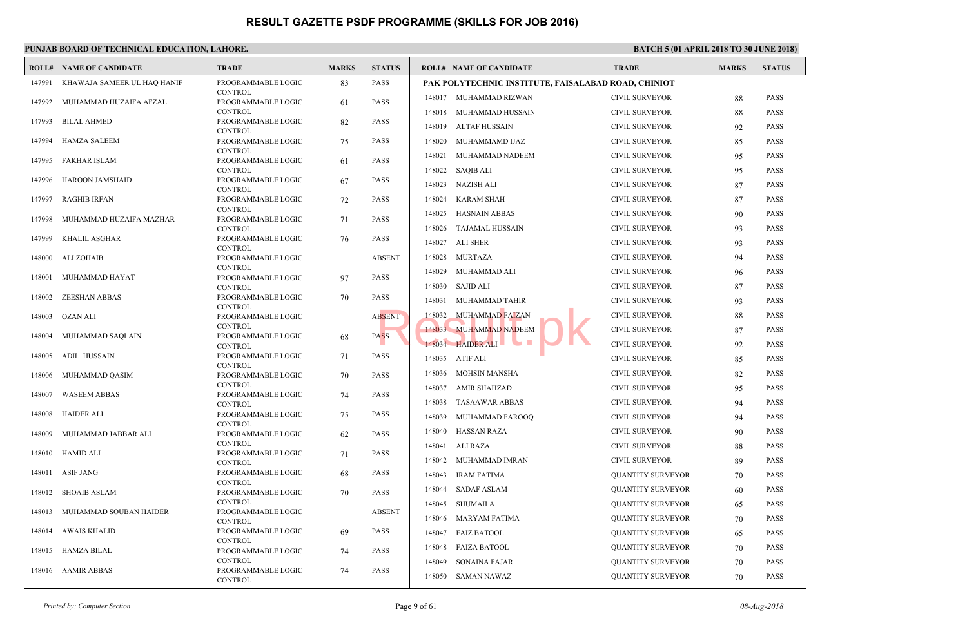|        | PUNJAB BOARD OF TECHNICAL EDUCATION, LAHORE. |                                      |              |               |                                                    |                              |
|--------|----------------------------------------------|--------------------------------------|--------------|---------------|----------------------------------------------------|------------------------------|
|        | <b>ROLL# NAME OF CANDIDATE</b>               | <b>TRADE</b>                         | <b>MARKS</b> | <b>STATUS</b> | <b>ROLL# NAME OF CANDIDATE</b>                     | <b>TRAD</b>                  |
| 147991 | KHAWAJA SAMEER UL HAQ HANIF                  | PROGRAMMABLE LOGIC<br><b>CONTROL</b> | 83           | <b>PASS</b>   | PAK POLYTECHNIC INSTITUTE, FAISALABAD ROAD         |                              |
| 147992 | MUHAMMAD HUZAIFA AFZAL                       | PROGRAMMABLE LOGIC                   | 61           | <b>PASS</b>   | 148017 MUHAMMAD RIZWAN                             | <b>CIVIL</b>                 |
| 147993 | <b>BILAL AHMED</b>                           | <b>CONTROL</b><br>PROGRAMMABLE LOGIC | 82           | <b>PASS</b>   | MUHAMMAD HUSSAIN<br>148018                         | <b>CIVIL</b>                 |
| 147994 | HAMZA SALEEM                                 | <b>CONTROL</b><br>PROGRAMMABLE LOGIC | 75           | <b>PASS</b>   | 148019<br>ALTAF HUSSAIN<br>148020 MUHAMMAMD IJAZ   | <b>CIVIL</b><br><b>CIVIL</b> |
|        |                                              | <b>CONTROL</b>                       |              |               | MUHAMMAD NADEEM<br>148021                          | <b>CIVIL</b>                 |
| 147995 | FAKHAR ISLAM                                 | PROGRAMMABLE LOGIC<br><b>CONTROL</b> | 61           | <b>PASS</b>   | 148022 SAQIB ALI                                   | <b>CIVIL</b>                 |
| 147996 | HAROON JAMSHAID                              | PROGRAMMABLE LOGIC<br><b>CONTROL</b> | 67           | <b>PASS</b>   | 148023 NAZISH ALI                                  | <b>CIVIL</b>                 |
| 147997 | <b>RAGHIB IRFAN</b>                          | PROGRAMMABLE LOGIC                   | 72           | <b>PASS</b>   | 148024<br><b>KARAM SHAH</b>                        | <b>CIVIL</b>                 |
| 147998 | MUHAMMAD HUZAIFA MAZHAR                      | <b>CONTROL</b><br>PROGRAMMABLE LOGIC | 71           | <b>PASS</b>   | 148025<br>HASNAIN ABBAS                            | <b>CIVIL</b>                 |
| 147999 | KHALIL ASGHAR                                | <b>CONTROL</b><br>PROGRAMMABLE LOGIC | 76           | <b>PASS</b>   | TAJAMAL HUSSAIN<br>148026                          | <b>CIVIL</b>                 |
|        |                                              | <b>CONTROL</b>                       |              |               | 148027<br>ALI SHER                                 | <b>CIVIL</b>                 |
| 148000 | ALI ZOHAIB                                   | PROGRAMMABLE LOGIC<br><b>CONTROL</b> |              | <b>ABSENT</b> | 148028<br>MURTAZA<br>148029 MUHAMMAD ALI           | <b>CIVIL</b><br><b>CIVIL</b> |
| 148001 | MUHAMMAD HAYAT                               | PROGRAMMABLE LOGIC<br><b>CONTROL</b> | 97           | <b>PASS</b>   | 148030<br><b>SAJID ALI</b>                         | $\text{CIVIL}$               |
| 148002 | <b>ZEESHAN ABBAS</b>                         | PROGRAMMABLE LOGIC                   | 70           | <b>PASS</b>   | 148031<br>MUHAMMAD TAHIR                           | <b>CIVIL</b>                 |
| 148003 | OZAN ALI                                     | <b>CONTROL</b><br>PROGRAMMABLE LOGIC |              | <b>ABSENT</b> | MUHAMMAD FAIZAN<br>148032                          | <b>CIVIL</b>                 |
| 148004 | MUHAMMAD SAQLAIN                             | <b>CONTROL</b><br>PROGRAMMABLE LOGIC | 68           | <b>PASS</b>   | 148033 MUHAMMAD NADEEM                             | <b>CIVIL</b>                 |
|        | <b>ADIL HUSSAIN</b>                          | <b>CONTROL</b>                       |              | <b>PASS</b>   | a se<br>148034 HAIDER ALI<br>$\mathbf{r}$          | <b>CIVIL</b>                 |
| 148005 |                                              | PROGRAMMABLE LOGIC<br><b>CONTROL</b> | 71           |               | 148035 ATIF ALI                                    | <b>CIVIL</b>                 |
| 148006 | MUHAMMAD QASIM                               | PROGRAMMABLE LOGIC<br><b>CONTROL</b> | 70           | <b>PASS</b>   | MOHSIN MANSHA<br>148036                            | <b>CIVIL</b>                 |
| 148007 | <b>WASEEM ABBAS</b>                          | PROGRAMMABLE LOGIC                   | 74           | <b>PASS</b>   | AMIR SHAHZAD<br>148037<br>148038<br>TASAAWAR ABBAS | <b>CIVIL</b><br><b>CIVIL</b> |
| 148008 | HAIDER ALI                                   | <b>CONTROL</b><br>PROGRAMMABLE LOGIC | 75           | <b>PASS</b>   | 148039<br>MUHAMMAD FAROOQ                          | <b>CIVIL</b>                 |
| 148009 | MUHAMMAD JABBAR ALI                          | <b>CONTROL</b><br>PROGRAMMABLE LOGIC | 62           | <b>PASS</b>   | 148040<br>HASSAN RAZA                              | <b>CIVIL</b>                 |
|        | 148010 HAMID ALI                             | <b>CONTROL</b><br>PROGRAMMABLE LOGIC |              | <b>PASS</b>   | 148041 ALI RAZA                                    | <b>CIVIL</b>                 |
|        |                                              | <b>CONTROL</b>                       | 71           |               | MUHAMMAD IMRAN<br>148042                           | <b>CIVIL</b>                 |
| 148011 | ASIF JANG                                    | PROGRAMMABLE LOGIC<br><b>CONTROL</b> | 68           | PASS          | 148043<br><b>IRAM FATIMA</b>                       | <b>QUAN</b>                  |
|        | 148012 SHOAIB ASLAM                          | PROGRAMMABLE LOGIC<br><b>CONTROL</b> | 70           | <b>PASS</b>   | 148044 SADAF ASLAM                                 | QUAN                         |
|        | 148013 MUHAMMAD SOUBAN HAIDER                | PROGRAMMABLE LOGIC                   |              | <b>ABSENT</b> | 148045 SHUMAILA                                    | QUAN                         |
|        | 148014 AWAIS KHALID                          | <b>CONTROL</b><br>PROGRAMMABLE LOGIC | 69           | PASS          | 148046 MARYAM FATIMA<br>148047 FAIZ BATOOL         | <b>QUAN</b><br><b>QUAN</b>   |
|        | 148015 HAMZA BILAL                           | CONTROL<br>PROGRAMMABLE LOGIC        | 74           | <b>PASS</b>   | 148048<br>FAIZA BATOOL                             | <b>QUAN</b>                  |
|        |                                              | CONTROL                              |              |               | 148049<br><b>SONAINA FAJAR</b>                     | <b>QUAN</b>                  |
|        | 148016 AAMIR ABBAS                           | PROGRAMMABLE LOGIC<br>CONTROL        | 74           | PASS          | 148050 SAMAN NAWAZ                                 | <b>QUAN</b>                  |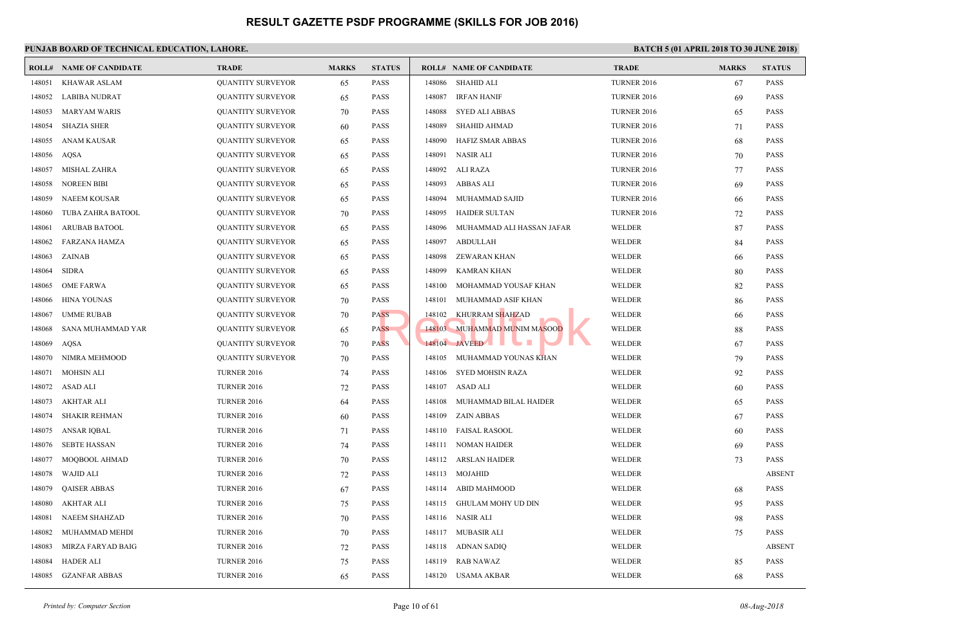|        | <b>ROLL# NAME OF CANDIDATE</b> | <b>TRADE</b>             | <b>MARKS</b> | <b>STATUS</b> |        | <b>ROLL# NAME OF CANDIDATE</b> | <b>TRAL</b>  |
|--------|--------------------------------|--------------------------|--------------|---------------|--------|--------------------------------|--------------|
| 148051 | <b>KHAWAR ASLAM</b>            | <b>QUANTITY SURVEYOR</b> | 65           | <b>PASS</b>   | 148086 | <b>SHAHID ALI</b>              | <b>TURNI</b> |
| 148052 | <b>LABIBA NUDRAT</b>           | <b>QUANTITY SURVEYOR</b> | 65           | <b>PASS</b>   | 148087 | <b>IRFAN HANIF</b>             | <b>TURNI</b> |
| 148053 | <b>MARYAM WARIS</b>            | <b>QUANTITY SURVEYOR</b> | 70           | <b>PASS</b>   | 148088 | <b>SYED ALI ABBAS</b>          | <b>TURNI</b> |
| 148054 | <b>SHAZIA SHER</b>             | <b>QUANTITY SURVEYOR</b> | 60           | <b>PASS</b>   | 148089 | <b>SHAHID AHMAD</b>            | <b>TURNI</b> |
| 148055 | <b>ANAM KAUSAR</b>             | <b>QUANTITY SURVEYOR</b> | 65           | <b>PASS</b>   | 148090 | <b>HAFIZ SMAR ABBAS</b>        | <b>TURNI</b> |
| 148056 | AQSA                           | <b>QUANTITY SURVEYOR</b> | 65           | <b>PASS</b>   | 148091 | <b>NASIR ALI</b>               | <b>TURNI</b> |
| 148057 | <b>MISHAL ZAHRA</b>            | <b>QUANTITY SURVEYOR</b> | 65           | <b>PASS</b>   | 148092 | <b>ALI RAZA</b>                | <b>TURNI</b> |
| 148058 | <b>NOREEN BIBI</b>             | <b>QUANTITY SURVEYOR</b> | 65           | <b>PASS</b>   | 148093 | <b>ABBAS ALI</b>               | <b>TURNI</b> |
| 148059 | <b>NAEEM KOUSAR</b>            | <b>QUANTITY SURVEYOR</b> | 65           | <b>PASS</b>   | 148094 | MUHAMMAD SAJID                 | <b>TURNI</b> |
| 148060 | TUBA ZAHRA BATOOL              | <b>QUANTITY SURVEYOR</b> | 70           | <b>PASS</b>   | 148095 | <b>HAIDER SULTAN</b>           | <b>TURN</b>  |
| 148061 | <b>ARUBAB BATOOL</b>           | <b>QUANTITY SURVEYOR</b> | 65           | <b>PASS</b>   | 148096 | MUHAMMAD ALI HASSAN JAFAR      | <b>WELD</b>  |
| 148062 | <b>FARZANA HAMZA</b>           | <b>QUANTITY SURVEYOR</b> | 65           | <b>PASS</b>   | 148097 | <b>ABDULLAH</b>                | <b>WELD</b>  |
| 148063 | ZAINAB                         | <b>QUANTITY SURVEYOR</b> | 65           | <b>PASS</b>   | 148098 | ZEWARAN KHAN                   | WELD         |
| 148064 | <b>SIDRA</b>                   | <b>QUANTITY SURVEYOR</b> | 65           | <b>PASS</b>   | 148099 | <b>KAMRAN KHAN</b>             | <b>WELD</b>  |
| 148065 | <b>OME FARWA</b>               | <b>QUANTITY SURVEYOR</b> | 65           | <b>PASS</b>   | 148100 | MOHAMMAD YOUSAF KHAN           | WELD         |
| 148066 | <b>HINA YOUNAS</b>             | <b>QUANTITY SURVEYOR</b> | 70           | <b>PASS</b>   | 148101 | MUHAMMAD ASIF KHAN             | <b>WELD</b>  |
| 148067 | <b>UMME RUBAB</b>              | <b>QUANTITY SURVEYOR</b> | 70           | <b>PASS</b>   | 148102 | KHURRAM SHAHZAD                | WELD         |
| 148068 | SANA MUHAMMAD YAR              | <b>QUANTITY SURVEYOR</b> | 65           | <b>PASS</b>   |        | 148103 MUHAMMAD MUNIM MASOOD   | <b>WELD</b>  |
| 148069 | <b>AQSA</b>                    | <b>QUANTITY SURVEYOR</b> | 70           | <b>PASS</b>   |        | 148104 JAVEED                  | <b>WELD</b>  |
| 148070 | NIMRA MEHMOOD                  | <b>QUANTITY SURVEYOR</b> | 70           | <b>PASS</b>   | 148105 | MUHAMMAD YOUNAS KHAN           | WELD         |
| 148071 | <b>MOHSIN ALI</b>              | <b>TURNER 2016</b>       | 74           | <b>PASS</b>   | 148106 | <b>SYED MOHSIN RAZA</b>        | <b>WELD</b>  |
| 148072 | <b>ASAD ALI</b>                | <b>TURNER 2016</b>       | 72           | <b>PASS</b>   | 148107 | <b>ASAD ALI</b>                | <b>WELD</b>  |
| 148073 | <b>AKHTAR ALI</b>              | <b>TURNER 2016</b>       | 64           | <b>PASS</b>   | 148108 | MUHAMMAD BILAL HAIDER          | <b>WELD</b>  |
| 148074 | <b>SHAKIR REHMAN</b>           | <b>TURNER 2016</b>       | 60           | <b>PASS</b>   | 148109 | <b>ZAIN ABBAS</b>              | <b>WELD</b>  |
| 148075 | ANSAR IQBAL                    | <b>TURNER 2016</b>       | 71           | PASS          | 148110 | FAISAL RASOOL                  | WELD         |
| 148076 | <b>SEBTE HASSAN</b>            | <b>TURNER 2016</b>       | 74           | <b>PASS</b>   | 148111 | NOMAN HAIDER                   | <b>WELD</b>  |
| 148077 | MOQBOOL AHMAD                  | <b>TURNER 2016</b>       | 70           | PASS          | 148112 | <b>ARSLAN HAIDER</b>           | <b>WELD</b>  |
| 148078 | <b>WAJID ALI</b>               | <b>TURNER 2016</b>       | 72           | <b>PASS</b>   | 148113 | <b>MOJAHID</b>                 | <b>WELD</b>  |
| 148079 | <b>QAISER ABBAS</b>            | <b>TURNER 2016</b>       | 67           | <b>PASS</b>   | 148114 | ABID MAHMOOD                   | <b>WELD</b>  |
| 148080 | <b>AKHTAR ALI</b>              | <b>TURNER 2016</b>       | 75           | <b>PASS</b>   | 148115 | <b>GHULAM MOHY UD DIN</b>      | <b>WELD</b>  |
| 148081 | NAEEM SHAHZAD                  | <b>TURNER 2016</b>       | 70           | <b>PASS</b>   |        | 148116 NASIR ALI               | <b>WELD</b>  |
| 148082 | MUHAMMAD MEHDI                 | <b>TURNER 2016</b>       | 70           | PASS          | 148117 | MUBASIR ALI                    | WELD         |
| 148083 | MIRZA FARYAD BAIG              | <b>TURNER 2016</b>       | 72           | <b>PASS</b>   | 148118 | ADNAN SADIQ                    | WELD         |
| 148084 | <b>HADER ALI</b>               | <b>TURNER 2016</b>       | 75           | <b>PASS</b>   | 148119 | RAB NAWAZ                      | WELD         |
| 148085 | <b>GZANFAR ABBAS</b>           | <b>TURNER 2016</b>       | 65           | <b>PASS</b>   |        | 148120 USAMA AKBAR             | <b>WELD</b>  |
|        |                                |                          |              |               |        |                                |              |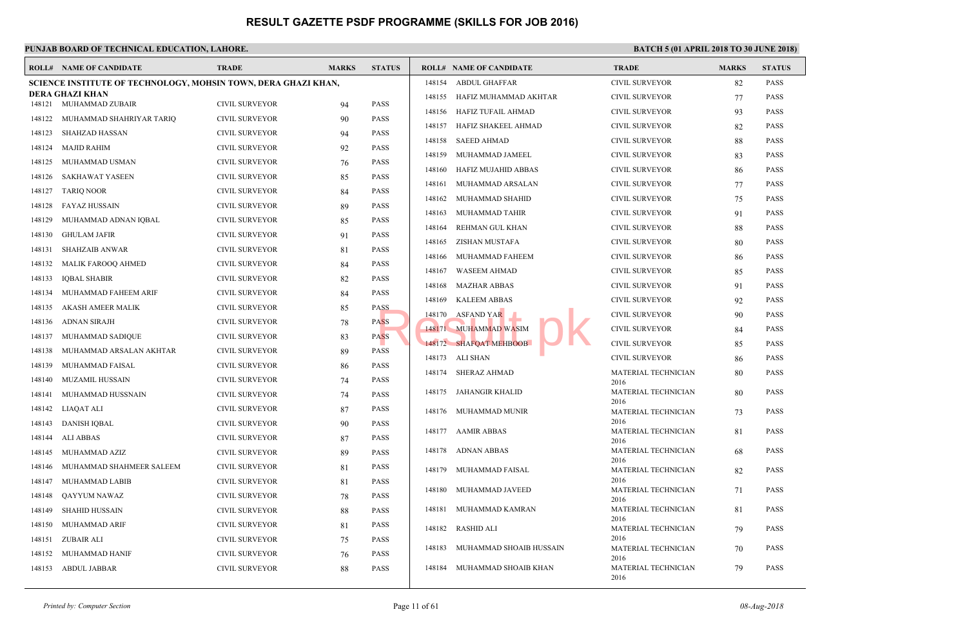|        | <b>ROLL# NAME OF CANDIDATE</b>                                 | <b>TRADE</b>          | <b>MARKS</b> | <b>STATUS</b> |                 | <b>ROLL# NAME OF CANDIDATE</b> | <b>TRAD</b>         |
|--------|----------------------------------------------------------------|-----------------------|--------------|---------------|-----------------|--------------------------------|---------------------|
|        | SCIENCE INSTITUTE OF TECHNOLOGY, MOHSIN TOWN, DERA GHAZI KHAN, |                       |              |               | 148154          | ABDUL GHAFFAR                  | <b>CIVIL</b>        |
|        | DERA GHAZI KHAN                                                |                       |              |               | 148155          | HAFIZ MUHAMMAD AKHTAR          | <b>CIVIL</b>        |
|        | 148121 MUHAMMAD ZUBAIR                                         | <b>CIVIL SURVEYOR</b> | 94           | <b>PASS</b>   | 148156          | HAFIZ TUFAIL AHMAD             | <b>CIVIL</b>        |
| 148122 | MUHAMMAD SHAHRIYAR TARIQ                                       | CIVIL SURVEYOR        | 90           | <b>PASS</b>   | 148157          | HAFIZ SHAKEEL AHMAD            | <b>CIVIL</b>        |
| 148123 | SHAHZAD HASSAN                                                 | <b>CIVIL SURVEYOR</b> | 94           | <b>PASS</b>   | 148158          | <b>SAEED AHMAD</b>             | <b>CIVIL</b>        |
| 148124 | <b>MAJID RAHIM</b>                                             | CIVIL SURVEYOR        | 92           | <b>PASS</b>   | 148159          | MUHAMMAD JAMEEL                | <b>CIVIL</b>        |
| 148125 | MUHAMMAD USMAN                                                 | <b>CIVIL SURVEYOR</b> | 76           | <b>PASS</b>   | 148160          | HAFIZ MUJAHID ABBAS            | <b>CIVIL</b>        |
| 148126 | <b>SAKHAWAT YASEEN</b>                                         | <b>CIVIL SURVEYOR</b> | 85           | <b>PASS</b>   | 148161          | MUHAMMAD ARSALAN               | <b>CIVIL</b>        |
| 148127 | <b>TARIQ NOOR</b>                                              | CIVIL SURVEYOR        | 84           | <b>PASS</b>   | 148162          | MUHAMMAD SHAHID                | <b>CIVIL</b>        |
| 148128 | <b>FAYAZ HUSSAIN</b>                                           | <b>CIVIL SURVEYOR</b> | 89           | <b>PASS</b>   | 148163          | MUHAMMAD TAHIR                 | <b>CIVIL</b>        |
| 148129 | MUHAMMAD ADNAN IQBAL                                           | <b>CIVIL SURVEYOR</b> | 85           | <b>PASS</b>   |                 |                                | <b>CIVIL</b>        |
| 148130 | <b>GHULAM JAFIR</b>                                            | <b>CIVIL SURVEYOR</b> | 91           | <b>PASS</b>   | 148164          | REHMAN GUL KHAN                |                     |
| 148131 | <b>SHAHZAIB ANWAR</b>                                          | <b>CIVIL SURVEYOR</b> | 81           | <b>PASS</b>   | 148165          | ZISHAN MUSTAFA                 | <b>CIVIL</b>        |
| 148132 | MALIK FAROOQ AHMED                                             | <b>CIVIL SURVEYOR</b> | 84           | <b>PASS</b>   | 148166          | MUHAMMAD FAHEEM                | <b>CIVIL</b>        |
| 148133 | <b>IQBAL SHABIR</b>                                            | <b>CIVIL SURVEYOR</b> | 82           | <b>PASS</b>   | 148167          | <b>WASEEM AHMAD</b>            | <b>CIVIL</b>        |
| 148134 | MUHAMMAD FAHEEM ARIF                                           | <b>CIVIL SURVEYOR</b> | 84           | <b>PASS</b>   | 148168          | <b>MAZHAR ABBAS</b>            | <b>CIVIL</b>        |
| 148135 | AKASH AMEER MALIK                                              | CIVIL SURVEYOR        | 85           | <b>PASS</b>   | 148169          | <b>KALEEM ABBAS</b>            | <b>CIVIL</b>        |
| 148136 | ADNAN SIRAJH                                                   | CIVIL SURVEYOR        | 78           | <b>PASS</b>   | 148170          | <b>ASFAND YAR</b>              | <b>CIVIL</b>        |
| 148137 | MUHAMMAD SADIQUE                                               | <b>CIVIL SURVEYOR</b> | 83           | <b>PASS</b>   |                 | 148171 MUHAMMAD WASIM          | <b>CIVIL</b>        |
| 148138 | MUHAMMAD ARSALAN AKHTAR                                        | <b>CIVIL SURVEYOR</b> | 89           | <b>PASS</b>   |                 | 148172 SHAFOAT MEHBOOB         | <b>CIVIL</b>        |
| 148139 | MUHAMMAD FAISAL                                                | CIVIL SURVEYOR        | 86           | <b>PASS</b>   | 148173 ALI SHAN |                                | <b>CIVIL</b>        |
| 148140 | MUZAMIL HUSSAIN                                                | <b>CIVIL SURVEYOR</b> | 74           | <b>PASS</b>   |                 | 148174 SHERAZ AHMAD            | <b>MATE</b>         |
| 148141 | MUHAMMAD HUSSNAIN                                              | <b>CIVIL SURVEYOR</b> | 74           | <b>PASS</b>   | 148175          | JAHANGIR KHALID                | 2016<br><b>MATE</b> |
| 148142 | LIAQAT ALI                                                     | <b>CIVIL SURVEYOR</b> | 87           | <b>PASS</b>   |                 |                                | 2016                |
| 148143 | <b>DANISH IQBAL</b>                                            | <b>CIVIL SURVEYOR</b> |              | <b>PASS</b>   | 148176          | MUHAMMAD MUNIR                 | <b>MATE</b><br>2016 |
|        |                                                                |                       | 90           |               |                 | 148177 AAMIR ABBAS             | <b>MATE</b>         |
| 148144 | <b>ALI ABBAS</b>                                               | <b>CIVIL SURVEYOR</b> | 87           | <b>PASS</b>   | 148178          | ADNAN ABBAS                    | 2016<br><b>MATE</b> |
| 148145 | MUHAMMAD AZIZ                                                  | <b>CIVIL SURVEYOR</b> | 89           | <b>PASS</b>   |                 |                                | 2016                |
| 148146 | MUHAMMAD SHAHMEER SALEEM                                       | <b>CIVIL SURVEYOR</b> | 81           | <b>PASS</b>   | 148179          | MUHAMMAD FAISAL                | <b>MATE</b>         |
| 148147 | MUHAMMAD LABIB                                                 | <b>CIVIL SURVEYOR</b> | 81           | <b>PASS</b>   | 148180          | MUHAMMAD JAVEED                | 2016<br><b>MATE</b> |
| 148148 | QAYYUM NAWAZ                                                   | <b>CIVIL SURVEYOR</b> | 78           | <b>PASS</b>   |                 |                                | 2016                |
| 148149 | <b>SHAHID HUSSAIN</b>                                          | <b>CIVIL SURVEYOR</b> | 88           | <b>PASS</b>   | 148181          | MUHAMMAD KAMRAN                | <b>MATE</b><br>2016 |
| 148150 | <b>MUHAMMAD ARIF</b>                                           | <b>CIVIL SURVEYOR</b> | 81           | <b>PASS</b>   | 148182          | RASHID ALI                     | <b>MATE</b>         |
| 148151 | ZUBAIR ALI                                                     | CIVIL SURVEYOR        | 75           | <b>PASS</b>   | 148183          | MUHAMMAD SHOAIB HUSSAIN        | 2016<br><b>MATE</b> |
| 148152 | MUHAMMAD HANIF                                                 | <b>CIVIL SURVEYOR</b> | 76           | <b>PASS</b>   |                 |                                | 2016                |
| 148153 | ABDUL JABBAR                                                   | <b>CIVIL SURVEYOR</b> | 88           | <b>PASS</b>   |                 | 148184 MUHAMMAD SHOAIB KHAN    | <b>MATE</b>         |
|        |                                                                |                       |              |               |                 |                                | 2016                |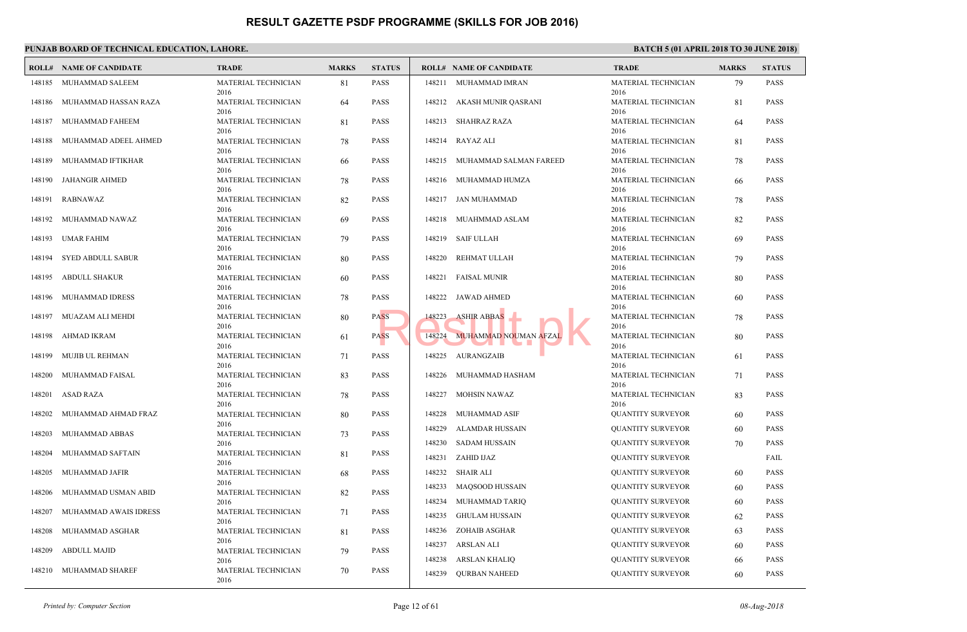|        | PUNJAB BOARD OF TECHNICAL EDUCATION, LAHORE. |                                     |              |               |                                                           |                            |
|--------|----------------------------------------------|-------------------------------------|--------------|---------------|-----------------------------------------------------------|----------------------------|
|        | <b>ROLL# NAME OF CANDIDATE</b>               | <b>TRADE</b>                        | <b>MARKS</b> | <b>STATUS</b> | <b>ROLL# NAME OF CANDIDATE</b>                            | <b>TRAL</b>                |
| 148185 | MUHAMMAD SALEEM                              | MATERIAL TECHNICIAN<br>2016         | 81           | <b>PASS</b>   | 148211 MUHAMMAD IMRAN                                     | <b>MATE</b><br>2016        |
| 148186 | MUHAMMAD HASSAN RAZA                         | MATERIAL TECHNICIAN<br>2016         | 64           | <b>PASS</b>   | 148212 AKASH MUNIR QASRANI                                | <b>MATE</b><br>2016        |
| 148187 | MUHAMMAD FAHEEM                              | MATERIAL TECHNICIAN<br>2016         | 81           | <b>PASS</b>   | 148213<br>SHAHRAZ RAZA                                    | <b>MATE</b><br>2016        |
| 148188 | MUHAMMAD ADEEL AHMED                         | MATERIAL TECHNICIAN<br>2016         | 78           | <b>PASS</b>   | 148214 RAYAZ ALI                                          | <b>MATE</b><br>2016        |
| 148189 | MUHAMMAD IFTIKHAR                            | MATERIAL TECHNICIAN<br>2016         | 66           | <b>PASS</b>   | 148215 MUHAMMAD SALMAN FAREED                             | <b>MATE</b><br>2016        |
| 148190 | JAHANGIR AHMED                               | MATERIAL TECHNICIAN<br>2016         | 78           | <b>PASS</b>   | 148216 MUHAMMAD HUMZA                                     | <b>MATE</b><br>2016        |
| 148191 | RABNAWAZ                                     | MATERIAL TECHNICIAN<br>2016         | 82           | <b>PASS</b>   | 148217 JAN MUHAMMAD                                       | <b>MATE</b><br>2016        |
| 148192 | MUHAMMAD NAWAZ                               | MATERIAL TECHNICIAN<br>2016         | 69           | <b>PASS</b>   | MUAHMMAD ASLAM<br>148218                                  | <b>MATE</b><br>2016        |
| 148193 | UMAR FAHIM                                   | MATERIAL TECHNICIAN<br>2016         | 79           | <b>PASS</b>   | SAIF ULLAH<br>148219                                      | <b>MATE</b><br>2016        |
| 148194 | <b>SYED ABDULL SABUR</b>                     | MATERIAL TECHNICIAN<br>2016         | 80           | <b>PASS</b>   | 148220<br>REHMAT ULLAH                                    | <b>MATE</b><br>2016        |
| 148195 | ABDULL SHAKUR                                | MATERIAL TECHNICIAN<br>2016         | 60           | <b>PASS</b>   | 148221 FAISAL MUNIR                                       | <b>MATE</b><br>2016        |
|        | 148196 MUHAMMAD IDRESS                       | MATERIAL TECHNICIAN<br>2016         | 78           | <b>PASS</b>   | 148222 JAWAD AHMED                                        | <b>MATE</b><br>2016        |
| 148197 | MUAZAM ALI MEHDI                             | MATERIAL TECHNICIAN<br>2016         | 80           | <b>PASS</b>   | <b>ASHIR ABBAS</b><br>148223                              | <b>MATE</b><br>2016        |
| 148198 | AHMAD IKRAM                                  | MATERIAL TECHNICIAN<br>2016         | 61           | <b>PASS</b>   | 148224<br>MUHAMMAD NOUMAN AFZAI                           | <b>MATE</b><br>2016        |
| 148199 | MUJIB UL REHMAN                              | MATERIAL TECHNICIAN<br>2016         | 71           | <b>PASS</b>   | 148225 AURANGZAIB                                         | <b>MATE</b><br>2016        |
| 148200 | MUHAMMAD FAISAL                              | MATERIAL TECHNICIAN<br>2016         | 83           | <b>PASS</b>   | 148226<br>MUHAMMAD HASHAM                                 | <b>MATE</b><br>2016        |
| 148201 | ASAD RAZA                                    | MATERIAL TECHNICIAN<br>2016         | 78           | <b>PASS</b>   | 148227 MOHSIN NAWAZ                                       | <b>MATE</b>                |
| 148202 | MUHAMMAD AHMAD FRAZ                          | MATERIAL TECHNICIAN                 | 80           | <b>PASS</b>   | MUHAMMAD ASIF<br>148228                                   | 2016<br><b>QUAN</b>        |
| 148203 | MUHAMMAD ABBAS                               | 2016<br>MATERIAL TECHNICIAN         | 73           | <b>PASS</b>   | 148229<br><b>ALAMDAR HUSSAIN</b>                          | <b>QUAN</b>                |
| 148204 | MUHAMMAD SAFTAIN                             | 2016<br>MATERIAL TECHNICIAN         | 81           | <b>PASS</b>   | 148230<br>SADAM HUSSAIN<br>148231 ZAHID IJAZ              | <b>QUAN</b><br><b>QUAN</b> |
| 148205 | MUHAMMAD JAFIR                               | 2016<br>MATERIAL TECHNICIAN         | 68           | <b>PASS</b>   | 148232<br>SHAIR ALI                                       | <b>QUAN</b>                |
| 148206 | MUHAMMAD USMAN ABID                          | 2016<br>MATERIAL TECHNICIAN         | 82           | <b>PASS</b>   | 148233<br>MAQSOOD HUSSAIN                                 | <b>QUAN</b><br><b>OUAN</b> |
| 148207 | MUHAMMAD AWAIS IDRESS                        | 2016<br>MATERIAL TECHNICIAN         | 71           | PASS          | 148234 MUHAMMAD TARIQ<br>148235 GHULAM HUSSAIN            | <b>QUAN</b>                |
| 148208 | MUHAMMAD ASGHAR                              | 2016<br>MATERIAL TECHNICIAN         | 81           | <b>PASS</b>   | 148236<br>ZOHAIB ASGHAR                                   | <b>QUAN</b>                |
| 148209 | <b>ABDULL MAJID</b>                          | 2016<br>MATERIAL TECHNICIAN         | 79           | <b>PASS</b>   | 148237<br>ARSLAN ALI                                      | <b>QUAN</b>                |
|        | 148210 MUHAMMAD SHAREF                       | 2016<br>MATERIAL TECHNICIAN<br>2016 | 70           | PASS          | 148238<br>ARSLAN KHALIQ<br>148239<br><b>QURBAN NAHEED</b> | <b>QUAN</b><br><b>QUAN</b> |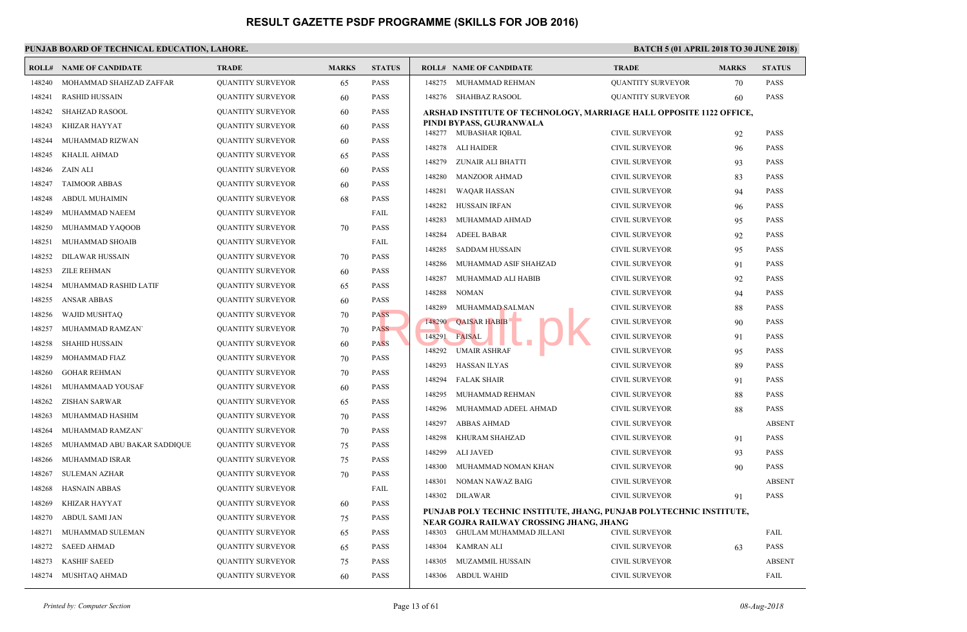|        | <b>ROLL# NAME OF CANDIDATE</b> | <b>TRADE</b>             | <b>MARKS</b> | <b>STATUS</b> |        | <b>ROLL# NAME OF CANDIDATE</b>                                      | <b>TRAL</b>  |
|--------|--------------------------------|--------------------------|--------------|---------------|--------|---------------------------------------------------------------------|--------------|
| 148240 | MOHAMMAD SHAHZAD ZAFFAR        | <b>QUANTITY SURVEYOR</b> | 65           | <b>PASS</b>   | 148275 | MUHAMMAD REHMAN                                                     | <b>OUAN</b>  |
| 148241 | <b>RASHID HUSSAIN</b>          | <b>QUANTITY SURVEYOR</b> | 60           | <b>PASS</b>   | 148276 | SHAHBAZ RASOOL                                                      | <b>QUAN</b>  |
| 148242 | <b>SHAHZAD RASOOL</b>          | <b>QUANTITY SURVEYOR</b> | 60           | <b>PASS</b>   |        | ARSHAD INSTITUTE OF TECHNOLOGY, MARRIAGE                            |              |
| 148243 | KHIZAR HAYYAT                  | <b>QUANTITY SURVEYOR</b> | 60           | <b>PASS</b>   |        | PINDI BYPASS, GUJRANWALA                                            |              |
| 148244 | MUHAMMAD RIZWAN                | <b>QUANTITY SURVEYOR</b> | 60           | <b>PASS</b>   |        | 148277 MUBASHAR IQBAL                                               | <b>CIVIL</b> |
| 148245 | KHALIL AHMAD                   | <b>QUANTITY SURVEYOR</b> | 65           | <b>PASS</b>   | 148278 | <b>ALI HAIDER</b>                                                   | <b>CIVIL</b> |
| 148246 | ZAIN ALI                       | <b>QUANTITY SURVEYOR</b> | 60           | <b>PASS</b>   | 148279 | <b>ZUNAIR ALI BHATTI</b>                                            | <b>CIVIL</b> |
| 148247 | <b>TAIMOOR ABBAS</b>           | <b>QUANTITY SURVEYOR</b> | 60           | <b>PASS</b>   | 148280 | <b>MANZOOR AHMAD</b>                                                | <b>CIVIL</b> |
| 148248 | <b>ABDUL MUHAIMIN</b>          | <b>QUANTITY SURVEYOR</b> | 68           | <b>PASS</b>   | 148281 | <b>WAQAR HASSAN</b>                                                 | <b>CIVIL</b> |
| 148249 | MUHAMMAD NAEEM                 | <b>QUANTITY SURVEYOR</b> |              | FAIL          | 148282 | HUSSAIN IRFAN                                                       | <b>CIVIL</b> |
| 148250 | MUHAMMAD YAQOOB                | <b>QUANTITY SURVEYOR</b> | 70           | <b>PASS</b>   | 148283 | MUHAMMAD AHMAD                                                      | <b>CIVIL</b> |
| 148251 | MUHAMMAD SHOAIB                | <b>QUANTITY SURVEYOR</b> |              | FAIL          | 148284 | <b>ADEEL BABAR</b>                                                  | <b>CIVIL</b> |
| 148252 | DILAWAR HUSSAIN                | <b>QUANTITY SURVEYOR</b> | 70           | <b>PASS</b>   | 148285 | <b>SADDAM HUSSAIN</b>                                               | <b>CIVIL</b> |
| 148253 | <b>ZILE REHMAN</b>             | <b>QUANTITY SURVEYOR</b> | 60           | <b>PASS</b>   | 148286 | MUHAMMAD ASIF SHAHZAD                                               | <b>CIVIL</b> |
| 148254 | MUHAMMAD RASHID LATIF          | <b>QUANTITY SURVEYOR</b> | 65           | <b>PASS</b>   | 148287 | MUHAMMAD ALI HABIB                                                  | <b>CIVIL</b> |
| 148255 | <b>ANSAR ABBAS</b>             | <b>QUANTITY SURVEYOR</b> | 60           | <b>PASS</b>   | 148288 | <b>NOMAN</b>                                                        | <b>CIVIL</b> |
| 148256 | WAJID MUSHTAQ                  | <b>QUANTITY SURVEYOR</b> | 70           | <b>PASS</b>   | 148289 | MUHAMMAD SALMAN                                                     | <b>CIVIL</b> |
| 148257 | MUHAMMAD RAMZAN'               | <b>QUANTITY SURVEYOR</b> | 70           | <b>PASS</b>   | 148290 | <b>QAISAR HABIB</b>                                                 | <b>CIVIL</b> |
| 148258 | <b>SHAHID HUSSAIN</b>          | <b>QUANTITY SURVEYOR</b> | 60           | <b>PASS</b>   | 148291 | <b>FAISAL</b>                                                       | <b>CIVIL</b> |
| 148259 | MOHAMMAD FIAZ                  | <b>QUANTITY SURVEYOR</b> | 70           | <b>PASS</b>   | 148292 | <b>UMAIR ASHRAF</b>                                                 | <b>CIVIL</b> |
| 148260 | <b>GOHAR REHMAN</b>            | <b>QUANTITY SURVEYOR</b> | 70           | <b>PASS</b>   | 148293 | <b>HASSAN ILYAS</b>                                                 | <b>CIVIL</b> |
| 148261 | MUHAMMAAD YOUSAF               | <b>QUANTITY SURVEYOR</b> | 60           | <b>PASS</b>   | 148294 | <b>FALAK SHAIR</b>                                                  | <b>CIVIL</b> |
| 148262 | <b>ZISHAN SARWAR</b>           | <b>QUANTITY SURVEYOR</b> | 65           | <b>PASS</b>   | 148295 | MUHAMMAD REHMAN                                                     | <b>CIVIL</b> |
| 148263 | MUHAMMAD HASHIM                | <b>QUANTITY SURVEYOR</b> | 70           | <b>PASS</b>   | 148296 | MUHAMMAD ADEEL AHMAD                                                | <b>CIVIL</b> |
| 148264 | MUHAMMAD RAMZAN'               | <b>QUANTITY SURVEYOR</b> | 70           | <b>PASS</b>   | 148297 | <b>ABBAS AHMAD</b>                                                  | <b>CIVIL</b> |
| 148265 | MUHAMMAD ABU BAKAR SADDIQUE    | <b>QUANTITY SURVEYOR</b> | 75           | <b>PASS</b>   | 148298 | KHURAM SHAHZAD                                                      | <b>CIVIL</b> |
| 148266 | MUHAMMAD ISRAR                 | <b>QUANTITY SURVEYOR</b> | 75           | <b>PASS</b>   | 148299 | <b>ALI JAVED</b>                                                    | <b>CIVIL</b> |
| 148267 | <b>SULEMAN AZHAR</b>           | <b>QUANTITY SURVEYOR</b> | 70           | <b>PASS</b>   | 148300 | MUHAMMAD NOMAN KHAN                                                 | <b>CIVIL</b> |
| 148268 | <b>HASNAIN ABBAS</b>           | <b>QUANTITY SURVEYOR</b> |              | FAIL          | 148301 | NOMAN NAWAZ BAIG                                                    | <b>CIVIL</b> |
| 148269 | <b>KHIZAR HAYYAT</b>           | <b>QUANTITY SURVEYOR</b> | 60           | <b>PASS</b>   | 148302 | <b>DILAWAR</b>                                                      | <b>CIVIL</b> |
| 148270 | ABDUL SAMI JAN                 | <b>QUANTITY SURVEYOR</b> | 75           | <b>PASS</b>   |        | PUNJAB POLY TECHNIC INSTITUTE, JHANG, PUNJA                         |              |
| 148271 | MUHAMMAD SULEMAN               | <b>QUANTITY SURVEYOR</b> | 65           | <b>PASS</b>   | 148303 | NEAR GOJRA RAILWAY CROSSING JHANG, JHANG<br>GHULAM MUHAMMAD JILLANI | <b>CIVIL</b> |
| 148272 | <b>SAEED AHMAD</b>             | <b>QUANTITY SURVEYOR</b> | 65           | <b>PASS</b>   | 148304 | <b>KAMRAN ALI</b>                                                   | <b>CIVIL</b> |
| 148273 | <b>KASHIF SAEED</b>            | <b>QUANTITY SURVEYOR</b> | 75           | <b>PASS</b>   | 148305 | <b>MUZAMMIL HUSSAIN</b>                                             | <b>CIVIL</b> |
| 148274 | MUSHTAQ AHMAD                  | <b>QUANTITY SURVEYOR</b> | 60           | <b>PASS</b>   |        | 148306 ABDUL WAHID                                                  | <b>CIVIL</b> |
|        |                                |                          |              |               |        |                                                                     |              |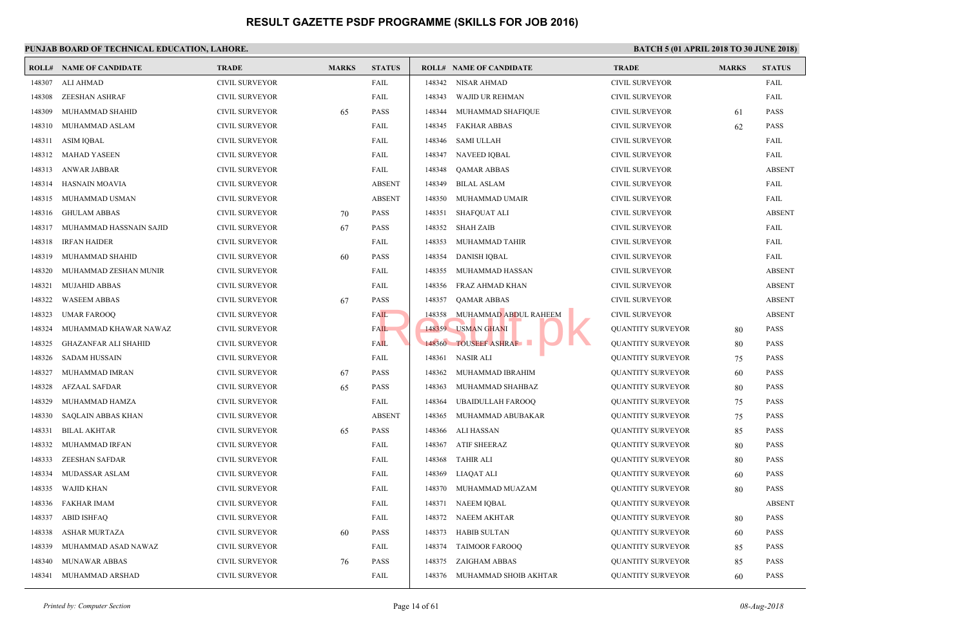|        | <b>ROLL# NAME OF CANDIDATE</b> | <b>TRADE</b>          | <b>MARKS</b> | <b>STATUS</b> |        | <b>ROLL# NAME OF CANDIDATE</b> | <b>TRAL</b>  |
|--------|--------------------------------|-----------------------|--------------|---------------|--------|--------------------------------|--------------|
| 148307 | ALI AHMAD                      | <b>CIVIL SURVEYOR</b> |              | FAIL          | 148342 | NISAR AHMAD                    | <b>CIVIL</b> |
| 148308 | <b>ZEESHAN ASHRAF</b>          | <b>CIVIL SURVEYOR</b> |              | FAIL          | 148343 | <b>WAJID UR REHMAN</b>         | <b>CIVIL</b> |
| 148309 | MUHAMMAD SHAHID                | <b>CIVIL SURVEYOR</b> | 65           | <b>PASS</b>   | 148344 | MUHAMMAD SHAFIQUE              | <b>CIVIL</b> |
| 148310 | MUHAMMAD ASLAM                 | <b>CIVIL SURVEYOR</b> |              | FAIL          | 148345 | <b>FAKHAR ABBAS</b>            | <b>CIVIL</b> |
| 148311 | ASIM IQBAL                     | <b>CIVIL SURVEYOR</b> |              | FAIL          | 148346 | <b>SAMI ULLAH</b>              | <b>CIVIL</b> |
| 148312 | <b>MAHAD YASEEN</b>            | <b>CIVIL SURVEYOR</b> |              | FAIL          | 148347 | <b>NAVEED IQBAL</b>            | <b>CIVIL</b> |
| 148313 | ANWAR JABBAR                   | <b>CIVIL SURVEYOR</b> |              | FAIL          | 148348 | <b>QAMAR ABBAS</b>             | <b>CIVIL</b> |
| 148314 | <b>HASNAIN MOAVIA</b>          | <b>CIVIL SURVEYOR</b> |              | <b>ABSENT</b> | 148349 | <b>BILAL ASLAM</b>             | <b>CIVIL</b> |
| 148315 | MUHAMMAD USMAN                 | <b>CIVIL SURVEYOR</b> |              | <b>ABSENT</b> | 148350 | MUHAMMAD UMAIR                 | <b>CIVIL</b> |
| 148316 | <b>GHULAM ABBAS</b>            | <b>CIVIL SURVEYOR</b> | 70           | <b>PASS</b>   | 148351 | <b>SHAFQUAT ALI</b>            | <b>CIVIL</b> |
| 148317 | MUHAMMAD HASSNAIN SAJID        | CIVIL SURVEYOR        | 67           | <b>PASS</b>   | 148352 | <b>SHAH ZAIB</b>               | <b>CIVIL</b> |
| 148318 | <b>IRFAN HAIDER</b>            | <b>CIVIL SURVEYOR</b> |              | FAIL          | 148353 | MUHAMMAD TAHIR                 | <b>CIVIL</b> |
| 148319 | MUHAMMAD SHAHID                | <b>CIVIL SURVEYOR</b> | 60           | <b>PASS</b>   | 148354 | <b>DANISH IQBAL</b>            | <b>CIVIL</b> |
| 148320 | MUHAMMAD ZESHAN MUNIR          | <b>CIVIL SURVEYOR</b> |              | FAIL          | 148355 | MUHAMMAD HASSAN                | <b>CIVIL</b> |
| 148321 | <b>MUJAHID ABBAS</b>           | <b>CIVIL SURVEYOR</b> |              | FAIL          | 148356 | FRAZ AHMAD KHAN                | <b>CIVIL</b> |
| 148322 | <b>WASEEM ABBAS</b>            | <b>CIVIL SURVEYOR</b> | 67           | <b>PASS</b>   | 148357 | <b>QAMAR ABBAS</b>             | <b>CIVIL</b> |
| 148323 | <b>UMAR FAROOQ</b>             | <b>CIVIL SURVEYOR</b> |              | FAIL          | 148358 | MUHAMMAD ABDUL RAHEEM          | <b>CIVIL</b> |
| 148324 | MUHAMMAD KHAWAR NAWAZ          | <b>CIVIL SURVEYOR</b> |              | FAIL          | 148359 | <b>USMAN GHANI</b>             | <b>QUAN</b>  |
| 148325 | <b>GHAZANFAR ALI SHAHID</b>    | <b>CIVIL SURVEYOR</b> |              | <b>FAIL</b>   | 148360 | <b>TOUSEEF ASHRAF</b>          | <b>QUAN</b>  |
| 148326 | <b>SADAM HUSSAIN</b>           | <b>CIVIL SURVEYOR</b> |              | FAIL          | 148361 | <b>NASIR ALI</b>               | <b>QUAN</b>  |
| 148327 | MUHAMMAD IMRAN                 | <b>CIVIL SURVEYOR</b> | 67           | <b>PASS</b>   | 148362 | MUHAMMAD IBRAHIM               | <b>QUAN</b>  |
| 148328 | <b>AFZAAL SAFDAR</b>           | <b>CIVIL SURVEYOR</b> | 65           | <b>PASS</b>   | 148363 | MUHAMMAD SHAHBAZ               | <b>QUAN</b>  |
| 148329 | MUHAMMAD HAMZA                 | <b>CIVIL SURVEYOR</b> |              | FAIL          | 148364 | <b>UBAIDULLAH FAROOQ</b>       | <b>OUAN</b>  |
| 148330 | SAQLAIN ABBAS KHAN             | CIVIL SURVEYOR        |              | <b>ABSENT</b> | 148365 | MUHAMMAD ABUBAKAR              | <b>QUAN</b>  |
| 148331 | <b>BILAL AKHTAR</b>            | <b>CIVIL SURVEYOR</b> | 65           | <b>PASS</b>   | 148366 | <b>ALI HASSAN</b>              | <b>QUAN</b>  |
| 148332 | MUHAMMAD IRFAN                 | <b>CIVIL SURVEYOR</b> |              | FAIL          | 148367 | <b>ATIF SHEERAZ</b>            | <b>QUAN</b>  |
| 148333 | <b>ZEESHAN SAFDAR</b>          | <b>CIVIL SURVEYOR</b> |              | FAIL          | 148368 | <b>TAHIR ALI</b>               | <b>OUAN</b>  |
| 148334 | MUDASSAR ASLAM                 | <b>CIVIL SURVEYOR</b> |              | FAIL          | 148369 | <b>LIAQAT ALI</b>              | <b>QUAN</b>  |
| 148335 | <b>WAJID KHAN</b>              | <b>CIVIL SURVEYOR</b> |              | FAIL          | 148370 | MUHAMMAD MUAZAM                | <b>QUAN</b>  |
| 148336 | <b>FAKHAR IMAM</b>             | <b>CIVIL SURVEYOR</b> |              | FAIL          | 148371 | NAEEM IQBAL                    | <b>QUAN</b>  |
| 148337 | <b>ABID ISHFAQ</b>             | <b>CIVIL SURVEYOR</b> |              | FAIL          | 148372 | <b>NAEEM AKHTAR</b>            | <b>OUAN</b>  |
| 148338 | <b>ASHAR MURTAZA</b>           | <b>CIVIL SURVEYOR</b> | 60           | <b>PASS</b>   | 148373 | <b>HABIB SULTAN</b>            | <b>QUAN</b>  |
| 148339 | MUHAMMAD ASAD NAWAZ            | <b>CIVIL SURVEYOR</b> |              | FAIL          | 148374 | <b>TAIMOOR FAROOQ</b>          | <b>QUAN</b>  |
| 148340 | <b>MUNAWAR ABBAS</b>           | <b>CIVIL SURVEYOR</b> | 76           | <b>PASS</b>   | 148375 | ZAIGHAM ABBAS                  | <b>QUAN</b>  |
| 148341 | MUHAMMAD ARSHAD                | <b>CIVIL SURVEYOR</b> |              | FAIL          | 148376 | MUHAMMAD SHOIB AKHTAR          | <b>QUAN</b>  |
|        |                                |                       |              |               |        |                                |              |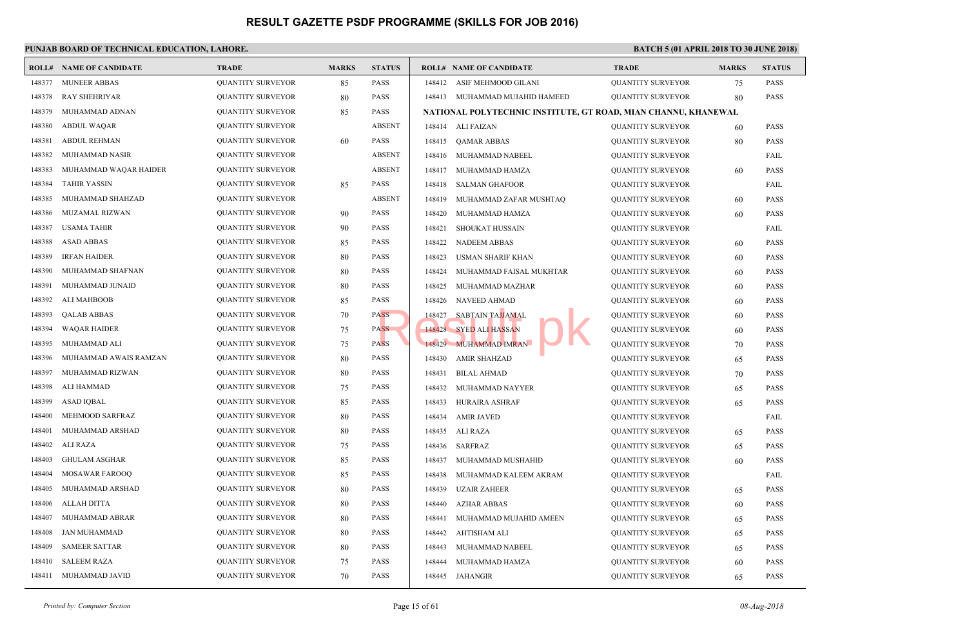|        | <b>ROLL# NAME OF CANDIDATE</b> | <b>TRADE</b>             | <b>MARKS</b> | <b>STATUS</b> |        | <b>ROLL# NAME OF CANDIDATE</b>             | <b>TRAL</b> |
|--------|--------------------------------|--------------------------|--------------|---------------|--------|--------------------------------------------|-------------|
| 148377 | <b>MUNEER ABBAS</b>            | <b>QUANTITY SURVEYOR</b> | 85           | <b>PASS</b>   | 148412 | ASIF MEHMOOD GILANI                        | <b>QUAN</b> |
| 148378 | <b>RAY SHEHRIYAR</b>           | <b>QUANTITY SURVEYOR</b> | 80           | <b>PASS</b>   |        | 148413 MUHAMMAD MUJAHID HAMEED             | <b>QUAN</b> |
| 148379 | MUHAMMAD ADNAN                 | <b>QUANTITY SURVEYOR</b> | 85           | <b>PASS</b>   |        | NATIONAL POLYTECHNIC INSTITUTE, GT ROAD, M |             |
| 148380 | <b>ABDUL WAQAR</b>             | <b>QUANTITY SURVEYOR</b> |              | <b>ABSENT</b> |        | 148414 ALI FAIZAN                          | <b>QUAN</b> |
| 148381 | <b>ABDUL REHMAN</b>            | <b>QUANTITY SURVEYOR</b> | 60           | <b>PASS</b>   | 148415 | <b>OAMAR ABBAS</b>                         | <b>QUAN</b> |
| 148382 | MUHAMMAD NASIR                 | <b>QUANTITY SURVEYOR</b> |              | <b>ABSENT</b> | 148416 | MUHAMMAD NABEEL                            | <b>QUAN</b> |
| 148383 | MUHAMMAD WAQAR HAIDER          | <b>QUANTITY SURVEYOR</b> |              | <b>ABSENT</b> | 148417 | MUHAMMAD HAMZA                             | QUAN        |
| 148384 | <b>TAHIR YASSIN</b>            | <b>QUANTITY SURVEYOR</b> | 85           | <b>PASS</b>   | 148418 | <b>SALMAN GHAFOOR</b>                      | <b>QUAN</b> |
| 148385 | MUHAMMAD SHAHZAD               | <b>QUANTITY SURVEYOR</b> |              | <b>ABSENT</b> | 148419 | MUHAMMAD ZAFAR MUSHTAQ                     | <b>QUAN</b> |
| 148386 | MUZAMAL RIZWAN                 | <b>QUANTITY SURVEYOR</b> | 90           | <b>PASS</b>   | 148420 | MUHAMMAD HAMZA                             | QUAN        |
| 148387 | <b>USAMA TAHIR</b>             | <b>QUANTITY SURVEYOR</b> | 90           | PASS          | 148421 | SHOUKAT HUSSAIN                            | <b>QUAN</b> |
| 148388 | <b>ASAD ABBAS</b>              | <b>QUANTITY SURVEYOR</b> | 85           | PASS          | 148422 | <b>NADEEM ABBAS</b>                        | <b>QUAN</b> |
| 148389 | <b>IRFAN HAIDER</b>            | <b>QUANTITY SURVEYOR</b> | 80           | <b>PASS</b>   | 148423 | <b>USMAN SHARIF KHAN</b>                   | <b>QUAN</b> |
| 148390 | MUHAMMAD SHAFNAN               | <b>QUANTITY SURVEYOR</b> | 80           | PASS          | 148424 | MUHAMMAD FAISAL MUKHTAR                    | <b>QUAN</b> |
| 148391 | MUHAMMAD JUNAID                | <b>QUANTITY SURVEYOR</b> | 80           | <b>PASS</b>   | 148425 | MUHAMMAD MAZHAR                            | QUAN        |
| 148392 | <b>ALI MAHBOOB</b>             | <b>QUANTITY SURVEYOR</b> | 85           | <b>PASS</b>   | 148426 | <b>NAVEED AHMAD</b>                        | <b>QUAN</b> |
| 148393 | <b>QALAB ABBAS</b>             | <b>QUANTITY SURVEYOR</b> | 70           | <b>PASS</b>   | 148427 | SABTAIN TAJJAMAL                           | <b>QUAN</b> |
| 148394 | <b>WAQAR HAIDER</b>            | <b>QUANTITY SURVEYOR</b> | 75           | <b>PASS</b>   |        | 148428 SYED ALI HASSAN                     | <b>QUAN</b> |
| 148395 | MUHAMMAD ALI                   | <b>QUANTITY SURVEYOR</b> | 75           | <b>PASS</b>   |        | 148429 MUHAMMAD IMRAN                      | <b>QUAN</b> |
| 148396 | MUHAMMAD AWAIS RAMZAN          | <b>QUANTITY SURVEYOR</b> | 80           | PASS          | 148430 | <b>AMIR SHAHZAD</b>                        | <b>QUAN</b> |
| 148397 | MUHAMMAD RIZWAN                | <b>QUANTITY SURVEYOR</b> | 80           | <b>PASS</b>   | 148431 | <b>BILAL AHMAD</b>                         | <b>QUAN</b> |
| 148398 | ALI HAMMAD                     | <b>QUANTITY SURVEYOR</b> | 75           | <b>PASS</b>   | 148432 | MUHAMMAD NAYYER                            | <b>QUAN</b> |
| 148399 | <b>ASAD IQBAL</b>              | <b>QUANTITY SURVEYOR</b> | 85           | <b>PASS</b>   | 148433 | HURAIRA ASHRAF                             | <b>QUAN</b> |
| 148400 | MEHMOOD SARFRAZ                | <b>QUANTITY SURVEYOR</b> | 80           | <b>PASS</b>   | 148434 | <b>AMIR JAVED</b>                          | <b>QUAN</b> |
| 148401 | MUHAMMAD ARSHAD                | <b>QUANTITY SURVEYOR</b> | 80           | PASS          | 148435 | ALI RAZA                                   | <b>QUAN</b> |
| 148402 | <b>ALI RAZA</b>                | <b>QUANTITY SURVEYOR</b> | 75           | <b>PASS</b>   | 148436 | SARFRAZ                                    | QUAN        |
| 148403 | <b>GHULAM ASGHAR</b>           | <b>QUANTITY SURVEYOR</b> | 85           | PASS          | 148437 | MUHAMMAD MUSHAHID                          | <b>QUAN</b> |
| 148404 | <b>MOSAWAR FAROOQ</b>          | <b>QUANTITY SURVEYOR</b> | 85           | PASS          | 148438 | MUHAMMAD KALEEM AKRAM                      | <b>QUAN</b> |
| 148405 | MUHAMMAD ARSHAD                | <b>QUANTITY SURVEYOR</b> | 80           | <b>PASS</b>   | 148439 | <b>UZAIR ZAHEER</b>                        | <b>QUAN</b> |
| 148406 | <b>ALLAH DITTA</b>             | <b>QUANTITY SURVEYOR</b> | 80           | PASS          | 148440 | <b>AZHAR ABBAS</b>                         | <b>QUAN</b> |
| 148407 | MUHAMMAD ABRAR                 | <b>QUANTITY SURVEYOR</b> | 80           | PASS          | 148441 | MUHAMMAD MUJAHID AMEEN                     | <b>QUAN</b> |
| 148408 | <b>JAN MUHAMMAD</b>            | <b>QUANTITY SURVEYOR</b> | 80           | PASS          | 148442 | AHTISHAM ALI                               | <b>QUAN</b> |
| 148409 | <b>SAMEER SATTAR</b>           | <b>QUANTITY SURVEYOR</b> | 80           | PASS          | 148443 | MUHAMMAD NABEEL                            | <b>QUAN</b> |
| 148410 | <b>SALEEM RAZA</b>             | <b>QUANTITY SURVEYOR</b> | 75           | <b>PASS</b>   | 148444 | MUHAMMAD HAMZA                             | QUAN        |
| 148411 | MUHAMMAD JAVID                 | <b>QUANTITY SURVEYOR</b> | 70           | PASS          |        | 148445 JAHANGIR                            | <b>QUAN</b> |
|        |                                |                          |              |               |        |                                            |             |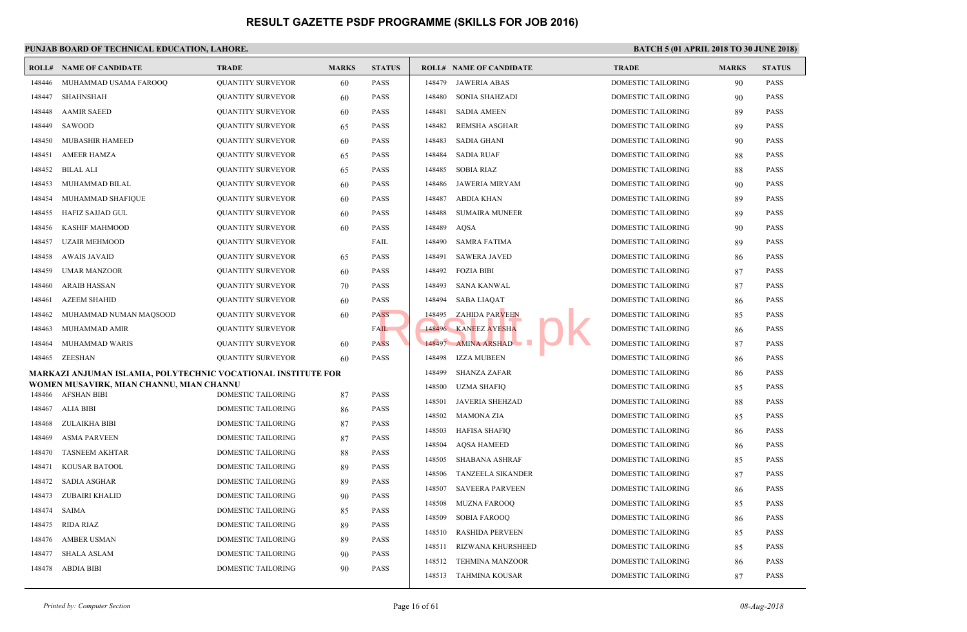|        | <b>ROLL# NAME OF CANDIDATE</b>                                | <b>TRADE</b>              | <b>MARKS</b> | <b>STATUS</b> | <b>ROLL# NAME OF CANDIDATE</b>     | <b>TRAL</b> |
|--------|---------------------------------------------------------------|---------------------------|--------------|---------------|------------------------------------|-------------|
| 148446 | MUHAMMAD USAMA FAROOQ                                         | <b>QUANTITY SURVEYOR</b>  | 60           | <b>PASS</b>   | <b>JAWERIA ABAS</b><br>148479      | <b>DOME</b> |
| 148447 | <b>SHAHNSHAH</b>                                              | <b>QUANTITY SURVEYOR</b>  | 60           | <b>PASS</b>   | 148480<br><b>SONIA SHAHZADI</b>    | <b>DOME</b> |
| 148448 | <b>AAMIR SAEED</b>                                            | <b>QUANTITY SURVEYOR</b>  | 60           | <b>PASS</b>   | 148481<br><b>SADIA AMEEN</b>       | <b>DOME</b> |
| 148449 | SAWOOD                                                        | <b>QUANTITY SURVEYOR</b>  | 65           | <b>PASS</b>   | 148482<br>REMSHA ASGHAR            | <b>DOME</b> |
| 148450 | <b>MUBASHIR HAMEED</b>                                        | <b>QUANTITY SURVEYOR</b>  | 60           | <b>PASS</b>   | <b>SADIA GHANI</b><br>148483       | <b>DOME</b> |
| 148451 | <b>AMEER HAMZA</b>                                            | <b>QUANTITY SURVEYOR</b>  | 65           | <b>PASS</b>   | 148484<br><b>SADIA RUAF</b>        | <b>DOME</b> |
| 148452 | <b>BILAL ALI</b>                                              | <b>QUANTITY SURVEYOR</b>  | 65           | <b>PASS</b>   | 148485<br><b>SOBIA RIAZ</b>        | <b>DOME</b> |
| 148453 | MUHAMMAD BILAL                                                | <b>QUANTITY SURVEYOR</b>  | 60           | <b>PASS</b>   | 148486<br>JAWERIA MIRYAM           | <b>DOME</b> |
| 148454 | MUHAMMAD SHAFIQUE                                             | <b>QUANTITY SURVEYOR</b>  | 60           | <b>PASS</b>   | 148487<br>ABDIA KHAN               | <b>DOME</b> |
| 148455 | <b>HAFIZ SAJJAD GUL</b>                                       | <b>QUANTITY SURVEYOR</b>  | 60           | <b>PASS</b>   | 148488<br><b>SUMAIRA MUNEER</b>    | <b>DOME</b> |
| 148456 | KASHIF MAHMOOD                                                | <b>QUANTITY SURVEYOR</b>  | 60           | <b>PASS</b>   | 148489<br>AQSA                     | <b>DOME</b> |
| 148457 | <b>UZAIR MEHMOOD</b>                                          | <b>QUANTITY SURVEYOR</b>  |              | FAIL          | 148490<br><b>SAMRA FATIMA</b>      | <b>DOME</b> |
| 148458 | <b>AWAIS JAVAID</b>                                           | <b>QUANTITY SURVEYOR</b>  | 65           | <b>PASS</b>   | <b>SAWERA JAVED</b><br>148491      | <b>DOME</b> |
| 148459 | <b>UMAR MANZOOR</b>                                           | <b>QUANTITY SURVEYOR</b>  | 60           | <b>PASS</b>   | 148492<br><b>FOZIA BIBI</b>        | <b>DOME</b> |
| 148460 | <b>ARAIB HASSAN</b>                                           | <b>QUANTITY SURVEYOR</b>  | 70           | <b>PASS</b>   | 148493<br><b>SANA KANWAL</b>       | <b>DOME</b> |
| 148461 | <b>AZEEM SHAHID</b>                                           | <b>QUANTITY SURVEYOR</b>  | 60           | <b>PASS</b>   | 148494<br><b>SABA LIAQAT</b>       | <b>DOME</b> |
| 148462 | MUHAMMAD NUMAN MAQSOOD                                        | <b>QUANTITY SURVEYOR</b>  | 60           | PASS          | <b>ZAHIDA PARVEEN</b><br>148495    | <b>DOME</b> |
| 148463 | MUHAMMAD AMIR                                                 | <b>QUANTITY SURVEYOR</b>  |              | FAIL          | 148496 KANEEZ AYESHA               | <b>DOME</b> |
| 148464 | MUHAMMAD WARIS                                                | <b>QUANTITY SURVEYOR</b>  | 60           | <b>PASS</b>   | 148497 AMINA ARSHAD                | <b>DOME</b> |
| 148465 | ZEESHAN                                                       | <b>QUANTITY SURVEYOR</b>  | 60           | <b>PASS</b>   | IZZA MUBEEN<br>148498              | <b>DOME</b> |
|        | MARKAZI ANJUMAN ISLAMIA, POLYTECHNIC VOCATIONAL INSTITUTE FOR |                           |              |               | 148499<br><b>SHANZA ZAFAR</b>      | <b>DOME</b> |
|        | WOMEN MUSAVIRK, MIAN CHANNU, MIAN CHANNU                      |                           |              |               | 148500<br><b>UZMA SHAFIQ</b>       | <b>DOME</b> |
|        | 148466 AFSHAN BIBI                                            | <b>DOMESTIC TAILORING</b> | 87           | <b>PASS</b>   | 148501<br><b>JAVERIA SHEHZAD</b>   | <b>DOME</b> |
| 148467 | ALIA BIBI                                                     | <b>DOMESTIC TAILORING</b> | 86           | <b>PASS</b>   | 148502<br><b>MAMONA ZIA</b>        | <b>DOME</b> |
| 148468 | ZULAIKHA BIBI                                                 | DOMESTIC TAILORING        | 87           | <b>PASS</b>   | <b>HAFISA SHAFIQ</b><br>148503     | <b>DOME</b> |
| 148469 | <b>ASMA PARVEEN</b>                                           | DOMESTIC TAILORING        | 87           | <b>PASS</b>   | 148504<br><b>AQSA HAMEED</b>       | <b>DOME</b> |
| 148470 | <b>TASNEEM AKHTAR</b>                                         | DOMESTIC TAILORING        | 88           | <b>PASS</b>   | 148505<br><b>SHABANA ASHRAF</b>    | <b>DOME</b> |
| 148471 | <b>KOUSAR BATOOL</b>                                          | <b>DOMESTIC TAILORING</b> | 89           | <b>PASS</b>   | 148506<br><b>TANZEELA SIKANDER</b> | <b>DOME</b> |
| 148472 | <b>SADIA ASGHAR</b>                                           | <b>DOMESTIC TAILORING</b> | 89           | <b>PASS</b>   | 148507<br><b>SAVEERA PARVEEN</b>   | <b>DOME</b> |
| 148473 | ZUBAIRI KHALID                                                | DOMESTIC TAILORING        | 90           | <b>PASS</b>   | 148508<br><b>MUZNA FAROOQ</b>      | <b>DOME</b> |
| 148474 | <b>SAIMA</b>                                                  | <b>DOMESTIC TAILORING</b> | 85           | <b>PASS</b>   | 148509<br><b>SOBIA FAROOO</b>      | <b>DOME</b> |
| 148475 | <b>RIDA RIAZ</b>                                              | DOMESTIC TAILORING        | 89           | <b>PASS</b>   | 148510<br><b>RASHIDA PERVEEN</b>   | <b>DOME</b> |
| 148476 | <b>AMBER USMAN</b>                                            | DOMESTIC TAILORING        | 89           | <b>PASS</b>   | 148511<br>RIZWANA KHURSHEED        | <b>DOME</b> |
| 148477 | <b>SHALA ASLAM</b>                                            | DOMESTIC TAILORING        | 90           | <b>PASS</b>   | 148512 TEHMINA MANZOOR             | <b>DOME</b> |
| 148478 | ABDIA BIBI                                                    | DOMESTIC TAILORING        | 90           | <b>PASS</b>   | 148513 TAHMINA KOUSAR              | <b>DOME</b> |
|        |                                                               |                           |              |               |                                    |             |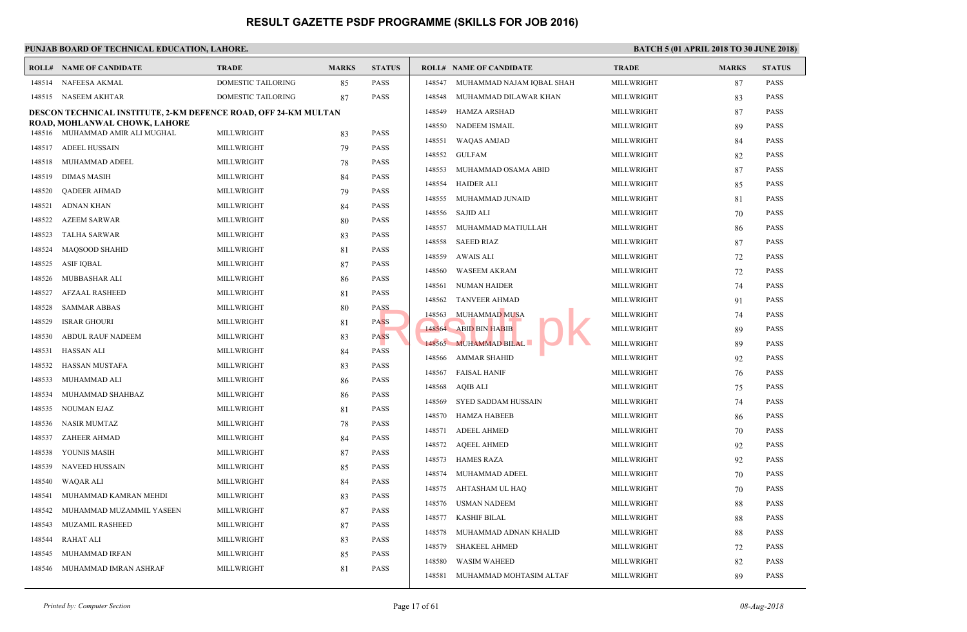|        | <b>ROLL# NAME OF CANDIDATE</b>                                         | <b>TRADE</b>              | <b>MARKS</b> | <b>STATUS</b> |        | <b>ROLL# NAME OF CANDIDATE</b> | <b>TRAL</b>  |
|--------|------------------------------------------------------------------------|---------------------------|--------------|---------------|--------|--------------------------------|--------------|
| 148514 | NAFEESA AKMAL                                                          | DOMESTIC TAILORING        | 85           | <b>PASS</b>   | 148547 | MUHAMMAD NAJAM IQBAL SHAH      | <b>MILLV</b> |
|        | 148515 NASEEM AKHTAR                                                   | <b>DOMESTIC TAILORING</b> | 87           | <b>PASS</b>   | 148548 | MUHAMMAD DILAWAR KHAN          | <b>MILLV</b> |
|        | <b>DESCON TECHNICAL INSTITUTE, 2-KM DEFENCE ROAD, OFF 24-KM MULTAN</b> |                           |              |               | 148549 | <b>HAMZA ARSHAD</b>            | <b>MILLV</b> |
|        | ROAD, MOHLANWAL CHOWK, LAHORE<br>148516 MUHAMMAD AMIR ALI MUGHAL       |                           |              | <b>PASS</b>   | 148550 | NADEEM ISMAIL                  | <b>MILLV</b> |
|        |                                                                        | MILLWRIGHT                | 83           |               | 148551 | WAQAS AMJAD                    | <b>MILLV</b> |
| 148517 | ADEEL HUSSAIN                                                          | MILLWRIGHT                | 79           | <b>PASS</b>   | 148552 | GULFAM                         | <b>MILLV</b> |
| 148518 | MUHAMMAD ADEEL                                                         | MILLWRIGHT                | 78           | <b>PASS</b>   | 148553 | MUHAMMAD OSAMA ABID            | <b>MILLV</b> |
| 148519 | DIMAS MASIH                                                            | MILLWRIGHT                | 84           | <b>PASS</b>   | 148554 | <b>HAIDER ALI</b>              | <b>MILLV</b> |
| 148520 | <b>QADEER AHMAD</b>                                                    | MILLWRIGHT                | 79           | <b>PASS</b>   | 148555 | MUHAMMAD JUNAID                | <b>MILLV</b> |
| 148521 | <b>ADNAN KHAN</b>                                                      | MILLWRIGHT                | 84           | <b>PASS</b>   | 148556 | SAJID ALI                      | <b>MILLV</b> |
| 148522 | <b>AZEEM SARWAR</b>                                                    | MILLWRIGHT                | 80           | <b>PASS</b>   | 148557 | MUHAMMAD MATIULLAH             | <b>MILLV</b> |
| 148523 | <b>TALHA SARWAR</b>                                                    | MILLWRIGHT                | 83           | <b>PASS</b>   | 148558 | <b>SAEED RIAZ</b>              | <b>MILLV</b> |
| 148524 | <b>MAQSOOD SHAHID</b>                                                  | MILLWRIGHT                | 81           | <b>PASS</b>   | 148559 | AWAIS ALI                      | <b>MILLV</b> |
| 148525 | <b>ASIF IQBAL</b>                                                      | MILLWRIGHT                | 87           | <b>PASS</b>   | 148560 | <b>WASEEM AKRAM</b>            | <b>MILLV</b> |
| 148526 | MUBBASHAR ALI                                                          | MILLWRIGHT                | 86           | <b>PASS</b>   | 148561 | NUMAN HAIDER                   | <b>MILLV</b> |
| 148527 | <b>AFZAAL RASHEED</b>                                                  | MILLWRIGHT                | 81           | <b>PASS</b>   | 148562 | <b>TANVEER AHMAD</b>           | <b>MILLV</b> |
| 148528 | <b>SAMMAR ABBAS</b>                                                    | MILLWRIGHT                | 80           | <b>PASS</b>   | 148563 | <b>MUHAMMAD MUSA</b>           | <b>MILLV</b> |
| 148529 | <b>ISRAR GHOURI</b>                                                    | MILLWRIGHT                | 81           | <b>PASS</b>   |        | 148564 ABID BIN HABIB          | <b>MILLV</b> |
| 148530 | <b>ABDUL RAUF NADEEM</b>                                               | MILLWRIGHT                | 83           | <b>PASS</b>   |        | 148565 MUHAMMAD BILAL          | <b>MILLV</b> |
| 148531 | HASSAN ALI                                                             | MILLWRIGHT                | 84           | <b>PASS</b>   |        |                                |              |
| 148532 | HASSAN MUSTAFA                                                         | MILLWRIGHT                | 83           | <b>PASS</b>   | 148566 | AMMAR SHAHID                   | <b>MILLV</b> |
| 148533 | MUHAMMAD ALI                                                           | MILLWRIGHT                | 86           | <b>PASS</b>   |        | 148567 FAISAL HANIF            | <b>MILLV</b> |
| 148534 | MUHAMMAD SHAHBAZ                                                       | MILLWRIGHT                | 86           | <b>PASS</b>   | 148568 | AQIB ALI                       | <b>MILLV</b> |
| 148535 | NOUMAN EJAZ                                                            | MILLWRIGHT                | 81           | <b>PASS</b>   | 148569 | SYED SADDAM HUSSAIN            | <b>MILLV</b> |
| 148536 | NASIR MUMTAZ                                                           | MILLWRIGHT                | 78           | <b>PASS</b>   | 148570 | HAMZA HABEEB                   | <b>MILLV</b> |
| 148537 | ZAHEER AHMAD                                                           | MILLWRIGHT                | 84           | <b>PASS</b>   | 148571 | <b>ADEEL AHMED</b>             | <b>MILLV</b> |
| 148538 | YOUNIS MASIH                                                           | MILLWRIGHT                | 87           | <b>PASS</b>   | 148572 | <b>AQEEL AHMED</b>             | <b>MILLV</b> |
| 148539 | <b>NAVEED HUSSAIN</b>                                                  | MILLWRIGHT                | 85           | <b>PASS</b>   | 148573 | <b>HAMES RAZA</b>              | <b>MILLV</b> |
| 148540 | WAQAR ALI                                                              | MILLWRIGHT                | 84           | <b>PASS</b>   | 148574 | MUHAMMAD ADEEL                 | <b>MILLV</b> |
| 148541 | MUHAMMAD KAMRAN MEHDI                                                  | MILLWRIGHT                | 83           | <b>PASS</b>   | 148575 | AHTASHAM UL HAQ                | <b>MILLV</b> |
| 148542 | MUHAMMAD MUZAMMIL YASEEN                                               | MILLWRIGHT                | 87           | <b>PASS</b>   | 148576 | <b>USMAN NADEEM</b>            | <b>MILLV</b> |
| 148543 | MUZAMIL RASHEED                                                        | MILLWRIGHT                | 87           | <b>PASS</b>   | 148577 | <b>KASHIF BILAL</b>            | <b>MILLV</b> |
| 148544 | RAHAT ALI                                                              | MILLWRIGHT                | 83           | <b>PASS</b>   | 148578 | MUHAMMAD ADNAN KHALID          | <b>MILLV</b> |
| 148545 | MUHAMMAD IRFAN                                                         | MILLWRIGHT                | 85           | <b>PASS</b>   | 148579 | <b>SHAKEEL AHMED</b>           | <b>MILLV</b> |
| 148546 | MUHAMMAD IMRAN ASHRAF                                                  | MILLWRIGHT                | 81           | <b>PASS</b>   | 148580 | <b>WASIM WAHEED</b>            | <b>MILLV</b> |
|        |                                                                        |                           |              |               | 148581 | MUHAMMAD MOHTASIM ALTAF        | <b>MILLV</b> |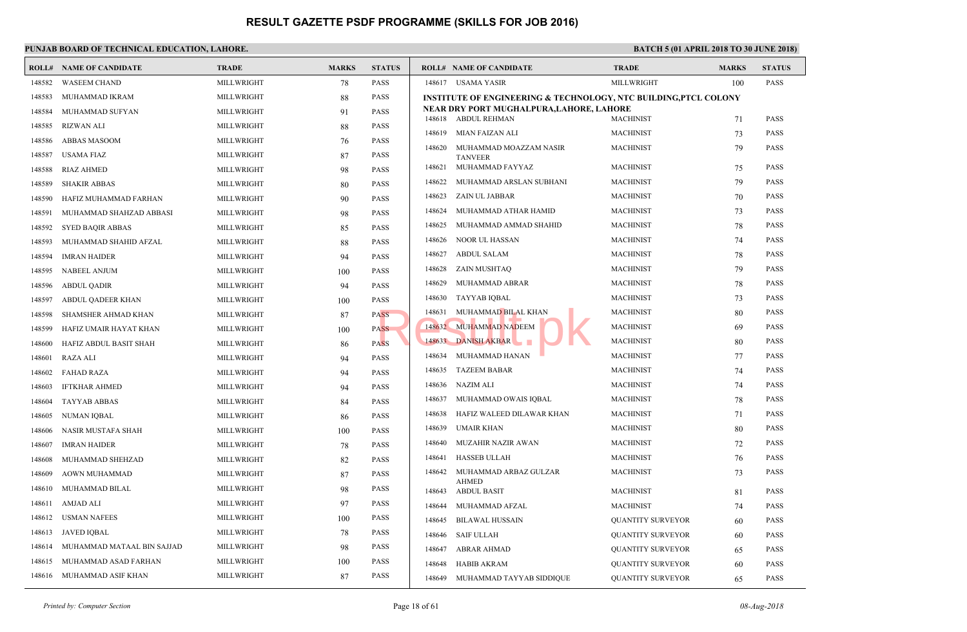|        | <b>ROLL# NAME OF CANDIDATE</b> | <b>TRADE</b> | <b>MARKS</b> | <b>STATUS</b> |        | <b>ROLL# NAME OF CANDIDATE</b>                                  | <b>TRAL</b>  |
|--------|--------------------------------|--------------|--------------|---------------|--------|-----------------------------------------------------------------|--------------|
| 148582 | <b>WASEEM CHAND</b>            | MILLWRIGHT   | 78           | <b>PASS</b>   |        | 148617 USAMA YASIR                                              | <b>MILLV</b> |
| 148583 | MUHAMMAD IKRAM                 | MILLWRIGHT   | 88           | <b>PASS</b>   |        | <b>INSTITUTE OF ENGINEERING &amp; TECHNOLOGY, NTC</b>           |              |
| 148584 | MUHAMMAD SUFYAN                | MILLWRIGHT   | 91           | <b>PASS</b>   | 148618 | NEAR DRY PORT MUGHALPURA, LAHORE, LAHORE<br><b>ABDUL REHMAN</b> | MACH         |
| 148585 | <b>RIZWAN ALI</b>              | MILLWRIGHT   | 88           | <b>PASS</b>   | 148619 | MIAN FAIZAN ALI                                                 | <b>MACH</b>  |
| 148586 | <b>ABBAS MASOOM</b>            | MILLWRIGHT   | 76           | <b>PASS</b>   | 148620 |                                                                 | <b>MACH</b>  |
| 148587 | <b>USAMA FIAZ</b>              | MILLWRIGHT   | 87           | <b>PASS</b>   |        | MUHAMMAD MOAZZAM NASIR<br><b>TANVEER</b>                        |              |
| 148588 | <b>RIAZ AHMED</b>              | MILLWRIGHT   | 98           | <b>PASS</b>   | 148621 | MUHAMMAD FAYYAZ                                                 | <b>MACH</b>  |
| 148589 | <b>SHAKIR ABBAS</b>            | MILLWRIGHT   | 80           | <b>PASS</b>   | 148622 | MUHAMMAD ARSLAN SUBHANI                                         | MACH         |
| 148590 | HAFIZ MUHAMMAD FARHAN          | MILLWRIGHT   | 90           | <b>PASS</b>   | 148623 | ZAIN UL JABBAR                                                  | <b>MACH</b>  |
| 148591 | MUHAMMAD SHAHZAD ABBASI        | MILLWRIGHT   | 98           | <b>PASS</b>   | 148624 | MUHAMMAD ATHAR HAMID                                            | <b>MACH</b>  |
| 148592 | <b>SYED BAQIR ABBAS</b>        | MILLWRIGHT   | 85           | <b>PASS</b>   | 148625 | MUHAMMAD AMMAD SHAHID                                           | MACH         |
| 148593 | MUHAMMAD SHAHID AFZAL          | MILLWRIGHT   | 88           | <b>PASS</b>   | 148626 | <b>NOOR UL HASSAN</b>                                           | <b>MACH</b>  |
| 148594 | <b>IMRAN HAIDER</b>            | MILLWRIGHT   | 94           | <b>PASS</b>   | 148627 | <b>ABDUL SALAM</b>                                              | <b>MACH</b>  |
| 148595 | <b>NABEEL ANJUM</b>            | MILLWRIGHT   | 100          | <b>PASS</b>   | 148628 | ZAIN MUSHTAQ                                                    | <b>MACH</b>  |
| 148596 | <b>ABDUL QADIR</b>             | MILLWRIGHT   | 94           | <b>PASS</b>   | 148629 | MUHAMMAD ABRAR                                                  | <b>MACH</b>  |
| 148597 | ABDUL QADEER KHAN              | MILLWRIGHT   | 100          | <b>PASS</b>   | 148630 | TAYYAB IQBAL                                                    | <b>MACH</b>  |
| 148598 | SHAMSHER AHMAD KHAN            | MILLWRIGHT   | 87           | <b>PASS</b>   | 148631 | MUHAMMAD BILAL KHAN                                             | <b>MACH</b>  |
| 148599 | HAFIZ UMAIR HAYAT KHAN         | MILLWRIGHT   | 100          | <b>PASS</b>   | 148632 | <b>MUHAMMAD NADEEM</b>                                          | <b>MACH</b>  |
| 148600 | HAFIZ ABDUL BASIT SHAH         | MILLWRIGHT   | 86           | <b>PASS</b>   |        | 148633 DANISH AKBAR<br>$\mathcal{L}_{\mathcal{A}}$              | <b>MACH</b>  |
| 148601 | <b>RAZA ALI</b>                | MILLWRIGHT   | 94           | <b>PASS</b>   | 148634 | MUHAMMAD HANAN                                                  | <b>MACH</b>  |
| 148602 | <b>FAHAD RAZA</b>              | MILLWRIGHT   | 94           | <b>PASS</b>   | 148635 | <b>TAZEEM BABAR</b>                                             | <b>MACH</b>  |
| 148603 | <b>IFTKHAR AHMED</b>           | MILLWRIGHT   | 94           | <b>PASS</b>   | 148636 | <b>NAZIM ALI</b>                                                | <b>MACH</b>  |
| 148604 | <b>TAYYAB ABBAS</b>            | MILLWRIGHT   | 84           | <b>PASS</b>   | 148637 | MUHAMMAD OWAIS IQBAL                                            | <b>MACH</b>  |
| 148605 | <b>NUMAN IQBAL</b>             | MILLWRIGHT   | 86           | <b>PASS</b>   | 148638 | HAFIZ WALEED DILAWAR KHAN                                       | <b>MACH</b>  |
| 148606 | NASIR MUSTAFA SHAH             | MILLWRIGHT   | 100          | <b>PASS</b>   | 148639 | UMAIR KHAN                                                      | <b>MACH</b>  |
| 148607 | <b>IMRAN HAIDER</b>            | MILLWRIGHT   | 78           | <b>PASS</b>   | 148640 | MUZAHIR NAZIR AWAN                                              | <b>MACH</b>  |
| 148608 | MUHAMMAD SHEHZAD               | MILLWRIGHT   | 82           | <b>PASS</b>   | 148641 | <b>HASSEB ULLAH</b>                                             | MACH         |
| 148609 | AOWN MUHAMMAD                  | MILLWRIGHT   | 87           | <b>PASS</b>   | 148642 | MUHAMMAD ARBAZ GULZAR                                           | <b>MACH</b>  |
| 148610 | MUHAMMAD BILAL                 | MILLWRIGHT   | 98           | <b>PASS</b>   | 148643 | <b>AHMED</b><br><b>ABDUL BASIT</b>                              | <b>MACH</b>  |
| 148611 | <b>AMJAD ALI</b>               | MILLWRIGHT   | 97           | <b>PASS</b>   | 148644 | MUHAMMAD AFZAL                                                  | <b>MACH</b>  |
| 148612 | <b>USMAN NAFEES</b>            | MILLWRIGHT   | 100          | <b>PASS</b>   | 148645 | <b>BILAWAL HUSSAIN</b>                                          | <b>QUAN</b>  |
| 148613 | <b>JAVED IQBAL</b>             | MILLWRIGHT   | 78           | <b>PASS</b>   | 148646 | <b>SAIF ULLAH</b>                                               | <b>QUAN</b>  |
| 148614 | MUHAMMAD MATAAL BIN SAJJAD     | MILLWRIGHT   | 98           | <b>PASS</b>   | 148647 | <b>ABRAR AHMAD</b>                                              | <b>QUAN</b>  |
| 148615 | MUHAMMAD ASAD FARHAN           | MILLWRIGHT   | 100          | <b>PASS</b>   | 148648 | <b>HABIB AKRAM</b>                                              | <b>QUAN</b>  |
|        | 148616 MUHAMMAD ASIF KHAN      | MILLWRIGHT   | 87           | <b>PASS</b>   | 148649 | MUHAMMAD TAYYAB SIDDIQUE                                        | <b>QUAN</b>  |
|        |                                |              |              |               |        |                                                                 |              |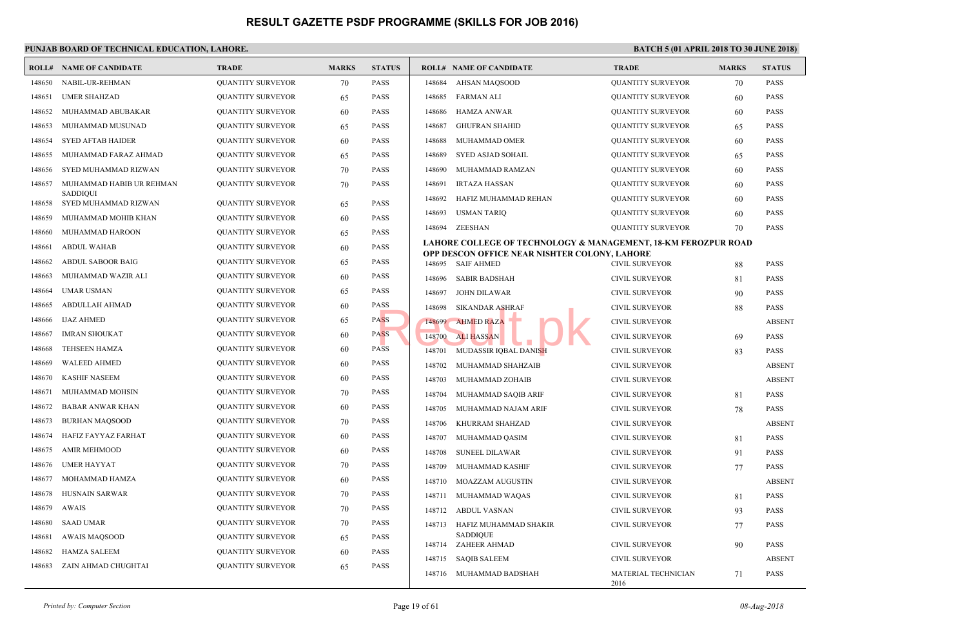|        | <b>ROLL# NAME OF CANDIDATE</b>              | <b>TRADE</b>             | <b>MARKS</b> | <b>STATUS</b> |        | <b>ROLL# NAME OF CANDIDATE</b>                                  | <b>TRAL</b>  |
|--------|---------------------------------------------|--------------------------|--------------|---------------|--------|-----------------------------------------------------------------|--------------|
| 148650 | NABIL-UR-REHMAN                             | <b>QUANTITY SURVEYOR</b> | 70           | <b>PASS</b>   | 148684 | <b>AHSAN MAQSOOD</b>                                            | <b>OUAN</b>  |
| 148651 | <b>UMER SHAHZAD</b>                         | <b>QUANTITY SURVEYOR</b> | 65           | <b>PASS</b>   | 148685 | <b>FARMAN ALI</b>                                               | <b>QUAN</b>  |
| 148652 | MUHAMMAD ABUBAKAR                           | <b>QUANTITY SURVEYOR</b> | 60           | <b>PASS</b>   | 148686 | <b>HAMZA ANWAR</b>                                              | <b>QUAN</b>  |
| 148653 | MUHAMMAD MUSUNAD                            | <b>QUANTITY SURVEYOR</b> | 65           | <b>PASS</b>   | 148687 | <b>GHUFRAN SHAHID</b>                                           | <b>QUAN</b>  |
| 148654 | <b>SYED AFTAB HAIDER</b>                    | <b>QUANTITY SURVEYOR</b> | 60           | <b>PASS</b>   | 148688 | MUHAMMAD OMER                                                   | <b>QUAN</b>  |
| 148655 | MUHAMMAD FARAZ AHMAD                        | <b>QUANTITY SURVEYOR</b> | 65           | <b>PASS</b>   | 148689 | <b>SYED ASJAD SOHAIL</b>                                        | <b>QUAN</b>  |
| 148656 | SYED MUHAMMAD RIZWAN                        | <b>QUANTITY SURVEYOR</b> | 70           | <b>PASS</b>   | 148690 | MUHAMMAD RAMZAN                                                 | <b>QUAN</b>  |
| 148657 | MUHAMMAD HABIB UR REHMAN<br><b>SADDIQUI</b> | <b>QUANTITY SURVEYOR</b> | 70           | <b>PASS</b>   | 148691 | <b>IRTAZA HASSAN</b>                                            | <b>QUAN</b>  |
| 148658 | SYED MUHAMMAD RIZWAN                        | <b>QUANTITY SURVEYOR</b> | 65           | <b>PASS</b>   | 148692 | HAFIZ MUHAMMAD REHAN                                            | <b>QUAN</b>  |
| 148659 | MUHAMMAD MOHIB KHAN                         | <b>QUANTITY SURVEYOR</b> | 60           | <b>PASS</b>   | 148693 | <b>USMAN TARIQ</b>                                              | <b>QUAN</b>  |
| 148660 | MUHAMMAD HAROON                             | <b>QUANTITY SURVEYOR</b> | 65           | <b>PASS</b>   | 148694 | ZEESHAN                                                         | <b>OUAN</b>  |
| 148661 | <b>ABDUL WAHAB</b>                          | <b>QUANTITY SURVEYOR</b> | 60           | <b>PASS</b>   |        | LAHORE COLLEGE OF TECHNOLOGY & MANAGEM                          |              |
| 148662 | ABDUL SABOOR BAIG                           | <b>QUANTITY SURVEYOR</b> | 65           | <b>PASS</b>   | 148695 | OPP DESCON OFFICE NEAR NISHTER COLONY, LAH<br><b>SAIF AHMED</b> | <b>CIVIL</b> |
| 148663 | MUHAMMAD WAZIR ALI                          | <b>QUANTITY SURVEYOR</b> | 60           | <b>PASS</b>   | 148696 | <b>SABIR BADSHAH</b>                                            | <b>CIVIL</b> |
| 148664 | <b>UMAR USMAN</b>                           | <b>QUANTITY SURVEYOR</b> | 65           | <b>PASS</b>   | 148697 | JOHN DILAWAR                                                    | <b>CIVIL</b> |
| 148665 | ABDULLAH AHMAD                              | <b>QUANTITY SURVEYOR</b> | 60           | <b>PASS</b>   | 148698 | <b>SIKANDAR ASHRAF</b>                                          | <b>CIVIL</b> |
| 148666 | <b>IJAZ AHMED</b>                           | <b>QUANTITY SURVEYOR</b> | 65           | <b>PASS</b>   | 148699 | <b>AHMED RAZA</b>                                               | <b>CIVIL</b> |
| 148667 | <b>IMRAN SHOUKAT</b>                        | <b>QUANTITY SURVEYOR</b> | 60           | <b>PASS</b>   | 148700 | <b>ALI HASSAN</b>                                               | <b>CIVIL</b> |
| 148668 | <b>TEHSEEN HAMZA</b>                        | <b>QUANTITY SURVEYOR</b> | 60           | <b>PASS</b>   | 148701 | MUDASSIR IQBAL DANISH                                           | <b>CIVIL</b> |
| 148669 | <b>WALEED AHMED</b>                         | <b>QUANTITY SURVEYOR</b> | 60           | <b>PASS</b>   | 148702 | MUHAMMAD SHAHZAIB                                               | <b>CIVIL</b> |
| 148670 | <b>KASHIF NASEEM</b>                        | <b>QUANTITY SURVEYOR</b> | 60           | <b>PASS</b>   | 148703 | MUHAMMAD ZOHAIB                                                 | <b>CIVIL</b> |
| 148671 | MUHAMMAD MOHSIN                             | <b>QUANTITY SURVEYOR</b> | 70           | <b>PASS</b>   | 148704 | MUHAMMAD SAQIB ARIF                                             | <b>CIVIL</b> |
| 148672 | <b>BABAR ANWAR KHAN</b>                     | <b>QUANTITY SURVEYOR</b> | 60           | <b>PASS</b>   | 148705 | MUHAMMAD NAJAM ARIF                                             | <b>CIVIL</b> |
| 148673 | <b>BURHAN MAQSOOD</b>                       | <b>QUANTITY SURVEYOR</b> | 70           | <b>PASS</b>   | 148706 | KHURRAM SHAHZAD                                                 | <b>CIVIL</b> |
| 148674 | HAFIZ FAYYAZ FARHAT                         | <b>QUANTITY SURVEYOR</b> | 60           | <b>PASS</b>   | 148707 | MUHAMMAD QASIM                                                  | <b>CIVIL</b> |
| 148675 | <b>AMIR MEHMOOD</b>                         | <b>QUANTITY SURVEYOR</b> | 60           | PASS          | 148708 | <b>SUNEEL DILAWAR</b>                                           | <b>CIVIL</b> |
| 148676 | <b>UMER HAYYAT</b>                          | <b>QUANTITY SURVEYOR</b> | 70           | PASS          | 148709 | MUHAMMAD KASHIF                                                 | <b>CIVIL</b> |
| 148677 | MOHAMMAD HAMZA                              | <b>QUANTITY SURVEYOR</b> | 60           | <b>PASS</b>   | 148710 | <b>MOAZZAM AUGUSTIN</b>                                         | <b>CIVIL</b> |
| 148678 | <b>HUSNAIN SARWAR</b>                       | <b>QUANTITY SURVEYOR</b> | 70           | <b>PASS</b>   | 148711 | MUHAMMAD WAQAS                                                  | <b>CIVIL</b> |
| 148679 | <b>AWAIS</b>                                | <b>QUANTITY SURVEYOR</b> | 70           | <b>PASS</b>   | 148712 | <b>ABDUL VASNAN</b>                                             | <b>CIVIL</b> |
| 148680 | <b>SAAD UMAR</b>                            | <b>QUANTITY SURVEYOR</b> | 70           | <b>PASS</b>   | 148713 | HAFIZ MUHAMMAD SHAKIR                                           | <b>CIVIL</b> |
| 148681 | <b>AWAIS MAQSOOD</b>                        | QUANTITY SURVEYOR        | 65           | PASS          |        | <b>SADDIQUE</b><br>148714 ZAHEER AHMAD                          | <b>CIVIL</b> |
| 148682 | <b>HAMZA SALEEM</b>                         | <b>QUANTITY SURVEYOR</b> | 60           | <b>PASS</b>   | 148715 | <b>SAQIB SALEEM</b>                                             | <b>CIVIL</b> |
| 148683 | ZAIN AHMAD CHUGHTAI                         | <b>QUANTITY SURVEYOR</b> | 65           | <b>PASS</b>   | 148716 | MUHAMMAD BADSHAH                                                | <b>MATE</b>  |
|        |                                             |                          |              |               |        |                                                                 | 2016         |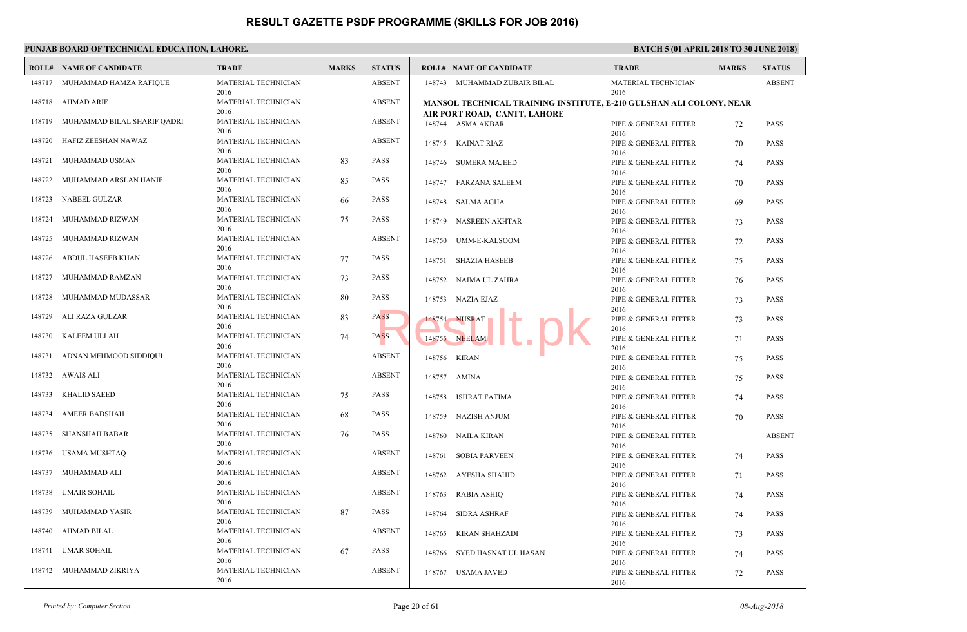|        | PUNJAB BOARD OF TECHNICAL EDUCATION, LAHORE. |                             |              |               |                      |                                                     |                     |  |  |  |  |  |
|--------|----------------------------------------------|-----------------------------|--------------|---------------|----------------------|-----------------------------------------------------|---------------------|--|--|--|--|--|
|        | <b>ROLL# NAME OF CANDIDATE</b>               | <b>TRADE</b>                | <b>MARKS</b> | <b>STATUS</b> |                      | <b>ROLL# NAME OF CANDIDATE</b>                      | <b>TRAL</b>         |  |  |  |  |  |
|        | 148717 MUHAMMAD HAMZA RAFIQUE                | MATERIAL TECHNICIAN<br>2016 |              | <b>ABSENT</b> |                      | 148743 MUHAMMAD ZUBAIR BILAL                        | <b>MATE</b><br>2016 |  |  |  |  |  |
| 148718 | AHMAD ARIF                                   | MATERIAL TECHNICIAN<br>2016 |              | <b>ABSENT</b> |                      | <b>MANSOL TECHNICAL TRAINING INSTITUTE, E-210 G</b> |                     |  |  |  |  |  |
| 148719 | MUHAMMAD BILAL SHARIF QADRI                  | MATERIAL TECHNICIAN<br>2016 |              | <b>ABSENT</b> | 148744 ASMA AKBAR    | AIR PORT ROAD,  CANTT, LAHORE                       | PIPE &              |  |  |  |  |  |
| 148720 | HAFIZ ZEESHAN NAWAZ                          | MATERIAL TECHNICIAN<br>2016 |              | <b>ABSENT</b> | 148745 KAINAT RIAZ   |                                                     | 2016<br>PIPE &      |  |  |  |  |  |
| 148721 | MUHAMMAD USMAN                               | MATERIAL TECHNICIAN<br>2016 | 83           | <b>PASS</b>   |                      | 148746 SUMERA MAJEED                                | 2016<br>PIPE &      |  |  |  |  |  |
| 148722 | MUHAMMAD ARSLAN HANIF                        | MATERIAL TECHNICIAN<br>2016 | 85           | PASS          | 148747               | <b>FARZANA SALEEM</b>                               | 2016<br>PIPE &      |  |  |  |  |  |
| 148723 | NABEEL GULZAR                                | MATERIAL TECHNICIAN<br>2016 | 66           | <b>PASS</b>   | 148748 SALMA AGHA    |                                                     | 2016<br>PIPE &      |  |  |  |  |  |
| 148724 | MUHAMMAD RIZWAN                              | MATERIAL TECHNICIAN<br>2016 | 75           | PASS          |                      | 148749 NASREEN AKHTAR                               | 2016<br>PIPE &      |  |  |  |  |  |
| 148725 | MUHAMMAD RIZWAN                              | MATERIAL TECHNICIAN<br>2016 |              | <b>ABSENT</b> |                      | 148750 UMM-E-KALSOOM                                | 2016<br>PIPE &      |  |  |  |  |  |
| 148726 | ABDUL HASEEB KHAN                            | MATERIAL TECHNICIAN<br>2016 | 77           | <b>PASS</b>   | 148751 SHAZIA HASEEB |                                                     | 2016<br>PIPE &      |  |  |  |  |  |
| 148727 | MUHAMMAD RAMZAN                              | MATERIAL TECHNICIAN<br>2016 | 73           | PASS          | 148752               | NAIMA UL ZAHRA                                      | 2016<br>PIPE &      |  |  |  |  |  |
| 148728 | MUHAMMAD MUDASSAR                            | MATERIAL TECHNICIAN<br>2016 | 80           | PASS          | 148753 NAZIA EJAZ    |                                                     | 2016<br>PIPE &      |  |  |  |  |  |
| 148729 | ALI RAZA GULZAR                              | MATERIAL TECHNICIAN<br>2016 | 83           | <b>PASS</b>   | 148754 NUSRAT        |                                                     | 2016<br>PIPE &      |  |  |  |  |  |
| 148730 | KALEEM ULLAH                                 | MATERIAL TECHNICIAN<br>2016 | 74           | <b>PASS</b>   | 148755 NEELAM        |                                                     | 2016<br>PIPE &      |  |  |  |  |  |
| 148731 | ADNAN MEHMOOD SIDDIQUI                       | MATERIAL TECHNICIAN<br>2016 |              | <b>ABSENT</b> | 148756 KIRAN         |                                                     | 2016<br>PIPE &      |  |  |  |  |  |
| 148732 | AWAIS ALI                                    | MATERIAL TECHNICIAN<br>2016 |              | <b>ABSENT</b> | 148757 AMINA         |                                                     | 2016<br>PIPE &      |  |  |  |  |  |
| 148733 | <b>KHALID SAEED</b>                          | MATERIAL TECHNICIAN<br>2016 | 75           | <b>PASS</b>   | 148758               | ISHRAT FATIMA                                       | 2016<br>PIPE &      |  |  |  |  |  |
| 148734 | AMEER BADSHAH                                | MATERIAL TECHNICIAN<br>2016 | 68           | PASS          | 148759               | NAZISH ANJUM                                        | 2016<br>PIPE &      |  |  |  |  |  |
| 148735 | SHANSHAH BABAR                               | MATERIAL TECHNICIAN<br>2016 | 76           | PASS          | 148760 NAILA KIRAN   |                                                     | 2016<br>PIPE &      |  |  |  |  |  |
| 148736 | USAMA MUSHTAQ                                | MATERIAL TECHNICIAN<br>2016 |              | <b>ABSENT</b> | 148761               | <b>SOBIA PARVEEN</b>                                | 2016<br>PIPE &      |  |  |  |  |  |
| 148737 | MUHAMMAD ALI                                 | MATERIAL TECHNICIAN<br>2016 |              | ABSENT        | 148762               | AYESHA SHAHID                                       | 2016<br>PIPE &      |  |  |  |  |  |
| 148738 | UMAIR SOHAIL                                 | MATERIAL TECHNICIAN<br>2016 |              | <b>ABSENT</b> | 148763 RABIA ASHIQ   |                                                     | 2016<br>PIPE &      |  |  |  |  |  |
|        | 148739 MUHAMMAD YASIR                        | MATERIAL TECHNICIAN<br>2016 | 87           | PASS          | 148764 SIDRA ASHRAF  |                                                     | 2016<br>PIPE &      |  |  |  |  |  |
|        | 148740 AHMAD BILAL                           | MATERIAL TECHNICIAN<br>2016 |              | <b>ABSENT</b> | 148765               | KIRAN SHAHZADI                                      | 2016<br>PIPE &      |  |  |  |  |  |
|        | 148741 UMAR SOHAIL                           | MATERIAL TECHNICIAN<br>2016 | 67           | PASS          |                      | 148766 SYED HASNAT UL HASAN                         | 2016<br>PIPE &      |  |  |  |  |  |
|        | 148742 MUHAMMAD ZIKRIYA                      | MATERIAL TECHNICIAN<br>2016 |              | <b>ABSENT</b> | 148767 USAMA JAVED   |                                                     | 2016<br>PIPE &      |  |  |  |  |  |
|        |                                              |                             |              |               |                      |                                                     | 2016                |  |  |  |  |  |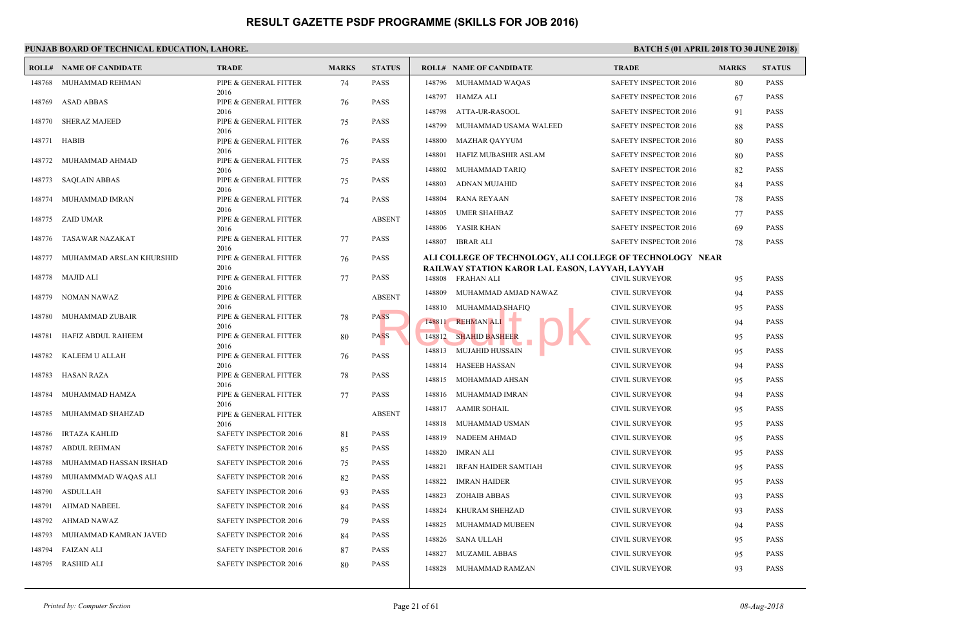|        | <b>ROLL# NAME OF CANDIDATE</b> | <b>TRADE</b>                  | <b>MARKS</b> | <b>STATUS</b> |        | <b>ROLL# NAME OF CANDIDATE</b>                                  | <b>TRAL</b>                  |
|--------|--------------------------------|-------------------------------|--------------|---------------|--------|-----------------------------------------------------------------|------------------------------|
| 148768 | MUHAMMAD REHMAN                | PIPE & GENERAL FITTER         | 74           | <b>PASS</b>   |        | 148796 MUHAMMAD WAQAS                                           | <b>SAFET</b>                 |
| 148769 | <b>ASAD ABBAS</b>              | 2016<br>PIPE & GENERAL FITTER | 76           | <b>PASS</b>   |        | 148797 HAMZA ALI                                                | <b>SAFET</b>                 |
|        |                                | 2016                          |              |               |        | 148798 ATTA-UR-RASOOL                                           | <b>SAFET</b>                 |
| 148770 | <b>SHERAZ MAJEED</b>           | PIPE & GENERAL FITTER<br>2016 | 75           | <b>PASS</b>   | 148799 | MUHAMMAD USAMA WALEED                                           | <b>SAFET</b>                 |
| 148771 | HABIB                          | PIPE & GENERAL FITTER         | 76           | <b>PASS</b>   | 148800 | MAZHAR QAYYUM                                                   | <b>SAFET</b>                 |
| 148772 | MUHAMMAD AHMAD                 | 2016<br>PIPE & GENERAL FITTER |              | <b>PASS</b>   | 148801 | HAFIZ MUBASHIR ASLAM                                            | <b>SAFET</b>                 |
|        |                                | 2016                          | 75           |               | 148802 | MUHAMMAD TARIQ                                                  | <b>SAFET</b>                 |
| 148773 | SAQLAIN ABBAS                  | PIPE & GENERAL FITTER<br>2016 | 75           | <b>PASS</b>   | 148803 | ADNAN MUJAHID                                                   | <b>SAFET</b>                 |
| 148774 | MUHAMMAD IMRAN                 | PIPE & GENERAL FITTER         | 74           | <b>PASS</b>   | 148804 | RANA REYAAN                                                     | <b>SAFET</b>                 |
| 148775 | ZAID UMAR                      | 2016<br>PIPE & GENERAL FITTER |              | <b>ABSENT</b> | 148805 | <b>UMER SHAHBAZ</b>                                             | <b>SAFET</b>                 |
|        |                                | 2016                          |              |               |        | 148806 YASIR KHAN                                               | <b>SAFET</b>                 |
| 148776 | TASAWAR NAZAKAT                | PIPE & GENERAL FITTER<br>2016 | 77           | <b>PASS</b>   |        | 148807 IBRAR ALI                                                | <b>SAFET</b>                 |
| 148777 | MUHAMMAD ARSLAN KHURSHID       | PIPE & GENERAL FITTER         | 76           | <b>PASS</b>   |        | ALI COLLEGE OF TECHNOLOGY, ALI COLLEGE OF                       |                              |
| 148778 | MAJID ALI                      | 2016<br>PIPE & GENERAL FITTER | 77           | <b>PASS</b>   |        | RAILWAY STATION KAROR LAL EASON, LAYYAH, I<br>148808 FRAHAN ALI | <b>CIVIL</b>                 |
|        |                                | 2016                          |              |               | 148809 | MUHAMMAD AMJAD NAWAZ                                            | <b>CIVIL</b>                 |
| 148779 | NOMAN NAWAZ                    | PIPE & GENERAL FITTER<br>2016 |              | <b>ABSENT</b> |        |                                                                 |                              |
| 148780 | MUHAMMAD ZUBAIR                | PIPE & GENERAL FITTER         | 78           | <b>PASS</b>   |        | 148810 MUHAMMAD SHAFIQ                                          | <b>CIVIL</b><br><b>CIVIL</b> |
|        |                                | 2016                          |              |               |        | 148811 REHMAN ALI<br>148812 SHAHID BASHEER                      | <b>CIVIL</b>                 |
| 148781 | HAFIZ ABDUL RAHEEM             | PIPE & GENERAL FITTER<br>2016 | 80           | <b>PASS</b>   |        |                                                                 |                              |
| 148782 | KALEEM U ALLAH                 | PIPE & GENERAL FITTER         | 76           | <b>PASS</b>   | 148813 | <b>MUJAHID HUSSAIN</b>                                          | <b>CIVIL</b>                 |
| 148783 | HASAN RAZA                     | 2016<br>PIPE & GENERAL FITTER | 78           | <b>PASS</b>   | 148814 | HASEEB HASSAN                                                   | <b>CIVIL</b>                 |
|        |                                | 2016                          |              |               | 148815 | MOHAMMAD AHSAN                                                  | <b>CIVIL</b>                 |
| 148784 | MUHAMMAD HAMZA                 | PIPE & GENERAL FITTER<br>2016 | 77           | <b>PASS</b>   |        | 148816 MUHAMMAD IMRAN                                           | <b>CIVIL</b>                 |
| 148785 | MUHAMMAD SHAHZAD               | PIPE & GENERAL FITTER         |              | <b>ABSENT</b> |        | 148817 AAMIR SOHAIL                                             | <b>CIVIL</b>                 |
| 148786 | <b>IRTAZA KAHLID</b>           | 2016<br>SAFETY INSPECTOR 2016 | 81           | <b>PASS</b>   |        | 148818 MUHAMMAD USMAN                                           | <b>CIVIL</b>                 |
| 148787 | <b>ABDUL REHMAN</b>            | SAFETY INSPECTOR 2016         | 85           | <b>PASS</b>   | 148819 | NADEEM AHMAD                                                    | <b>CIVIL</b>                 |
| 148788 | MUHAMMAD HASSAN IRSHAD         | SAFETY INSPECTOR 2016         | 75           | <b>PASS</b>   | 148820 | <b>IMRAN ALI</b>                                                | <b>CIVIL</b>                 |
| 148789 | MUHAMMMAD WAQAS ALI            | <b>SAFETY INSPECTOR 2016</b>  | 82           | <b>PASS</b>   | 148821 | IRFAN HAIDER SAMTIAH                                            | <b>CIVIL</b>                 |
| 148790 | <b>ASDULLAH</b>                | SAFETY INSPECTOR 2016         | 93           | <b>PASS</b>   | 148822 | <b>IMRAN HAIDER</b>                                             | <b>CIVIL</b>                 |
| 148791 | AHMAD NABEEL                   | SAFETY INSPECTOR 2016         | 84           | <b>PASS</b>   | 148823 | <b>ZOHAIB ABBAS</b>                                             | <b>CIVIL</b>                 |
| 148792 | AHMAD NAWAZ                    | <b>SAFETY INSPECTOR 2016</b>  | 79           | <b>PASS</b>   | 148824 | KHURAM SHEHZAD                                                  | <b>CIVIL</b>                 |
| 148793 | MUHAMMAD KAMRAN JAVED          | <b>SAFETY INSPECTOR 2016</b>  |              | <b>PASS</b>   | 148825 | MUHAMMAD MUBEEN                                                 | <b>CIVIL</b>                 |
|        |                                |                               | 84           |               | 148826 | SANA ULLAH                                                      | <b>CIVIL</b>                 |
| 148794 | <b>FAIZAN ALI</b>              | SAFETY INSPECTOR 2016         | 87           | <b>PASS</b>   | 148827 | MUZAMIL ABBAS                                                   | <b>CIVIL</b>                 |
| 148795 | RASHID ALI                     | <b>SAFETY INSPECTOR 2016</b>  | 80           | <b>PASS</b>   |        | 148828 MUHAMMAD RAMZAN                                          | <b>CIVIL</b>                 |
|        |                                |                               |              |               |        |                                                                 |                              |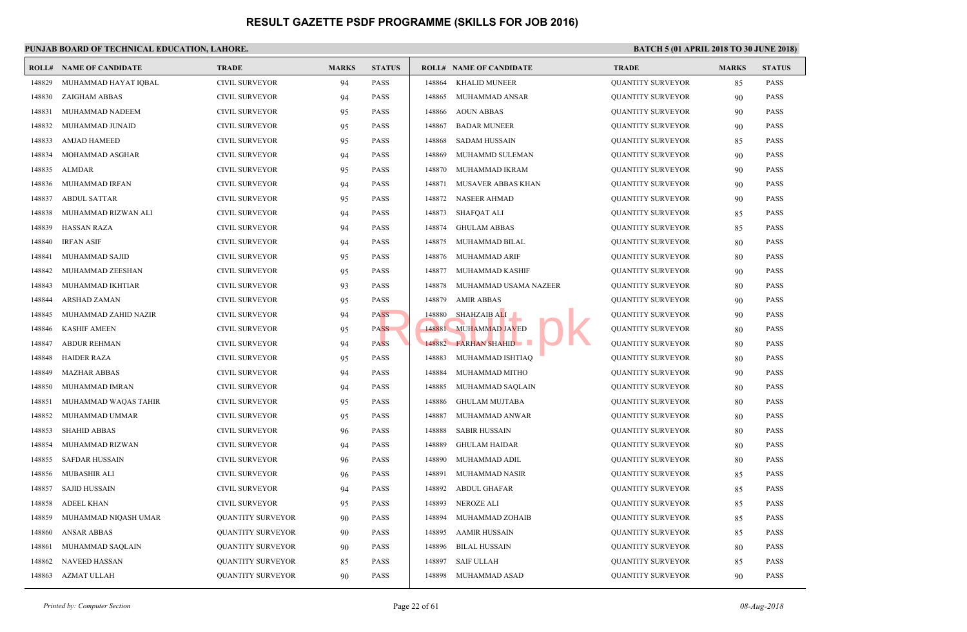|        | <b>ROLL# NAME OF CANDIDATE</b> | <b>TRADE</b>             | <b>MARKS</b> | <b>STATUS</b> |        | <b>ROLL# NAME OF CANDIDATE</b> | <b>TRAL</b> |
|--------|--------------------------------|--------------------------|--------------|---------------|--------|--------------------------------|-------------|
| 148829 | MUHAMMAD HAYAT IOBAL           | <b>CIVIL SURVEYOR</b>    | 94           | <b>PASS</b>   | 148864 | <b>KHALID MUNEER</b>           | <b>QUAN</b> |
| 148830 | ZAIGHAM ABBAS                  | <b>CIVIL SURVEYOR</b>    | 94           | <b>PASS</b>   | 148865 | MUHAMMAD ANSAR                 | <b>QUAN</b> |
| 148831 | MUHAMMAD NADEEM                | <b>CIVIL SURVEYOR</b>    | 95           | <b>PASS</b>   | 148866 | <b>AOUN ABBAS</b>              | <b>QUAN</b> |
| 148832 | MUHAMMAD JUNAID                | <b>CIVIL SURVEYOR</b>    | 95           | <b>PASS</b>   | 148867 | <b>BADAR MUNEER</b>            | <b>QUAN</b> |
| 148833 | <b>AMJAD HAMEED</b>            | <b>CIVIL SURVEYOR</b>    | 95           | <b>PASS</b>   | 148868 | <b>SADAM HUSSAIN</b>           | <b>QUAN</b> |
| 148834 | MOHAMMAD ASGHAR                | <b>CIVIL SURVEYOR</b>    | 94           | <b>PASS</b>   | 148869 | MUHAMMD SULEMAN                | <b>QUAN</b> |
| 148835 | <b>ALMDAR</b>                  | <b>CIVIL SURVEYOR</b>    | 95           | <b>PASS</b>   | 148870 | MUHAMMAD IKRAM                 | <b>QUAN</b> |
| 148836 | MUHAMMAD IRFAN                 | <b>CIVIL SURVEYOR</b>    | 94           | <b>PASS</b>   | 148871 | MUSAVER ABBAS KHAN             | QUAN        |
| 148837 | <b>ABDUL SATTAR</b>            | <b>CIVIL SURVEYOR</b>    | 95           | <b>PASS</b>   | 148872 | <b>NASEER AHMAD</b>            | <b>QUAN</b> |
| 148838 | MUHAMMAD RIZWAN ALI            | <b>CIVIL SURVEYOR</b>    | 94           | <b>PASS</b>   | 148873 | SHAFQAT ALI                    | <b>QUAN</b> |
| 148839 | <b>HASSAN RAZA</b>             | <b>CIVIL SURVEYOR</b>    | 94           | <b>PASS</b>   | 148874 | <b>GHULAM ABBAS</b>            | <b>QUAN</b> |
| 148840 | <b>IRFAN ASIF</b>              | <b>CIVIL SURVEYOR</b>    | 94           | <b>PASS</b>   | 148875 | MUHAMMAD BILAL                 | <b>QUAN</b> |
| 148841 | MUHAMMAD SAJID                 | <b>CIVIL SURVEYOR</b>    | 95           | <b>PASS</b>   | 148876 | MUHAMMAD ARIF                  | <b>QUAN</b> |
| 148842 | MUHAMMAD ZEESHAN               | <b>CIVIL SURVEYOR</b>    | 95           | <b>PASS</b>   | 148877 | MUHAMMAD KASHIF                | <b>QUAN</b> |
| 148843 | MUHAMMAD IKHTIAR               | CIVIL SURVEYOR           | 93           | <b>PASS</b>   | 148878 | MUHAMMAD USAMA NAZEER          | <b>QUAN</b> |
| 148844 | ARSHAD ZAMAN                   | <b>CIVIL SURVEYOR</b>    | 95           | <b>PASS</b>   | 148879 | <b>AMIR ABBAS</b>              | <b>QUAN</b> |
| 148845 | MUHAMMAD ZAHID NAZIR           | <b>CIVIL SURVEYOR</b>    | 94           | PASS          | 148880 | <b>SHAHZAIB ALI</b>            | <b>QUAN</b> |
| 148846 | <b>KASHIF AMEEN</b>            | <b>CIVIL SURVEYOR</b>    | 95           | <b>PASS</b>   | 148881 | <b>MUHAMMAD JAVED</b>          | <b>QUAN</b> |
| 148847 | <b>ABDUR REHMAN</b>            | <b>CIVIL SURVEYOR</b>    | 94           | <b>PASS</b>   |        | 148882 FARHAN SHAHID           | QUAN        |
| 148848 | <b>HAIDER RAZA</b>             | CIVIL SURVEYOR           | 95           | <b>PASS</b>   | 148883 | MUHAMMAD ISHTIAQ               | <b>QUAN</b> |
| 148849 | <b>MAZHAR ABBAS</b>            | <b>CIVIL SURVEYOR</b>    | 94           | <b>PASS</b>   | 148884 | MUHAMMAD MITHO                 | <b>QUAN</b> |
| 148850 | MUHAMMAD IMRAN                 | <b>CIVIL SURVEYOR</b>    | 94           | <b>PASS</b>   | 148885 | MUHAMMAD SAQLAIN               | QUAN        |
| 148851 | MUHAMMAD WAQAS TAHIR           | <b>CIVIL SURVEYOR</b>    | 95           | <b>PASS</b>   | 148886 | <b>GHULAM MUJTABA</b>          | <b>QUAN</b> |
| 148852 | MUHAMMAD UMMAR                 | <b>CIVIL SURVEYOR</b>    | 95           | <b>PASS</b>   | 148887 | MUHAMMAD ANWAR                 | <b>QUAN</b> |
| 148853 | <b>SHAHID ABBAS</b>            | CIVIL SURVEYOR           | 96           | <b>PASS</b>   | 148888 | <b>SABIR HUSSAIN</b>           | <b>QUAN</b> |
| 148854 | MUHAMMAD RIZWAN                | <b>CIVIL SURVEYOR</b>    | 94           | <b>PASS</b>   | 148889 | <b>GHULAM HAIDAR</b>           | <b>QUAN</b> |
| 148855 | <b>SAFDAR HUSSAIN</b>          | <b>CIVIL SURVEYOR</b>    | 96           | <b>PASS</b>   | 148890 | MUHAMMAD ADIL                  | QUAN        |
| 148856 | <b>MUBASHIR ALI</b>            | <b>CIVIL SURVEYOR</b>    | 96           | <b>PASS</b>   | 148891 | <b>MUHAMMAD NASIR</b>          | <b>QUAN</b> |
| 148857 | <b>SAJID HUSSAIN</b>           | CIVIL SURVEYOR           | 94           | <b>PASS</b>   | 148892 | <b>ABDUL GHAFAR</b>            | <b>QUAN</b> |
| 148858 | <b>ADEEL KHAN</b>              | <b>CIVIL SURVEYOR</b>    | 95           | <b>PASS</b>   | 148893 | NEROZE ALI                     | <b>QUAN</b> |
| 148859 | MUHAMMAD NIQASH UMAR           | <b>QUANTITY SURVEYOR</b> | 90           | <b>PASS</b>   | 148894 | MUHAMMAD ZOHAIB                | <b>QUAN</b> |
| 148860 | <b>ANSAR ABBAS</b>             | <b>QUANTITY SURVEYOR</b> | 90           | <b>PASS</b>   | 148895 | <b>AAMIR HUSSAIN</b>           | <b>QUAN</b> |
| 148861 | MUHAMMAD SAQLAIN               | <b>QUANTITY SURVEYOR</b> | 90           | <b>PASS</b>   | 148896 | <b>BILAL HUSSAIN</b>           | <b>QUAN</b> |
| 148862 | <b>NAVEED HASSAN</b>           | <b>QUANTITY SURVEYOR</b> | 85           | <b>PASS</b>   | 148897 | <b>SAIF ULLAH</b>              | <b>QUAN</b> |
| 148863 | <b>AZMAT ULLAH</b>             | <b>QUANTITY SURVEYOR</b> | 90           | <b>PASS</b>   | 148898 | MUHAMMAD ASAD                  | <b>QUAN</b> |
|        |                                |                          |              |               |        |                                |             |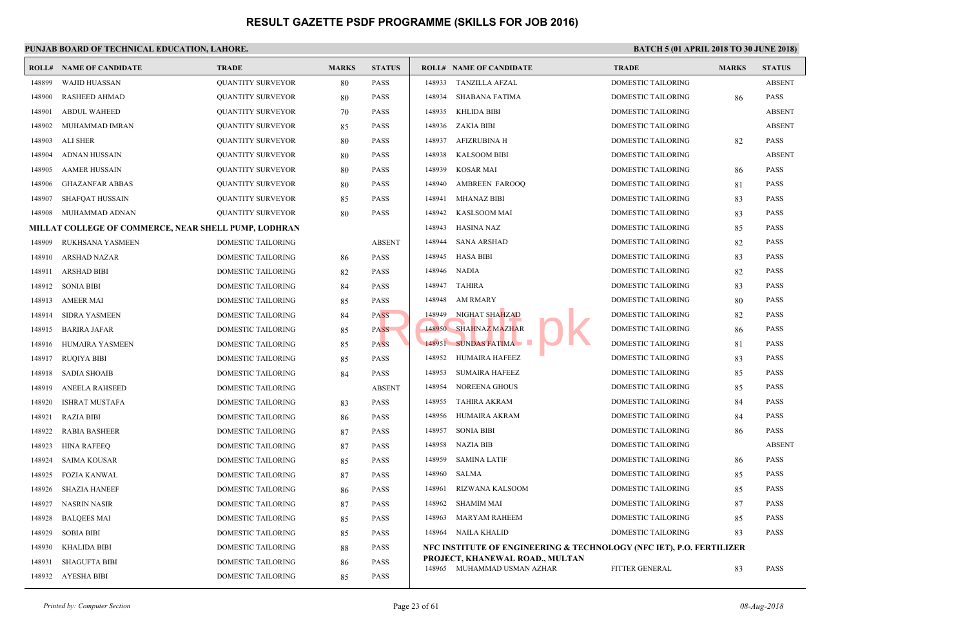| ROLL#  | <b>NAME OF CANDIDATE</b>                                    | <b>TRADE</b>              | <b>MARKS</b> | <b>STATUS</b> |        | <b>ROLL# NAME OF CANDIDATE</b>                                 | <b>TRAL</b>  |
|--------|-------------------------------------------------------------|---------------------------|--------------|---------------|--------|----------------------------------------------------------------|--------------|
| 148899 | <b>WAJID HUASSAN</b>                                        | <b>QUANTITY SURVEYOR</b>  | 80           | <b>PASS</b>   | 148933 | TANZILLA AFZAL                                                 | <b>DOME</b>  |
| 148900 | <b>RASHEED AHMAD</b>                                        | <b>QUANTITY SURVEYOR</b>  | 80           | <b>PASS</b>   | 148934 | <b>SHABANA FATIMA</b>                                          | <b>DOME</b>  |
| 148901 | <b>ABDUL WAHEED</b>                                         | <b>QUANTITY SURVEYOR</b>  | 70           | <b>PASS</b>   | 148935 | <b>KHLIDA BIBI</b>                                             | <b>DOME</b>  |
| 148902 | MUHAMMAD IMRAN                                              | <b>QUANTITY SURVEYOR</b>  | 85           | <b>PASS</b>   | 148936 | ZAKIA BIBI                                                     | <b>DOME</b>  |
| 148903 | ALI SHER                                                    | <b>QUANTITY SURVEYOR</b>  | 80           | <b>PASS</b>   | 148937 | AFIZRUBINA H                                                   | <b>DOME</b>  |
| 148904 | <b>ADNAN HUSSAIN</b>                                        | QUANTITY SURVEYOR         | 80           | <b>PASS</b>   | 148938 | <b>KALSOOM BIBI</b>                                            | <b>DOME</b>  |
| 148905 | <b>AAMER HUSSAIN</b>                                        | <b>QUANTITY SURVEYOR</b>  | 80           | <b>PASS</b>   | 148939 | <b>KOSAR MAI</b>                                               | <b>DOME</b>  |
| 148906 | <b>GHAZANFAR ABBAS</b>                                      | <b>QUANTITY SURVEYOR</b>  | 80           | <b>PASS</b>   | 148940 | AMBREEN FAROOQ                                                 | <b>DOME</b>  |
| 148907 | <b>SHAFQAT HUSSAIN</b>                                      | <b>QUANTITY SURVEYOR</b>  | 85           | <b>PASS</b>   | 148941 | <b>MHANAZ BIBI</b>                                             | <b>DOME</b>  |
| 148908 | MUHAMMAD ADNAN                                              | <b>QUANTITY SURVEYOR</b>  | 80           | <b>PASS</b>   | 148942 | <b>KASLSOOM MAI</b>                                            | <b>DOME</b>  |
|        | <b>MILLAT COLLEGE OF COMMERCE, NEAR SHELL PUMP, LODHRAN</b> |                           |              |               | 148943 | <b>HASINA NAZ</b>                                              | <b>DOME</b>  |
| 148909 | RUKHSANA YASMEEN                                            | DOMESTIC TAILORING        |              | <b>ABSENT</b> | 148944 | <b>SANA ARSHAD</b>                                             | <b>DOME</b>  |
| 148910 | <b>ARSHAD NAZAR</b>                                         | DOMESTIC TAILORING        | 86           | <b>PASS</b>   | 148945 | <b>HASA BIBI</b>                                               | <b>DOME</b>  |
| 148911 | <b>ARSHAD BIBI</b>                                          | DOMESTIC TAILORING        | 82           | <b>PASS</b>   | 148946 | <b>NADIA</b>                                                   | <b>DOME</b>  |
| 148912 | <b>SONIA BIBI</b>                                           | DOMESTIC TAILORING        | 84           | <b>PASS</b>   | 148947 | TAHIRA                                                         | <b>DOME</b>  |
| 148913 | <b>AMEER MAI</b>                                            | DOMESTIC TAILORING        | 85           | <b>PASS</b>   | 148948 | <b>AM RMARY</b>                                                | <b>DOME</b>  |
| 148914 | <b>SIDRA YASMEEN</b>                                        | DOMESTIC TAILORING        | 84           | <b>PASS</b>   | 148949 | NIGHAT SHAHZAD                                                 | <b>DOME</b>  |
| 148915 | <b>BARIRA JAFAR</b>                                         | DOMESTIC TAILORING        | 85           | <b>PASS</b>   |        | 148950 SHAHNAZ MAZHAR                                          | <b>DOME</b>  |
| 148916 | <b>HUMAIRA YASMEEN</b>                                      | <b>DOMESTIC TAILORING</b> | 85           | <b>PASS</b>   |        | 148951 SUNDAS FATIMA                                           | <b>DOME</b>  |
| 148917 | <b>RUQIYA BIBI</b>                                          | DOMESTIC TAILORING        | 85           | <b>PASS</b>   | 148952 | HUMAIRA HAFEEZ                                                 | <b>DOME</b>  |
| 148918 | <b>SADIA SHOAIB</b>                                         | DOMESTIC TAILORING        | 84           | <b>PASS</b>   | 148953 | <b>SUMAIRA HAFEEZ</b>                                          | <b>DOME</b>  |
| 148919 | <b>ANEELA RAHSEED</b>                                       | DOMESTIC TAILORING        |              | <b>ABSENT</b> | 148954 | <b>NOREENA GHOUS</b>                                           | <b>DOME</b>  |
| 148920 | <b>ISHRAT MUSTAFA</b>                                       | DOMESTIC TAILORING        | 83           | <b>PASS</b>   | 148955 | TAHIRA AKRAM                                                   | <b>DOME</b>  |
| 148921 | <b>RAZIA BIBI</b>                                           | DOMESTIC TAILORING        | 86           | <b>PASS</b>   | 148956 | HUMAIRA AKRAM                                                  | <b>DOME</b>  |
| 148922 | <b>RABIA BASHEER</b>                                        | <b>DOMESTIC TAILORING</b> | 87           | <b>PASS</b>   | 148957 | <b>SONIA BIBI</b>                                              | <b>DOME</b>  |
| 148923 | <b>HINA RAFEEQ</b>                                          | DOMESTIC TAILORING        | 87           | <b>PASS</b>   | 148958 | NAZIA BIB                                                      | <b>DOME</b>  |
| 148924 | SAIMA KOUSAR                                                | DOMESTIC TAILORING        | 85           | <b>PASS</b>   | 148959 | <b>SAMINA LATIF</b>                                            | <b>DOME</b>  |
| 148925 | <b>FOZIA KANWAL</b>                                         | DOMESTIC TAILORING        | 87           | <b>PASS</b>   | 148960 | <b>SALMA</b>                                                   | <b>DOME</b>  |
| 148926 | <b>SHAZIA HANEEF</b>                                        | DOMESTIC TAILORING        | 86           | <b>PASS</b>   | 148961 | RIZWANA KALSOOM                                                | <b>DOME</b>  |
| 148927 | NASRIN NASIR                                                | DOMESTIC TAILORING        | 87           | <b>PASS</b>   | 148962 | <b>SHAMIM MAI</b>                                              | <b>DOME</b>  |
| 148928 | <b>BALQEES MAI</b>                                          | DOMESTIC TAILORING        | 85           | <b>PASS</b>   | 148963 | <b>MARYAM RAHEEM</b>                                           | <b>DOME</b>  |
| 148929 | <b>SOBIA BIBI</b>                                           | DOMESTIC TAILORING        | 85           | <b>PASS</b>   | 148964 | NAILA KHALID                                                   | <b>DOME</b>  |
| 148930 | KHALIDA BIBI                                                | DOMESTIC TAILORING        | 88           | <b>PASS</b>   |        | NFC INSTITUTE OF ENGINEERING & TECHNOLOGY                      |              |
| 148931 | <b>SHAGUFTA BIBI</b>                                        | DOMESTIC TAILORING        | 86           | <b>PASS</b>   |        | PROJECT, KHANEWAL ROAD., MULTAN<br>148965 MUHAMMAD USMAN AZHAR | <b>FITTE</b> |
| 148932 | AYESHA BIBI                                                 | DOMESTIC TAILORING        | 85           | <b>PASS</b>   |        |                                                                |              |
|        |                                                             |                           |              |               |        |                                                                |              |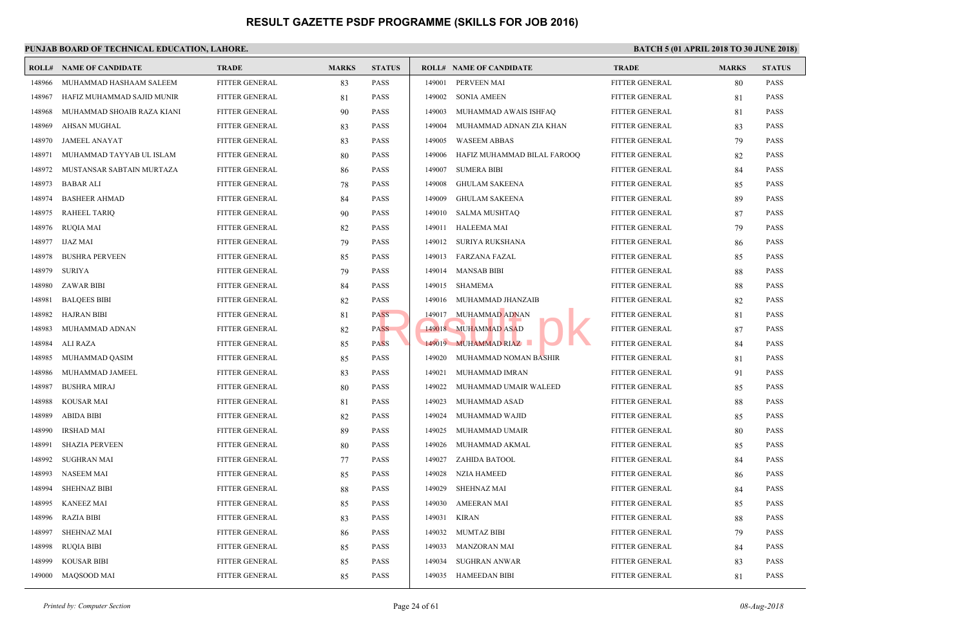|        | <b>ROLL# NAME OF CANDIDATE</b> | <b>TRADE</b>          | <b>MARKS</b> | <b>STATUS</b> |        | <b>ROLL# NAME OF CANDIDATE</b> | <b>TRAL</b>   |
|--------|--------------------------------|-----------------------|--------------|---------------|--------|--------------------------------|---------------|
| 148966 | MUHAMMAD HASHAAM SALEEM        | FITTER GENERAL        | 83           | <b>PASS</b>   | 149001 | PERVEEN MAI                    | <b>FITTEI</b> |
| 148967 | HAFIZ MUHAMMAD SAJID MUNIR     | <b>FITTER GENERAL</b> | 81           | <b>PASS</b>   | 149002 | <b>SONIA AMEEN</b>             | <b>FITTEI</b> |
| 148968 | MUHAMMAD SHOAIB RAZA KIANI     | FITTER GENERAL        | 90           | <b>PASS</b>   | 149003 | MUHAMMAD AWAIS ISHFAQ          | <b>FITTEI</b> |
| 148969 | AHSAN MUGHAL                   | <b>FITTER GENERAL</b> | 83           | <b>PASS</b>   | 149004 | MUHAMMAD ADNAN ZIA KHAN        | <b>FITTEI</b> |
| 148970 | <b>JAMEEL ANAYAT</b>           | <b>FITTER GENERAL</b> | 83           | <b>PASS</b>   | 149005 | <b>WASEEM ABBAS</b>            | <b>FITTEI</b> |
| 148971 | MUHAMMAD TAYYAB UL ISLAM       | FITTER GENERAL        | 80           | <b>PASS</b>   | 149006 | HAFIZ MUHAMMAD BILAL FAROOQ    | <b>FITTEI</b> |
| 148972 | MUSTANSAR SABTAIN MURTAZA      | FITTER GENERAL        | 86           | <b>PASS</b>   | 149007 | <b>SUMERA BIBI</b>             | <b>FITTEI</b> |
| 148973 | <b>BABAR ALI</b>               | <b>FITTER GENERAL</b> | 78           | <b>PASS</b>   | 149008 | <b>GHULAM SAKEENA</b>          | <b>FITTEI</b> |
| 148974 | <b>BASHEER AHMAD</b>           | FITTER GENERAL        | 84           | <b>PASS</b>   | 149009 | <b>GHULAM SAKEENA</b>          | <b>FITTEI</b> |
| 148975 | <b>RAHEEL TARIQ</b>            | <b>FITTER GENERAL</b> | 90           | <b>PASS</b>   | 149010 | SALMA MUSHTAQ                  | <b>FITTEI</b> |
| 148976 | <b>RUQIA MAI</b>               | FITTER GENERAL        | 82           | <b>PASS</b>   | 149011 | HALEEMA MAI                    | <b>FITTEI</b> |
| 148977 | <b>IJAZ MAI</b>                | FITTER GENERAL        | 79           | <b>PASS</b>   | 149012 | SURIYA RUKSHANA                | <b>FITTEI</b> |
| 148978 | <b>BUSHRA PERVEEN</b>          | FITTER GENERAL        | 85           | <b>PASS</b>   | 149013 | FARZANA FAZAL                  | <b>FITTEI</b> |
| 148979 | <b>SURIYA</b>                  | <b>FITTER GENERAL</b> | 79           | <b>PASS</b>   |        | 149014 MANSAB BIBI             | <b>FITTEI</b> |
| 148980 | <b>ZAWAR BIBI</b>              | FITTER GENERAL        | 84           | <b>PASS</b>   | 149015 | SHAMEMA                        | <b>FITTEI</b> |
| 148981 | <b>BALQEES BIBI</b>            | FITTER GENERAL        | 82           | <b>PASS</b>   | 149016 | MUHAMMAD JHANZAIB              | <b>FITTEI</b> |
| 148982 | <b>HAJRAN BIBI</b>             | <b>FITTER GENERAL</b> | 81           | <b>PASS</b>   | 149017 | MUHAMMAD ADNAN                 | <b>FITTEI</b> |
| 148983 | MUHAMMAD ADNAN                 | FITTER GENERAL        | 82           | <b>PASS</b>   |        | 149018 MUHAMMAD ASAD           | <b>FITTEI</b> |
| 148984 | ALI RAZA                       | FITTER GENERAL        | 85           | <b>PASS</b>   |        | 149019 MUHAMMAD RIAZ           | <b>FITTEI</b> |
| 148985 | MUHAMMAD QASIM                 | <b>FITTER GENERAL</b> | 85           | <b>PASS</b>   | 149020 | MUHAMMAD NOMAN BASHIR          | <b>FITTEI</b> |
| 148986 | MUHAMMAD JAMEEL                | FITTER GENERAL        | 83           | <b>PASS</b>   | 149021 | MUHAMMAD IMRAN                 | <b>FITTEI</b> |
| 148987 | <b>BUSHRA MIRAJ</b>            | FITTER GENERAL        | 80           | <b>PASS</b>   | 149022 | MUHAMMAD UMAIR WALEED          | <b>FITTEI</b> |
| 148988 | <b>KOUSAR MAI</b>              | <b>FITTER GENERAL</b> | 81           | <b>PASS</b>   | 149023 | MUHAMMAD ASAD                  | <b>FITTEI</b> |
| 148989 | <b>ABIDA BIBI</b>              | FITTER GENERAL        | 82           | <b>PASS</b>   | 149024 | MUHAMMAD WAJID                 | <b>FITTEI</b> |
| 148990 | <b>IRSHAD MAI</b>              | <b>FITTER GENERAL</b> | 89           | <b>PASS</b>   | 149025 | MUHAMMAD UMAIR                 | <b>FITTEI</b> |
| 148991 | <b>SHAZIA PERVEEN</b>          | <b>FITTER GENERAL</b> | 80           | <b>PASS</b>   | 149026 | MUHAMMAD AKMAL                 | <b>FITTEI</b> |
| 148992 | <b>SUGHRAN MAI</b>             | FITTER GENERAL        | 77           | <b>PASS</b>   | 149027 | ZAHIDA BATOOL                  | <b>FITTEI</b> |
| 148993 | NASEEM MAI                     | FITTER GENERAL        | 85           | <b>PASS</b>   | 149028 | <b>NZIA HAMEED</b>             | <b>FITTEI</b> |
| 148994 | <b>SHEHNAZ BIBI</b>            | FITTER GENERAL        | 88           | <b>PASS</b>   | 149029 | <b>SHEHNAZ MAI</b>             | <b>FITTEI</b> |
| 148995 | KANEEZ MAI                     | <b>FITTER GENERAL</b> | 85           | <b>PASS</b>   | 149030 | <b>AMEERAN MAI</b>             | <b>FITTEI</b> |
| 148996 | RAZIA BIBI                     | <b>FITTER GENERAL</b> | 83           | <b>PASS</b>   | 149031 | KIRAN                          | <b>FITTE</b>  |
| 148997 | <b>SHEHNAZ MAI</b>             | FITTER GENERAL        | 86           | <b>PASS</b>   | 149032 | MUMTAZ BIBI                    | <b>FITTEI</b> |
| 148998 | <b>RUQIA BIBI</b>              | FITTER GENERAL        | 85           | <b>PASS</b>   | 149033 | MANZORAN MAI                   | <b>FITTEI</b> |
| 148999 | <b>KOUSAR BIBI</b>             | FITTER GENERAL        | 85           | <b>PASS</b>   | 149034 | <b>SUGHRAN ANWAR</b>           | <b>FITTEI</b> |
| 149000 | MAQSOOD MAI                    | FITTER GENERAL        | 85           | <b>PASS</b>   | 149035 | HAMEEDAN BIBI                  | <b>FITTEI</b> |
|        |                                |                       |              |               |        |                                |               |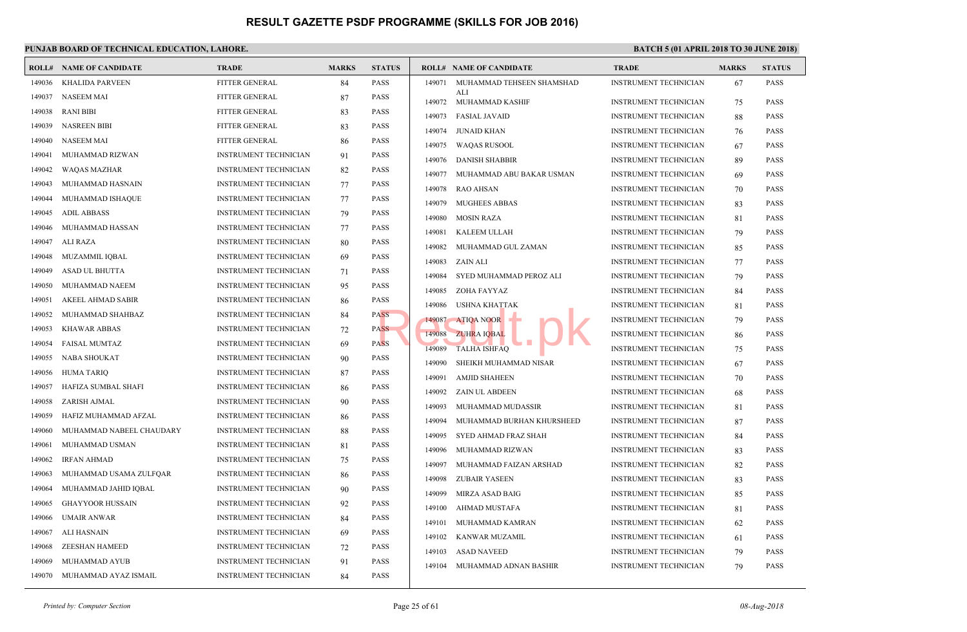|        | <b>ROLL# NAME OF CANDIDATE</b> | <b>TRADE</b>                 | <b>MARKS</b> | <b>STATUS</b> |        | <b>ROLL# NAME OF CANDIDATE</b>          | <b>TRAL</b>  |
|--------|--------------------------------|------------------------------|--------------|---------------|--------|-----------------------------------------|--------------|
| 149036 | <b>KHALIDA PARVEEN</b>         | FITTER GENERAL               | 84           | <b>PASS</b>   |        | 149071 MUHAMMAD TEHSEEN SHAMSHAD<br>ALI | <b>INSTR</b> |
| 149037 | <b>NASEEM MAI</b>              | FITTER GENERAL               | 87           | <b>PASS</b>   |        | 149072 MUHAMMAD KASHIF                  | <b>INSTR</b> |
| 149038 | <b>RANI BIBI</b>               | FITTER GENERAL               | 83           | <b>PASS</b>   | 149073 | <b>FASIAL JAVAID</b>                    | <b>INSTR</b> |
| 149039 | <b>NASREEN BIBI</b>            | <b>FITTER GENERAL</b>        | 83           | <b>PASS</b>   | 149074 | JUNAID KHAN                             | <b>INSTR</b> |
| 149040 | <b>NASEEM MAI</b>              | <b>FITTER GENERAL</b>        | 86           | <b>PASS</b>   | 149075 | WAQAS RUSOOL                            | <b>INSTR</b> |
| 149041 | MUHAMMAD RIZWAN                | <b>INSTRUMENT TECHNICIAN</b> | 91           | <b>PASS</b>   | 149076 | <b>DANISH SHABBIR</b>                   | <b>INSTR</b> |
| 149042 | <b>WAQAS MAZHAR</b>            | <b>INSTRUMENT TECHNICIAN</b> | 82           | <b>PASS</b>   | 149077 | MUHAMMAD ABU BAKAR USMAN                | <b>INSTR</b> |
| 149043 | MUHAMMAD HASNAIN               | INSTRUMENT TECHNICIAN        | 77           | <b>PASS</b>   | 149078 | <b>RAO AHSAN</b>                        | <b>INSTR</b> |
| 149044 | MUHAMMAD ISHAQUE               | <b>INSTRUMENT TECHNICIAN</b> | 77           | <b>PASS</b>   | 149079 | <b>MUGHEES ABBAS</b>                    | <b>INSTR</b> |
| 149045 | <b>ADIL ABBASS</b>             | <b>INSTRUMENT TECHNICIAN</b> | 79           | <b>PASS</b>   | 149080 | <b>MOSIN RAZA</b>                       | <b>INSTR</b> |
| 149046 | MUHAMMAD HASSAN                | <b>INSTRUMENT TECHNICIAN</b> | 77           | <b>PASS</b>   | 149081 | KALEEM ULLAH                            | <b>INSTR</b> |
| 149047 | <b>ALI RAZA</b>                | <b>INSTRUMENT TECHNICIAN</b> | 80           | <b>PASS</b>   | 149082 | MUHAMMAD GUL ZAMAN                      | <b>INSTR</b> |
| 149048 | MUZAMMIL IQBAL                 | <b>INSTRUMENT TECHNICIAN</b> | 69           | <b>PASS</b>   | 149083 | ZAIN ALI                                | <b>INSTR</b> |
| 149049 | ASAD UL BHUTTA                 | <b>INSTRUMENT TECHNICIAN</b> | 71           | <b>PASS</b>   | 149084 | SYED MUHAMMAD PEROZ ALI                 | <b>INSTR</b> |
| 149050 | MUHAMMAD NAEEM                 | <b>INSTRUMENT TECHNICIAN</b> | 95           | <b>PASS</b>   | 149085 | ZOHA FAYYAZ                             | <b>INSTR</b> |
| 149051 | <b>AKEEL AHMAD SABIR</b>       | <b>INSTRUMENT TECHNICIAN</b> | 86           | <b>PASS</b>   | 149086 | USHNA KHATTAK                           | <b>INSTR</b> |
| 149052 | MUHAMMAD SHAHBAZ               | <b>INSTRUMENT TECHNICIAN</b> | 84           | PASS          | 149087 | <b>ATIQA NOOR</b>                       | <b>INSTR</b> |
| 149053 | <b>KHAWAR ABBAS</b>            | <b>INSTRUMENT TECHNICIAN</b> | 72           | <b>PASS</b>   | 149088 | <b>ZUHRA IQBAL</b>                      | <b>INSTR</b> |
| 149054 | <b>FAISAL MUMTAZ</b>           | <b>INSTRUMENT TECHNICIAN</b> | 69           | <b>PASS</b>   | 149089 | <b>TALHA ISHFAQ</b>                     | <b>INSTR</b> |
| 149055 | NABA SHOUKAT                   | <b>INSTRUMENT TECHNICIAN</b> | 90           | <b>PASS</b>   | 149090 | SHEIKH MUHAMMAD NISAR                   | <b>INSTR</b> |
| 149056 | <b>HUMA TARIQ</b>              | <b>INSTRUMENT TECHNICIAN</b> | 87           | <b>PASS</b>   | 149091 | <b>AMJID SHAHEEN</b>                    | <b>INSTR</b> |
| 149057 | HAFIZA SUMBAL SHAFI            | <b>INSTRUMENT TECHNICIAN</b> | 86           | <b>PASS</b>   | 149092 | ZAIN UL ABDEEN                          | <b>INSTR</b> |
| 149058 | ZARISH AJMAL                   | <b>INSTRUMENT TECHNICIAN</b> | 90           | <b>PASS</b>   |        |                                         |              |
| 149059 | HAFIZ MUHAMMAD AFZAL           | <b>INSTRUMENT TECHNICIAN</b> | 86           | <b>PASS</b>   | 149093 | MUHAMMAD MUDASSIR                       | <b>INSTR</b> |
| 149060 | MUHAMMAD NABEEL CHAUDARY       | <b>INSTRUMENT TECHNICIAN</b> | 88           | <b>PASS</b>   | 149094 | MUHAMMAD BURHAN KHURSHEED               | <b>INSTR</b> |
| 149061 | MUHAMMAD USMAN                 | <b>INSTRUMENT TECHNICIAN</b> | 81           | <b>PASS</b>   | 149095 | SYED AHMAD FRAZ SHAH                    | <b>INSTR</b> |
| 149062 | <b>IRFAN AHMAD</b>             | <b>INSTRUMENT TECHNICIAN</b> | 75           | <b>PASS</b>   | 149096 | MUHAMMAD RIZWAN                         | <b>INSTR</b> |
| 149063 | MUHAMMAD USAMA ZULFQAR         | <b>INSTRUMENT TECHNICIAN</b> | 86           | <b>PASS</b>   | 149097 | MUHAMMAD FAIZAN ARSHAD                  | <b>INSTR</b> |
| 149064 | MUHAMMAD JAHID IQBAL           | <b>INSTRUMENT TECHNICIAN</b> | 90           | <b>PASS</b>   | 149098 | <b>ZUBAIR YASEEN</b>                    | <b>INSTR</b> |
| 149065 | <b>GHAYYOOR HUSSAIN</b>        | <b>INSTRUMENT TECHNICIAN</b> | 92           | <b>PASS</b>   | 149099 | MIRZA ASAD BAIG                         | <b>INSTR</b> |
| 149066 | <b>UMAIR ANWAR</b>             | <b>INSTRUMENT TECHNICIAN</b> | 84           | <b>PASS</b>   | 149100 | AHMAD MUSTAFA                           | <b>INSTR</b> |
| 149067 | <b>ALI HASNAIN</b>             | INSTRUMENT TECHNICIAN        | 69           | <b>PASS</b>   | 149101 | MUHAMMAD KAMRAN                         | <b>INSTR</b> |
| 149068 | <b>ZEESHAN HAMEED</b>          | <b>INSTRUMENT TECHNICIAN</b> | 72           | <b>PASS</b>   | 149102 | KANWAR MUZAMIL                          | <b>INSTR</b> |
| 149069 | MUHAMMAD AYUB                  | <b>INSTRUMENT TECHNICIAN</b> | 91           | <b>PASS</b>   | 149103 | <b>ASAD NAVEED</b>                      | <b>INSTR</b> |
| 149070 | MUHAMMAD AYAZ ISMAIL           | <b>INSTRUMENT TECHNICIAN</b> | 84           | <b>PASS</b>   | 149104 | MUHAMMAD ADNAN BASHIR                   | <b>INSTR</b> |
|        |                                |                              |              |               |        |                                         |              |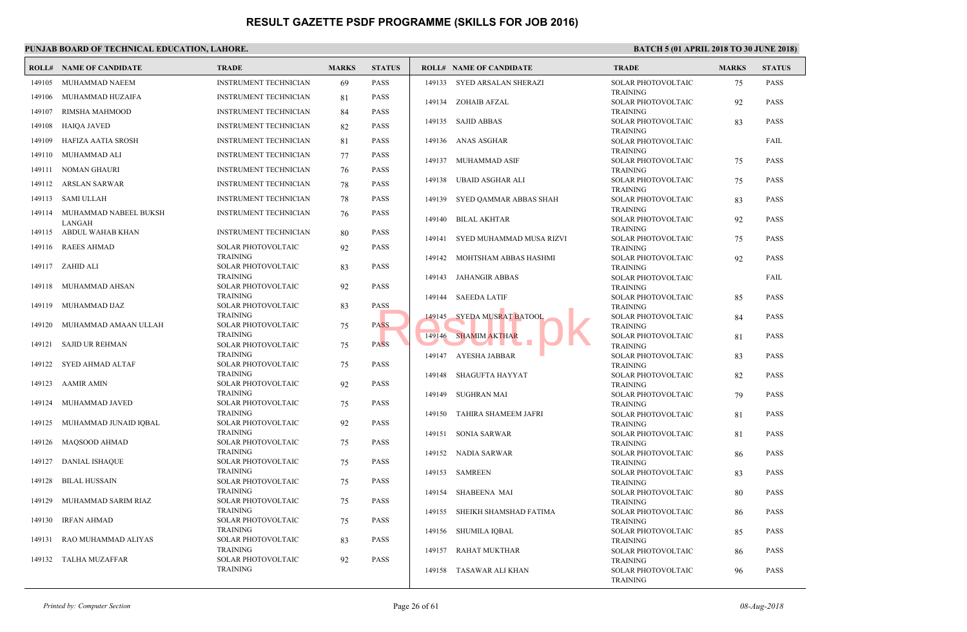|        | <b>ROLL# NAME OF CANDIDATE</b>    | TRADE                                 | <b>MARKS</b> | <b>STATUS</b> |        | <b>ROLL# NAME OF CANDIDATE</b> | <b>TRAL</b>                  |
|--------|-----------------------------------|---------------------------------------|--------------|---------------|--------|--------------------------------|------------------------------|
| 149105 | MUHAMMAD NAEEM                    | <b>INSTRUMENT TECHNICIAN</b>          | 69           | <b>PASS</b>   |        | 149133 SYED ARSALAN SHERAZI    | <b>SOLAI</b>                 |
| 149106 | MUHAMMAD HUZAIFA                  | <b>INSTRUMENT TECHNICIAN</b>          | 81           | <b>PASS</b>   |        | 149134 ZOHAIB AFZAL            | <b>TRAIN</b><br><b>SOLAI</b> |
| 149107 | RIMSHA MAHMOOD                    | <b>INSTRUMENT TECHNICIAN</b>          | 84           | <b>PASS</b>   |        |                                | <b>TRAIN</b>                 |
| 149108 | <b>HAIQA JAVED</b>                | <b>INSTRUMENT TECHNICIAN</b>          | 82           | <b>PASS</b>   |        | 149135 SAJID ABBAS             | <b>SOLAI</b>                 |
| 149109 | HAFIZA AATIA SROSH                | <b>INSTRUMENT TECHNICIAN</b>          | 81           | <b>PASS</b>   | 149136 | ANAS ASGHAR                    | <b>TRAIN</b><br><b>SOLAI</b> |
|        |                                   |                                       |              |               |        |                                | <b>TRAIN</b>                 |
| 149110 | MUHAMMAD ALI                      | <b>INSTRUMENT TECHNICIAN</b>          | 77           | <b>PASS</b>   | 149137 | MUHAMMAD ASIF                  | <b>SOLAI</b>                 |
|        | 149111 NOMAN GHAURI               | <b>INSTRUMENT TECHNICIAN</b>          | 76           | <b>PASS</b>   |        | 149138 UBAID ASGHAR ALI        | <b>TRAIN</b><br><b>SOLAI</b> |
|        | 149112 ARSLAN SARWAR              | <b>INSTRUMENT TECHNICIAN</b>          | 78           | <b>PASS</b>   |        |                                | <b>TRAIN</b>                 |
|        | 149113 SAMI ULLAH                 | <b>INSTRUMENT TECHNICIAN</b>          | 78           | <b>PASS</b>   | 149139 | SYED QAMMAR ABBAS SHAH         | <b>SOLAI</b>                 |
|        | 149114 MUHAMMAD NABEEL BUKSH      | <b>INSTRUMENT TECHNICIAN</b>          | 76           | <b>PASS</b>   | 149140 | <b>BILAL AKHTAR</b>            | <b>TRAIN</b><br><b>SOLAI</b> |
|        | LANGAH<br>149115 ABDUL WAHAB KHAN | <b>INSTRUMENT TECHNICIAN</b>          |              | <b>PASS</b>   |        |                                | <b>TRAIN</b>                 |
|        |                                   |                                       | 80           |               | 149141 | SYED MUHAMMAD MUSA RIZVI       | <b>SOLAI</b>                 |
| 149116 | <b>RAEES AHMAD</b>                | SOLAR PHOTOVOLTAIC<br><b>TRAINING</b> | 92           | <b>PASS</b>   |        | 149142 MOHTSHAM ABBAS HASHMI   | <b>TRAIN</b>                 |
|        | 149117 ZAHID ALI                  | SOLAR PHOTOVOLTAIC                    | 83           | <b>PASS</b>   |        |                                | <b>SOLAI</b><br><b>TRAIN</b> |
|        |                                   | <b>TRAINING</b>                       |              |               |        | 149143 JAHANGIR ABBAS          | <b>SOLAI</b>                 |
| 149118 | MUHAMMAD AHSAN                    | SOLAR PHOTOVOLTAIC<br><b>TRAINING</b> | 92           | <b>PASS</b>   | 149144 | <b>SAEEDA LATIF</b>            | <b>TRAIN</b><br><b>SOLAI</b> |
| 149119 | MUHAMMAD IJAZ                     | SOLAR PHOTOVOLTAIC                    | 83           | <b>PASS</b>   |        |                                | <b>TRAIN</b>                 |
|        |                                   | <b>TRAINING</b>                       |              |               | 149145 | SYEDA MUSRAT BATOOL            | <b>SOLAI</b>                 |
| 149120 | MUHAMMAD AMAAN ULLAH              | SOLAR PHOTOVOLTAIC<br><b>TRAINING</b> | 75           | <b>PASS</b>   |        | 149146 SHAMIM AKTHAR           | <b>TRAIN</b><br><b>SOLAI</b> |
| 149121 | <b>SAJID UR REHMAN</b>            | SOLAR PHOTOVOLTAIC                    | 75           | <b>PASS</b>   |        |                                | <b>TRAIN</b>                 |
|        |                                   | <b>TRAINING</b>                       |              |               |        | 149147 AYESHA JABBAR           | <b>SOLAI</b>                 |
| 149122 | SYED AHMAD ALTAF                  | SOLAR PHOTOVOLTAIC<br><b>TRAINING</b> | 75           | <b>PASS</b>   |        |                                | <b>TRAIN</b><br><b>SOLAI</b> |
| 149123 | AAMIR AMIN                        | SOLAR PHOTOVOLTAIC                    | 92           | <b>PASS</b>   |        | 149148 SHAGUFTA HAYYAT         | <b>TRAIN</b>                 |
|        |                                   | <b>TRAINING</b>                       |              |               | 149149 | <b>SUGHRAN MAI</b>             | <b>SOLAI</b>                 |
| 149124 | MUHAMMAD JAVED                    | SOLAR PHOTOVOLTAIC<br><b>TRAINING</b> | 75           | <b>PASS</b>   |        |                                | <b>TRAIN</b>                 |
| 149125 | MUHAMMAD JUNAID IQBAL             | SOLAR PHOTOVOLTAIC                    | 92           | <b>PASS</b>   | 149150 | TAHIRA SHAMEEM JAFRI           | <b>SOLAI</b><br><b>TRAIN</b> |
|        |                                   | <b>TRAINING</b>                       |              |               |        | 149151 SONIA SARWAR            | <b>SOLAI</b>                 |
| 149126 | MAQSOOD AHMAD                     | SOLAR PHOTOVOLTAIC<br><b>TRAINING</b> | 75           | <b>PASS</b>   |        |                                | <b>TRAIN</b>                 |
| 149127 | <b>DANIAL ISHAQUE</b>             | SOLAR PHOTOVOLTAIC                    | 75           | <b>PASS</b>   |        | 149152 NADIA SARWAR            | <b>SOLAI</b><br><b>TRAIN</b> |
|        |                                   | <b>TRAINING</b>                       |              |               |        | 149153 SAMREEN                 | <b>SOLAI</b>                 |
| 149128 | <b>BILAL HUSSAIN</b>              | SOLAR PHOTOVOLTAIC<br><b>TRAINING</b> | 75           | <b>PASS</b>   |        |                                | <b>TRAIN</b>                 |
| 149129 | MUHAMMAD SARIM RIAZ               | <b>SOLAR PHOTOVOLTAIC</b>             | 75           | <b>PASS</b>   | 149154 | SHABEENA MAI                   | <b>SOLAI</b><br><b>TRAIN</b> |
|        |                                   | <b>TRAINING</b>                       |              |               |        | 149155 SHEIKH SHAMSHAD FATIMA  | <b>SOLAI</b>                 |
| 149130 | <b>IRFAN AHMAD</b>                | <b>SOLAR PHOTOVOLTAIC</b>             | 75           | <b>PASS</b>   |        |                                | <b>TRAIN</b>                 |
| 149131 | RAO MUHAMMAD ALIYAS               | <b>TRAINING</b><br>SOLAR PHOTOVOLTAIC | 83           | <b>PASS</b>   |        | 149156 SHUMILA IQBAL           | <b>SOLAI</b><br><b>TRAIN</b> |
|        |                                   | <b>TRAINING</b>                       |              |               | 149157 | <b>RAHAT MUKTHAR</b>           | <b>SOLAI</b>                 |
| 149132 | TALHA MUZAFFAR                    | SOLAR PHOTOVOLTAIC                    | 92           | <b>PASS</b>   |        |                                | <b>TRAIN</b>                 |
|        |                                   | <b>TRAINING</b>                       |              |               |        | 149158 TASAWAR ALI KHAN        | <b>SOLAI</b><br><b>TRAIN</b> |
|        |                                   |                                       |              |               |        |                                |                              |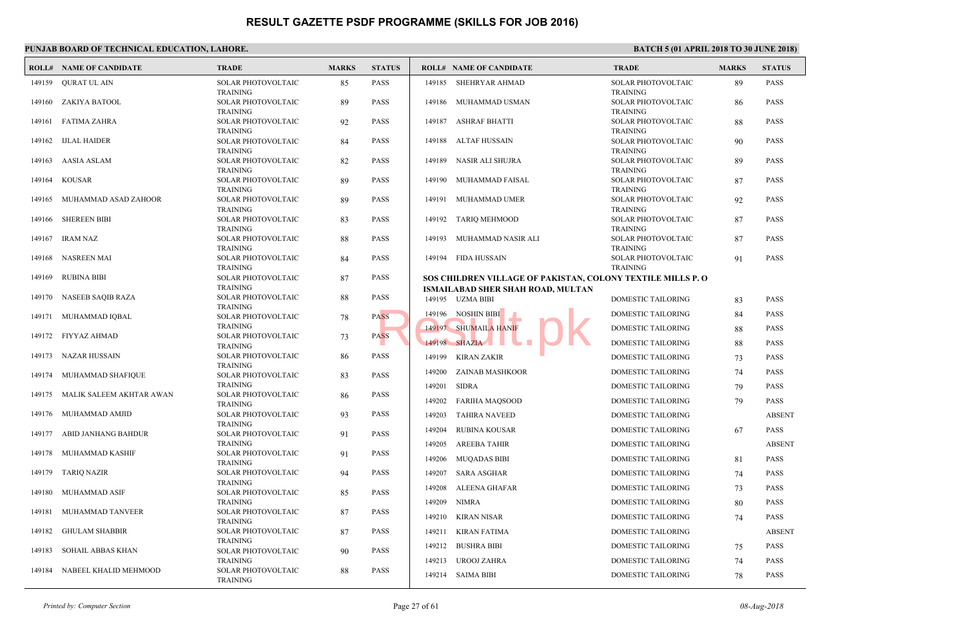|        | <b>ROLL# NAME OF CANDIDATE</b> | <b>TRADE</b>                          | <b>MARKS</b> | <b>STATUS</b> |        | <b>ROLL# NAME OF CANDIDATE</b>             | <b>TRAL</b>                  |
|--------|--------------------------------|---------------------------------------|--------------|---------------|--------|--------------------------------------------|------------------------------|
| 149159 | QURAT UL AIN                   | SOLAR PHOTOVOLTAIC                    | 85           | <b>PASS</b>   |        | 149185 SHEHRYAR AHMAD                      | <b>SOLAI</b>                 |
| 149160 | ZAKIYA BATOOL                  | <b>TRAINING</b><br>SOLAR PHOTOVOLTAIC | 89           | <b>PASS</b>   | 149186 | MUHAMMAD USMAN                             | <b>TRAIN</b><br><b>SOLAI</b> |
|        |                                | <b>TRAINING</b>                       |              |               |        |                                            | <b>TRAIN</b>                 |
| 149161 | FATIMA ZAHRA                   | SOLAR PHOTOVOLTAIC                    | 92           | <b>PASS</b>   | 149187 | ASHRAF BHATTI                              | <b>SOLAI</b>                 |
|        |                                | <b>TRAINING</b>                       |              |               |        |                                            | <b>TRAIN</b>                 |
| 149162 | <b>IJLAL HAIDER</b>            | SOLAR PHOTOVOLTAIC<br><b>TRAINING</b> | 84           | <b>PASS</b>   | 149188 | ALTAF HUSSAIN                              | <b>SOLAI</b><br><b>TRAIN</b> |
| 149163 | AASIA ASLAM                    | SOLAR PHOTOVOLTAIC                    | 82           | <b>PASS</b>   | 149189 | NASIR ALI SHUJRA                           | <b>SOLAI</b>                 |
|        |                                | TRAINING                              |              |               |        |                                            | <b>TRAIN</b>                 |
| 149164 | <b>KOUSAR</b>                  | SOLAR PHOTOVOLTAIC                    | 89           | <b>PASS</b>   | 149190 | MUHAMMAD FAISAL                            | <b>SOLAI</b>                 |
| 149165 | MUHAMMAD ASAD ZAHOOR           | <b>TRAINING</b><br>SOLAR PHOTOVOLTAIC |              | <b>PASS</b>   | 149191 | MUHAMMAD UMER                              | <b>TRAIN</b><br><b>SOLAI</b> |
|        |                                | <b>TRAINING</b>                       | 89           |               |        |                                            | <b>TRAIN</b>                 |
| 149166 | <b>SHEREEN BIBI</b>            | SOLAR PHOTOVOLTAIC                    | 83           | <b>PASS</b>   | 149192 | TARIQ MEHMOOD                              | <b>SOLA</b>                  |
|        |                                | <b>TRAINING</b>                       |              |               |        |                                            | <b>TRAIN</b>                 |
| 149167 | IRAM NAZ                       | SOLAR PHOTOVOLTAIC                    | 88           | <b>PASS</b>   | 149193 | MUHAMMAD NASIR ALI                         | <b>SOLAI</b>                 |
| 149168 | <b>NASREEN MAI</b>             | <b>TRAINING</b><br>SOLAR PHOTOVOLTAIC | 84           | <b>PASS</b>   |        | 149194 FIDA HUSSAIN                        | <b>TRAIN</b><br><b>SOLA</b>  |
|        |                                | <b>TRAINING</b>                       |              |               |        |                                            | <b>TRAIN</b>                 |
| 149169 | <b>RUBINA BIBI</b>             | SOLAR PHOTOVOLTAIC                    | 87           | <b>PASS</b>   |        | SOS CHILDREN VILLAGE OF PAKISTAN, COLONY T |                              |
|        |                                | <b>TRAINING</b>                       |              |               |        | ISMAILABAD SHER SHAH ROAD, MULTAN          |                              |
| 149170 | NASEEB SAQIB RAZA              | SOLAR PHOTOVOLTAIC<br><b>TRAINING</b> | 88           | <b>PASS</b>   |        | 149195 UZMA BIBI                           | <b>DOME</b>                  |
| 149171 | MUHAMMAD IQBAL                 | SOLAR PHOTOVOLTAIC                    | 78           | <b>PASS</b>   | 149196 | NOSHIN BIBI                                | <b>DOME</b>                  |
|        |                                | <b>TRAINING</b>                       |              |               |        | 149197 SHUMAILA HANIF                      | <b>DOME</b>                  |
| 149172 | <b>FIYYAZ AHMAD</b>            | SOLAR PHOTOVOLTAIC                    | 73           | <b>PASS</b>   |        | 149198 SHAZIA                              | <b>DOME</b>                  |
| 149173 | NAZAR HUSSAIN                  | TRAINING<br>SOLAR PHOTOVOLTAIC        | 86           | <b>PASS</b>   | 149199 | KIRAN ZAKIR                                | <b>DOME</b>                  |
|        |                                | <b>TRAINING</b>                       |              |               |        |                                            |                              |
| 149174 | MUHAMMAD SHAFIQUE              | SOLAR PHOTOVOLTAIC                    | 83           | <b>PASS</b>   | 149200 | ZAINAB MASHKOOR                            | <b>DOME</b>                  |
| 149175 | MALIK SALEEM AKHTAR AWAN       | TRAINING<br>SOLAR PHOTOVOLTAIC        |              | <b>PASS</b>   | 149201 | <b>SIDRA</b>                               | <b>DOME</b>                  |
|        |                                | <b>TRAINING</b>                       | 86           |               | 149202 | <b>FARIHA MAQSOOD</b>                      | <b>DOME</b>                  |
| 149176 | MUHAMMAD AMJID                 | SOLAR PHOTOVOLTAIC                    | 93           | <b>PASS</b>   | 149203 | <b>TAHIRA NAVEED</b>                       | <b>DOME</b>                  |
|        |                                | TRAINING                              |              |               | 149204 | <b>RUBINA KOUSAR</b>                       | <b>DOME</b>                  |
| 149177 | ABID JANHANG BAHDUR            | SOLAR PHOTOVOLTAIC<br><b>TRAINING</b> | 91           | <b>PASS</b>   | 149205 | <b>AREEBA TAHIR</b>                        | <b>DOME</b>                  |
| 149178 | MUHAMMAD KASHIF                | SOLAR PHOTOVOLTAIC                    | 91           | <b>PASS</b>   |        |                                            |                              |
|        |                                | TRAINING                              |              |               | 149206 | <b>MUQADAS BIBI</b>                        | <b>DOME</b>                  |
| 149179 | <b>TARIQ NAZIR</b>             | SOLAR PHOTOVOLTAIC                    | 94           | <b>PASS</b>   | 149207 | SARA ASGHAR                                | <b>DOME</b>                  |
| 149180 | MUHAMMAD ASIF                  | <b>TRAINING</b><br>SOLAR PHOTOVOLTAIC | 85           | <b>PASS</b>   | 149208 | ALEENA GHAFAR                              | <b>DOME</b>                  |
|        |                                | TRAINING                              |              |               | 149209 | NIMRA                                      | <b>DOME</b>                  |
| 149181 | MUHAMMAD TANVEER               | SOLAR PHOTOVOLTAIC                    | 87           | <b>PASS</b>   | 149210 | KIRAN NISAR                                | <b>DOME</b>                  |
|        |                                | <b>TRAINING</b>                       |              |               |        |                                            |                              |
| 149182 | <b>GHULAM SHABBIR</b>          | SOLAR PHOTOVOLTAIC<br>TRAINING        | 87           | <b>PASS</b>   | 149211 | KIRAN FATIMA                               | <b>DOME</b>                  |
| 149183 | SOHAIL ABBAS KHAN              | SOLAR PHOTOVOLTAIC                    | 90           | <b>PASS</b>   | 149212 | <b>BUSHRA BIBI</b>                         | <b>DOME</b>                  |
|        |                                | <b>TRAINING</b>                       |              |               | 149213 | UROOJ ZAHRA                                | <b>DOME</b>                  |
| 149184 | NABEEL KHALID MEHMOOD          | SOLAR PHOTOVOLTAIC                    | 88           | <b>PASS</b>   |        | 149214 SAIMA BIBI                          | <b>DOME</b>                  |
|        |                                | <b>TRAINING</b>                       |              |               |        |                                            |                              |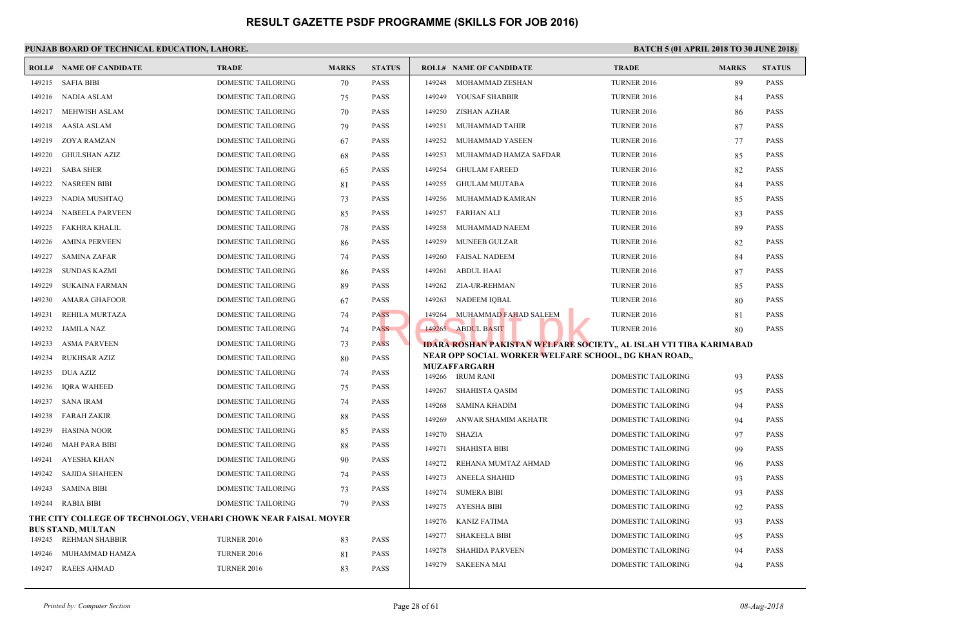|        | <b>ROLL# NAME OF CANDIDATE</b>                                 | <b>TRADE</b>              | <b>MARKS</b> | <b>STATUS</b> |        | <b>ROLL# NAME OF CANDIDATE</b>                    | <b>TRAL</b>  |
|--------|----------------------------------------------------------------|---------------------------|--------------|---------------|--------|---------------------------------------------------|--------------|
| 149215 | <b>SAFIA BIBI</b>                                              | <b>DOMESTIC TAILORING</b> | 70           | <b>PASS</b>   |        | 149248 MOHAMMAD ZESHAN                            | <b>TURNI</b> |
| 149216 | NADIA ASLAM                                                    | DOMESTIC TAILORING        | 75           | <b>PASS</b>   |        | 149249 YOUSAF SHABBIR                             | <b>TURNI</b> |
| 149217 | MEHWISH ASLAM                                                  | DOMESTIC TAILORING        | 70           | <b>PASS</b>   |        | 149250 ZISHAN AZHAR                               | <b>TURN</b>  |
| 149218 | AASIA ASLAM                                                    | DOMESTIC TAILORING        | 79           | <b>PASS</b>   | 149251 | MUHAMMAD TAHIR                                    | <b>TURNI</b> |
| 149219 | <b>ZOYA RAMZAN</b>                                             | DOMESTIC TAILORING        | 67           | <b>PASS</b>   | 149252 | MUHAMMAD YASEEN                                   | <b>TURNI</b> |
| 149220 | <b>GHULSHAN AZIZ</b>                                           | DOMESTIC TAILORING        | 68           | <b>PASS</b>   | 149253 | MUHAMMAD HAMZA SAFDAR                             | <b>TURNI</b> |
| 149221 | <b>SABA SHER</b>                                               | DOMESTIC TAILORING        | 65           | <b>PASS</b>   | 149254 | <b>GHULAM FAREED</b>                              | <b>TURN</b>  |
| 149222 | <b>NASREEN BIBI</b>                                            | DOMESTIC TAILORING        | 81           | <b>PASS</b>   | 149255 | <b>GHULAM MUJTABA</b>                             | <b>TURNI</b> |
| 149223 | NADIA MUSHTAQ                                                  | DOMESTIC TAILORING        | 73           | <b>PASS</b>   | 149256 | MUHAMMAD KAMRAN                                   | <b>TURNI</b> |
| 149224 | <b>NABEELA PARVEEN</b>                                         | <b>DOMESTIC TAILORING</b> | 85           | <b>PASS</b>   | 149257 | <b>FARHAN ALI</b>                                 | <b>TURNI</b> |
| 149225 | <b>FAKHRA KHALIL</b>                                           | DOMESTIC TAILORING        | 78           | <b>PASS</b>   | 149258 | MUHAMMAD NAEEM                                    | <b>TURNI</b> |
| 149226 | <b>AMINA PERVEEN</b>                                           | <b>DOMESTIC TAILORING</b> | 86           | <b>PASS</b>   | 149259 | <b>MUNEEB GULZAR</b>                              | <b>TURNI</b> |
| 149227 | SAMINA ZAFAR                                                   | DOMESTIC TAILORING        | 74           | <b>PASS</b>   | 149260 | <b>FAISAL NADEEM</b>                              | <b>TURNI</b> |
| 149228 | <b>SUNDAS KAZMI</b>                                            | <b>DOMESTIC TAILORING</b> | 86           | <b>PASS</b>   | 149261 | <b>ABDUL HAAI</b>                                 | <b>TURNI</b> |
| 149229 | <b>SUKAINA FARMAN</b>                                          | DOMESTIC TAILORING        | 89           | <b>PASS</b>   |        | 149262 ZIA-UR-REHMAN                              | <b>TURNI</b> |
| 149230 | AMARA GHAFOOR                                                  | DOMESTIC TAILORING        | 67           | <b>PASS</b>   | 149263 | NADEEM IOBAL                                      | <b>TURNI</b> |
| 149231 | REHILA MURTAZA                                                 | DOMESTIC TAILORING        | 74           | <b>PASS</b>   |        | 149264 MUHAMMAD FAHAD SALEEM                      | <b>TURNI</b> |
| 149232 | JAMILA NAZ                                                     | DOMESTIC TAILORING        | 74           | <b>PASS</b>   |        | 149265 ABDUL BASIT                                | <b>TURN</b>  |
| 149233 | <b>ASMA PARVEEN</b>                                            | DOMESTIC TAILORING        | 73           | <b>PASS</b>   |        | <b>IDARA ROSHAN PAKISTAN WELFARE SOCIETY,, AL</b> |              |
| 149234 | <b>RUKHSAR AZIZ</b>                                            | <b>DOMESTIC TAILORING</b> | 80           | <b>PASS</b>   |        | NEAR OPP SOCIAL WORKER WELFARE SCHOOL, DO         |              |
| 149235 | <b>DUA AZIZ</b>                                                | DOMESTIC TAILORING        | 74           | <b>PASS</b>   |        | <b>MUZAFFARGARH</b><br>149266 IRUM RANI           | <b>DOME</b>  |
| 149236 | <b>IORA WAHEED</b>                                             | <b>DOMESTIC TAILORING</b> | 75           | <b>PASS</b>   | 149267 | SHAHISTA QASIM                                    | <b>DOME</b>  |
| 149237 | <b>SANA IRAM</b>                                               | DOMESTIC TAILORING        | 74           | <b>PASS</b>   | 149268 | <b>SAMINA KHADIM</b>                              | <b>DOME</b>  |
| 149238 | <b>FARAH ZAKIR</b>                                             | DOMESTIC TAILORING        | 88           | <b>PASS</b>   | 149269 | ANWAR SHAMIM AKHATR                               | <b>DOME</b>  |
| 149239 | <b>HASINA NOOR</b>                                             | DOMESTIC TAILORING        | 85           | <b>PASS</b>   | 149270 | SHAZIA                                            | <b>DOME</b>  |
| 149240 | <b>MAH PARA BIBI</b>                                           | <b>DOMESTIC TAILORING</b> | 88           | <b>PASS</b>   | 149271 | <b>SHAHISTA BIBI</b>                              | <b>DOME</b>  |
| 149241 | AYESHA KHAN                                                    | <b>DOMESTIC TAILORING</b> | 90           | <b>PASS</b>   | 149272 | REHANA MUMTAZ AHMAD                               | <b>DOME</b>  |
| 149242 | <b>SAJIDA SHAHEEN</b>                                          | DOMESTIC TAILORING        | 74           | <b>PASS</b>   | 149273 | <b>ANEELA SHAHID</b>                              | <b>DOME</b>  |
| 149243 | <b>SAMINA BIBI</b>                                             | DOMESTIC TAILORING        | 73           | <b>PASS</b>   | 149274 | <b>SUMERA BIBI</b>                                | <b>DOME</b>  |
| 149244 | RABIA BIBI                                                     | <b>DOMESTIC TAILORING</b> | 79           | <b>PASS</b>   |        | 149275 AYESHA BIBI                                | <b>DOME</b>  |
|        | THE CITY COLLEGE OF TECHNOLOGY, VEHARI CHOWK NEAR FAISAL MOVER |                           |              |               | 149276 | KANIZ FATIMA                                      | <b>DOME</b>  |
| 149245 | <b>BUS STAND, MULTAN</b><br>REHMAN SHABBIR                     | <b>TURNER 2016</b>        |              | <b>PASS</b>   | 149277 | <b>SHAKEELA BIBI</b>                              | <b>DOME</b>  |
| 149246 | MUHAMMAD HAMZA                                                 | <b>TURNER 2016</b>        | 83           | <b>PASS</b>   | 149278 | <b>SHAHIDA PARVEEN</b>                            | <b>DOME</b>  |
| 149247 | <b>RAEES AHMAD</b>                                             |                           | 81<br>83     | <b>PASS</b>   |        | 149279 SAKEENA MAI                                | <b>DOME</b>  |
|        |                                                                | <b>TURNER 2016</b>        |              |               |        |                                                   |              |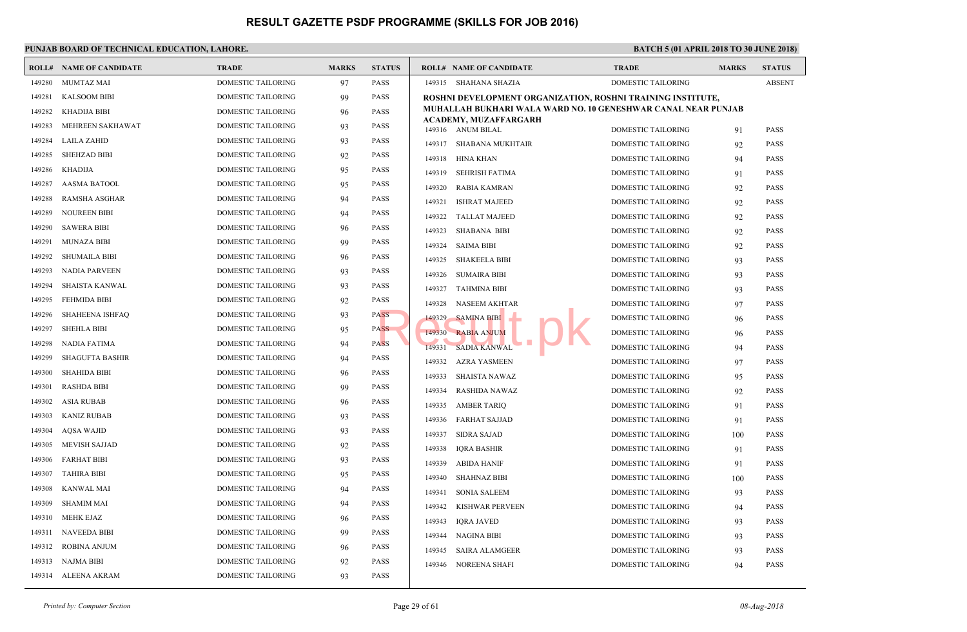|        | <b>ROLL# NAME OF CANDIDATE</b> | <b>TRADE</b>              | <b>MARKS</b> | <b>STATUS</b> | <b>ROLL# NAME OF CANDIDATE</b>                 | <b>TRAL</b> |
|--------|--------------------------------|---------------------------|--------------|---------------|------------------------------------------------|-------------|
| 149280 | <b>MUMTAZ MAI</b>              | DOMESTIC TAILORING        | 97           | <b>PASS</b>   | 149315 SHAHANA SHAZIA                          | <b>DOME</b> |
| 149281 | <b>KALSOOM BIBI</b>            | <b>DOMESTIC TAILORING</b> | 99           | <b>PASS</b>   | <b>ROSHNI DEVELOPMENT ORGANIZATION, ROSHNI</b> |             |
| 149282 | <b>KHADIJA BIBI</b>            | DOMESTIC TAILORING        | 96           | <b>PASS</b>   | MUHALLAH BUKHARI WALA WARD NO. 10 GENESH       |             |
| 149283 | MEHREEN SAKHAWAT               | DOMESTIC TAILORING        | 93           | <b>PASS</b>   | ACADEMY, MUZAFFARGARH<br>149316 ANUM BILAL     | <b>DOME</b> |
| 149284 | LAILA ZAHID                    | DOMESTIC TAILORING        | 93           | <b>PASS</b>   | 149317<br>SHABANA MUKHTAIR                     | <b>DOME</b> |
| 149285 | <b>SHEHZAD BIBI</b>            | DOMESTIC TAILORING        | 92           | <b>PASS</b>   | 149318<br>HINA KHAN                            | <b>DOME</b> |
| 149286 | <b>KHADIJA</b>                 | DOMESTIC TAILORING        | 95           | <b>PASS</b>   | 149319<br>SEHRISH FATIMA                       | <b>DOME</b> |
| 149287 | <b>AASMA BATOOL</b>            | DOMESTIC TAILORING        | 95           | <b>PASS</b>   | 149320<br>RABIA KAMRAN                         | <b>DOME</b> |
| 149288 | RAMSHA ASGHAR                  | DOMESTIC TAILORING        | 94           | <b>PASS</b>   | 149321<br><b>ISHRAT MAJEED</b>                 | <b>DOME</b> |
| 149289 | <b>NOUREEN BIBI</b>            | DOMESTIC TAILORING        | 94           | <b>PASS</b>   | 149322<br><b>TALLAT MAJEED</b>                 | <b>DOME</b> |
| 149290 | <b>SAWERA BIBI</b>             | DOMESTIC TAILORING        | 96           | <b>PASS</b>   | 149323<br><b>SHABANA BIBI</b>                  | <b>DOME</b> |
| 149291 | <b>MUNAZA BIBI</b>             | DOMESTIC TAILORING        | 99           | <b>PASS</b>   | 149324<br><b>SAIMA BIBI</b>                    | <b>DOME</b> |
| 149292 | <b>SHUMAILA BIBI</b>           | DOMESTIC TAILORING        | 96           | <b>PASS</b>   | 149325<br>SHAKEELA BIBI                        | <b>DOME</b> |
| 149293 | <b>NADIA PARVEEN</b>           | DOMESTIC TAILORING        | 93           | <b>PASS</b>   | 149326<br><b>SUMAIRA BIBI</b>                  | <b>DOME</b> |
| 149294 | <b>SHAISTA KANWAL</b>          | DOMESTIC TAILORING        | 93           | <b>PASS</b>   | <b>TAHMINA BIBI</b><br>149327                  | <b>DOME</b> |
| 149295 | <b>FEHMIDA BIBI</b>            | DOMESTIC TAILORING        | 92           | <b>PASS</b>   | 149328<br>NASEEM AKHTAR                        | <b>DOME</b> |
| 149296 | <b>SHAHEENA ISHFAQ</b>         | DOMESTIC TAILORING        | 93           | <b>PASS</b>   | 149329<br><b>SAMINA BIBI</b>                   | <b>DOME</b> |
| 149297 | <b>SHEHLA BIBI</b>             | <b>DOMESTIC TAILORING</b> | 95           | <b>PASS</b>   | 149330<br><b>RABIA ANJUM</b>                   | <b>DOME</b> |
| 149298 | NADIA FATIMA                   | DOMESTIC TAILORING        | 94           | <b>PASS</b>   | <b>SADIA KANWAL</b><br>149331                  | <b>DOME</b> |
| 149299 | <b>SHAGUFTA BASHIR</b>         | <b>DOMESTIC TAILORING</b> | 94           | <b>PASS</b>   | 149332<br>AZRA YASMEEN                         | <b>DOME</b> |
| 149300 | <b>SHAHIDA BIBI</b>            | DOMESTIC TAILORING        | 96           | <b>PASS</b>   | 149333<br>SHAISTA NAWAZ                        | <b>DOME</b> |
| 149301 | <b>RASHDA BIBI</b>             | <b>DOMESTIC TAILORING</b> | 99           | <b>PASS</b>   | 149334<br><b>RASHIDA NAWAZ</b>                 | <b>DOME</b> |
| 149302 | ASIA RUBAB                     | DOMESTIC TAILORING        | 96           | <b>PASS</b>   | 149335<br><b>AMBER TARIQ</b>                   | <b>DOME</b> |
| 149303 | <b>KANIZ RUBAB</b>             | DOMESTIC TAILORING        | 93           | <b>PASS</b>   | 149336<br>FARHAT SAJJAD                        | <b>DOME</b> |
| 149304 | <b>AQSA WAJID</b>              | DOMESTIC TAILORING        | 93           | <b>PASS</b>   | 149337<br>SIDRA SAJAD                          | <b>DOME</b> |
| 149305 | <b>MEVISH SAJJAD</b>           | <b>DOMESTIC TAILORING</b> | 92           | <b>PASS</b>   | 149338<br><b>IQRA BASHIR</b>                   | <b>DOME</b> |
| 149306 | <b>FARHAT BIBI</b>             | DOMESTIC TAILORING        | 93           | <b>PASS</b>   | 149339<br><b>ABIDA HANIF</b>                   | <b>DOME</b> |
| 149307 | TAHIRA BIBI                    | DOMESTIC TAILORING        | 95           | <b>PASS</b>   | 149340<br><b>SHAHNAZ BIBI</b>                  | <b>DOME</b> |
| 149308 | <b>KANWAL MAI</b>              | DOMESTIC TAILORING        | 94           | <b>PASS</b>   | 149341<br><b>SONIA SALEEM</b>                  | <b>DOME</b> |
| 149309 | <b>SHAMIM MAI</b>              | DOMESTIC TAILORING        | 94           | <b>PASS</b>   | 149342<br>KISHWAR PERVEEN                      | <b>DOME</b> |
| 149310 | MEHK EJAZ                      | DOMESTIC TAILORING        | 96           | <b>PASS</b>   | 149343<br><b>IORA JAVED</b>                    | <b>DOME</b> |
| 149311 | NAVEEDA BIBI                   | DOMESTIC TAILORING        | 99           | <b>PASS</b>   | 149344<br>NAGINA BIBI                          | <b>DOME</b> |
| 149312 | ROBINA ANJUM                   | DOMESTIC TAILORING        | 96           | <b>PASS</b>   | 149345<br>SAIRA ALAMGEER                       | <b>DOME</b> |
| 149313 | <b>NAJMA BIBI</b>              | DOMESTIC TAILORING        | 92           | <b>PASS</b>   | <b>NOREENA SHAFI</b><br>149346                 | <b>DOME</b> |
| 149314 | ALEENA AKRAM                   | DOMESTIC TAILORING        | 93           | <b>PASS</b>   |                                                |             |
|        |                                |                           |              |               |                                                |             |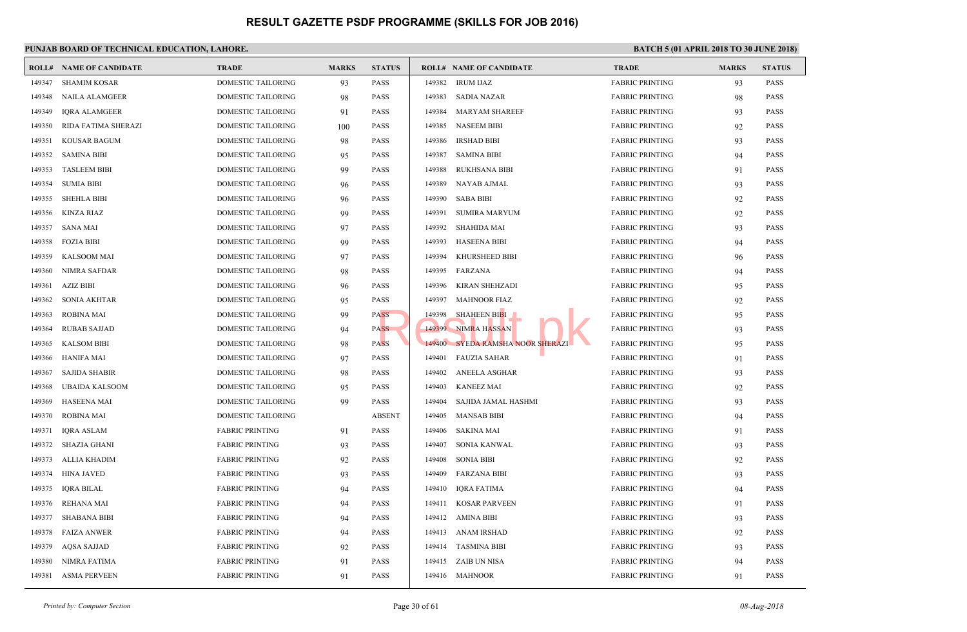|        | <b>ROLL# NAME OF CANDIDATE</b> | <b>TRADE</b>              | <b>MARKS</b> | <b>STATUS</b> |        | <b>ROLL# NAME OF CANDIDATE</b>   | <b>TRAD</b> |
|--------|--------------------------------|---------------------------|--------------|---------------|--------|----------------------------------|-------------|
| 149347 | <b>SHAMIM KOSAR</b>            | DOMESTIC TAILORING        | 93           | <b>PASS</b>   | 149382 | <b>IRUM IJAZ</b>                 | FABRI       |
| 149348 | NAILA ALAMGEER                 | DOMESTIC TAILORING        | 98           | <b>PASS</b>   | 149383 | SADIA NAZAR                      | FABRI       |
| 149349 | <b>IQRA ALAMGEER</b>           | DOMESTIC TAILORING        | 91           | <b>PASS</b>   | 149384 | <b>MARYAM SHAREEF</b>            | FABRI       |
| 149350 | RIDA FATIMA SHERAZI            | DOMESTIC TAILORING        | 100          | <b>PASS</b>   | 149385 | <b>NASEEM BIBI</b>               | FABRI       |
| 149351 | <b>KOUSAR BAGUM</b>            | DOMESTIC TAILORING        | 98           | <b>PASS</b>   | 149386 | <b>IRSHAD BIBI</b>               | FABRI       |
| 149352 | <b>SAMINA BIBI</b>             | DOMESTIC TAILORING        | 95           | <b>PASS</b>   | 149387 | <b>SAMINA BIBI</b>               | FABRI       |
| 149353 | <b>TASLEEM BIBI</b>            | DOMESTIC TAILORING        | 99           | <b>PASS</b>   | 149388 | RUKHSANA BIBI                    | FABRI       |
| 149354 | <b>SUMIA BIBI</b>              | DOMESTIC TAILORING        | 96           | <b>PASS</b>   | 149389 | NAYAB AJMAL                      | FABRI       |
| 149355 | <b>SHEHLA BIBI</b>             | DOMESTIC TAILORING        | 96           | <b>PASS</b>   | 149390 | SABA BIBI                        | FABRI       |
| 149356 | KINZA RIAZ                     | DOMESTIC TAILORING        | 99           | <b>PASS</b>   | 149391 | <b>SUMIRA MARYUM</b>             | FABRI       |
| 149357 | SANA MAI                       | DOMESTIC TAILORING        | 97           | <b>PASS</b>   | 149392 | SHAHIDA MAI                      | FABRI       |
| 149358 | <b>FOZIA BIBI</b>              | DOMESTIC TAILORING        | 99           | <b>PASS</b>   | 149393 | <b>HASEENA BIBI</b>              | FABRI       |
| 149359 | KALSOOM MAI                    | DOMESTIC TAILORING        | 97           | <b>PASS</b>   | 149394 | KHURSHEED BIBI                   | FABRI       |
| 149360 | NIMRA SAFDAR                   | DOMESTIC TAILORING        | 98           | <b>PASS</b>   | 149395 | FARZANA                          | FABRI       |
| 149361 | <b>AZIZ BIBI</b>               | DOMESTIC TAILORING        | 96           | <b>PASS</b>   | 149396 | <b>KIRAN SHEHZADI</b>            | FABRI       |
| 149362 | <b>SONIA AKHTAR</b>            | DOMESTIC TAILORING        | 95           | <b>PASS</b>   | 149397 | <b>MAHNOOR FIAZ</b>              | FABRI       |
| 149363 | <b>ROBINA MAI</b>              | DOMESTIC TAILORING        | 99           | <b>PASS</b>   | 149398 | <b>SHAHEEN BIBI</b>              | FABRI       |
| 149364 | <b>RUBAB SAJJAD</b>            | DOMESTIC TAILORING        | 94           | <b>PASS</b>   |        | 149399 NIMRA HASSAN              | FABRI       |
| 149365 | <b>KALSOM BIBI</b>             | DOMESTIC TAILORING        | 98           | <b>PASS</b>   |        | 149400 SYEDA RAMSHA NOOR SHERAZI | FABRI       |
| 149366 | <b>HANIFA MAI</b>              | DOMESTIC TAILORING        | 97           | <b>PASS</b>   | 149401 | <b>FAUZIA SAHAR</b>              | FABRI       |
| 149367 | SAJIDA SHABIR                  | <b>DOMESTIC TAILORING</b> | 98           | <b>PASS</b>   | 149402 | ANEELA ASGHAR                    | FABRI       |
| 149368 | UBAIDA KALSOOM                 | <b>DOMESTIC TAILORING</b> | 95           | <b>PASS</b>   | 149403 | <b>KANEEZ MAI</b>                | FABRI       |
| 149369 | <b>HASEENA MAI</b>             | DOMESTIC TAILORING        | 99           | <b>PASS</b>   | 149404 | SAJIDA JAMAL HASHMI              | FABRI       |
| 149370 | <b>ROBINA MAI</b>              | DOMESTIC TAILORING        |              | <b>ABSENT</b> | 149405 | MANSAB BIBI                      | FABRI       |
| 149371 | IQRA ASLAM                     | <b>FABRIC PRINTING</b>    | 91           | <b>PASS</b>   | 149406 | SAKINA MAI                       | FABRI       |
| 149372 | SHAZIA GHANI                   | <b>FABRIC PRINTING</b>    | 93           | <b>PASS</b>   | 149407 | <b>SONIA KANWAL</b>              | FABRI       |
| 149373 | ALLIA KHADIM                   | <b>FABRIC PRINTING</b>    | 92           | <b>PASS</b>   | 149408 | <b>SONIA BIBI</b>                | FABRI       |
| 149374 | HINA JAVED                     | <b>FABRIC PRINTING</b>    | 93           | <b>PASS</b>   | 149409 | FARZANA BIBI                     | FABRI       |
| 149375 | <b>IQRA BILAL</b>              | <b>FABRIC PRINTING</b>    | 94           | <b>PASS</b>   | 149410 | <b>IQRA FATIMA</b>               | FABRI       |
| 149376 | <b>REHANA MAI</b>              | <b>FABRIC PRINTING</b>    | 94           | <b>PASS</b>   | 149411 | <b>KOSAR PARVEEN</b>             | FABRI       |
| 149377 | <b>SHABANA BIBI</b>            | <b>FABRIC PRINTING</b>    | 94           | <b>PASS</b>   |        | 149412 AMINA BIBI                | FABRI       |
| 149378 | <b>FAIZA ANWER</b>             | <b>FABRIC PRINTING</b>    | 94           | <b>PASS</b>   |        | 149413 ANAM IRSHAD               | FABRI       |
| 149379 | AQSA SAJJAD                    | <b>FABRIC PRINTING</b>    | 92           | <b>PASS</b>   |        | 149414 TASMINA BIBI              | FABRI       |
| 149380 | <b>NIMRA FATIMA</b>            | <b>FABRIC PRINTING</b>    | 91           | <b>PASS</b>   |        | 149415 ZAIB UN NISA              | FABRI       |
| 149381 | <b>ASMA PERVEEN</b>            | <b>FABRIC PRINTING</b>    | 91           | <b>PASS</b>   |        | 149416 MAHNOOR                   | FABRI       |
|        |                                |                           |              |               |        |                                  |             |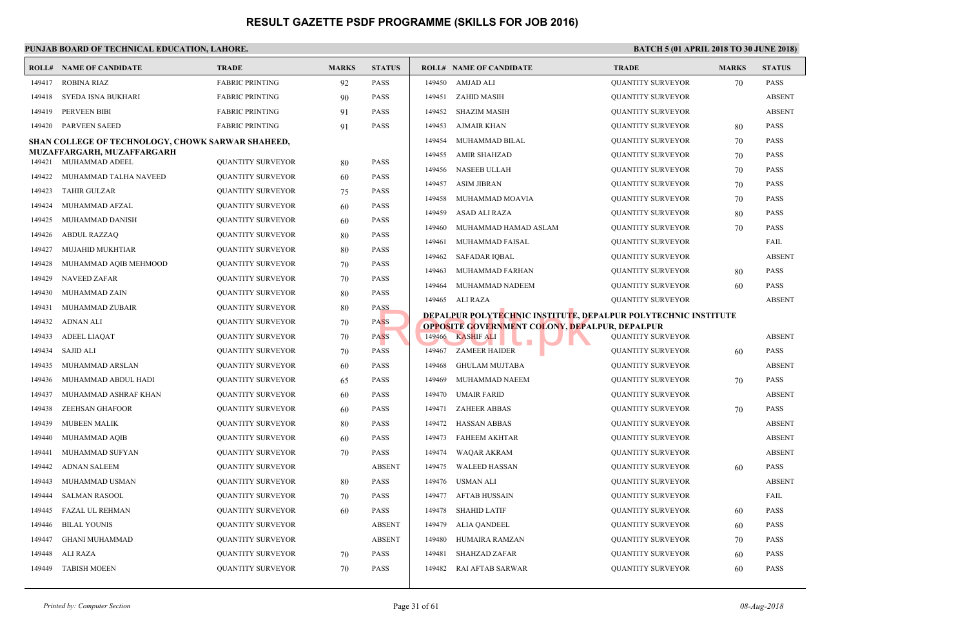|                  | <b>ROLL# NAME OF CANDIDATE</b>                    | <b>TRADE</b>             | <b>MARKS</b> | <b>STATUS</b> |        | <b>ROLL# NAME OF CANDIDATE</b>                    | <b>TRAL</b> |
|------------------|---------------------------------------------------|--------------------------|--------------|---------------|--------|---------------------------------------------------|-------------|
| 149417           | <b>ROBINA RIAZ</b>                                | <b>FABRIC PRINTING</b>   | 92           | <b>PASS</b>   | 149450 | <b>AMJAD ALI</b>                                  | <b>OUAN</b> |
| 149418           | SYEDA ISNA BUKHARI                                | <b>FABRIC PRINTING</b>   | 90           | <b>PASS</b>   | 149451 | ZAHID MASIH                                       | <b>QUAN</b> |
| 149419           | PERVEEN BIBI                                      | <b>FABRIC PRINTING</b>   | 91           | <b>PASS</b>   | 149452 | <b>SHAZIM MASIH</b>                               | <b>QUAN</b> |
| 149420           | <b>PARVEEN SAEED</b>                              | <b>FABRIC PRINTING</b>   | 91           | <b>PASS</b>   | 149453 | AJMAIR KHAN                                       | <b>OUAN</b> |
|                  | SHAN COLLEGE OF TECHNOLOGY, CHOWK SARWAR SHAHEED, |                          |              |               | 149454 | MUHAMMAD BILAL                                    | <b>QUAN</b> |
|                  | MUZAFFARGARH, MUZAFFARGARH<br>MUHAMMAD ADEEL      | <b>QUANTITY SURVEYOR</b> |              | <b>PASS</b>   | 149455 | <b>AMIR SHAHZAD</b>                               | <b>QUAN</b> |
| 149421<br>149422 | MUHAMMAD TALHA NAVEED                             |                          | 80           | <b>PASS</b>   | 149456 | <b>NASEEB ULLAH</b>                               | <b>QUAN</b> |
| 149423           | <b>TAHIR GULZAR</b>                               | <b>QUANTITY SURVEYOR</b> | 60           | <b>PASS</b>   | 149457 | <b>ASIM JIBRAN</b>                                | <b>QUAN</b> |
|                  | MUHAMMAD AFZAL                                    | <b>QUANTITY SURVEYOR</b> | 75           | <b>PASS</b>   | 149458 | MUHAMMAD MOAVIA                                   | <b>OUAN</b> |
| 149424           |                                                   | QUANTITY SURVEYOR        | 60           |               | 149459 | ASAD ALI RAZA                                     | <b>QUAN</b> |
| 149425           | MUHAMMAD DANISH                                   | QUANTITY SURVEYOR        | 60           | <b>PASS</b>   | 149460 | MUHAMMAD HAMAD ASLAM                              | <b>QUAN</b> |
| 149426           | <b>ABDUL RAZZAQ</b>                               | <b>QUANTITY SURVEYOR</b> | 80           | <b>PASS</b>   | 149461 | MUHAMMAD FAISAL                                   | <b>QUAN</b> |
| 149427           | <b>MUJAHID MUKHTIAR</b>                           | QUANTITY SURVEYOR        | 80           | <b>PASS</b>   | 149462 | <b>SAFADAR IQBAL</b>                              | <b>QUAN</b> |
| 149428           | MUHAMMAD AQIB MEHMOOD                             | <b>QUANTITY SURVEYOR</b> | 70           | <b>PASS</b>   | 149463 | MUHAMMAD FARHAN                                   | <b>QUAN</b> |
| 149429           | <b>NAVEED ZAFAR</b>                               | <b>QUANTITY SURVEYOR</b> | 70           | <b>PASS</b>   | 149464 | MUHAMMAD NADEEM                                   | <b>OUAN</b> |
| 149430           | MUHAMMAD ZAIN                                     | QUANTITY SURVEYOR        | 80           | <b>PASS</b>   | 149465 | ALI RAZA                                          | <b>QUAN</b> |
| 149431           | MUHAMMAD ZUBAIR                                   | <b>QUANTITY SURVEYOR</b> | 80           | <b>PASS</b>   |        | <b>DEPALPUR POLYTECHNIC INSTITUTE, DEPALPUR P</b> |             |
| 149432           | <b>ADNAN ALI</b>                                  | <b>QUANTITY SURVEYOR</b> | 70           | <b>PASS</b>   |        | OPPOSITE GOVERNMENT COLONY, DEPALPUR, DEI         |             |
| 149433           | <b>ADEEL LIAQAT</b>                               | QUANTITY SURVEYOR        | 70           | <b>PASS</b>   | 149466 | <b>KASHIF ALI</b>                                 | <b>QUAN</b> |
| 149434           | <b>SAJID ALI</b>                                  | <b>QUANTITY SURVEYOR</b> | 70           | <b>PASS</b>   | 149467 | <b>ZAMEER HAIDER</b>                              | <b>QUAN</b> |
| 149435           | MUHAMMAD ARSLAN                                   | QUANTITY SURVEYOR        | 60           | <b>PASS</b>   | 149468 | <b>GHULAM MUJTABA</b>                             | <b>QUAN</b> |
| 149436           | MUHAMMAD ABDUL HADI                               | <b>QUANTITY SURVEYOR</b> | 65           | <b>PASS</b>   | 149469 | MUHAMMAD NAEEM                                    | <b>QUAN</b> |
| 149437           | MUHAMMAD ASHRAF KHAN                              | <b>QUANTITY SURVEYOR</b> | 60           | <b>PASS</b>   | 149470 | <b>UMAIR FARID</b>                                | <b>OUAN</b> |
| 149438           | <b>ZEEHSAN GHAFOOR</b>                            | QUANTITY SURVEYOR        | 60           | <b>PASS</b>   | 149471 | <b>ZAHEER ABBAS</b>                               | <b>OUAN</b> |
| 149439           | <b>MUBEEN MALIK</b>                               | <b>QUANTITY SURVEYOR</b> | 80           | <b>PASS</b>   | 149472 | HASSAN ABBAS                                      | <b>QUAN</b> |
| 149440           | MUHAMMAD AQIB                                     | <b>QUANTITY SURVEYOR</b> | 60           | <b>PASS</b>   | 149473 | <b>FAHEEM AKHTAR</b>                              | <b>OUAN</b> |
| 149441           | MUHAMMAD SUFYAN                                   | QUANTITY SURVEYOR        | 70           | <b>PASS</b>   | 149474 | <b>WAQAR AKRAM</b>                                | <b>OUAN</b> |
| 149442           | <b>ADNAN SALEEM</b>                               | <b>QUANTITY SURVEYOR</b> |              | <b>ABSENT</b> | 149475 | <b>WALEED HASSAN</b>                              | <b>QUAN</b> |
| 149443           | MUHAMMAD USMAN                                    | <b>QUANTITY SURVEYOR</b> | 80           | <b>PASS</b>   | 149476 | USMAN ALI                                         | <b>QUAN</b> |
| 149444           | <b>SALMAN RASOOL</b>                              | QUANTITY SURVEYOR        | 70           | <b>PASS</b>   | 149477 | <b>AFTAB HUSSAIN</b>                              | <b>QUAN</b> |
| 149445           | <b>FAZAL UL REHMAN</b>                            | <b>QUANTITY SURVEYOR</b> | 60           | <b>PASS</b>   | 149478 | <b>SHAHID LATIF</b>                               | <b>QUAN</b> |
| 149446           | <b>BILAL YOUNIS</b>                               | <b>QUANTITY SURVEYOR</b> |              | <b>ABSENT</b> | 149479 | <b>ALIA QANDEEL</b>                               | <b>QUAN</b> |
| 149447           | <b>GHANI MUHAMMAD</b>                             | <b>QUANTITY SURVEYOR</b> |              | <b>ABSENT</b> | 149480 | HUMAIRA RAMZAN                                    | <b>QUAN</b> |
| 149448           | ALI RAZA                                          | QUANTITY SURVEYOR        | 70           | <b>PASS</b>   | 149481 | <b>SHAHZAD ZAFAR</b>                              | <b>QUAN</b> |
| 149449           | <b>TABISH MOEEN</b>                               | <b>QUANTITY SURVEYOR</b> | 70           | <b>PASS</b>   | 149482 | RAI AFTAB SARWAR                                  | <b>OUAN</b> |
|                  |                                                   |                          |              |               |        |                                                   |             |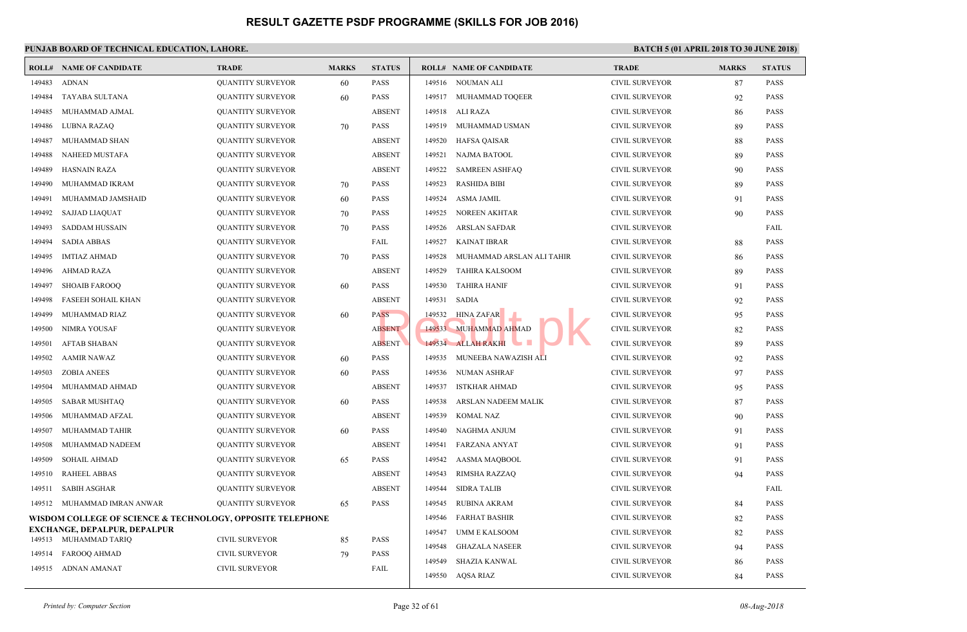|        | <b>ROLL# NAME OF CANDIDATE</b>                             | <b>TRADE</b>             | <b>MARKS</b> | <b>STATUS</b> |        | <b>ROLL# NAME OF CANDIDATE</b> | <b>TRAL</b>  |
|--------|------------------------------------------------------------|--------------------------|--------------|---------------|--------|--------------------------------|--------------|
| 149483 | <b>ADNAN</b>                                               | <b>QUANTITY SURVEYOR</b> | 60           | <b>PASS</b>   | 149516 | NOUMAN ALI                     | <b>CIVIL</b> |
| 149484 | TAYABA SULTANA                                             | <b>QUANTITY SURVEYOR</b> | 60           | <b>PASS</b>   |        | 149517 MUHAMMAD TOQEER         | <b>CIVIL</b> |
| 149485 | MUHAMMAD AJMAL                                             | <b>QUANTITY SURVEYOR</b> |              | <b>ABSENT</b> | 149518 | ALI RAZA                       | <b>CIVIL</b> |
| 149486 | <b>LUBNA RAZAQ</b>                                         | <b>QUANTITY SURVEYOR</b> | 70           | <b>PASS</b>   | 149519 | MUHAMMAD USMAN                 | <b>CIVIL</b> |
| 149487 | MUHAMMAD SHAN                                              | <b>QUANTITY SURVEYOR</b> |              | <b>ABSENT</b> | 149520 | HAFSA QAISAR                   | <b>CIVIL</b> |
| 149488 | NAHEED MUSTAFA                                             | <b>QUANTITY SURVEYOR</b> |              | <b>ABSENT</b> | 149521 | NAJMA BATOOL                   | <b>CIVIL</b> |
| 149489 | <b>HASNAIN RAZA</b>                                        | <b>QUANTITY SURVEYOR</b> |              | <b>ABSENT</b> | 149522 | <b>SAMREEN ASHFAQ</b>          | <b>CIVIL</b> |
| 149490 | MUHAMMAD IKRAM                                             | <b>QUANTITY SURVEYOR</b> | 70           | <b>PASS</b>   | 149523 | <b>RASHIDA BIBI</b>            | <b>CIVIL</b> |
| 149491 | MUHAMMAD JAMSHAID                                          | <b>QUANTITY SURVEYOR</b> | 60           | <b>PASS</b>   | 149524 | ASMA JAMIL                     | <b>CIVIL</b> |
| 149492 | <b>SAJJAD LIAQUAT</b>                                      | <b>QUANTITY SURVEYOR</b> | 70           | <b>PASS</b>   | 149525 | NOREEN AKHTAR                  | <b>CIVIL</b> |
| 149493 | <b>SADDAM HUSSAIN</b>                                      | <b>QUANTITY SURVEYOR</b> | 70           | <b>PASS</b>   | 149526 | <b>ARSLAN SAFDAR</b>           | <b>CIVIL</b> |
| 149494 | <b>SADIA ABBAS</b>                                         | <b>QUANTITY SURVEYOR</b> |              | FAIL          | 149527 | <b>KAINAT IBRAR</b>            | <b>CIVIL</b> |
| 149495 | <b>IMTIAZ AHMAD</b>                                        | <b>QUANTITY SURVEYOR</b> | 70           | <b>PASS</b>   | 149528 | MUHAMMAD ARSLAN ALI TAHIR      | <b>CIVIL</b> |
| 149496 | <b>AHMAD RAZA</b>                                          | <b>QUANTITY SURVEYOR</b> |              | <b>ABSENT</b> | 149529 | <b>TAHIRA KALSOOM</b>          | <b>CIVIL</b> |
| 149497 | <b>SHOAIB FAROOQ</b>                                       | <b>QUANTITY SURVEYOR</b> | 60           | <b>PASS</b>   | 149530 | <b>TAHIRA HANIF</b>            | <b>CIVIL</b> |
| 149498 | FASEEH SOHAIL KHAN                                         | <b>QUANTITY SURVEYOR</b> |              | <b>ABSENT</b> | 149531 | <b>SADIA</b>                   | <b>CIVIL</b> |
| 149499 | MUHAMMAD RIAZ                                              | <b>QUANTITY SURVEYOR</b> | 60           | <b>PASS</b>   | 149532 | <b>HINA ZAFAR</b>              | <b>CIVIL</b> |
| 149500 | NIMRA YOUSAF                                               | <b>QUANTITY SURVEYOR</b> |              | <b>ABSENT</b> | 149533 | <b>MUHAMMAD AHMAD</b>          | <b>CIVIL</b> |
| 149501 | <b>AFTAB SHABAN</b>                                        | <b>QUANTITY SURVEYOR</b> |              | <b>ABSENT</b> |        | 149534 ALLAH RAKHI             | <b>CIVIL</b> |
| 149502 | <b>AAMIR NAWAZ</b>                                         | <b>QUANTITY SURVEYOR</b> | 60           | <b>PASS</b>   | 149535 | MUNEEBA NAWAZISH ALI           | <b>CIVIL</b> |
| 149503 | <b>ZOBIA ANEES</b>                                         | <b>QUANTITY SURVEYOR</b> | 60           | <b>PASS</b>   | 149536 | NUMAN ASHRAF                   | <b>CIVIL</b> |
| 149504 | MUHAMMAD AHMAD                                             | <b>QUANTITY SURVEYOR</b> |              | <b>ABSENT</b> | 149537 | <b>ISTKHAR AHMAD</b>           | <b>CIVIL</b> |
| 149505 | <b>SABAR MUSHTAQ</b>                                       | <b>QUANTITY SURVEYOR</b> | 60           | <b>PASS</b>   | 149538 | ARSLAN NADEEM MALIK            | <b>CIVIL</b> |
| 149506 | MUHAMMAD AFZAL                                             | <b>QUANTITY SURVEYOR</b> |              | <b>ABSENT</b> | 149539 | <b>KOMAL NAZ</b>               | <b>CIVIL</b> |
| 149507 | MUHAMMAD TAHIR                                             | <b>QUANTITY SURVEYOR</b> | 60           | <b>PASS</b>   | 149540 | NAGHMA ANJUM                   | <b>CIVIL</b> |
| 149508 | MUHAMMAD NADEEM                                            | <b>QUANTITY SURVEYOR</b> |              | <b>ABSENT</b> | 149541 | <b>FARZANA ANYAT</b>           | <b>CIVIL</b> |
| 149509 | <b>SOHAIL AHMAD</b>                                        | <b>QUANTITY SURVEYOR</b> | 65           | <b>PASS</b>   | 149542 | AASMA MAQBOOL                  | <b>CIVIL</b> |
| 149510 | <b>RAHEEL ABBAS</b>                                        | <b>QUANTITY SURVEYOR</b> |              | <b>ABSENT</b> | 149543 | RIMSHA RAZZAQ                  | <b>CIVIL</b> |
| 149511 | <b>SABIH ASGHAR</b>                                        | <b>QUANTITY SURVEYOR</b> |              | <b>ABSENT</b> | 149544 | <b>SIDRA TALIB</b>             | <b>CIVIL</b> |
| 149512 | MUHAMMAD IMRAN ANWAR                                       | <b>QUANTITY SURVEYOR</b> | 65           | <b>PASS</b>   | 149545 | RUBINA AKRAM                   | <b>CIVIL</b> |
|        | WISDOM COLLEGE OF SCIENCE & TECHNOLOGY, OPPOSITE TELEPHONE |                          |              |               | 149546 | <b>FARHAT BASHIR</b>           | <b>CIVIL</b> |
|        | <b>EXCHANGE, DEPALPUR, DEPALPUR</b>                        |                          |              |               | 149547 | UMM E KALSOOM                  | <b>CIVIL</b> |
|        | 149513 MUHAMMAD TARIQ                                      | <b>CIVIL SURVEYOR</b>    | 85           | <b>PASS</b>   | 149548 | <b>GHAZALA NASEER</b>          | <b>CIVIL</b> |
| 149514 | <b>FAROOQ AHMAD</b>                                        | <b>CIVIL SURVEYOR</b>    | 79           | <b>PASS</b>   | 149549 | <b>SHAZIA KANWAL</b>           | <b>CIVIL</b> |
|        | 149515 ADNAN AMANAT                                        | <b>CIVIL SURVEYOR</b>    |              | FAIL          | 149550 | AQSA RIAZ                      | <b>CIVIL</b> |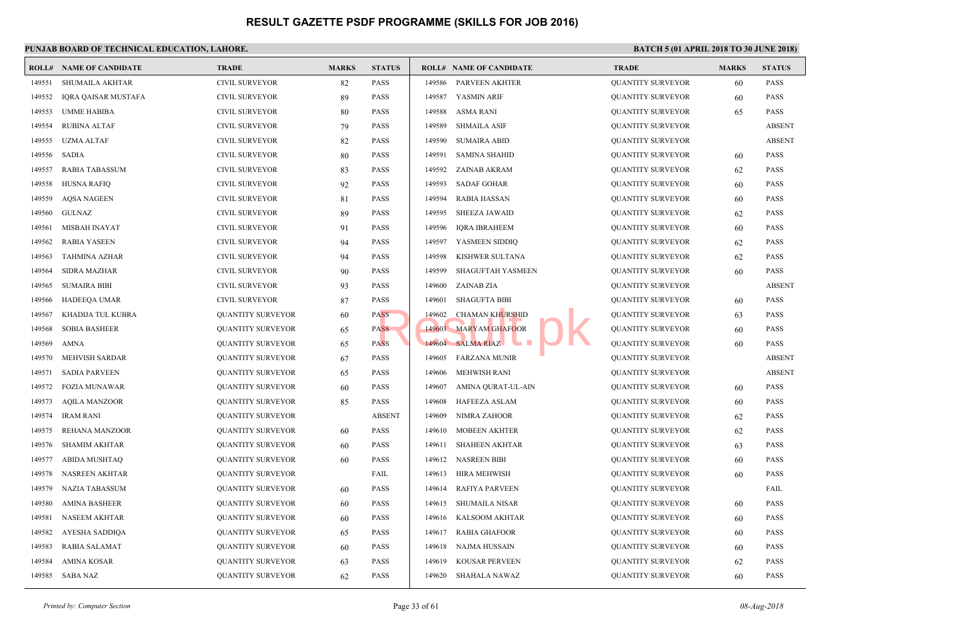|        | <b>ROLL# NAME OF CANDIDATE</b> | <b>TRADE</b>             | <b>MARKS</b> | <b>STATUS</b> |        | <b>ROLL# NAME OF CANDIDATE</b>        | <b>TRAL</b> |
|--------|--------------------------------|--------------------------|--------------|---------------|--------|---------------------------------------|-------------|
| 149551 | SHUMAILA AKHTAR                | <b>CIVIL SURVEYOR</b>    | 82           | <b>PASS</b>   | 149586 | PARVEEN AKHTER                        | <b>QUAN</b> |
| 149552 | <b>IQRA QAISAR MUSTAFA</b>     | <b>CIVIL SURVEYOR</b>    | 89           | <b>PASS</b>   | 149587 | YASMIN ARIF                           | <b>QUAN</b> |
| 149553 | <b>UMME HABIBA</b>             | <b>CIVIL SURVEYOR</b>    | 80           | <b>PASS</b>   | 149588 | <b>ASMA RANI</b>                      | <b>QUAN</b> |
| 149554 | <b>RUBINA ALTAF</b>            | <b>CIVIL SURVEYOR</b>    | 79           | <b>PASS</b>   | 149589 | <b>SHMAILA ASIF</b>                   | <b>QUAN</b> |
| 149555 | <b>UZMA ALTAF</b>              | <b>CIVIL SURVEYOR</b>    | 82           | <b>PASS</b>   | 149590 | <b>SUMAIRA ABID</b>                   | <b>QUAN</b> |
| 149556 | <b>SADIA</b>                   | <b>CIVIL SURVEYOR</b>    | 80           | <b>PASS</b>   | 149591 | <b>SAMINA SHAHID</b>                  | <b>QUAN</b> |
| 149557 | <b>RABIA TABASSUM</b>          | <b>CIVIL SURVEYOR</b>    | 83           | <b>PASS</b>   | 149592 | <b>ZAINAB AKRAM</b>                   | <b>QUAN</b> |
| 149558 | <b>HUSNA RAFIQ</b>             | <b>CIVIL SURVEYOR</b>    | 92           | <b>PASS</b>   | 149593 | <b>SADAF GOHAR</b>                    | <b>QUAN</b> |
| 149559 | <b>AQSA NAGEEN</b>             | <b>CIVIL SURVEYOR</b>    | 81           | <b>PASS</b>   | 149594 | <b>RABIA HASSAN</b>                   | <b>QUAN</b> |
| 149560 | <b>GULNAZ</b>                  | <b>CIVIL SURVEYOR</b>    | 89           | <b>PASS</b>   | 149595 | <b>SHEEZA JAWAID</b>                  | <b>QUAN</b> |
| 149561 | <b>MISBAH INAYAT</b>           | CIVIL SURVEYOR           | 91           | <b>PASS</b>   | 149596 | <b>IQRA IBRAHEEM</b>                  | <b>QUAN</b> |
| 149562 | <b>RABIA YASEEN</b>            | <b>CIVIL SURVEYOR</b>    | 94           | <b>PASS</b>   | 149597 | YASMEEN SIDDIQ                        | <b>OUAN</b> |
| 149563 | <b>TAHMINA AZHAR</b>           | <b>CIVIL SURVEYOR</b>    | 94           | <b>PASS</b>   | 149598 | KISHWER SULTANA                       | <b>QUAN</b> |
| 149564 | SIDRA MAZHAR                   | CIVIL SURVEYOR           | 90           | <b>PASS</b>   | 149599 | SHAGUFTAH YASMEEN                     | <b>QUAN</b> |
| 149565 | <b>SUMAIRA BIBI</b>            | <b>CIVIL SURVEYOR</b>    | 93           | <b>PASS</b>   | 149600 | ZAINAB ZIA                            | <b>QUAN</b> |
| 149566 | <b>HADEEQA UMAR</b>            | <b>CIVIL SURVEYOR</b>    | 87           | <b>PASS</b>   | 149601 | <b>SHAGUFTA BIBI</b>                  | <b>QUAN</b> |
| 149567 | KHADIJA TUL KUBRA              | <b>QUANTITY SURVEYOR</b> | 60           | <b>PASS</b>   | 149602 | <b>CHAMAN KHURSHID</b>                | <b>QUAN</b> |
| 149568 | <b>SOBIA BASHEER</b>           | <b>QUANTITY SURVEYOR</b> | 65           | <b>PASS</b>   | 149603 | <b>MARYAM GHAFOOR</b>                 | <b>QUAN</b> |
| 149569 | <b>AMNA</b>                    | <b>QUANTITY SURVEYOR</b> | 65           | <b>PASS</b>   |        | 149604 SALMA RIAZ<br><b>The State</b> | <b>QUAN</b> |
| 149570 | MEHVISH SARDAR                 | <b>QUANTITY SURVEYOR</b> | 67           | <b>PASS</b>   | 149605 | <b>FARZANA MUNIR</b>                  | <b>QUAN</b> |
| 149571 | <b>SADIA PARVEEN</b>           | <b>QUANTITY SURVEYOR</b> | 65           | <b>PASS</b>   | 149606 | <b>MEHWISH RANI</b>                   | <b>QUAN</b> |
| 149572 | <b>FOZIA MUNAWAR</b>           | <b>QUANTITY SURVEYOR</b> | 60           | <b>PASS</b>   | 149607 | AMINA QURAT-UL-AIN                    | <b>QUAN</b> |
| 149573 | <b>AQILA MANZOOR</b>           | <b>QUANTITY SURVEYOR</b> | 85           | <b>PASS</b>   | 149608 | <b>HAFEEZA ASLAM</b>                  | <b>QUAN</b> |
| 149574 | <b>IRAM RANI</b>               | <b>QUANTITY SURVEYOR</b> |              | <b>ABSENT</b> | 149609 | NIMRA ZAHOOR                          | <b>QUAN</b> |
| 149575 | REHANA MANZOOR                 | <b>QUANTITY SURVEYOR</b> | 60           | <b>PASS</b>   | 149610 | <b>MOBEEN AKHTER</b>                  | <b>QUAN</b> |
| 149576 | <b>SHAMIM AKHTAR</b>           | <b>QUANTITY SURVEYOR</b> | 60           | <b>PASS</b>   | 149611 | <b>SHAHEEN AKHTAR</b>                 | <b>QUAN</b> |
| 149577 | <b>ABIDA MUSHTAQ</b>           | <b>QUANTITY SURVEYOR</b> | 60           | <b>PASS</b>   | 149612 | <b>NASREEN BIBI</b>                   | <b>QUAN</b> |
| 149578 | NASREEN AKHTAR                 | <b>QUANTITY SURVEYOR</b> |              | FAIL          | 149613 | <b>HIRA MEHWISH</b>                   | <b>QUAN</b> |
| 149579 | NAZIA TABASSUM                 | <b>QUANTITY SURVEYOR</b> | 60           | <b>PASS</b>   | 149614 | <b>RAFIYA PARVEEN</b>                 | <b>QUAN</b> |
| 149580 | <b>AMINA BASHEER</b>           | <b>QUANTITY SURVEYOR</b> | 60           | <b>PASS</b>   | 149615 | <b>SHUMAILA NISAR</b>                 | <b>QUAN</b> |
| 149581 | <b>NASEEM AKHTAR</b>           | <b>QUANTITY SURVEYOR</b> | 60           | <b>PASS</b>   | 149616 | <b>KALSOOM AKHTAR</b>                 | <b>QUAN</b> |
| 149582 | AYESHA SADDIQA                 | <b>QUANTITY SURVEYOR</b> | 65           | <b>PASS</b>   | 149617 | <b>RABIA GHAFOOR</b>                  | <b>QUAN</b> |
| 149583 | RABIA SALAMAT                  | <b>QUANTITY SURVEYOR</b> | 60           | <b>PASS</b>   | 149618 | NAJMA HUSSAIN                         | <b>QUAN</b> |
| 149584 | <b>AMINA KOSAR</b>             | <b>QUANTITY SURVEYOR</b> | 63           | <b>PASS</b>   | 149619 | KOUSAR PERVEEN                        | <b>QUAN</b> |
| 149585 | SABA NAZ                       | <b>QUANTITY SURVEYOR</b> | 62           | <b>PASS</b>   | 149620 | SHAHALA NAWAZ                         | <b>QUAN</b> |
|        |                                |                          |              |               |        |                                       |             |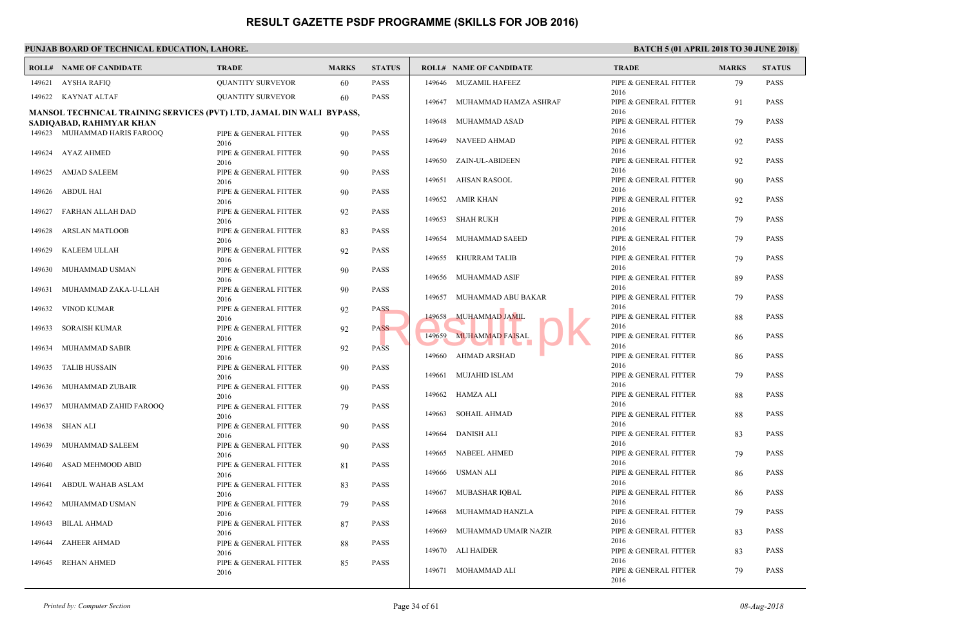|        | <b>ROLL# NAME OF CANDIDATE</b>                                       | <b>TRADE</b>                  | <b>MARKS</b> | <b>STATUS</b> |        | <b>ROLL# NAME OF CANDIDATE</b> | <b>TRAL</b>    |
|--------|----------------------------------------------------------------------|-------------------------------|--------------|---------------|--------|--------------------------------|----------------|
| 149621 | <b>AYSHA RAFIQ</b>                                                   | <b>QUANTITY SURVEYOR</b>      | 60           | <b>PASS</b>   |        | 149646 MUZAMIL HAFEEZ          | PIPE &         |
|        | 149622 KAYNAT ALTAF                                                  | <b>QUANTITY SURVEYOR</b>      | 60           | <b>PASS</b>   |        | 149647 MUHAMMAD HAMZA ASHRAF   | 2016<br>PIPE & |
|        | MANSOL TECHNICAL TRAINING SERVICES (PVT) LTD, JAMAL DIN WALI BYPASS, |                               |              |               |        |                                | 2016           |
|        | SADIQABAD, RAHIMYAR KHAN                                             |                               |              |               | 149648 | MUHAMMAD ASAD                  | PIPE &         |
|        | 149623 MUHAMMAD HARIS FAROOQ                                         | PIPE & GENERAL FITTER         | 90           | <b>PASS</b>   |        |                                | 2016           |
|        |                                                                      | 2016                          |              |               | 149649 | NAVEED AHMAD                   | PIPE &         |
|        | 149624 AYAZ AHMED                                                    | PIPE & GENERAL FITTER<br>2016 | 90           | <b>PASS</b>   | 149650 | ZAIN-UL-ABIDEEN                | 2016<br>PIPE & |
| 149625 | <b>AMJAD SALEEM</b>                                                  | PIPE & GENERAL FITTER<br>2016 | 90           | <b>PASS</b>   |        | 149651 AHSAN RASOOL            | 2016<br>PIPE & |
| 149626 | ABDUL HAI                                                            | PIPE & GENERAL FITTER         | 90           | <b>PASS</b>   |        |                                | 2016           |
|        |                                                                      | 2016                          |              |               | 149652 | AMIR KHAN                      | PIPE &         |
| 149627 | FARHAN ALLAH DAD                                                     | PIPE & GENERAL FITTER         | 92           | <b>PASS</b>   |        |                                | 2016           |
|        |                                                                      | 2016                          |              |               | 149653 | SHAH RUKH                      | PIPE &         |
| 149628 | <b>ARSLAN MATLOOB</b>                                                | PIPE & GENERAL FITTER         | 83           | <b>PASS</b>   |        |                                | 2016           |
|        |                                                                      | 2016                          |              |               |        | 149654 MUHAMMAD SAEED          | PIPE &<br>2016 |
| 149629 | KALEEM ULLAH                                                         | PIPE & GENERAL FITTER         | 92           | <b>PASS</b>   | 149655 | KHURRAM TALIB                  | PIPE &         |
| 149630 | MUHAMMAD USMAN                                                       | 2016<br>PIPE & GENERAL FITTER | 90           | <b>PASS</b>   |        |                                | 2016           |
|        |                                                                      | 2016                          |              |               |        | 149656 MUHAMMAD ASIF           | PIPE &         |
| 149631 | MUHAMMAD ZAKA-U-LLAH                                                 | PIPE & GENERAL FITTER         | 90           | <b>PASS</b>   |        |                                | 2016           |
|        |                                                                      | 2016                          |              |               | 149657 | MUHAMMAD ABU BAKAR             | PIPE &         |
| 149632 | <b>VINOD KUMAR</b>                                                   | PIPE & GENERAL FITTER         | 92           | <b>PASS</b>   |        |                                | 2016           |
|        |                                                                      | 2016                          |              |               | 149658 | <b>MUHAMMAD JAMIL</b>          | PIPE &         |
| 149633 | <b>SORAISH KUMAR</b>                                                 | PIPE & GENERAL FITTER         | 92           | <b>PASS</b>   |        |                                | 2016<br>PIPE & |
|        |                                                                      | 2016                          |              |               | 149659 | MUHAMMAD FAISAL                | 2016           |
| 149634 | MUHAMMAD SABIR                                                       | PIPE & GENERAL FITTER<br>2016 | 92           | <b>PASS</b>   | 149660 | AHMAD ARSHAD                   | PIPE &         |
| 149635 | <b>TALIB HUSSAIN</b>                                                 | PIPE & GENERAL FITTER         | 90           | <b>PASS</b>   |        |                                | 2016           |
|        |                                                                      | 2016                          |              |               |        | 149661 MUJAHID ISLAM           | PIPE &         |
| 149636 | MUHAMMAD ZUBAIR                                                      | PIPE & GENERAL FITTER         | 90           | <b>PASS</b>   |        |                                | 2016           |
|        |                                                                      | 2016                          |              |               |        | 149662 HAMZA ALI               | PIPE &         |
| 149637 | MUHAMMAD ZAHID FAROOQ                                                | PIPE & GENERAL FITTER         | 79           | <b>PASS</b>   |        |                                | 2016           |
|        |                                                                      | 2016                          |              |               | 149663 | <b>SOHAIL AHMAD</b>            | PIPE &         |
| 149638 | SHAN ALI                                                             | PIPE & GENERAL FITTER         | 90           | <b>PASS</b>   |        |                                | 2016           |
|        |                                                                      | 2016                          |              |               |        | 149664 DANISH ALI              | PIPE &<br>2016 |
| 149639 | MUHAMMAD SALEEM                                                      | PIPE & GENERAL FITTER         | 90           | <b>PASS</b>   | 149665 | NABEEL AHMED                   | PIPE &         |
| 149640 | ASAD MEHMOOD ABID                                                    | 2016<br>PIPE & GENERAL FITTER | 81           | <b>PASS</b>   |        |                                | 2016           |
|        |                                                                      | 2016                          |              |               |        | 149666 USMAN ALI               | PIPE &         |
| 149641 | ABDUL WAHAB ASLAM                                                    | PIPE & GENERAL FITTER         | 83           | <b>PASS</b>   |        |                                | 2016           |
|        |                                                                      | 2016                          |              |               | 149667 | MUBASHAR IQBAL                 | PIPE &         |
| 149642 | MUHAMMAD USMAN                                                       | PIPE & GENERAL FITTER         | 79           | <b>PASS</b>   |        |                                | 2016           |
|        |                                                                      | 2016                          |              |               | 149668 | MUHAMMAD HANZLA                | PIPE &         |
| 149643 | <b>BILAL AHMAD</b>                                                   | PIPE & GENERAL FITTER         | 87           | <b>PASS</b>   |        |                                | 2016           |
|        |                                                                      | 2016                          |              |               |        | 149669 MUHAMMAD UMAIR NAZIR    | PIPE &<br>2016 |
| 149644 | <b>ZAHEER AHMAD</b>                                                  | PIPE & GENERAL FITTER         | 88           | <b>PASS</b>   |        | 149670 ALI HAIDER              | PIPE &         |
| 149645 | <b>REHAN AHMED</b>                                                   | 2016<br>PIPE & GENERAL FITTER | 85           | <b>PASS</b>   |        |                                | 2016           |
|        |                                                                      | 2016                          |              |               |        | 149671 MOHAMMAD ALI            | PIPE &         |
|        |                                                                      |                               |              |               |        |                                | 2016           |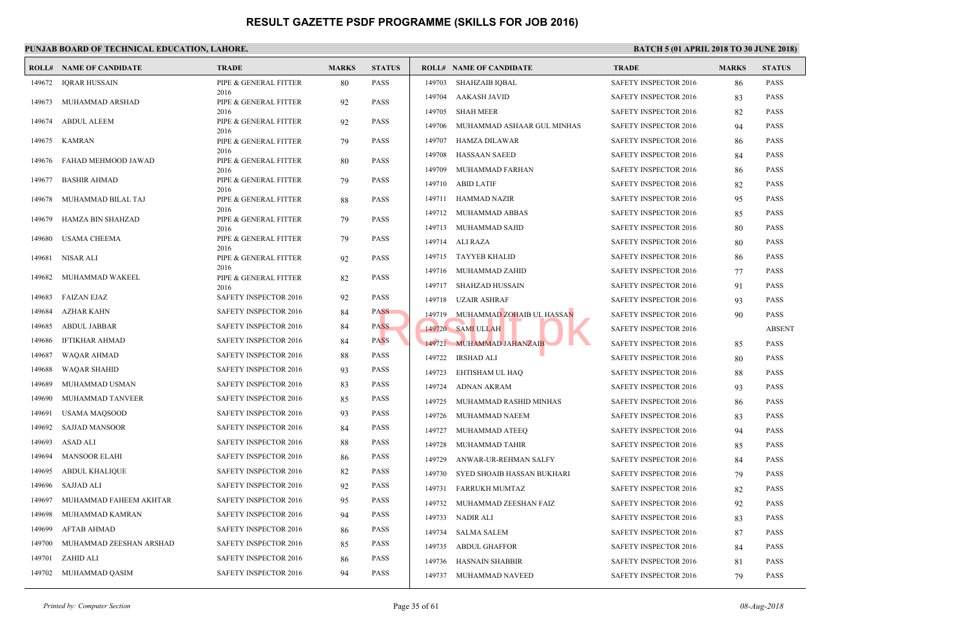|        | <b>ROLL# NAME OF CANDIDATE</b> | <b>TRADE</b>                  | <b>MARKS</b> | <b>STATUS</b> |        | <b>ROLL# NAME OF CANDIDATE</b> | <b>TRAL</b>  |
|--------|--------------------------------|-------------------------------|--------------|---------------|--------|--------------------------------|--------------|
| 149672 | <b>IQRAR HUSSAIN</b>           | PIPE & GENERAL FITTER         | 80           | <b>PASS</b>   | 149703 | SHAHZAIB IQBAL                 | <b>SAFET</b> |
| 149673 | MUHAMMAD ARSHAD                | 2016<br>PIPE & GENERAL FITTER | 92           | <b>PASS</b>   | 149704 | AAKASH JAVID                   | <b>SAFET</b> |
|        |                                | 2016                          |              |               | 149705 | <b>SHAH MEER</b>               | <b>SAFET</b> |
| 149674 | ABDUL ALEEM                    | PIPE & GENERAL FITTER<br>2016 | 92           | <b>PASS</b>   | 149706 | MUHAMMAD ASHAAR GUL MINHAS     | <b>SAFET</b> |
| 149675 | KAMRAN                         | PIPE & GENERAL FITTER         | 79           | <b>PASS</b>   | 149707 | HAMZA DILAWAR                  | <b>SAFET</b> |
|        |                                | 2016                          |              |               | 149708 | <b>HASSAAN SAEED</b>           | <b>SAFET</b> |
| 149676 | FAHAD MEHMOOD JAWAD            | PIPE & GENERAL FITTER<br>2016 | 80           | <b>PASS</b>   | 149709 | MUHAMMAD FARHAN                | <b>SAFET</b> |
| 149677 | <b>BASHIR AHMAD</b>            | PIPE & GENERAL FITTER         | 79           | <b>PASS</b>   | 149710 | <b>ABID LATIF</b>              | <b>SAFET</b> |
| 149678 | MUHAMMAD BILAL TAJ             | 2016<br>PIPE & GENERAL FITTER | 88           | <b>PASS</b>   | 149711 | HAMMAD NAZIR                   | <b>SAFET</b> |
|        |                                | 2016                          |              |               | 149712 | MUHAMMAD ABBAS                 | <b>SAFET</b> |
| 149679 | HAMZA BIN SHAHZAD              | PIPE & GENERAL FITTER<br>2016 | 79           | <b>PASS</b>   | 149713 | MUHAMMAD SAJID                 | <b>SAFET</b> |
| 149680 | <b>USAMA CHEEMA</b>            | PIPE & GENERAL FITTER         | 79           | <b>PASS</b>   |        | 149714 ALI RAZA                | <b>SAFET</b> |
| 149681 | NISAR ALI                      | 2016<br>PIPE & GENERAL FITTER | 92           | <b>PASS</b>   | 149715 | TAYYEB KHALID                  | <b>SAFET</b> |
|        |                                | 2016                          |              |               | 149716 | MUHAMMAD ZAHID                 | <b>SAFET</b> |
| 149682 | MUHAMMAD WAKEEL                | PIPE & GENERAL FITTER<br>2016 | 82           | <b>PASS</b>   | 149717 | SHAHZAD HUSSAIN                | <b>SAFET</b> |
| 149683 | <b>FAIZAN EJAZ</b>             | SAFETY INSPECTOR 2016         | 92           | <b>PASS</b>   | 149718 | UZAIR ASHRAF                   | <b>SAFET</b> |
| 149684 | AZHAR KAHN                     | <b>SAFETY INSPECTOR 2016</b>  | 84           | <b>PASS</b>   | 149719 | MUHAMMAD ZOHAIB UL HASSAN      | <b>SAFET</b> |
| 149685 | ABDUL JABBAR                   | SAFETY INSPECTOR 2016         | 84           | <b>PASS</b>   |        | 149720 SAMI ULLAH              | <b>SAFET</b> |
| 149686 | <b>IFTIKHAR AHMAD</b>          | SAFETY INSPECTOR 2016         | 84           | <b>PASS</b>   |        | 149721 MUHAMMAD JAHANZAIB      | <b>SAFET</b> |
| 149687 | WAQAR AHMAD                    | SAFETY INSPECTOR 2016         | 88           | <b>PASS</b>   | 149722 | IRSHAD ALI                     | <b>SAFET</b> |
| 149688 | WAQAR SHAHID                   | SAFETY INSPECTOR 2016         | 93           | <b>PASS</b>   | 149723 | EHTISHAM UL HAQ                | <b>SAFET</b> |
| 149689 | MUHAMMAD USMAN                 | SAFETY INSPECTOR 2016         | 83           | <b>PASS</b>   | 149724 | <b>ADNAN AKRAM</b>             | <b>SAFET</b> |
| 149690 | MUHAMMAD TANVEER               | SAFETY INSPECTOR 2016         | 85           | <b>PASS</b>   | 149725 | MUHAMMAD RASHID MINHAS         | <b>SAFET</b> |
| 149691 | USAMA MAQSOOD                  | <b>SAFETY INSPECTOR 2016</b>  | 93           | <b>PASS</b>   | 149726 | MUHAMMAD NAEEM                 | <b>SAFET</b> |
| 149692 | <b>SAJJAD MANSOOR</b>          | SAFETY INSPECTOR 2016         | 84           | <b>PASS</b>   | 149727 | MUHAMMAD ATEEQ                 | <b>SAFET</b> |
| 149693 | ASAD ALI                       | <b>SAFETY INSPECTOR 2016</b>  | 88           | <b>PASS</b>   | 149728 | MUHAMMAD TAHIR                 | <b>SAFET</b> |
| 149694 | <b>MANSOOR ELAHI</b>           | <b>SAFETY INSPECTOR 2016</b>  | 86           | <b>PASS</b>   | 149729 | ANWAR-UR-REHMAN SALFY          | <b>SAFET</b> |
| 149695 | <b>ABDUL KHALIQUE</b>          | <b>SAFETY INSPECTOR 2016</b>  | 82           | <b>PASS</b>   | 149730 |                                | <b>SAFET</b> |
| 149696 | <b>SAJJAD ALI</b>              | <b>SAFETY INSPECTOR 2016</b>  | 92           | <b>PASS</b>   |        | SYED SHOAIB HASSAN BUKHARI     |              |
| 149697 | MUHAMMAD FAHEEM AKHTAR         | SAFETY INSPECTOR 2016         | 95           | <b>PASS</b>   | 149731 | FARRUKH MUMTAZ                 | <b>SAFET</b> |
| 149698 | MUHAMMAD KAMRAN                | <b>SAFETY INSPECTOR 2016</b>  | 94           | <b>PASS</b>   | 149732 | MUHAMMAD ZEESHAN FAIZ          | <b>SAFET</b> |
| 149699 | <b>AFTAB AHMAD</b>             | <b>SAFETY INSPECTOR 2016</b>  | 86           | <b>PASS</b>   | 149733 | NADIR ALI                      | <b>SAFET</b> |
| 149700 | MUHAMMAD ZEESHAN ARSHAD        | <b>SAFETY INSPECTOR 2016</b>  | 85           | <b>PASS</b>   | 149734 | SALMA SALEM                    | <b>SAFET</b> |
| 149701 | ZAHID ALI                      | <b>SAFETY INSPECTOR 2016</b>  |              | <b>PASS</b>   | 149735 | ABDUL GHAFFOR                  | <b>SAFET</b> |
|        |                                |                               | 86           | <b>PASS</b>   | 149736 | HASNAIN SHABBIR                | <b>SAFET</b> |
| 149702 | MUHAMMAD QASIM                 | SAFETY INSPECTOR 2016         | 94           |               |        | 149737 MUHAMMAD NAVEED         | <b>SAFET</b> |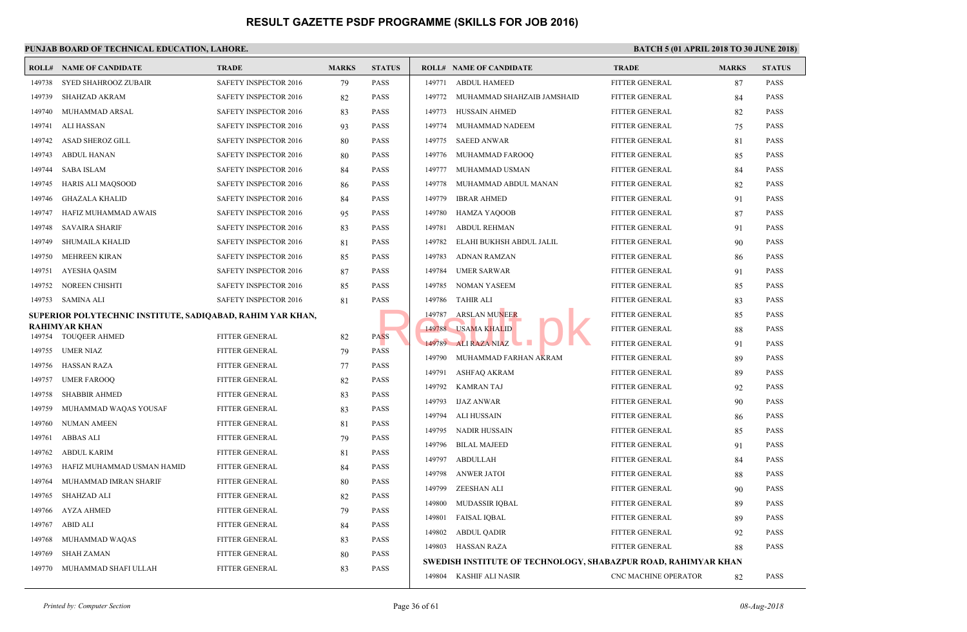| 149738<br>149739 | <b>SYED SHAHROOZ ZUBAIR</b>                                | SAFETY INSPECTOR 2016        |    |             |        |                                           |                  |
|------------------|------------------------------------------------------------|------------------------------|----|-------------|--------|-------------------------------------------|------------------|
|                  |                                                            |                              | 79 | <b>PASS</b> | 149771 | <b>ABDUL HAMEED</b>                       | <b>FITTEI</b>    |
|                  | <b>SHAHZAD AKRAM</b>                                       | SAFETY INSPECTOR 2016        | 82 | <b>PASS</b> | 149772 | MUHAMMAD SHAHZAIB JAMSHAID                | <b>FITTEI</b>    |
| 149740           | MUHAMMAD ARSAL                                             | SAFETY INSPECTOR 2016        | 83 | <b>PASS</b> | 149773 | HUSSAIN AHMED                             | <b>FITTEI</b>    |
| 149741           | ALI HASSAN                                                 | <b>SAFETY INSPECTOR 2016</b> | 93 | <b>PASS</b> | 149774 | MUHAMMAD NADEEM                           | <b>FITTEI</b>    |
| 149742           | <b>ASAD SHEROZ GILL</b>                                    | SAFETY INSPECTOR 2016        | 80 | <b>PASS</b> | 149775 | <b>SAEED ANWAR</b>                        | <b>FITTEI</b>    |
| 149743           | ABDUL HANAN                                                | SAFETY INSPECTOR 2016        | 80 | <b>PASS</b> |        | 149776 MUHAMMAD FAROOQ                    | <b>FITTEI</b>    |
| 149744           | <b>SABA ISLAM</b>                                          | SAFETY INSPECTOR 2016        | 84 | <b>PASS</b> | 149777 | MUHAMMAD USMAN                            | <b>FITTEI</b>    |
| 149745           | <b>HARIS ALI MAQSOOD</b>                                   | <b>SAFETY INSPECTOR 2016</b> | 86 | <b>PASS</b> | 149778 | MUHAMMAD ABDUL MANAN                      | <b>FITTEI</b>    |
| 149746           | <b>GHAZALA KHALID</b>                                      | <b>SAFETY INSPECTOR 2016</b> | 84 | <b>PASS</b> | 149779 | <b>IBRAR AHMED</b>                        | <b>FITTEI</b>    |
| 149747           | HAFIZ MUHAMMAD AWAIS                                       | <b>SAFETY INSPECTOR 2016</b> | 95 | <b>PASS</b> | 149780 | HAMZA YAQOOB                              | <b>FITTEI</b>    |
| 149748           | <b>SAVAIRA SHARIF</b>                                      | SAFETY INSPECTOR 2016        | 83 | <b>PASS</b> | 149781 | <b>ABDUL REHMAN</b>                       | <b>FITTEI</b>    |
| 149749           | SHUMAILA KHALID                                            | SAFETY INSPECTOR 2016        | 81 | <b>PASS</b> | 149782 | ELAHI BUKHSH ABDUL JALIL                  | <b>FITTEI</b>    |
| 149750           | <b>MEHREEN KIRAN</b>                                       | SAFETY INSPECTOR 2016        | 85 | <b>PASS</b> | 149783 | ADNAN RAMZAN                              | <b>FITTEI</b>    |
| 149751           | <b>AYESHA QASIM</b>                                        | SAFETY INSPECTOR 2016        | 87 | <b>PASS</b> | 149784 | <b>UMER SARWAR</b>                        | <b>FITTEI</b>    |
| 149752           | NOREEN CHISHTI                                             | SAFETY INSPECTOR 2016        | 85 | <b>PASS</b> | 149785 | NOMAN YASEEM                              | <b>FITTEI</b>    |
| 149753           | SAMINA ALI                                                 | SAFETY INSPECTOR 2016        | 81 | <b>PASS</b> | 149786 | <b>TAHIR ALI</b>                          | <b>FITTEI</b>    |
|                  | SUPERIOR POLYTECHNIC INSTITUTE, SADIQABAD, RAHIM YAR KHAN, |                              |    |             | 149787 | <b>ARSLAN MUNEER</b>                      | <b>FITTEI</b>    |
|                  | <b>RAHIMYAR KHAN</b>                                       |                              |    |             |        | 149788 USAMA KHALID                       | <b>FITTEI</b>    |
| 149754           | <b>TOUQEER AHMED</b>                                       | FITTER GENERAL               | 82 | <b>PASS</b> |        | 149789 ALI RAZA NIAZ                      | <b>FITTEI</b>    |
| 149755           | UMER NIAZ                                                  | <b>FITTER GENERAL</b>        | 79 | <b>PASS</b> | 149790 | MUHAMMAD FARHAN AKRAM                     | <b>FITTEI</b>    |
| 149756           | <b>HASSAN RAZA</b>                                         | FITTER GENERAL               | 77 | <b>PASS</b> | 149791 | ASHFAQ AKRAM                              | <b>FITTEI</b>    |
| 149757           | <b>UMER FAROOQ</b>                                         | FITTER GENERAL               | 82 | <b>PASS</b> | 149792 | KAMRAN TAJ                                | <b>FITTEI</b>    |
| 149758           | <b>SHABBIR AHMED</b>                                       | FITTER GENERAL               | 83 | <b>PASS</b> | 149793 | IJAZ ANWAR                                | <b>FITTEI</b>    |
| 149759           | MUHAMMAD WAQAS YOUSAF                                      | FITTER GENERAL               | 83 | <b>PASS</b> | 149794 | ALI HUSSAIN                               | <b>FITTEI</b>    |
| 149760           | <b>NUMAN AMEEN</b>                                         | FITTER GENERAL               | 81 | <b>PASS</b> | 149795 | NADIR HUSSAIN                             | <b>FITTEI</b>    |
| 149761           | <b>ABBAS ALI</b>                                           | FITTER GENERAL               | 79 | <b>PASS</b> | 149796 | <b>BILAL MAJEED</b>                       | <b>FITTEI</b>    |
| 149762           | <b>ABDUL KARIM</b>                                         | FITTER GENERAL               | 81 | <b>PASS</b> | 149797 | ABDULLAH                                  | <b>FITTEI</b>    |
| 149763           | HAFIZ MUHAMMAD USMAN HAMID                                 | FITTER GENERAL               | 84 | <b>PASS</b> | 149798 | <b>ANWER JATOI</b>                        | <b>FITTEI</b>    |
| 149764           | MUHAMMAD IMRAN SHARIF                                      | FITTER GENERAL               | 80 | <b>PASS</b> | 149799 | ZEESHAN ALI                               | <b>FITTEI</b>    |
| 149765           | <b>SHAHZAD ALI</b>                                         | <b>FITTER GENERAL</b>        | 82 | <b>PASS</b> | 149800 | MUDASSIR IQBAL                            | <b>FITTEI</b>    |
| 149766           | <b>AYZA AHMED</b>                                          | <b>FITTER GENERAL</b>        | 79 | <b>PASS</b> | 149801 | <b>FAISAL IQBAL</b>                       | <b>FITTEI</b>    |
| 149767           | <b>ABID ALI</b>                                            | <b>FITTER GENERAL</b>        | 84 | <b>PASS</b> |        | 149802 ABDUL QADIR                        | <b>FITTEI</b>    |
| 149768           | MUHAMMAD WAQAS                                             | <b>FITTER GENERAL</b>        | 83 | <b>PASS</b> |        | 149803 HASSAN RAZA                        | <b>FITTEI</b>    |
| 149769           | <b>SHAH ZAMAN</b>                                          | FITTER GENERAL               | 80 | <b>PASS</b> |        | SWEDISH INSTITUTE OF TECHNOLOGY, SHABAZPU |                  |
| 149770           | MUHAMMAD SHAFI ULLAH                                       | <b>FITTER GENERAL</b>        | 83 | <b>PASS</b> |        | 149804 KASHIF ALI NASIR                   | CNC <sub>N</sub> |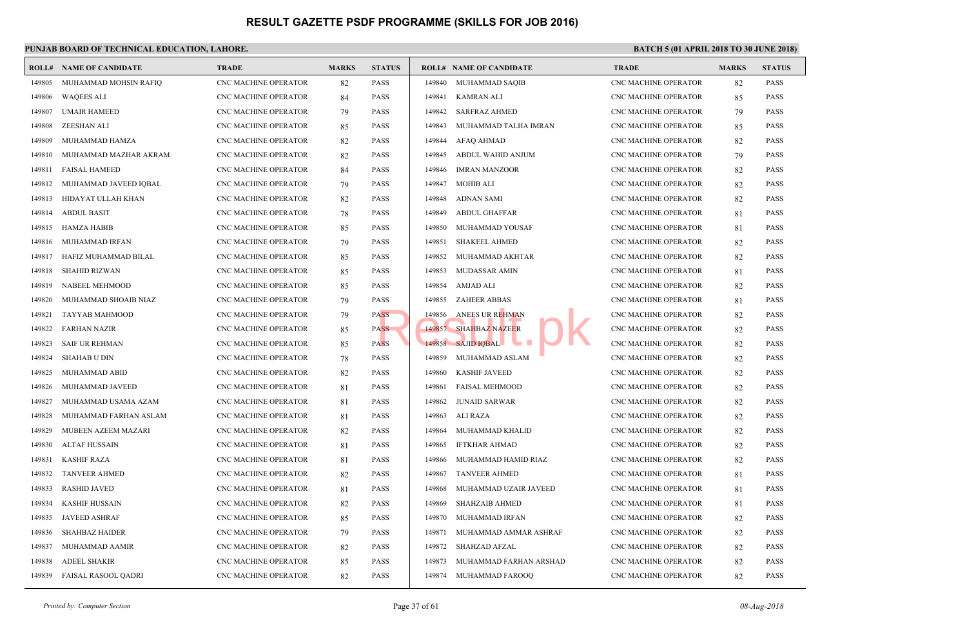|        | <b>ROLL# NAME OF CANDIDATE</b> | <b>TRADE</b>                | <b>MARKS</b> | <b>STATUS</b> |        | <b>ROLL# NAME OF CANDIDATE</b> | <b>TRAL</b>      |
|--------|--------------------------------|-----------------------------|--------------|---------------|--------|--------------------------------|------------------|
| 149805 | MUHAMMAD MOHSIN RAFIQ          | CNC MACHINE OPERATOR        | 82           | <b>PASS</b>   | 149840 | MUHAMMAD SAQIB                 | CNC <sub>N</sub> |
| 149806 | <b>WAQEES ALI</b>              | <b>CNC MACHINE OPERATOR</b> | 84           | <b>PASS</b>   | 149841 | KAMRAN ALI                     | CNC <sub>N</sub> |
| 149807 | <b>UMAIR HAMEED</b>            | CNC MACHINE OPERATOR        | 79           | <b>PASS</b>   | 149842 | <b>SARFRAZ AHMED</b>           | CNC <sub>N</sub> |
| 149808 | ZEESHAN ALI                    | CNC MACHINE OPERATOR        | 85           | <b>PASS</b>   | 149843 | MUHAMMAD TALHA IMRAN           | CNC <sub>N</sub> |
| 149809 | MUHAMMAD HAMZA                 | <b>CNC MACHINE OPERATOR</b> | 82           | <b>PASS</b>   | 149844 | <b>AFAQ AHMAD</b>              | CNC <sub>N</sub> |
| 149810 | MUHAMMAD MAZHAR AKRAM          | CNC MACHINE OPERATOR        | 82           | <b>PASS</b>   | 149845 | ABDUL WAHID ANJUM              | CNC <sub>N</sub> |
| 149811 | <b>FAISAL HAMEED</b>           | <b>CNC MACHINE OPERATOR</b> | 84           | <b>PASS</b>   | 149846 | IMRAN MANZOOR                  | CNC <sub>N</sub> |
| 149812 | MUHAMMAD JAVEED IQBAL          | CNC MACHINE OPERATOR        | 79           | <b>PASS</b>   | 149847 | <b>MOHIB ALI</b>               | CNC <sub>N</sub> |
| 149813 | HIDAYAT ULLAH KHAN             | CNC MACHINE OPERATOR        | 82           | <b>PASS</b>   | 149848 | ADNAN SAMI                     | CNC <sub>N</sub> |
| 149814 | <b>ABDUL BASIT</b>             | CNC MACHINE OPERATOR        | 78           | <b>PASS</b>   | 149849 | <b>ABDUL GHAFFAR</b>           | CNC <sub>N</sub> |
| 149815 | HAMZA HABIB                    | CNC MACHINE OPERATOR        | 85           | <b>PASS</b>   | 149850 | MUHAMMAD YOUSAF                | CNC <sub>N</sub> |
| 149816 | MUHAMMAD IRFAN                 | CNC MACHINE OPERATOR        | 79           | <b>PASS</b>   | 149851 | <b>SHAKEEL AHMED</b>           | CNC <sub>N</sub> |
| 149817 | HAFIZ MUHAMMAD BILAL           | CNC MACHINE OPERATOR        | 85           | <b>PASS</b>   | 149852 | MUHAMMAD AKHTAR                | CNC <sub>N</sub> |
| 149818 | <b>SHAHID RIZWAN</b>           | CNC MACHINE OPERATOR        | 85           | <b>PASS</b>   | 149853 | MUDASSAR AMIN                  | CNC <sub>N</sub> |
| 149819 | NABEEL MEHMOOD                 | CNC MACHINE OPERATOR        | 85           | <b>PASS</b>   | 149854 | AMJAD ALI                      | CNC <sub>N</sub> |
| 149820 | MUHAMMAD SHOAIB NIAZ           | CNC MACHINE OPERATOR        | 79           | <b>PASS</b>   | 149855 | <b>ZAHEER ABBAS</b>            | CNC <sub>N</sub> |
| 149821 | TAYYAB MAHMOOD                 | <b>CNC MACHINE OPERATOR</b> | 79           | <b>PASS</b>   | 149856 | ANEES UR REHMAN                | CNC <sub>N</sub> |
| 149822 | <b>FARHAN NAZIR</b>            | CNC MACHINE OPERATOR        | 85           | <b>PASS</b>   |        | 149857 SHAHBAZ NAZEER          | CNC <sub>N</sub> |
| 149823 | <b>SAIF UR REHMAN</b>          | CNC MACHINE OPERATOR        | 85           | <b>PASS</b>   |        | 149858 SAJID IQBAL             | CNC <sub>N</sub> |
| 149824 | <b>SHAHAB U DIN</b>            | <b>CNC MACHINE OPERATOR</b> | 78           | <b>PASS</b>   | 149859 | MUHAMMAD ASLAM                 | CNC <sub>N</sub> |
| 149825 | MUHAMMAD ABID                  | CNC MACHINE OPERATOR        | 82           | <b>PASS</b>   | 149860 | <b>KASHIF JAVEED</b>           | CNC <sub>N</sub> |
| 149826 | MUHAMMAD JAVEED                | <b>CNC MACHINE OPERATOR</b> | 81           | <b>PASS</b>   | 149861 | FAISAL MEHMOOD                 | CNC <sub>N</sub> |
| 149827 | MUHAMMAD USAMA AZAM            | CNC MACHINE OPERATOR        | 81           | <b>PASS</b>   | 149862 | <b>JUNAID SARWAR</b>           | CNC <sub>N</sub> |
| 149828 | MUHAMMAD FARHAN ASLAM          | CNC MACHINE OPERATOR        | 81           | <b>PASS</b>   | 149863 | ALI RAZA                       | CNC <sub>N</sub> |
| 149829 | MUBEEN AZEEM MAZARI            | <b>CNC MACHINE OPERATOR</b> | 82           | <b>PASS</b>   | 149864 | MUHAMMAD KHALID                | CNC <sub>N</sub> |
| 149830 | <b>ALTAF HUSSAIN</b>           | CNC MACHINE OPERATOR        | 81           | <b>PASS</b>   | 149865 | IFTKHAR AHMAD                  | CNC <sub>N</sub> |
| 149831 | <b>KASHIF RAZA</b>             | <b>CNC MACHINE OPERATOR</b> | 81           | <b>PASS</b>   | 149866 | MUHAMMAD HAMID RIAZ            | CNC <sub>N</sub> |
| 149832 | <b>TANVEER AHMED</b>           | CNC MACHINE OPERATOR        | 82           | <b>PASS</b>   | 149867 | <b>TANVEER AHMED</b>           | CNC <sub>N</sub> |
| 149833 | <b>RASHID JAVED</b>            | CNC MACHINE OPERATOR        | 81           | <b>PASS</b>   | 149868 | MUHAMMAD UZAIR JAVEED          | CNC <sub>N</sub> |
| 149834 | <b>KASHIF HUSSAIN</b>          | <b>CNC MACHINE OPERATOR</b> | 82           | <b>PASS</b>   | 149869 | <b>SHAHZAIB AHMED</b>          | CNC <sub>N</sub> |
| 149835 | <b>JAVEED ASHRAF</b>           | CNC MACHINE OPERATOR        | 85           | <b>PASS</b>   | 149870 | MUHAMMAD IRFAN                 | CNC <sub>N</sub> |
| 149836 | <b>SHAHBAZ HAIDER</b>          | CNC MACHINE OPERATOR        | 79           | <b>PASS</b>   | 149871 | MUHAMMAD AMMAR ASHRAF          | CNC <sub>N</sub> |
| 149837 | MUHAMMAD AAMIR                 | CNC MACHINE OPERATOR        | 82           | <b>PASS</b>   | 149872 | <b>SHAHZAD AFZAL</b>           | CNC <sub>N</sub> |
| 149838 | <b>ADEEL SHAKIR</b>            | CNC MACHINE OPERATOR        | 85           | <b>PASS</b>   | 149873 | MUHAMMAD FARHAN ARSHAD         | CNC <sub>N</sub> |
| 149839 | <b>FAISAL RASOOL QADRI</b>     | <b>CNC MACHINE OPERATOR</b> | 82           | <b>PASS</b>   |        | 149874 MUHAMMAD FAROOQ         | CNC <sub>N</sub> |
|        |                                |                             |              |               |        |                                |                  |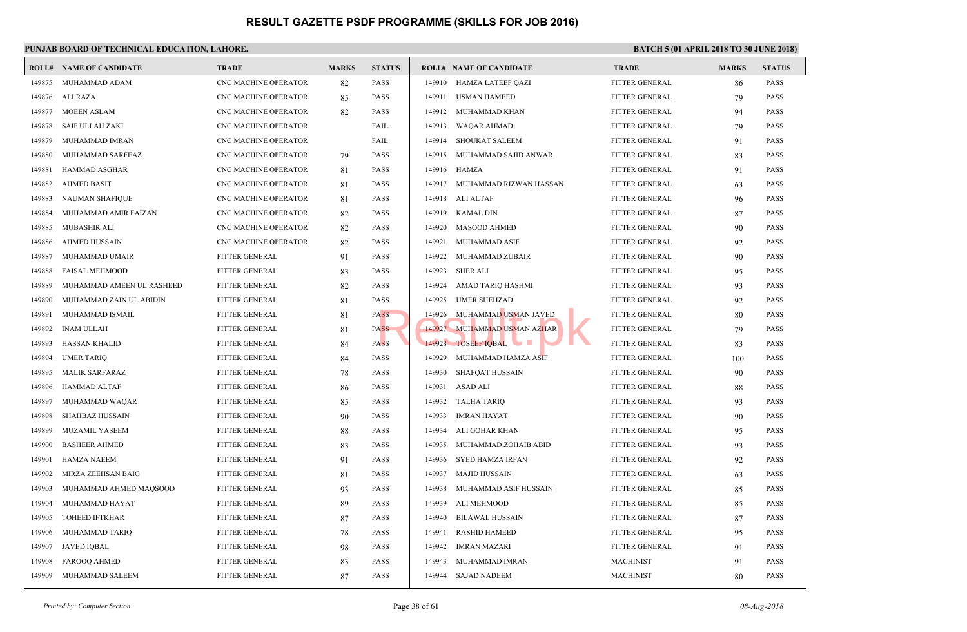|        | <b>ROLL# NAME OF CANDIDATE</b> | <b>TRADE</b>                | <b>MARKS</b> | <b>STATUS</b> |        | <b>ROLL# NAME OF CANDIDATE</b> | <b>TRAL</b>   |
|--------|--------------------------------|-----------------------------|--------------|---------------|--------|--------------------------------|---------------|
| 149875 | MUHAMMAD ADAM                  | CNC MACHINE OPERATOR        | 82           | <b>PASS</b>   | 149910 | HAMZA LATEEF QAZI              | <b>FITTEI</b> |
| 149876 | ALI RAZA                       | CNC MACHINE OPERATOR        | 85           | <b>PASS</b>   | 149911 | USMAN HAMEED                   | <b>FITTEI</b> |
| 149877 | MOEEN ASLAM                    | CNC MACHINE OPERATOR        | 82           | <b>PASS</b>   | 149912 | MUHAMMAD KHAN                  | <b>FITTEI</b> |
| 149878 | <b>SAIF ULLAH ZAKI</b>         | CNC MACHINE OPERATOR        |              | FAIL          | 149913 | WAQAR AHMAD                    | <b>FITTEI</b> |
| 149879 | MUHAMMAD IMRAN                 | CNC MACHINE OPERATOR        |              | FAIL          |        | 149914 SHOUKAT SALEEM          | <b>FITTEI</b> |
| 149880 | MUHAMMAD SARFEAZ               | CNC MACHINE OPERATOR        | 79           | <b>PASS</b>   | 149915 | MUHAMMAD SAJID ANWAR           | <b>FITTEI</b> |
| 149881 | HAMMAD ASGHAR                  | CNC MACHINE OPERATOR        | 81           | <b>PASS</b>   | 149916 | HAMZA                          | <b>FITTEI</b> |
| 149882 | <b>AHMED BASIT</b>             | CNC MACHINE OPERATOR        | 81           | <b>PASS</b>   |        | 149917 MUHAMMAD RIZWAN HASSAN  | <b>FITTEI</b> |
| 149883 | NAUMAN SHAFIQUE                | CNC MACHINE OPERATOR        | 81           | <b>PASS</b>   |        | 149918 ALI ALTAF               | <b>FITTEI</b> |
| 149884 | MUHAMMAD AMIR FAIZAN           | CNC MACHINE OPERATOR        | 82           | <b>PASS</b>   | 149919 | KAMAL DIN                      | <b>FITTEI</b> |
| 149885 | MUBASHIR ALI                   | CNC MACHINE OPERATOR        | 82           | <b>PASS</b>   | 149920 | <b>MASOOD AHMED</b>            | <b>FITTEI</b> |
| 149886 | <b>AHMED HUSSAIN</b>           | <b>CNC MACHINE OPERATOR</b> | 82           | <b>PASS</b>   | 149921 | MUHAMMAD ASIF                  | <b>FITTEI</b> |
| 149887 | MUHAMMAD UMAIR                 | FITTER GENERAL              | 91           | <b>PASS</b>   | 149922 | MUHAMMAD ZUBAIR                | <b>FITTEI</b> |
| 149888 | <b>FAISAL MEHMOOD</b>          | <b>FITTER GENERAL</b>       | 83           | <b>PASS</b>   | 149923 | <b>SHER ALI</b>                | <b>FITTEI</b> |
| 149889 | MUHAMMAD AMEEN UL RASHEED      | FITTER GENERAL              | 82           | <b>PASS</b>   | 149924 | AMAD TARIQ HASHMI              | <b>FITTEI</b> |
| 149890 | MUHAMMAD ZAIN UL ABIDIN        | <b>FITTER GENERAL</b>       | 81           | <b>PASS</b>   | 149925 | <b>UMER SHEHZAD</b>            | <b>FITTEI</b> |
| 149891 | MUHAMMAD ISMAIL                | FITTER GENERAL              | 81           | <b>PASS</b>   | 149926 | MUHAMMAD USMAN JAVED           | <b>FITTEI</b> |
| 149892 | <b>INAM ULLAH</b>              | FITTER GENERAL              | 81           | <b>PASS</b>   |        | 149927 MUHAMMAD USMAN AZHAR    | <b>FITTEI</b> |
| 149893 | <b>HASSAN KHALID</b>           | FITTER GENERAL              | 84           | <b>PASS</b>   |        | 149928 TOSEEF IQBAL<br>a se    | <b>FITTEI</b> |
| 149894 | <b>UMER TARIQ</b>              | FITTER GENERAL              | 84           | <b>PASS</b>   | 149929 | MUHAMMAD HAMZA ASIF            | <b>FITTEI</b> |
| 149895 | <b>MALIK SARFARAZ</b>          | <b>FITTER GENERAL</b>       | 78           | <b>PASS</b>   | 149930 | <b>SHAFQAT HUSSAIN</b>         | <b>FITTEI</b> |
| 149896 | HAMMAD ALTAF                   | FITTER GENERAL              | 86           | <b>PASS</b>   | 149931 | ASAD ALI                       | <b>FITTEI</b> |
| 149897 | MUHAMMAD WAQAR                 | FITTER GENERAL              | 85           | <b>PASS</b>   | 149932 | TALHA TARIQ                    | <b>FITTEI</b> |
| 149898 | <b>SHAHBAZ HUSSAIN</b>         | <b>FITTER GENERAL</b>       | 90           | <b>PASS</b>   | 149933 | IMRAN HAYAT                    | <b>FITTEI</b> |
| 149899 | MUZAMIL YASEEM                 | <b>FITTER GENERAL</b>       | 88           | <b>PASS</b>   | 149934 | ALI GOHAR KHAN                 | <b>FITTEI</b> |
| 149900 | <b>BASHEER AHMED</b>           | FITTER GENERAL              | 83           | <b>PASS</b>   | 149935 | MUHAMMAD ZOHAIB ABID           | <b>FITTEI</b> |
| 149901 | <b>HAMZA NAEEM</b>             | FITTER GENERAL              | 91           | <b>PASS</b>   | 149936 | SYED HAMZA IRFAN               | <b>FITTEI</b> |
| 149902 | MIRZA ZEEHSAN BAIG             | <b>FITTER GENERAL</b>       | 81           | <b>PASS</b>   | 149937 | MAJID HUSSAIN                  | <b>FITTEI</b> |
| 149903 | MUHAMMAD AHMED MAQSOOD         | <b>FITTER GENERAL</b>       | 93           | <b>PASS</b>   | 149938 | MUHAMMAD ASIF HUSSAIN          | <b>FITTEI</b> |
| 149904 | MUHAMMAD HAYAT                 | FITTER GENERAL              | 89           | <b>PASS</b>   | 149939 | ALI MEHMOOD                    | <b>FITTEI</b> |
| 149905 | TOHEED IFTKHAR                 | <b>FITTER GENERAL</b>       | 87           | <b>PASS</b>   | 149940 | <b>BILAWAL HUSSAIN</b>         | <b>FITTEI</b> |
| 149906 | MUHAMMAD TARIQ                 | FITTER GENERAL              | 78           | <b>PASS</b>   | 149941 | <b>RASHID HAMEED</b>           | <b>FITTEI</b> |
| 149907 | JAVED IQBAL                    | FITTER GENERAL              | 98           | PASS          | 149942 | IMRAN MAZARI                   | <b>FITTEI</b> |
| 149908 | <b>FAROOQ AHMED</b>            | FITTER GENERAL              | 83           | <b>PASS</b>   | 149943 | MUHAMMAD IMRAN                 | <b>MACH</b>   |
| 149909 | MUHAMMAD SALEEM                | FITTER GENERAL              | 87           | <b>PASS</b>   | 149944 | <b>SAJAD NADEEM</b>            | <b>MACH</b>   |
|        |                                |                             |              |               |        |                                |               |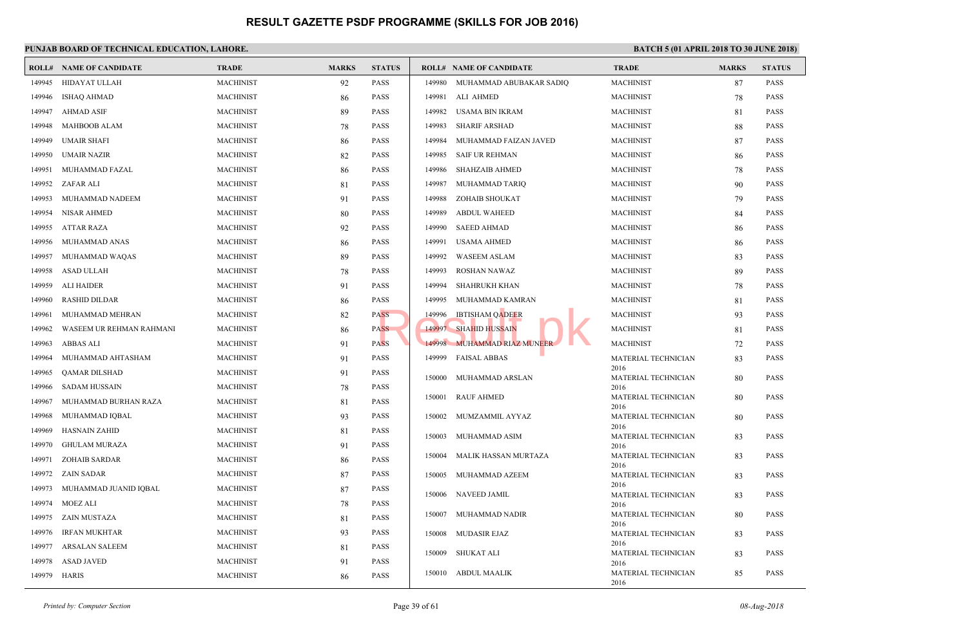|        | <b>ROLL# NAME OF CANDIDATE</b> | <b>TRADE</b>     | <b>MARKS</b> | <b>STATUS</b> |        | <b>ROLL# NAME OF CANDIDATE</b> | <b>TRAL</b>         |
|--------|--------------------------------|------------------|--------------|---------------|--------|--------------------------------|---------------------|
| 149945 | HIDAYAT ULLAH                  | <b>MACHINIST</b> | 92           | <b>PASS</b>   | 149980 | MUHAMMAD ABUBAKAR SADIQ        | <b>MACH</b>         |
| 149946 | <b>ISHAQ AHMAD</b>             | <b>MACHINIST</b> | 86           | <b>PASS</b>   | 149981 | ALI AHMED                      | <b>MACH</b>         |
| 149947 | <b>AHMAD ASIF</b>              | <b>MACHINIST</b> | 89           | <b>PASS</b>   | 149982 | USAMA BIN IKRAM                | <b>MACH</b>         |
| 149948 | <b>MAHBOOB ALAM</b>            | <b>MACHINIST</b> | 78           | <b>PASS</b>   | 149983 | <b>SHARIF ARSHAD</b>           | <b>MACH</b>         |
| 149949 | <b>UMAIR SHAFI</b>             | <b>MACHINIST</b> | 86           | <b>PASS</b>   | 149984 | MUHAMMAD FAIZAN JAVED          | <b>MACH</b>         |
| 149950 | UMAIR NAZIR                    | <b>MACHINIST</b> | 82           | <b>PASS</b>   | 149985 | <b>SAIF UR REHMAN</b>          | <b>MACH</b>         |
| 149951 | MUHAMMAD FAZAL                 | <b>MACHINIST</b> | 86           | <b>PASS</b>   | 149986 | <b>SHAHZAIB AHMED</b>          | <b>MACH</b>         |
| 149952 | ZAFAR ALI                      | <b>MACHINIST</b> | 81           | <b>PASS</b>   | 149987 | MUHAMMAD TARIQ                 | <b>MACH</b>         |
| 149953 | MUHAMMAD NADEEM                | <b>MACHINIST</b> | 91           | <b>PASS</b>   | 149988 | ZOHAIB SHOUKAT                 | <b>MACH</b>         |
| 149954 | NISAR AHMED                    | <b>MACHINIST</b> | 80           | <b>PASS</b>   | 149989 | <b>ABDUL WAHEED</b>            | <b>MACH</b>         |
| 149955 | ATTAR RAZA                     | <b>MACHINIST</b> | 92           | <b>PASS</b>   | 149990 | <b>SAEED AHMAD</b>             | <b>MACH</b>         |
| 149956 | MUHAMMAD ANAS                  | <b>MACHINIST</b> | 86           | <b>PASS</b>   | 149991 | <b>USAMA AHMED</b>             | <b>MACH</b>         |
| 149957 | MUHAMMAD WAQAS                 | <b>MACHINIST</b> | 89           | <b>PASS</b>   | 149992 | <b>WASEEM ASLAM</b>            | <b>MACH</b>         |
| 149958 | <b>ASAD ULLAH</b>              | <b>MACHINIST</b> |              | <b>PASS</b>   | 149993 | <b>ROSHAN NAWAZ</b>            | <b>MACH</b>         |
| 149959 |                                |                  | 78           |               | 149994 |                                | <b>MACH</b>         |
|        | <b>ALI HAIDER</b>              | <b>MACHINIST</b> | 91           | <b>PASS</b>   |        | <b>SHAHRUKH KHAN</b>           |                     |
| 149960 | <b>RASHID DILDAR</b>           | <b>MACHINIST</b> | 86           | <b>PASS</b>   | 149995 | MUHAMMAD KAMRAN                | <b>MACH</b>         |
| 149961 | MUHAMMAD MEHRAN                | <b>MACHINIST</b> | 82           | PASS          | 149996 | <b>IBTISHAM QADEER</b>         | <b>MACH</b>         |
| 149962 | WASEEM UR REHMAN RAHMANI       | <b>MACHINIST</b> | 86           | <b>PASS</b>   | 149997 | <b>SHAHID HUSSAIN</b>          | <b>MACH</b>         |
| 149963 | ABBAS ALI                      | <b>MACHINIST</b> | 91           | <b>PASS</b>   |        | 149998 MUHAMMAD RIAZ MUNEER    | <b>MACH</b>         |
| 149964 | MUHAMMAD AHTASHAM              | <b>MACHINIST</b> | 91           | <b>PASS</b>   | 149999 | <b>FAISAL ABBAS</b>            | <b>MATE</b><br>2016 |
| 149965 | QAMAR DILSHAD                  | <b>MACHINIST</b> | 91           | <b>PASS</b>   |        | 150000 MUHAMMAD ARSLAN         | <b>MATE</b>         |
| 149966 | <b>SADAM HUSSAIN</b>           | <b>MACHINIST</b> | 78           | <b>PASS</b>   |        | <b>RAUF AHMED</b>              | 2016                |
| 149967 | MUHAMMAD BURHAN RAZA           | <b>MACHINIST</b> | 81           | <b>PASS</b>   | 150001 |                                | <b>MATE</b><br>2016 |
| 149968 | MUHAMMAD IQBAL                 | <b>MACHINIST</b> | 93           | <b>PASS</b>   | 150002 | MUMZAMMIL AYYAZ                | <b>MATE</b>         |
| 149969 | <b>HASNAIN ZAHID</b>           | <b>MACHINIST</b> | 81           | <b>PASS</b>   | 150003 | MUHAMMAD ASIM                  | 2016<br><b>MATE</b> |
| 149970 | <b>GHULAM MURAZA</b>           | <b>MACHINIST</b> | 91           | <b>PASS</b>   |        |                                | 2016                |
| 149971 | <b>ZOHAIB SARDAR</b>           | <b>MACHINIST</b> | 86           | <b>PASS</b>   | 150004 | MALIK HASSAN MURTAZA           | <b>MATE</b><br>2016 |
| 149972 | ZAIN SADAR                     | <b>MACHINIST</b> | 87           | <b>PASS</b>   | 150005 | MUHAMMAD AZEEM                 | <b>MATE</b>         |
| 149973 | MUHAMMAD JUANID IQBAL          | <b>MACHINIST</b> | 87           | <b>PASS</b>   | 150006 | <b>NAVEED JAMIL</b>            | 2016<br><b>MATE</b> |
| 149974 | MOEZ ALI                       | <b>MACHINIST</b> | 78           | <b>PASS</b>   |        |                                | 2016                |
| 149975 | ZAIN MUSTAZA                   | <b>MACHINIST</b> | 81           | <b>PASS</b>   | 150007 | MUHAMMAD NADIR                 | <b>MATE</b>         |
| 149976 | <b>IRFAN MUKHTAR</b>           | <b>MACHINIST</b> | 93           | <b>PASS</b>   |        | 150008 MUDASIR EJAZ            | 2016<br><b>MATE</b> |
| 149977 | ARSALAN SALEEM                 | <b>MACHINIST</b> | 81           | <b>PASS</b>   |        |                                | 2016                |
| 149978 | <b>ASAD JAVED</b>              | <b>MACHINIST</b> | 91           | <b>PASS</b>   | 150009 | SHUKAT ALI                     | <b>MATE</b><br>2016 |
| 149979 | HARIS                          | <b>MACHINIST</b> | 86           | <b>PASS</b>   |        | 150010 ABDUL MAALIK            | <b>MATE</b>         |
|        |                                |                  |              |               |        |                                | 2016                |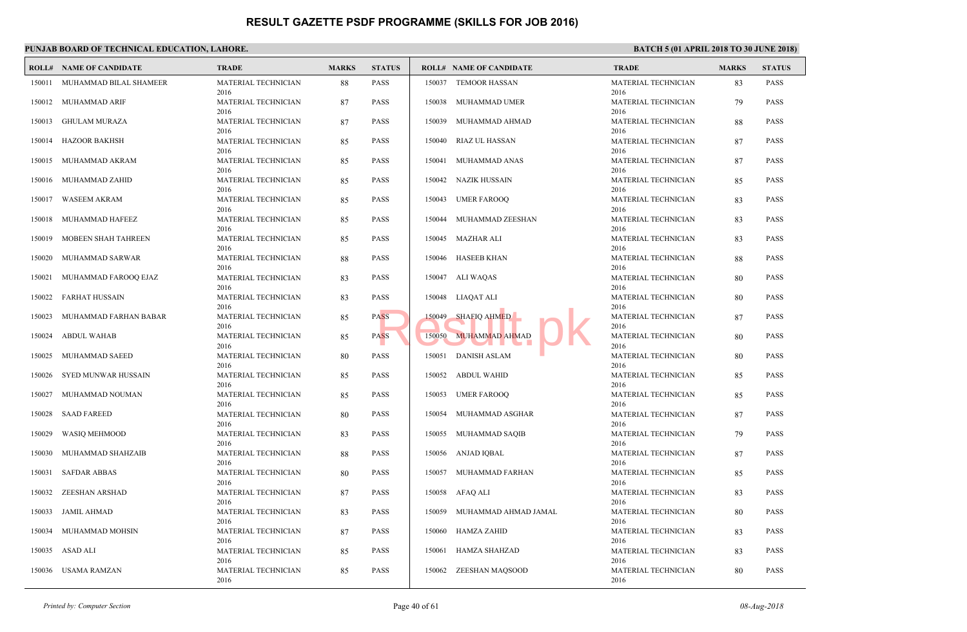|        | PUNJAB BOARD OF TECHNICAL EDUCATION, LAHORE. |                                     |              |               |                 |                                |                             |  |  |  |  |
|--------|----------------------------------------------|-------------------------------------|--------------|---------------|-----------------|--------------------------------|-----------------------------|--|--|--|--|
|        | <b>ROLL# NAME OF CANDIDATE</b>               | <b>TRADE</b>                        | <b>MARKS</b> | <b>STATUS</b> |                 | <b>ROLL# NAME OF CANDIDATE</b> | <b>TRAL</b>                 |  |  |  |  |
| 150011 | MUHAMMAD BILAL SHAMEER                       | MATERIAL TECHNICIAN<br>2016         | 88           | <b>PASS</b>   | 150037          | <b>TEMOOR HASSAN</b>           | <b>MATE</b><br>2016         |  |  |  |  |
| 150012 | MUHAMMAD ARIF                                | MATERIAL TECHNICIAN<br>2016         | 87           | <b>PASS</b>   | 150038          | MUHAMMAD UMER                  | <b>MATE</b><br>2016         |  |  |  |  |
| 150013 | <b>GHULAM MURAZA</b>                         | MATERIAL TECHNICIAN<br>2016         | 87           | <b>PASS</b>   | 150039          | MUHAMMAD AHMAD                 | <b>MATE</b><br>2016         |  |  |  |  |
| 150014 | HAZOOR BAKHSH                                | MATERIAL TECHNICIAN<br>2016         | 85           | <b>PASS</b>   | 150040          | <b>RIAZ UL HASSAN</b>          | <b>MATE</b><br>2016         |  |  |  |  |
|        | 150015 MUHAMMAD AKRAM                        | MATERIAL TECHNICIAN<br>2016         | 85           | <b>PASS</b>   |                 | 150041 MUHAMMAD ANAS           | <b>MATE</b><br>2016         |  |  |  |  |
| 150016 | MUHAMMAD ZAHID                               | MATERIAL TECHNICIAN<br>2016         | 85           | <b>PASS</b>   | 150042          | NAZIK HUSSAIN                  | <b>MATE</b><br>2016         |  |  |  |  |
| 150017 | <b>WASEEM AKRAM</b>                          | MATERIAL TECHNICIAN<br>2016         | 85           | <b>PASS</b>   | 150043          | <b>UMER FAROOQ</b>             | <b>MATE</b>                 |  |  |  |  |
| 150018 | MUHAMMAD HAFEEZ                              | MATERIAL TECHNICIAN<br>2016         | 85           | <b>PASS</b>   | 150044          | MUHAMMAD ZEESHAN               | 2016<br><b>MATE</b>         |  |  |  |  |
| 150019 | MOBEEN SHAH TAHREEN                          | MATERIAL TECHNICIAN                 | 85           | <b>PASS</b>   | 150045          | MAZHAR ALI                     | 2016<br><b>MATE</b>         |  |  |  |  |
| 150020 | MUHAMMAD SARWAR                              | 2016<br>MATERIAL TECHNICIAN         | 88           | <b>PASS</b>   |                 | 150046 HASEEB KHAN             | 2016<br><b>MATE</b>         |  |  |  |  |
| 150021 | MUHAMMAD FAROOQ EJAZ                         | 2016<br>MATERIAL TECHNICIAN         | 83           | <b>PASS</b>   |                 | 150047 ALI WAQAS               | 2016<br><b>MATE</b>         |  |  |  |  |
| 150022 | FARHAT HUSSAIN                               | 2016<br>MATERIAL TECHNICIAN         | 83           | <b>PASS</b>   |                 | 150048 LIAQAT ALI              | 2016<br><b>MATE</b>         |  |  |  |  |
| 150023 | MUHAMMAD FARHAN BABAR                        | 2016<br>MATERIAL TECHNICIAN         | 85           | <b>PASS</b>   | 150049          | SHAFIO AHMED                   | 2016<br><b>MATE</b>         |  |  |  |  |
| 150024 | <b>ABDUL WAHAB</b>                           | 2016<br>MATERIAL TECHNICIAN         | 85           | <b>PASS</b>   |                 | 150050 MUHAMMAD AHMAD          | 2016<br><b>MATE</b>         |  |  |  |  |
| 150025 | MUHAMMAD SAEED                               | 2016<br>MATERIAL TECHNICIAN         | 80           | <b>PASS</b>   |                 | 150051 DANISH ASLAM            | 2016<br><b>MATE</b>         |  |  |  |  |
| 150026 | SYED MUNWAR HUSSAIN                          | 2016<br>MATERIAL TECHNICIAN         | 85           | <b>PASS</b>   | 150052          | <b>ABDUL WAHID</b>             | 2016<br><b>MATE</b>         |  |  |  |  |
| 150027 | MUHAMMAD NOUMAN                              | 2016<br>MATERIAL TECHNICIAN         | 85           | <b>PASS</b>   |                 | 150053 UMER FAROOQ             | 2016<br><b>MATE</b>         |  |  |  |  |
| 150028 | <b>SAAD FAREED</b>                           | 2016<br>MATERIAL TECHNICIAN         | 80           | <b>PASS</b>   | 150054          | MUHAMMAD ASGHAR                | 2016<br><b>MATE</b>         |  |  |  |  |
| 150029 | WASIQ MEHMOOD                                | 2016<br>MATERIAL TECHNICIAN         | 83           | <b>PASS</b>   |                 | 150055 MUHAMMAD SAQIB          | 2016<br><b>MATE</b>         |  |  |  |  |
| 150030 | MUHAMMAD SHAHZAIB                            | 2016<br>MATERIAL TECHNICIAN         | 88           | <b>PASS</b>   | 150056          | ANJAD IQBAL                    | 2016<br><b>MATE</b>         |  |  |  |  |
| 150031 | <b>SAFDAR ABBAS</b>                          | 2016<br>MATERIAL TECHNICIAN         | 80           | PASS          | 150057          | MUHAMMAD FARHAN                | 2016<br><b>MATE</b>         |  |  |  |  |
| 150032 | ZEESHAN ARSHAD                               | 2016<br>MATERIAL TECHNICIAN         | 87           | <b>PASS</b>   | 150058 AFAQ ALI |                                | 2016<br><b>MATE</b>         |  |  |  |  |
|        | 150033 JAMIL AHMAD                           | 2016<br>MATERIAL TECHNICIAN         | 83           | PASS          | 150059          | MUHAMMAD AHMAD JAMAL           | 2016<br><b>MATE</b>         |  |  |  |  |
| 150034 | MUHAMMAD MOHSIN                              | 2016<br>MATERIAL TECHNICIAN         | 87           | PASS          |                 | 150060 HAMZA ZAHID             | 2016<br><b>MATE</b>         |  |  |  |  |
|        | 150035 ASAD ALI                              | 2016<br>MATERIAL TECHNICIAN         | 85           | <b>PASS</b>   |                 | 150061 HAMZA SHAHZAD           | 2016<br><b>MATE</b>         |  |  |  |  |
|        | 150036 USAMA RAMZAN                          | 2016<br>MATERIAL TECHNICIAN<br>2016 | 85           | PASS          |                 | 150062 ZEESHAN MAQSOOD         | 2016<br><b>MATE</b><br>2016 |  |  |  |  |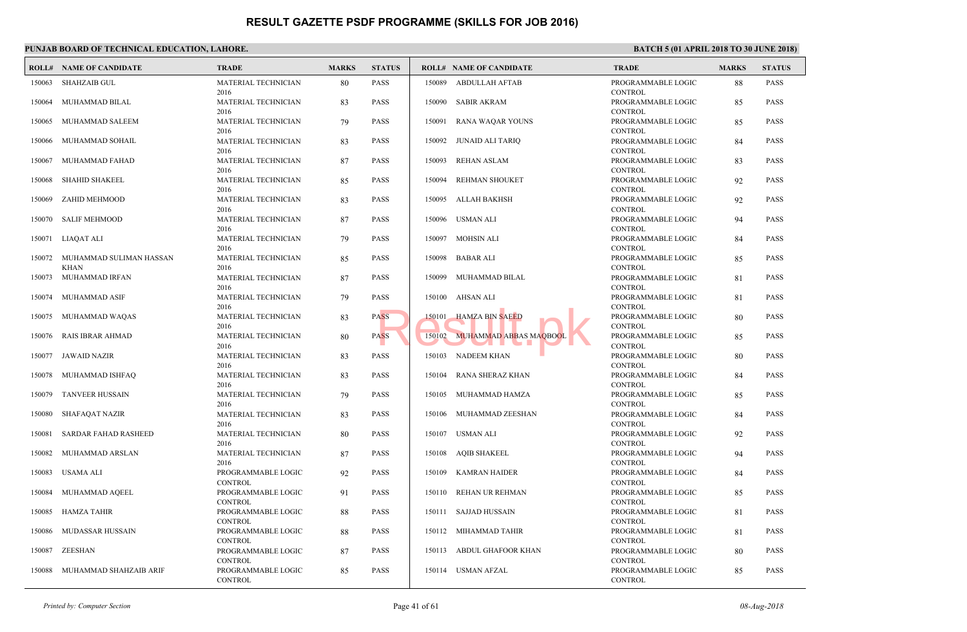|        | PUNJAB BOARD OF TECHNICAL EDUCATION, LAHORE. |                                          |              |               |                                  |                                              |
|--------|----------------------------------------------|------------------------------------------|--------------|---------------|----------------------------------|----------------------------------------------|
|        | <b>ROLL# NAME OF CANDIDATE</b>               | <b>TRADE</b>                             | <b>MARKS</b> | <b>STATUS</b> | <b>ROLL# NAME OF CANDIDATE</b>   | <b>TRAL</b>                                  |
| 150063 | <b>SHAHZAIB GUL</b>                          | MATERIAL TECHNICIAN<br>2016              | 80           | <b>PASS</b>   | <b>ABDULLAH AFTAB</b><br>150089  | <b>PROGI</b><br><b>CONTI</b>                 |
| 150064 | MUHAMMAD BILAL                               | MATERIAL TECHNICIAN<br>2016              | 83           | <b>PASS</b>   | 150090<br><b>SABIR AKRAM</b>     | <b>PROGI</b><br><b>CONTI</b>                 |
| 150065 | MUHAMMAD SALEEM                              | MATERIAL TECHNICIAN<br>2016              | 79           | <b>PASS</b>   | 150091<br>RANA WAQAR YOUNS       | <b>PROGI</b><br><b>CONTI</b>                 |
| 150066 | MUHAMMAD SOHAIL                              | MATERIAL TECHNICIAN<br>2016              | 83           | <b>PASS</b>   | 150092 JUNAID ALI TARIQ          | <b>PROGI</b><br><b>CONTI</b>                 |
| 150067 | MUHAMMAD FAHAD                               | MATERIAL TECHNICIAN<br>2016              | 87           | <b>PASS</b>   | REHAN ASLAM<br>150093            | <b>PROGI</b><br><b>CONTI</b>                 |
| 150068 | <b>SHAHID SHAKEEL</b>                        | MATERIAL TECHNICIAN<br>2016              | 85           | <b>PASS</b>   | REHMAN SHOUKET<br>150094         | <b>PROGI</b><br><b>CONTI</b>                 |
| 150069 | ZAHID MEHMOOD                                | MATERIAL TECHNICIAN<br>2016              | 83           | <b>PASS</b>   | ALLAH BAKHSH<br>150095           | PROGI<br><b>CONTI</b>                        |
| 150070 | <b>SALIF MEHMOOD</b>                         | MATERIAL TECHNICIAN<br>2016              | 87           | <b>PASS</b>   | USMAN ALI<br>150096              | <b>PROGI</b><br><b>CONTI</b>                 |
| 150071 | LIAQAT ALI                                   | MATERIAL TECHNICIAN<br>2016              | 79           | <b>PASS</b>   | MOHSIN ALI<br>150097             | <b>PROGI</b><br><b>CONTI</b>                 |
| 150072 | MUHAMMAD SULIMAN HASSAN                      | MATERIAL TECHNICIAN                      | 85           | <b>PASS</b>   | BABAR ALI<br>150098              | <b>PROGI</b>                                 |
| 150073 | <b>KHAN</b><br>MUHAMMAD IRFAN                | 2016<br>MATERIAL TECHNICIAN              | 87           | <b>PASS</b>   | 150099 MUHAMMAD BILAL            | <b>CONTI</b><br>PROGI                        |
| 150074 | MUHAMMAD ASIF                                | 2016<br>MATERIAL TECHNICIAN<br>2016      | 79           | <b>PASS</b>   | 150100 AHSAN ALI                 | <b>CONTI</b><br><b>PROGI</b><br><b>CONTI</b> |
| 150075 | MUHAMMAD WAQAS                               | MATERIAL TECHNICIAN<br>2016              | 83           | <b>PASS</b>   | <b>HAMZA BIN SAEED</b><br>150101 | PROGI<br><b>CONTI</b>                        |
| 150076 | RAIS IBRAR AHMAD                             | MATERIAL TECHNICIAN<br>2016              | 80           | <b>PASS</b>   | 150102 MUHAMMAD ABBAS MAQBOOI    | PROGI                                        |
| 150077 | <b>JAWAID NAZIR</b>                          | MATERIAL TECHNICIAN                      | 83           | <b>PASS</b>   | 150103 NADEEM KHAN               | <b>CONTI</b><br>PROGI                        |
| 150078 | MUHAMMAD ISHFAQ                              | 2016<br>MATERIAL TECHNICIAN              | 83           | <b>PASS</b>   | RANA SHERAZ KHAN<br>150104       | <b>CONTI</b><br><b>PROGI</b>                 |
| 150079 | TANVEER HUSSAIN                              | 2016<br>MATERIAL TECHNICIAN              | 79           | <b>PASS</b>   | 150105 MUHAMMAD HAMZA            | <b>CONTI</b><br><b>PROGI</b>                 |
| 150080 | SHAFAQAT NAZIR                               | 2016<br>MATERIAL TECHNICIAN              | 83           | <b>PASS</b>   | 150106 MUHAMMAD ZEESHAN          | <b>CONTI</b><br><b>PROGI</b>                 |
| 150081 | SARDAR FAHAD RASHEED                         | 2016<br>MATERIAL TECHNICIAN              | 80           | <b>PASS</b>   | 150107 USMAN ALI                 | <b>CONTI</b><br><b>PROGI</b>                 |
| 150082 | MUHAMMAD ARSLAN                              | 2016<br>MATERIAL TECHNICIAN              | 87           | <b>PASS</b>   | <b>AQIB SHAKEEL</b><br>150108    | <b>CONTI</b><br><b>PROGI</b>                 |
| 150083 | USAMA ALI                                    | 2016<br>PROGRAMMABLE LOGIC               | 92           | PASS          | <b>KAMRAN HAIDER</b><br>150109   | <b>CONTI</b><br>PROGI                        |
| 150084 | MUHAMMAD AQEEL                               | <b>CONTROL</b><br>PROGRAMMABLE LOGIC     | 91           | <b>PASS</b>   | 150110 REHAN UR REHMAN           | <b>CONTI</b><br>PROGI                        |
|        | 150085 HAMZA TAHIR                           | <b>CONTROL</b><br>PROGRAMMABLE LOGIC     | 88           | <b>PASS</b>   | 150111 SAJJAD HUSSAIN            | <b>CONTI</b><br>PROGI                        |
| 150086 | MUDASSAR HUSSAIN                             | <b>CONTROL</b><br>PROGRAMMABLE LOGIC     | 88           | PASS          | 150112 MIHAMMAD TAHIR            | <b>CONTI</b><br><b>PROGI</b>                 |
|        | 150087 ZEESHAN                               | <b>CONTROL</b><br>PROGRAMMABLE LOGIC     | 87           | <b>PASS</b>   | 150113 ABDUL GHAFOOR KHAN        | <b>CONTI</b><br>PROGI                        |
| 150088 | MUHAMMAD SHAHZAIB ARIF                       | CONTROL<br>PROGRAMMABLE LOGIC<br>CONTROL | 85           | PASS          | 150114 USMAN AFZAL               | <b>CONTI</b><br><b>PROGI</b><br><b>CONTI</b> |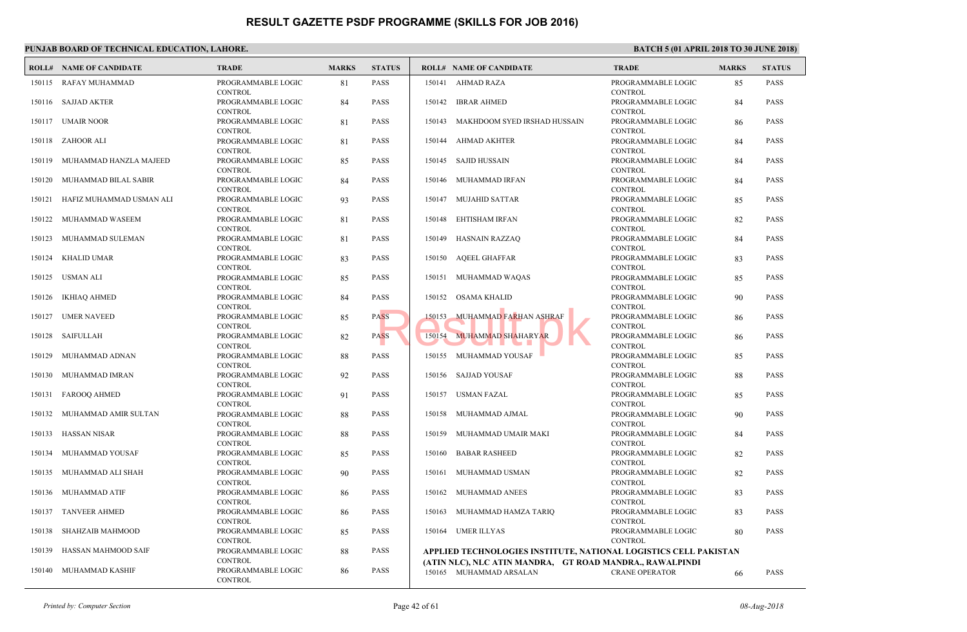|        | PUNJAB BOARD OF TECHNICAL EDUCATION, LAHORE. |                                                 |              |               |                                                                       |                              |  |  |  |  |  |
|--------|----------------------------------------------|-------------------------------------------------|--------------|---------------|-----------------------------------------------------------------------|------------------------------|--|--|--|--|--|
|        | <b>ROLL# NAME OF CANDIDATE</b>               | <b>TRADE</b>                                    | <b>MARKS</b> | <b>STATUS</b> | <b>ROLL# NAME OF CANDIDATE</b>                                        | <b>TRAL</b>                  |  |  |  |  |  |
| 150115 | RAFAY MUHAMMAD                               | PROGRAMMABLE LOGIC<br><b>CONTROL</b>            | 81           | <b>PASS</b>   | 150141 AHMAD RAZA                                                     | PROGI<br><b>CONTI</b>        |  |  |  |  |  |
|        | 150116 SAJJAD AKTER                          | PROGRAMMABLE LOGIC<br><b>CONTROL</b>            | 84           | <b>PASS</b>   | <b>IBRAR AHMED</b><br>150142                                          | PROGI<br><b>CONTI</b>        |  |  |  |  |  |
| 150117 | UMAIR NOOR                                   | PROGRAMMABLE LOGIC<br><b>CONTROL</b>            | 81           | <b>PASS</b>   | MAKHDOOM SYED IRSHAD HUSSAIN<br>150143                                | <b>PROGI</b><br><b>CONTI</b> |  |  |  |  |  |
|        | 150118 ZAHOOR ALI                            | PROGRAMMABLE LOGIC<br><b>CONTROL</b>            | 81           | <b>PASS</b>   | 150144 AHMAD AKHTER                                                   | <b>PROGI</b><br><b>CONTI</b> |  |  |  |  |  |
|        | 150119 MUHAMMAD HANZLA MAJEED                | PROGRAMMABLE LOGIC<br><b>CONTROL</b>            | 85           | <b>PASS</b>   | 150145 SAJID HUSSAIN                                                  | PROGI<br><b>CONTI</b>        |  |  |  |  |  |
| 150120 | MUHAMMAD BILAL SABIR                         | PROGRAMMABLE LOGIC<br><b>CONTROL</b>            | 84           | <b>PASS</b>   | 150146<br>MUHAMMAD IRFAN                                              | <b>PROGI</b><br><b>CONTI</b> |  |  |  |  |  |
| 150121 | HAFIZ MUHAMMAD USMAN ALI                     | PROGRAMMABLE LOGIC<br><b>CONTROL</b>            | 93           | <b>PASS</b>   | MUJAHID SATTAR<br>150147                                              | PROGI<br><b>CONTI</b>        |  |  |  |  |  |
| 150122 | MUHAMMAD WASEEM                              | PROGRAMMABLE LOGIC<br><b>CONTROL</b>            | 81           | <b>PASS</b>   | EHTISHAM IRFAN<br>150148                                              | <b>PROGI</b><br><b>CONTI</b> |  |  |  |  |  |
| 150123 | MUHAMMAD SULEMAN                             | PROGRAMMABLE LOGIC<br><b>CONTROL</b>            | 81           | <b>PASS</b>   | HASNAIN RAZZAQ<br>150149                                              | <b>PROGI</b><br><b>CONTI</b> |  |  |  |  |  |
| 150124 | <b>KHALID UMAR</b>                           | PROGRAMMABLE LOGIC<br><b>CONTROL</b>            | 83           | <b>PASS</b>   | <b>AOEEL GHAFFAR</b><br>150150                                        | <b>PROGI</b>                 |  |  |  |  |  |
| 150125 | USMAN ALI                                    | PROGRAMMABLE LOGIC<br><b>CONTROL</b>            | 85           | <b>PASS</b>   | 150151 MUHAMMAD WAQAS                                                 | <b>CONTI</b><br>PROGI        |  |  |  |  |  |
| 150126 | IKHIAQ AHMED                                 | PROGRAMMABLE LOGIC                              | 84           | <b>PASS</b>   | 150152 OSAMA KHALID                                                   | <b>CONTI</b><br>PROGI        |  |  |  |  |  |
| 150127 | <b>UMER NAVEED</b>                           | <b>CONTROL</b><br>PROGRAMMABLE LOGIC            | 85           | <b>PASS</b>   | <b>MUHAMMAD FARHAN ASHRAF</b><br>150153                               | <b>CONTI</b><br>PROGI        |  |  |  |  |  |
| 150128 | SAIFULLAH                                    | <b>CONTROL</b><br>PROGRAMMABLE LOGIC            | 82           | <b>PASS</b>   | 150154 MUHAMMAD SHAHARYAR                                             | <b>CONTI</b><br>PROGI        |  |  |  |  |  |
| 150129 | MUHAMMAD ADNAN                               | <b>CONTROL</b><br>PROGRAMMABLE LOGIC            | 88           | <b>PASS</b>   | 150155 MUHAMMAD YOUSAF                                                | <b>CONTI</b><br>PROGI        |  |  |  |  |  |
| 150130 | MUHAMMAD IMRAN                               | <b>CONTROL</b><br>PROGRAMMABLE LOGIC            | 92           | <b>PASS</b>   | SAJJAD YOUSAF<br>150156                                               | <b>CONTI</b><br><b>PROGI</b> |  |  |  |  |  |
| 150131 | FAROOQ AHMED                                 | <b>CONTROL</b><br>PROGRAMMABLE LOGIC            | 91           | <b>PASS</b>   | 150157 USMAN FAZAL                                                    | <b>CONTI</b><br><b>PROGI</b> |  |  |  |  |  |
| 150132 | MUHAMMAD AMIR SULTAN                         | <b>CONTROL</b><br>PROGRAMMABLE LOGIC            | 88           | <b>PASS</b>   | 150158 MUHAMMAD AJMAL                                                 | <b>CONTI</b><br>PROGI        |  |  |  |  |  |
| 150133 | HASSAN NISAR                                 | <b>CONTROL</b><br>PROGRAMMABLE LOGIC            | 88           | <b>PASS</b>   | 150159 MUHAMMAD UMAIR MAKI                                            | <b>CONTI</b><br><b>PROGI</b> |  |  |  |  |  |
| 150134 | MUHAMMAD YOUSAF                              | <b>CONTROL</b><br>PROGRAMMABLE LOGIC            | 85           | <b>PASS</b>   | <b>BABAR RASHEED</b><br>150160                                        | <b>CONTI</b><br><b>PROGI</b> |  |  |  |  |  |
| 150135 | MUHAMMAD ALI SHAH                            | <b>CONTROL</b><br>PROGRAMMABLE LOGIC            | 90           | PASS          | 150161<br>MUHAMMAD USMAN                                              | <b>CONTI</b><br>PROGI        |  |  |  |  |  |
|        | 150136 MUHAMMAD ATIF                         | <b>CONTROL</b><br>PROGRAMMABLE LOGIC            | 86           | <b>PASS</b>   | 150162 MUHAMMAD ANEES                                                 | <b>CONTI</b><br>PROGI        |  |  |  |  |  |
|        | 150137 TANVEER AHMED                         | <b>CONTROL</b><br>PROGRAMMABLE LOGIC            | 86           | <b>PASS</b>   | 150163 MUHAMMAD HAMZA TARIQ                                           | <b>CONTI</b><br>PROGI        |  |  |  |  |  |
| 150138 | SHAHZAIB MAHMOOD                             | <b>CONTROL</b><br>PROGRAMMABLE LOGIC            | 85           | <b>PASS</b>   | 150164 UMER ILLYAS                                                    | <b>CONTI</b><br><b>PROGI</b> |  |  |  |  |  |
|        | 150139 HASSAN MAHMOOD SAIF                   | <b>CONTROL</b><br>PROGRAMMABLE LOGIC            | 88           | <b>PASS</b>   | APPLIED TECHNOLOGIES INSTITUTE, NATIONAL L                            | <b>CONTI</b>                 |  |  |  |  |  |
|        | 150140 MUHAMMAD KASHIF                       | <b>CONTROL</b><br>PROGRAMMABLE LOGIC<br>CONTROL | 86           | PASS          | (ATIN NLC), NLC ATIN MANDRA, GT ROAD MANDR<br>150165 MUHAMMAD ARSALAN | <b>CRAN</b>                  |  |  |  |  |  |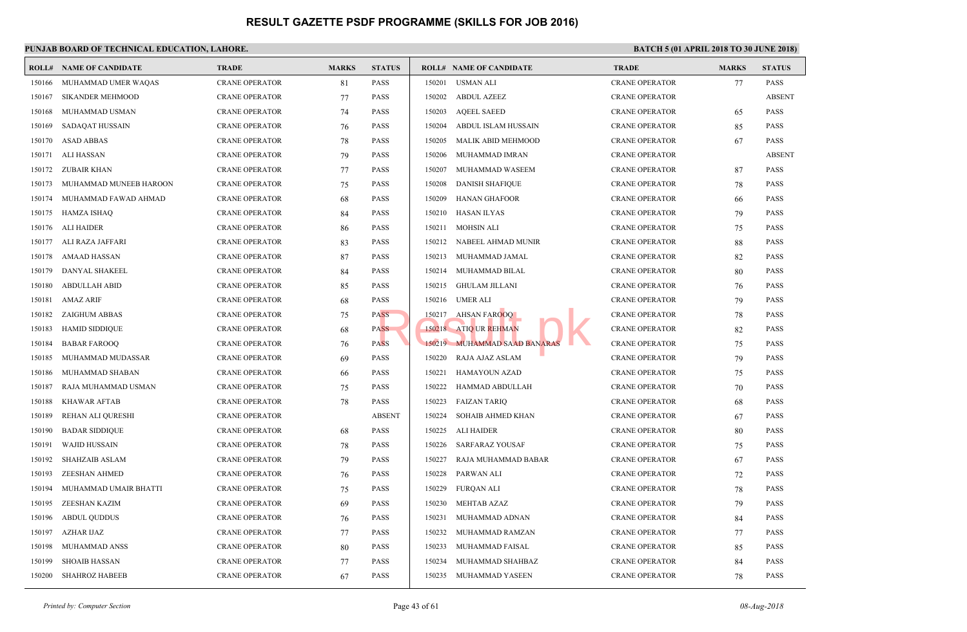|        | <b>ROLL# NAME OF CANDIDATE</b> | <b>TRADE</b>          | <b>MARKS</b> | <b>STATUS</b> |        | <b>ROLL# NAME OF CANDIDATE</b> | <b>TRAL</b> |
|--------|--------------------------------|-----------------------|--------------|---------------|--------|--------------------------------|-------------|
| 150166 | MUHAMMAD UMER WAQAS            | <b>CRANE OPERATOR</b> | 81           | <b>PASS</b>   | 150201 | USMAN ALI                      | <b>CRAN</b> |
| 150167 | <b>SIKANDER MEHMOOD</b>        | <b>CRANE OPERATOR</b> | 77           | <b>PASS</b>   | 150202 | <b>ABDUL AZEEZ</b>             | <b>CRAN</b> |
| 150168 | MUHAMMAD USMAN                 | <b>CRANE OPERATOR</b> | 74           | <b>PASS</b>   | 150203 | <b>AQEEL SAEED</b>             | <b>CRAN</b> |
| 150169 | SADAQAT HUSSAIN                | <b>CRANE OPERATOR</b> | 76           | <b>PASS</b>   | 150204 | ABDUL ISLAM HUSSAIN            | <b>CRAN</b> |
| 150170 | <b>ASAD ABBAS</b>              | <b>CRANE OPERATOR</b> | 78           | <b>PASS</b>   | 150205 | MALIK ABID MEHMOOD             | <b>CRAN</b> |
| 150171 | ALI HASSAN                     | <b>CRANE OPERATOR</b> | 79           | <b>PASS</b>   | 150206 | MUHAMMAD IMRAN                 | <b>CRAN</b> |
| 150172 | ZUBAIR KHAN                    | <b>CRANE OPERATOR</b> | 77           | <b>PASS</b>   | 150207 | MUHAMMAD WASEEM                | <b>CRAN</b> |
| 150173 | MUHAMMAD MUNEEB HAROON         | <b>CRANE OPERATOR</b> | 75           | <b>PASS</b>   | 150208 | <b>DANISH SHAFIQUE</b>         | <b>CRAN</b> |
| 150174 | MUHAMMAD FAWAD AHMAD           | <b>CRANE OPERATOR</b> | 68           | <b>PASS</b>   | 150209 | <b>HANAN GHAFOOR</b>           | <b>CRAN</b> |
| 150175 | HAMZA ISHAQ                    | <b>CRANE OPERATOR</b> | 84           | <b>PASS</b>   | 150210 | <b>HASAN ILYAS</b>             | <b>CRAN</b> |
| 150176 | ALI HAIDER                     | <b>CRANE OPERATOR</b> | 86           | <b>PASS</b>   | 150211 | <b>MOHSIN ALI</b>              | <b>CRAN</b> |
| 150177 | ALI RAZA JAFFARI               | <b>CRANE OPERATOR</b> | 83           | <b>PASS</b>   | 150212 | NABEEL AHMAD MUNIR             | <b>CRAN</b> |
| 150178 | AMAAD HASSAN                   | <b>CRANE OPERATOR</b> | 87           | <b>PASS</b>   | 150213 | MUHAMMAD JAMAL                 | <b>CRAN</b> |
| 150179 | DANYAL SHAKEEL                 | <b>CRANE OPERATOR</b> | 84           | <b>PASS</b>   | 150214 | MUHAMMAD BILAL                 | <b>CRAN</b> |
| 150180 | <b>ABDULLAH ABID</b>           | <b>CRANE OPERATOR</b> | 85           | <b>PASS</b>   | 150215 | <b>GHULAM JILLANI</b>          | <b>CRAN</b> |
| 150181 | <b>AMAZ ARIF</b>               | <b>CRANE OPERATOR</b> | 68           | <b>PASS</b>   | 150216 | <b>UMER ALI</b>                | <b>CRAN</b> |
| 150182 | ZAIGHUM ABBAS                  | <b>CRANE OPERATOR</b> | 75           | <b>PASS</b>   | 150217 | AHSAN FAROOQ                   | <b>CRAN</b> |
| 150183 | <b>HAMID SIDDIQUE</b>          | <b>CRANE OPERATOR</b> | 68           | <b>PASS</b>   |        | 150218 ATIQ UR REHMAN          | <b>CRAN</b> |
| 150184 | <b>BABAR FAROOQ</b>            | <b>CRANE OPERATOR</b> | 76           | <b>PASS</b>   |        | 150219 MUHAMMAD SAAD BANARAS   | <b>CRAN</b> |
| 150185 | MUHAMMAD MUDASSAR              | <b>CRANE OPERATOR</b> | 69           | <b>PASS</b>   | 150220 | RAJA AJAZ ASLAM                | <b>CRAN</b> |
| 150186 | MUHAMMAD SHABAN                | <b>CRANE OPERATOR</b> | 66           | <b>PASS</b>   | 150221 | <b>HAMAYOUN AZAD</b>           | <b>CRAN</b> |
| 150187 | RAJA MUHAMMAD USMAN            | <b>CRANE OPERATOR</b> | 75           | <b>PASS</b>   | 150222 | HAMMAD ABDULLAH                | <b>CRAN</b> |
| 150188 | <b>KHAWAR AFTAB</b>            | <b>CRANE OPERATOR</b> | 78           | <b>PASS</b>   | 150223 | <b>FAIZAN TARIQ</b>            | <b>CRAN</b> |
| 150189 | REHAN ALI QURESHI              | <b>CRANE OPERATOR</b> |              | <b>ABSENT</b> | 150224 | SOHAIB AHMED KHAN              | <b>CRAN</b> |
| 150190 | <b>BADAR SIDDIQUE</b>          | <b>CRANE OPERATOR</b> | 68           | <b>PASS</b>   | 150225 | ALI HAIDER                     | <b>CRAN</b> |
| 150191 | <b>WAJID HUSSAIN</b>           | <b>CRANE OPERATOR</b> | 78           | <b>PASS</b>   | 150226 | <b>SARFARAZ YOUSAF</b>         | <b>CRAN</b> |
| 150192 | <b>SHAHZAIB ASLAM</b>          | <b>CRANE OPERATOR</b> | 79           | <b>PASS</b>   | 150227 | RAJA MUHAMMAD BABAR            | <b>CRAN</b> |
| 150193 | <b>ZEESHAN AHMED</b>           | <b>CRANE OPERATOR</b> | 76           | <b>PASS</b>   | 150228 | PARWAN ALI                     | <b>CRAN</b> |
| 150194 | MUHAMMAD UMAIR BHATTI          | <b>CRANE OPERATOR</b> | 75           | <b>PASS</b>   | 150229 | <b>FURQAN ALI</b>              | <b>CRAN</b> |
| 150195 | ZEESHAN KAZIM                  | <b>CRANE OPERATOR</b> | 69           | <b>PASS</b>   | 150230 | <b>MEHTAB AZAZ</b>             | <b>CRAN</b> |
| 150196 | <b>ABDUL QUDDUS</b>            | <b>CRANE OPERATOR</b> | 76           | <b>PASS</b>   | 150231 | MUHAMMAD ADNAN                 | <b>CRAN</b> |
| 150197 | AZHAR IJAZ                     | <b>CRANE OPERATOR</b> | 77           | <b>PASS</b>   | 150232 | MUHAMMAD RAMZAN                | <b>CRAN</b> |
| 150198 | MUHAMMAD ANSS                  | <b>CRANE OPERATOR</b> | 80           | <b>PASS</b>   | 150233 | MUHAMMAD FAISAL                | <b>CRAN</b> |
| 150199 | <b>SHOAIB HASSAN</b>           | <b>CRANE OPERATOR</b> | 77           | <b>PASS</b>   | 150234 | MUHAMMAD SHAHBAZ               | <b>CRAN</b> |
| 150200 | <b>SHAHROZ HABEEB</b>          | <b>CRANE OPERATOR</b> | 67           | <b>PASS</b>   | 150235 | MUHAMMAD YASEEN                | <b>CRAN</b> |
|        |                                |                       |              |               |        |                                |             |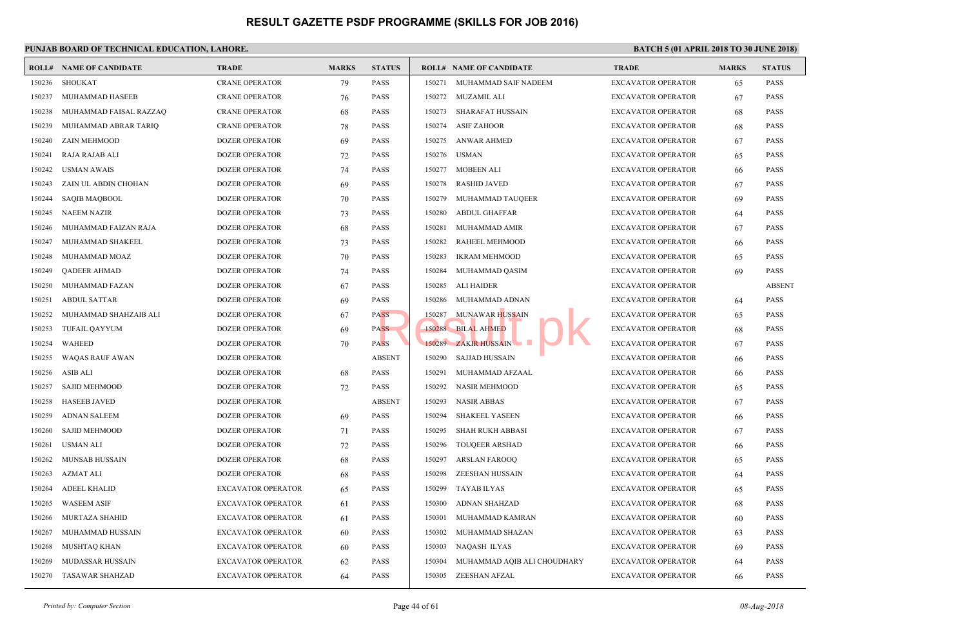|        | <b>ROLL# NAME OF CANDIDATE</b> | <b>TRADE</b>              | <b>MARKS</b> | <b>STATUS</b> |        | <b>ROLL# NAME OF CANDIDATE</b> | <b>TRAL</b>       |
|--------|--------------------------------|---------------------------|--------------|---------------|--------|--------------------------------|-------------------|
| 150236 | <b>SHOUKAT</b>                 | <b>CRANE OPERATOR</b>     | 79           | <b>PASS</b>   | 150271 | MUHAMMAD SAIF NADEEM           | EXCA'             |
| 150237 | MUHAMMAD HASEEB                | <b>CRANE OPERATOR</b>     | 76           | <b>PASS</b>   | 150272 | MUZAMIL ALI                    | EXCA'             |
| 150238 | MUHAMMAD FAISAL RAZZAQ         | <b>CRANE OPERATOR</b>     | 68           | <b>PASS</b>   | 150273 | <b>SHARAFAT HUSSAIN</b>        | <b>EXCA</b>       |
| 150239 | MUHAMMAD ABRAR TARIQ           | <b>CRANE OPERATOR</b>     | 78           | <b>PASS</b>   | 150274 | <b>ASIF ZAHOOR</b>             | <b>EXCA</b>       |
| 150240 | <b>ZAIN MEHMOOD</b>            | DOZER OPERATOR            | 69           | <b>PASS</b>   | 150275 | <b>ANWAR AHMED</b>             | EXCA'             |
| 150241 | RAJA RAJAB ALI                 | <b>DOZER OPERATOR</b>     | 72           | <b>PASS</b>   | 150276 | <b>USMAN</b>                   | EXCA'             |
| 150242 | <b>USMAN AWAIS</b>             | <b>DOZER OPERATOR</b>     | 74           | <b>PASS</b>   | 150277 | <b>MOBEEN ALI</b>              | EXCA'             |
| 150243 | ZAIN UL ABDIN CHOHAN           | <b>DOZER OPERATOR</b>     | 69           | <b>PASS</b>   | 150278 | <b>RASHID JAVED</b>            | <b>EXCA</b>       |
| 150244 | <b>SAQIB MAQBOOL</b>           | <b>DOZER OPERATOR</b>     | 70           | <b>PASS</b>   | 150279 | MUHAMMAD TAUQEER               | <b>EXCA</b>       |
| 150245 | NAEEM NAZIR                    | DOZER OPERATOR            | 73           | <b>PASS</b>   | 150280 | <b>ABDUL GHAFFAR</b>           | <b>EXCA</b>       |
| 150246 | MUHAMMAD FAIZAN RAJA           | <b>DOZER OPERATOR</b>     | 68           | <b>PASS</b>   | 150281 | MUHAMMAD AMIR                  | <b>EXCA</b>       |
| 150247 | MUHAMMAD SHAKEEL               | <b>DOZER OPERATOR</b>     | 73           | <b>PASS</b>   | 150282 | RAHEEL MEHMOOD                 | <b>EXCA</b>       |
| 150248 | MUHAMMAD MOAZ                  | <b>DOZER OPERATOR</b>     | 70           | <b>PASS</b>   | 150283 | <b>IKRAM MEHMOOD</b>           | <b>EXCA</b>       |
| 150249 | QADEER AHMAD                   | <b>DOZER OPERATOR</b>     | 74           | <b>PASS</b>   | 150284 | MUHAMMAD QASIM                 | <b>EXCA</b>       |
| 150250 | MUHAMMAD FAZAN                 | <b>DOZER OPERATOR</b>     | 67           | <b>PASS</b>   | 150285 | <b>ALI HAIDER</b>              | <b>EXCA</b>       |
| 150251 | <b>ABDUL SATTAR</b>            | <b>DOZER OPERATOR</b>     | 69           | <b>PASS</b>   | 150286 | MUHAMMAD ADNAN                 | <b>EXCA</b>       |
| 150252 | MUHAMMAD SHAHZAIB ALI          | <b>DOZER OPERATOR</b>     | 67           | <b>PASS</b>   | 150287 | <b>MUNAWAR HUSSAIN</b>         | EXCA <sup>®</sup> |
| 150253 | <b>TUFAIL QAYYUM</b>           | <b>DOZER OPERATOR</b>     | 69           | <b>PASS</b>   | 150288 | <b>BILAL AHMED</b>             | <b>EXCA</b>       |
| 150254 | <b>WAHEED</b>                  | <b>DOZER OPERATOR</b>     | 70           | <b>PASS</b>   |        | 150289 ZAKIR HUSSAIN D         | <b>EXCA</b>       |
| 150255 | <b>WAQAS RAUF AWAN</b>         | <b>DOZER OPERATOR</b>     |              | <b>ABSENT</b> | 150290 | <b>SAJJAD HUSSAIN</b>          | <b>EXCA</b>       |
| 150256 | <b>ASIB ALI</b>                | <b>DOZER OPERATOR</b>     | 68           | <b>PASS</b>   | 150291 | MUHAMMAD AFZAAL                | <b>EXCA</b>       |
| 150257 | <b>SAJID MEHMOOD</b>           | <b>DOZER OPERATOR</b>     | 72           | <b>PASS</b>   | 150292 | <b>NASIR MEHMOOD</b>           | EXCA'             |
| 150258 | <b>HASEEB JAVED</b>            | <b>DOZER OPERATOR</b>     |              | <b>ABSENT</b> | 150293 | <b>NASIR ABBAS</b>             | <b>EXCA</b>       |
| 150259 | <b>ADNAN SALEEM</b>            | <b>DOZER OPERATOR</b>     | 69           | <b>PASS</b>   | 150294 | <b>SHAKEEL YASEEN</b>          | <b>EXCA</b>       |
| 150260 | <b>SAJID MEHMOOD</b>           | <b>DOZER OPERATOR</b>     | 71           | <b>PASS</b>   | 150295 | <b>SHAH RUKH ABBASI</b>        | EXCA'             |
| 150261 | <b>USMAN ALI</b>               | <b>DOZER OPERATOR</b>     | 72           | <b>PASS</b>   | 150296 | <b>TOUQEER ARSHAD</b>          | EXCA'             |
| 150262 | <b>MUNSAB HUSSAIN</b>          | <b>DOZER OPERATOR</b>     | 68           | <b>PASS</b>   | 150297 | <b>ARSLAN FAROOQ</b>           | EXCA'             |
| 150263 | AZMAT ALI                      | <b>DOZER OPERATOR</b>     | 68           | <b>PASS</b>   | 150298 | <b>ZEESHAN HUSSAIN</b>         | EXCA'             |
| 150264 | <b>ADEEL KHALID</b>            | <b>EXCAVATOR OPERATOR</b> | 65           | <b>PASS</b>   | 150299 | <b>TAYAB ILYAS</b>             | <b>EXCA</b>       |
| 150265 | <b>WASEEM ASIF</b>             | <b>EXCAVATOR OPERATOR</b> | 61           | <b>PASS</b>   | 150300 | ADNAN SHAHZAD                  | <b>EXCA</b>       |
| 150266 | MURTAZA SHAHID                 | <b>EXCAVATOR OPERATOR</b> | 61           | <b>PASS</b>   | 150301 | MUHAMMAD KAMRAN                | <b>EXCA</b>       |
| 150267 | MUHAMMAD HUSSAIN               | <b>EXCAVATOR OPERATOR</b> | 60           | <b>PASS</b>   | 150302 | MUHAMMAD SHAZAN                | <b>EXCA</b>       |
| 150268 | MUSHTAQ KHAN                   | EXCAVATOR OPERATOR        | 60           | <b>PASS</b>   | 150303 | NAQASH ILYAS                   | <b>EXCA</b>       |
| 150269 | MUDASSAR HUSSAIN               | <b>EXCAVATOR OPERATOR</b> | 62           | <b>PASS</b>   | 150304 | MUHAMMAD AQIB ALI CHOUDHARY    | <b>EXCA</b>       |
| 150270 | TASAWAR SHAHZAD                | <b>EXCAVATOR OPERATOR</b> | 64           | <b>PASS</b>   | 150305 | ZEESHAN AFZAL                  | <b>EXCA</b>       |
|        |                                |                           |              |               |        |                                |                   |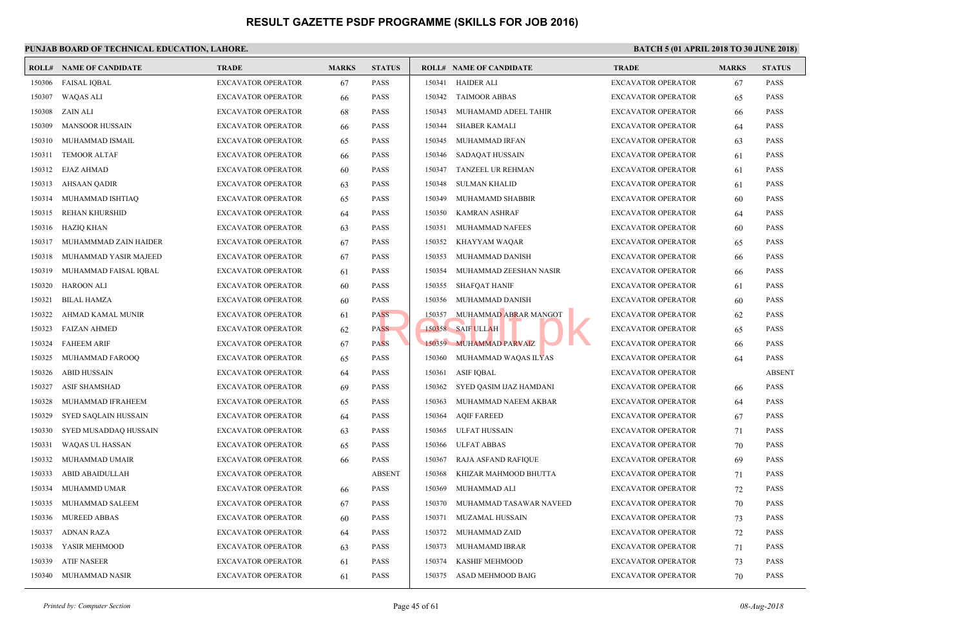|        | <b>ROLL# NAME OF CANDIDATE</b> | <b>TRADE</b>              | <b>MARKS</b> | <b>STATUS</b> |        | <b>ROLL# NAME OF CANDIDATE</b> | <b>TRAL</b> |
|--------|--------------------------------|---------------------------|--------------|---------------|--------|--------------------------------|-------------|
| 150306 | <b>FAISAL IQBAL</b>            | <b>EXCAVATOR OPERATOR</b> | 67           | <b>PASS</b>   | 150341 | HAIDER ALI                     | <b>EXCA</b> |
| 150307 | <b>WAQAS ALI</b>               | <b>EXCAVATOR OPERATOR</b> | 66           | <b>PASS</b>   | 150342 | <b>TAIMOOR ABBAS</b>           | <b>EXCA</b> |
| 150308 | ZAIN ALI                       | <b>EXCAVATOR OPERATOR</b> | 68           | <b>PASS</b>   | 150343 | MUHAMAMD ADEEL TAHIR           | EXCA'       |
| 150309 | <b>MANSOOR HUSSAIN</b>         | <b>EXCAVATOR OPERATOR</b> | 66           | <b>PASS</b>   | 150344 | <b>SHABER KAMALI</b>           | EXCA'       |
| 150310 | MUHAMMAD ISMAIL                | <b>EXCAVATOR OPERATOR</b> | 65           | <b>PASS</b>   | 150345 | MUHAMMAD IRFAN                 | <b>EXCA</b> |
| 150311 | <b>TEMOOR ALTAF</b>            | <b>EXCAVATOR OPERATOR</b> | 66           | <b>PASS</b>   | 150346 | SADAQAT HUSSAIN                | <b>EXCA</b> |
| 150312 | EJAZ AHMAD                     | <b>EXCAVATOR OPERATOR</b> | 60           | <b>PASS</b>   | 150347 | TANZEEL UR REHMAN              | EXCA'       |
| 150313 | AHSAAN QADIR                   | <b>EXCAVATOR OPERATOR</b> | 63           | <b>PASS</b>   | 150348 | <b>SULMAN KHALID</b>           | EXCA'       |
| 150314 | MUHAMMAD ISHTIAQ               | <b>EXCAVATOR OPERATOR</b> | 65           | <b>PASS</b>   | 150349 | MUHAMAMD SHABBIR               | EXCA'       |
| 150315 | <b>REHAN KHURSHID</b>          | <b>EXCAVATOR OPERATOR</b> | 64           | <b>PASS</b>   | 150350 | <b>KAMRAN ASHRAF</b>           | <b>EXCA</b> |
| 150316 | <b>HAZIQ KHAN</b>              | <b>EXCAVATOR OPERATOR</b> | 63           | <b>PASS</b>   | 150351 | MUHAMMAD NAFEES                | <b>EXCA</b> |
| 150317 | MUHAMMMAD ZAIN HAIDER          | <b>EXCAVATOR OPERATOR</b> | 67           | <b>PASS</b>   | 150352 | KHAYYAM WAQAR                  | <b>EXCA</b> |
| 150318 | MUHAMMAD YASIR MAJEED          | <b>EXCAVATOR OPERATOR</b> | 67           | <b>PASS</b>   | 150353 | MUHAMMAD DANISH                | <b>EXCA</b> |
| 150319 | MUHAMMAD FAISAL IQBAL          | <b>EXCAVATOR OPERATOR</b> | 61           | <b>PASS</b>   | 150354 | MUHAMMAD ZEESHAN NASIR         | <b>EXCA</b> |
| 150320 | <b>HAROON ALI</b>              | EXCAVATOR OPERATOR        | 60           | <b>PASS</b>   | 150355 | <b>SHAFQAT HANIF</b>           | <b>EXCA</b> |
| 150321 | <b>BILAL HAMZA</b>             | <b>EXCAVATOR OPERATOR</b> | 60           | <b>PASS</b>   | 150356 | MUHAMMAD DANISH                | <b>EXCA</b> |
| 150322 | AHMAD KAMAL MUNIR              | <b>EXCAVATOR OPERATOR</b> | 61           | <b>PASS</b>   | 150357 | MUHAMMAD ABRAR MANGOT          | <b>EXCA</b> |
| 150323 | <b>FAIZAN AHMED</b>            | <b>EXCAVATOR OPERATOR</b> | 62           | <b>PASS</b>   |        | 150358 SAIF ULLAH              | <b>EXCA</b> |
| 150324 | <b>FAHEEM ARIF</b>             | <b>EXCAVATOR OPERATOR</b> | 67           | <b>PASS</b>   |        | 150359 MUHAMMAD PARVAIZ        | <b>EXCA</b> |
| 150325 | MUHAMMAD FAROOQ                | <b>EXCAVATOR OPERATOR</b> | 65           | <b>PASS</b>   | 150360 | MUHAMMAD WAQAS ILYAS           | <b>EXCA</b> |
| 150326 | <b>ABID HUSSAIN</b>            | <b>EXCAVATOR OPERATOR</b> | 64           | <b>PASS</b>   | 150361 | <b>ASIF IQBAL</b>              | <b>EXCA</b> |
| 150327 | <b>ASIF SHAMSHAD</b>           | <b>EXCAVATOR OPERATOR</b> | 69           | <b>PASS</b>   | 150362 | SYED QASIM IJAZ HAMDANI        | EXCA'       |
| 150328 | MUHAMMAD IFRAHEEM              | <b>EXCAVATOR OPERATOR</b> | 65           | <b>PASS</b>   | 150363 | MUHAMMAD NAEEM AKBAR           | EXCA'       |
| 150329 | SYED SAQLAIN HUSSAIN           | <b>EXCAVATOR OPERATOR</b> | 64           | <b>PASS</b>   | 150364 | <b>AQIF FAREED</b>             | <b>EXCA</b> |
| 150330 | SYED MUSADDAQ HUSSAIN          | <b>EXCAVATOR OPERATOR</b> | 63           | <b>PASS</b>   | 150365 | ULFAT HUSSAIN                  | EXCA'       |
| 150331 | WAQAS UL HASSAN                | <b>EXCAVATOR OPERATOR</b> | 65           | <b>PASS</b>   | 150366 | <b>ULFAT ABBAS</b>             | EXCA'       |
| 150332 | MUHAMMAD UMAIR                 | <b>EXCAVATOR OPERATOR</b> | 66           | <b>PASS</b>   | 150367 | RAJA ASFAND RAFIQUE            | EXCA'       |
| 150333 | ABID ABAIDULLAH                | <b>EXCAVATOR OPERATOR</b> |              | <b>ABSENT</b> | 150368 | KHIZAR MAHMOOD BHUTTA          | EXCA'       |
| 150334 | MUHAMMD UMAR                   | <b>EXCAVATOR OPERATOR</b> | 66           | <b>PASS</b>   | 150369 | MUHAMMAD ALI                   | <b>EXCA</b> |
| 150335 | MUHAMMAD SALEEM                | <b>EXCAVATOR OPERATOR</b> | 67           | <b>PASS</b>   | 150370 | MUHAMMAD TASAWAR NAVEED        | <b>EXCA</b> |
| 150336 | <b>MUREED ABBAS</b>            | <b>EXCAVATOR OPERATOR</b> | 60           | <b>PASS</b>   | 150371 | MUZAMAL HUSSAIN                | <b>EXCA</b> |
| 150337 | <b>ADNAN RAZA</b>              | <b>EXCAVATOR OPERATOR</b> | 64           | <b>PASS</b>   | 150372 | MUHAMMAD ZAID                  | <b>EXCA</b> |
| 150338 | YASIR MEHMOOD                  | <b>EXCAVATOR OPERATOR</b> | 63           | <b>PASS</b>   | 150373 | MUHAMAMD IBRAR                 | <b>EXCA</b> |
| 150339 | <b>ATIF NASEER</b>             | <b>EXCAVATOR OPERATOR</b> | 61           | <b>PASS</b>   | 150374 | <b>KASHIF MEHMOOD</b>          | <b>EXCA</b> |
| 150340 | MUHAMMAD NASIR                 | <b>EXCAVATOR OPERATOR</b> | 61           | <b>PASS</b>   | 150375 | ASAD MEHMOOD BAIG              | <b>EXCA</b> |
|        |                                |                           |              |               |        |                                |             |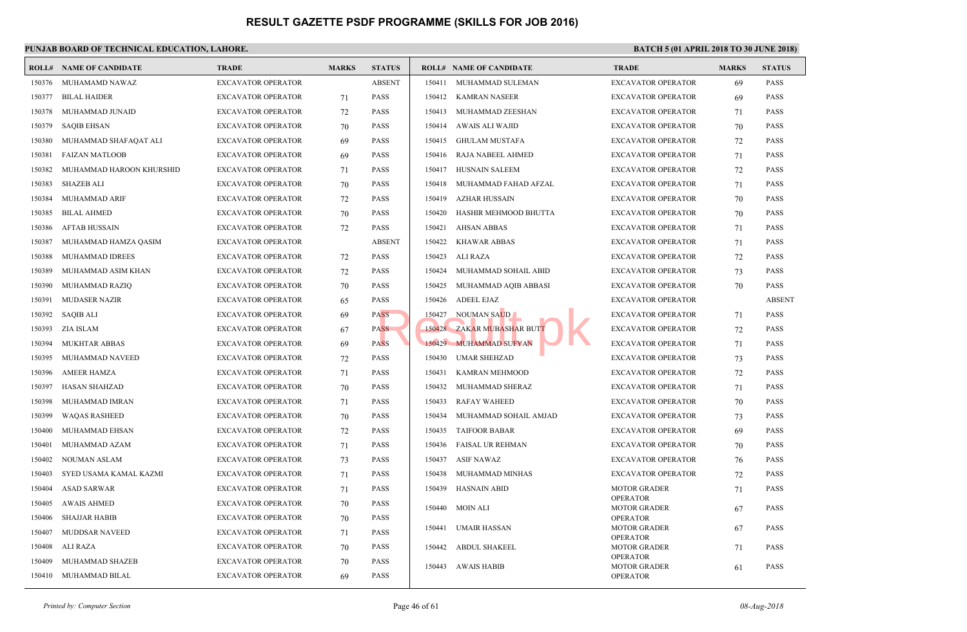| ROLL#  | <b>NAME OF CANDIDATE</b> | <b>TRADE</b>              | <b>MARKS</b> | <b>STATUS</b> |        | <b>ROLL# NAME OF CANDIDATE</b> | <b>TRAL</b>                 |
|--------|--------------------------|---------------------------|--------------|---------------|--------|--------------------------------|-----------------------------|
| 150376 | MUHAMAMD NAWAZ           | <b>EXCAVATOR OPERATOR</b> |              | <b>ABSENT</b> | 150411 | MUHAMMAD SULEMAN               | <b>EXCA</b>                 |
| 150377 | <b>BILAL HAIDER</b>      | <b>EXCAVATOR OPERATOR</b> | 71           | <b>PASS</b>   | 150412 | KAMRAN NASEER                  | <b>EXCA</b>                 |
| 150378 | MUHAMMAD JUNAID          | <b>EXCAVATOR OPERATOR</b> | 72           | <b>PASS</b>   | 150413 | MUHAMMAD ZEESHAN               | <b>EXCA</b>                 |
| 150379 | <b>SAQIB EHSAN</b>       | <b>EXCAVATOR OPERATOR</b> | 70           | <b>PASS</b>   | 150414 | AWAIS ALI WAJID                | EXCA'                       |
| 150380 | MUHAMMAD SHAFAQAT ALI    | <b>EXCAVATOR OPERATOR</b> | 69           | <b>PASS</b>   | 150415 | GHULAM MUSTAFA                 | <b>EXCA</b>                 |
| 150381 | <b>FAIZAN MATLOOB</b>    | <b>EXCAVATOR OPERATOR</b> | 69           | <b>PASS</b>   | 150416 | RAJA NABEEL AHMED              | <b>EXCA</b>                 |
| 150382 | MUHAMMAD HAROON KHURSHID | EXCAVATOR OPERATOR        | 71           | <b>PASS</b>   | 150417 | <b>HUSNAIN SALEEM</b>          | <b>EXCA</b>                 |
| 150383 | SHAZEB ALI               | <b>EXCAVATOR OPERATOR</b> | 70           | <b>PASS</b>   | 150418 | MUHAMMAD FAHAD AFZAL           | EXCA'                       |
| 150384 | MUHAMMAD ARIF            | <b>EXCAVATOR OPERATOR</b> | 72           | <b>PASS</b>   | 150419 | <b>AZHAR HUSSAIN</b>           | EXCA'                       |
| 150385 | <b>BILAL AHMED</b>       | <b>EXCAVATOR OPERATOR</b> | 70           | <b>PASS</b>   | 150420 | HASHIR MEHMOOD BHUTTA          | <b>EXCA</b>                 |
| 150386 | <b>AFTAB HUSSAIN</b>     | <b>EXCAVATOR OPERATOR</b> | 72           | <b>PASS</b>   | 150421 | <b>AHSAN ABBAS</b>             | <b>EXCA</b>                 |
| 150387 | MUHAMMAD HAMZA QASIM     | <b>EXCAVATOR OPERATOR</b> |              | <b>ABSENT</b> | 150422 | <b>KHAWAR ABBAS</b>            | <b>EXCA</b>                 |
| 150388 | MUHAMMAD IDREES          | <b>EXCAVATOR OPERATOR</b> | 72           | <b>PASS</b>   | 150423 | ALI RAZA                       | <b>EXCA</b>                 |
| 150389 | MUHAMMAD ASIM KHAN       | <b>EXCAVATOR OPERATOR</b> | 72           | <b>PASS</b>   | 150424 | MUHAMMAD SOHAIL ABID           | <b>EXCA</b>                 |
| 150390 | MUHAMMAD RAZIQ           | <b>EXCAVATOR OPERATOR</b> | 70           | <b>PASS</b>   | 150425 | MUHAMMAD AQIB ABBASI           | <b>EXCA</b>                 |
| 150391 | <b>MUDASER NAZIR</b>     | <b>EXCAVATOR OPERATOR</b> | 65           | <b>PASS</b>   | 150426 | <b>ADEEL EJAZ</b>              | <b>EXCA</b>                 |
| 150392 | SAQIB ALI                | <b>EXCAVATOR OPERATOR</b> | 69           | <b>PASS</b>   | 150427 | <b>NOUMAN SAUD</b>             | <b>EXCA</b>                 |
| 150393 | ZIA ISLAM                | <b>EXCAVATOR OPERATOR</b> | 67           | <b>PASS</b>   |        | 150428 ZAKAR MUBASHAR BUTT     | <b>EXCA</b>                 |
| 150394 | <b>MUKHTAR ABBAS</b>     | <b>EXCAVATOR OPERATOR</b> | 69           | <b>PASS</b>   |        | 150429 MUHAMMAD SUFYAN         | <b>EXCA</b>                 |
| 150395 | MUHAMMAD NAVEED          | <b>EXCAVATOR OPERATOR</b> | 72           | <b>PASS</b>   | 150430 | <b>UMAR SHEHZAD</b>            | <b>EXCA</b>                 |
| 150396 | <b>AMEER HAMZA</b>       | <b>EXCAVATOR OPERATOR</b> | 71           | <b>PASS</b>   | 150431 | KAMRAN MEHMOOD                 | <b>EXCA</b>                 |
| 150397 | <b>HASAN SHAHZAD</b>     | <b>EXCAVATOR OPERATOR</b> | 70           | <b>PASS</b>   | 150432 | MUHAMMAD SHERAZ                | EXCA'                       |
| 150398 | MUHAMMAD IMRAN           | <b>EXCAVATOR OPERATOR</b> | 71           | <b>PASS</b>   | 150433 | <b>RAFAY WAHEED</b>            | EXCA'                       |
| 150399 | <b>WAQAS RASHEED</b>     | <b>EXCAVATOR OPERATOR</b> | 70           | <b>PASS</b>   | 150434 | MUHAMMAD SOHAIL AMJAD          | <b>EXCA</b>                 |
| 150400 | MUHAMMAD EHSAN           | <b>EXCAVATOR OPERATOR</b> | 72           | <b>PASS</b>   | 150435 | <b>TAIFOOR BABAR</b>           | EXCA'                       |
| 150401 | MUHAMMAD AZAM            | <b>EXCAVATOR OPERATOR</b> | 71           | <b>PASS</b>   | 150436 | <b>FAISAL UR REHMAN</b>        | EXCA'                       |
| 150402 | NOUMAN ASLAM             | <b>EXCAVATOR OPERATOR</b> | 73           | <b>PASS</b>   | 150437 | <b>ASIF NAWAZ</b>              | EXCA'                       |
| 150403 | SYED USAMA KAMAL KAZMI   | <b>EXCAVATOR OPERATOR</b> | 71           | <b>PASS</b>   | 150438 | MUHAMMAD MINHAS                | <b>EXCA</b>                 |
| 150404 | ASAD SARWAR              | <b>EXCAVATOR OPERATOR</b> | 71           | <b>PASS</b>   | 150439 | <b>HASNAIN ABID</b>            | <b>MOTO</b>                 |
| 150405 | <b>AWAIS AHMED</b>       | <b>EXCAVATOR OPERATOR</b> | 70           | <b>PASS</b>   | 150440 | <b>MOIN ALI</b>                | OPER/<br><b>MOTO</b>        |
| 150406 | <b>SHAJJAR HABIB</b>     | <b>EXCAVATOR OPERATOR</b> | 70           | <b>PASS</b>   |        |                                | <b>OPERA</b>                |
| 150407 | <b>MUDDSAR NAVEED</b>    | <b>EXCAVATOR OPERATOR</b> | 71           | <b>PASS</b>   | 150441 | <b>UMAIR HASSAN</b>            | <b>MOTO</b><br>OPER/        |
| 150408 | ALI RAZA                 | <b>EXCAVATOR OPERATOR</b> | 70           | <b>PASS</b>   | 150442 | <b>ABDUL SHAKEEL</b>           | <b>MOTO</b>                 |
| 150409 | MUHAMMAD SHAZEB          | <b>EXCAVATOR OPERATOR</b> | 70           | PASS          | 150443 | <b>AWAIS HABIB</b>             | <b>OPERA</b><br><b>MOTC</b> |
| 150410 | MUHAMMAD BILAL           | <b>EXCAVATOR OPERATOR</b> | 69           | <b>PASS</b>   |        |                                | <b>OPERA</b>                |
|        |                          |                           |              |               |        |                                |                             |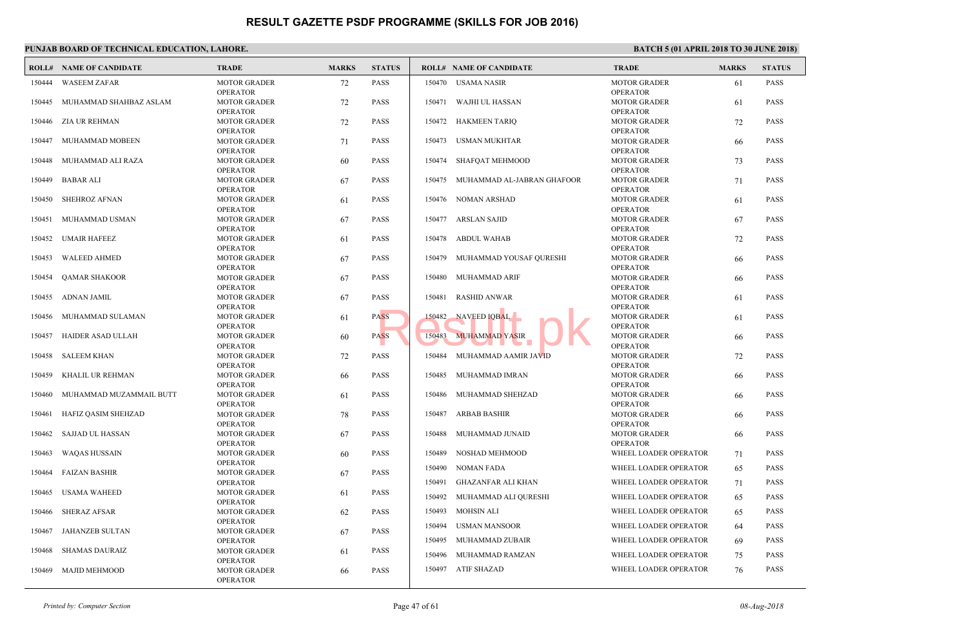|        | PUNJAB BOARD OF TECHNICAL EDUCATION, LAHORE. |                                                           |              |               |                                                             |                            |  |  |  |  |  |
|--------|----------------------------------------------|-----------------------------------------------------------|--------------|---------------|-------------------------------------------------------------|----------------------------|--|--|--|--|--|
|        | <b>ROLL# NAME OF CANDIDATE</b>               | <b>TRADE</b>                                              | <b>MARKS</b> | <b>STATUS</b> | <b>ROLL# NAME OF CANDIDATE</b>                              | <b>TRAL</b>                |  |  |  |  |  |
| 150444 | <b>WASEEM ZAFAR</b>                          | <b>MOTOR GRADER</b><br><b>OPERATOR</b>                    | 72           | <b>PASS</b>   | 150470 USAMA NASIR                                          | <b>MOTO</b><br>OPERA       |  |  |  |  |  |
| 150445 | MUHAMMAD SHAHBAZ ASLAM                       | <b>MOTOR GRADER</b><br><b>OPERATOR</b>                    | 72           | <b>PASS</b>   | WAJHI UL HASSAN<br>150471                                   | <b>MOTO</b><br>OPER/       |  |  |  |  |  |
|        | 150446 ZIA UR REHMAN                         | <b>MOTOR GRADER</b><br><b>OPERATOR</b>                    | 72           | <b>PASS</b>   | 150472 HAKMEEN TARIQ                                        | <b>MOTO</b><br>OPER/       |  |  |  |  |  |
| 150447 | MUHAMMAD MOBEEN                              | <b>MOTOR GRADER</b><br><b>OPERATOR</b>                    | 71           | <b>PASS</b>   | 150473 USMAN MUKHTAR                                        | <b>MOTO</b><br>OPER/       |  |  |  |  |  |
|        | 150448 MUHAMMAD ALI RAZA                     | <b>MOTOR GRADER</b><br><b>OPERATOR</b>                    | 60           | <b>PASS</b>   | 150474 SHAFQAT MEHMOOD                                      | <b>MOTO</b><br>OPER/       |  |  |  |  |  |
| 150449 | BABAR ALI                                    | <b>MOTOR GRADER</b><br><b>OPERATOR</b>                    | 67           | <b>PASS</b>   | 150475<br>MUHAMMAD AL-JABRAN GHAFOOR                        | <b>MOTO</b><br>OPER/       |  |  |  |  |  |
| 150450 | <b>SHEHROZ AFNAN</b>                         | <b>MOTOR GRADER</b><br><b>OPERATOR</b>                    | 61           | <b>PASS</b>   | 150476 NOMAN ARSHAD                                         | <b>MOTO</b><br>OPER/       |  |  |  |  |  |
| 150451 | MUHAMMAD USMAN                               | <b>MOTOR GRADER</b><br><b>OPERATOR</b>                    | 67           | <b>PASS</b>   | ARSLAN SAJID<br>150477                                      | <b>MOTO</b><br>OPERA       |  |  |  |  |  |
| 150452 | <b>UMAIR HAFEEZ</b>                          | <b>MOTOR GRADER</b><br><b>OPERATOR</b>                    | 61           | <b>PASS</b>   | 150478<br><b>ABDUL WAHAB</b>                                | <b>MOTO</b><br>OPER/       |  |  |  |  |  |
| 150453 | <b>WALEED AHMED</b>                          | <b>MOTOR GRADER</b><br><b>OPERATOR</b>                    | 67           | <b>PASS</b>   | MUHAMMAD YOUSAF QURESHI<br>150479                           | <b>MOTO</b><br>OPER/       |  |  |  |  |  |
| 150454 | <b>QAMAR SHAKOOR</b>                         | <b>MOTOR GRADER</b><br><b>OPERATOR</b>                    | 67           | <b>PASS</b>   | 150480 MUHAMMAD ARIF                                        | <b>MOTO</b><br>OPER/       |  |  |  |  |  |
| 150455 | ADNAN JAMIL                                  | <b>MOTOR GRADER</b><br><b>OPERATOR</b>                    | 67           | <b>PASS</b>   | <b>RASHID ANWAR</b><br>150481                               | <b>MOTO</b><br>OPER/       |  |  |  |  |  |
| 150456 | MUHAMMAD SULAMAN                             | <b>MOTOR GRADER</b><br><b>OPERATOR</b>                    | 61           | <b>PASS</b>   | NAVEED IOBAL<br>150482                                      | <b>MOTO</b><br>OPER/       |  |  |  |  |  |
| 150457 | HAIDER ASAD ULLAH                            | <b>MOTOR GRADER</b><br><b>OPERATOR</b>                    | 60           | <b>PASS</b>   | <b>MUHAMMAD YASIR</b><br>150483                             | <b>MOTO</b><br>OPER/       |  |  |  |  |  |
| 150458 | <b>SALEEM KHAN</b>                           | <b>MOTOR GRADER</b>                                       | 72           | <b>PASS</b>   | MUHAMMAD AAMIR JAVID<br>150484                              | <b>MOTO</b>                |  |  |  |  |  |
| 150459 | KHALIL UR REHMAN                             | <b>OPERATOR</b><br><b>MOTOR GRADER</b>                    | 66           | <b>PASS</b>   | MUHAMMAD IMRAN<br>150485                                    | OPER/<br><b>MOTO</b>       |  |  |  |  |  |
| 150460 | MUHAMMAD MUZAMMAIL BUTT                      | <b>OPERATOR</b><br><b>MOTOR GRADER</b>                    | 61           | <b>PASS</b>   | 150486 MUHAMMAD SHEHZAD                                     | OPER/<br><b>MOTO</b>       |  |  |  |  |  |
| 150461 | HAFIZ QASIM SHEHZAD                          | <b>OPERATOR</b><br><b>MOTOR GRADER</b>                    | 78           | <b>PASS</b>   | ARBAB BASHIR<br>150487                                      | OPER/<br><b>MOTO</b>       |  |  |  |  |  |
| 150462 | SAJJAD UL HASSAN                             | <b>OPERATOR</b><br><b>MOTOR GRADER</b>                    | 67           | <b>PASS</b>   | 150488<br>MUHAMMAD JUNAID                                   | OPER/<br><b>MOTO</b>       |  |  |  |  |  |
| 150463 | <b>WAQAS HUSSAIN</b>                         | <b>OPERATOR</b><br><b>MOTOR GRADER</b>                    | 60           | <b>PASS</b>   | 150489<br>NOSHAD MEHMOOD                                    | OPER/<br><b>WHEE</b>       |  |  |  |  |  |
| 150464 | <b>FAIZAN BASHIR</b>                         | <b>OPERATOR</b><br><b>MOTOR GRADER</b>                    | 67           | <b>PASS</b>   | 150490<br>NOMAN FADA                                        | <b>WHEE</b>                |  |  |  |  |  |
| 150465 | USAMA WAHEED                                 | <b>OPERATOR</b><br><b>MOTOR GRADER</b>                    | 61           | <b>PASS</b>   | GHAZANFAR ALI KHAN<br>150491<br>150492 MUHAMMAD ALI QURESHI | <b>WHEE</b><br><b>WHEE</b> |  |  |  |  |  |
|        | 150466 SHERAZ AFSAR                          | <b>OPERATOR</b><br><b>MOTOR GRADER</b>                    | 62           | <b>PASS</b>   | MOHSIN ALI<br>150493                                        | <b>WHEE</b>                |  |  |  |  |  |
| 150467 | JAHANZEB SULTAN                              | <b>OPERATOR</b><br><b>MOTOR GRADER</b>                    | 67           | PASS          | <b>USMAN MANSOOR</b><br>150494                              | <b>WHEE</b>                |  |  |  |  |  |
| 150468 | <b>SHAMAS DAURAIZ</b>                        | <b>OPERATOR</b><br><b>MOTOR GRADER</b>                    | 61           | <b>PASS</b>   | 150495<br>MUHAMMAD ZUBAIR<br>150496<br>MUHAMMAD RAMZAN      | <b>WHEE</b><br><b>WHEE</b> |  |  |  |  |  |
| 150469 | <b>MAJID MEHMOOD</b>                         | <b>OPERATOR</b><br><b>MOTOR GRADER</b><br><b>OPERATOR</b> | 66           | PASS          | 150497 ATIF SHAZAD                                          | <b>WHEE</b>                |  |  |  |  |  |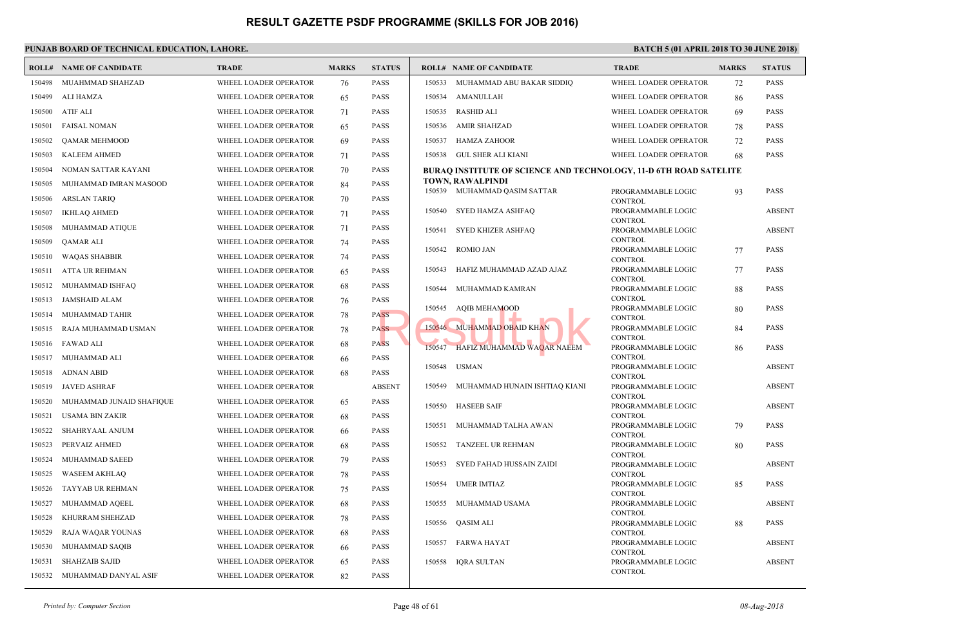|        | <b>ROLL# NAME OF CANDIDATE</b> | <b>TRADE</b>          | <b>MARKS</b> | <b>STATUS</b> |        | <b>ROLL# NAME OF CANDIDATE</b>                   | <b>TRAL</b>                |
|--------|--------------------------------|-----------------------|--------------|---------------|--------|--------------------------------------------------|----------------------------|
| 150498 | MUAHMMAD SHAHZAD               | WHEEL LOADER OPERATOR | 76           | <b>PASS</b>   | 150533 | MUHAMMAD ABU BAKAR SIDDIQ                        | <b>WHEE</b>                |
| 150499 | ALI HAMZA                      | WHEEL LOADER OPERATOR | 65           | <b>PASS</b>   | 150534 | AMANULLAH                                        | <b>WHEE</b>                |
| 150500 | <b>ATIF ALI</b>                | WHEEL LOADER OPERATOR | 71           | <b>PASS</b>   | 150535 | <b>RASHID ALI</b>                                | <b>WHEE</b>                |
| 150501 | <b>FAISAL NOMAN</b>            | WHEEL LOADER OPERATOR | 65           | <b>PASS</b>   | 150536 | <b>AMIR SHAHZAD</b>                              | <b>WHEE</b>                |
| 150502 | QAMAR MEHMOOD                  | WHEEL LOADER OPERATOR | 69           | <b>PASS</b>   | 150537 | <b>HAMZA ZAHOOR</b>                              | <b>WHEE</b>                |
| 150503 | <b>KALEEM AHMED</b>            | WHEEL LOADER OPERATOR | 71           | <b>PASS</b>   | 150538 | GUL SHER ALI KIANI                               | <b>WHEE</b>                |
| 150504 | NOMAN SATTAR KAYANI            | WHEEL LOADER OPERATOR | 70           | <b>PASS</b>   |        | <b>BURAQ INSTITUTE OF SCIENCE AND TECHNOLOGY</b> |                            |
| 150505 | MUHAMMAD IMRAN MASOOD          | WHEEL LOADER OPERATOR | 84           | <b>PASS</b>   |        | TOWN, RAWALPINDI                                 |                            |
| 150506 | ARSLAN TARIQ                   | WHEEL LOADER OPERATOR | 70           | <b>PASS</b>   |        | 150539 MUHAMMAD QASIM SATTAR                     | <b>PROG</b><br><b>CONT</b> |
| 150507 | <b>IKHLAQ AHMED</b>            | WHEEL LOADER OPERATOR | 71           | <b>PASS</b>   | 150540 | SYED HAMZA ASHFAQ                                | <b>PROG</b>                |
| 150508 | MUHAMMAD ATIQUE                | WHEEL LOADER OPERATOR | 71           | <b>PASS</b>   | 150541 | SYED KHIZER ASHFAQ                               | <b>CONT</b><br><b>PROG</b> |
| 150509 | QAMAR ALI                      | WHEEL LOADER OPERATOR | 74           | <b>PASS</b>   |        |                                                  | <b>CONT</b>                |
| 150510 | <b>WAQAS SHABBIR</b>           | WHEEL LOADER OPERATOR | 74           | <b>PASS</b>   | 150542 | <b>ROMIO JAN</b>                                 | <b>PROG</b><br><b>CONT</b> |
| 150511 | ATTA UR REHMAN                 | WHEEL LOADER OPERATOR | 65           | <b>PASS</b>   | 150543 | HAFIZ MUHAMMAD AZAD AJAZ                         | <b>PROG</b>                |
| 150512 | MUHAMMAD ISHFAQ                | WHEEL LOADER OPERATOR | 68           | <b>PASS</b>   | 150544 | MUHAMMAD KAMRAN                                  | <b>CONT</b><br><b>PROG</b> |
| 150513 | JAMSHAID ALAM                  | WHEEL LOADER OPERATOR | 76           | <b>PASS</b>   |        |                                                  | <b>CONT</b>                |
| 150514 | MUHAMMAD TAHIR                 | WHEEL LOADER OPERATOR | 78           | <b>PASS</b>   | 150545 | AQIB MEHAMOOD                                    | <b>PROG</b><br><b>CONT</b> |
| 150515 | RAJA MUHAMMAD USMAN            | WHEEL LOADER OPERATOR | 78           | <b>PASS</b>   |        | 150546 MUHAMMAD OBAID KHAN                       | <b>PROG</b>                |
|        | 150516 FAWAD ALI               | WHEEL LOADER OPERATOR | 68           | <b>PASS</b>   | 150547 | HAFIZ MUHAMMAD WAQAR NAEEM                       | <b>CONT</b><br><b>PROG</b> |
| 150517 | MUHAMMAD ALI                   | WHEEL LOADER OPERATOR | 66           | <b>PASS</b>   |        |                                                  | <b>CONT</b>                |
| 150518 | <b>ADNAN ABID</b>              | WHEEL LOADER OPERATOR | 68           | <b>PASS</b>   | 150548 | <b>USMAN</b>                                     | <b>PROG</b><br><b>CONT</b> |
| 150519 | <b>JAVED ASHRAF</b>            | WHEEL LOADER OPERATOR |              | <b>ABSENT</b> | 150549 | MUHAMMAD HUNAIN ISHTIAQ KIANI                    | <b>PROG</b>                |
| 150520 | MUHAMMAD JUNAID SHAFIQUE       | WHEEL LOADER OPERATOR | 65           | <b>PASS</b>   | 150550 | <b>HASEEB SAIF</b>                               | <b>CONT</b><br><b>PROG</b> |
| 150521 | <b>USAMA BIN ZAKIR</b>         | WHEEL LOADER OPERATOR | 68           | <b>PASS</b>   |        |                                                  | <b>CONT</b>                |
| 150522 | SHAHRYAAL ANJUM                | WHEEL LOADER OPERATOR | 66           | <b>PASS</b>   | 150551 | MUHAMMAD TALHA AWAN                              | <b>PROG</b><br><b>CONT</b> |
| 150523 | PERVAIZ AHMED                  | WHEEL LOADER OPERATOR | 68           | <b>PASS</b>   | 150552 | TANZEEL UR REHMAN                                | <b>PROG</b>                |
| 150524 | MUHAMMAD SAEED                 | WHEEL LOADER OPERATOR | 79           | <b>PASS</b>   | 150553 | SYED FAHAD HUSSAIN ZAIDI                         | <b>CONT</b><br><b>PROG</b> |
| 150525 | <b>WASEEM AKHLAQ</b>           | WHEEL LOADER OPERATOR | 78           | <b>PASS</b>   |        |                                                  | <b>CONT</b>                |
| 150526 | TAYYAB UR REHMAN               | WHEEL LOADER OPERATOR | 75           | <b>PASS</b>   | 150554 | <b>UMER IMTIAZ</b>                               | <b>PROG</b><br><b>CONT</b> |
| 150527 | MUHAMMAD AQEEL                 | WHEEL LOADER OPERATOR | 68           | <b>PASS</b>   | 150555 | MUHAMMAD USAMA                                   | <b>PROG</b>                |
| 150528 | KHURRAM SHEHZAD                | WHEEL LOADER OPERATOR | 78           | <b>PASS</b>   | 150556 | QASIM ALI                                        | <b>CONT</b><br><b>PROG</b> |
| 150529 | RAJA WAQAR YOUNAS              | WHEEL LOADER OPERATOR | 68           | <b>PASS</b>   |        |                                                  | <b>CONT</b>                |
| 150530 | MUHAMMAD SAQIB                 | WHEEL LOADER OPERATOR | 66           | <b>PASS</b>   | 150557 | FARWA HAYAT                                      | <b>PROG</b><br><b>CONT</b> |
| 150531 | <b>SHAHZAIB SAJID</b>          | WHEEL LOADER OPERATOR | 65           | <b>PASS</b>   | 150558 | IQRA SULTAN                                      | <b>PROG</b>                |
| 150532 | MUHAMMAD DANYAL ASIF           | WHEEL LOADER OPERATOR | 82           | <b>PASS</b>   |        |                                                  | <b>CONT</b>                |
|        |                                |                       |              |               |        |                                                  |                            |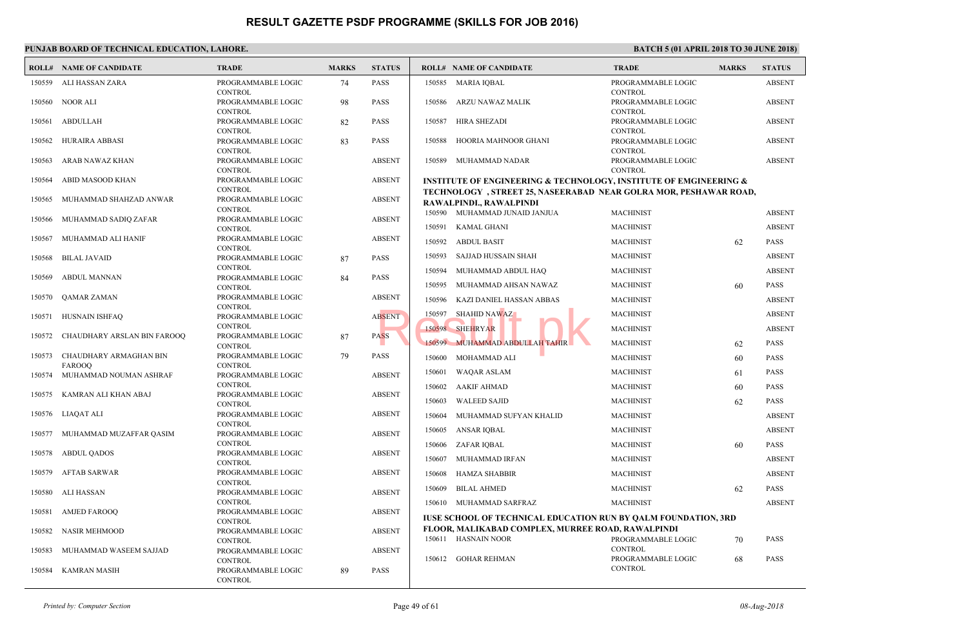#### **PUNJAB BOARD OF TECHNICAL EDUCATION, LAHORE. ROLL# NAME OF CANDIDATE TRADE MARKS STATUS ROLL# NAME OF CANDIDATE TRADE MARKS STATUS** PROGRAMMABLE LOGIC 74 PASS **CONTROL**  150559 ALI HASSAN ZARA PROGRAMMABLE LOGIC 98 PASS **CONTROL**  150560 NOOR ALI PROGRAMMABLE LOGIC 82 PASS CONTROL 150561 ABDULLAH PROGRAMMABLE LOGIC 83 PASS **CONTROL**  150562 HURAIRA ABBASI PROGRAMMABLE LOGIC ABSENT CONTROL 150563 ARAB NAWAZ KHAN PROGRAMMABLE LOGIC ABSENT **CONTROL**  150564 ABID MASOOD KHAN PROGRAMMABLE LOGIC ABSENT CONTROL 150565 MUHAMMAD SHAHZAD ANWAR PROGRAMMABLE LOGIC ABSENT **CONTROL**  150566 MUHAMMAD SADIQ ZAFAR PROGRAMMABLE LOGIC ABSENT **CONTROL**  150567 MUHAMMAD ALI HANIF PROGRAMMABLE LOGIC 87 PASS CONTROL 150568 BILAL JAVAID PROGRAMMABLE LOGIC 84 PASS **CONTROL**  150569 ABDUL MANNAN PROGRAMMABLE LOGIC ABSENT **CONTROL**  150570 QAMAR ZAMAN PROGRAMMABLE LOGIC ABSENT **CONTROL**  150571 HUSNAIN ISHFAQ PROGRAMMABLE LOGIC 87 PASS **CONTROL**  150572 CHAUDHARY ARSLAN BIN FAROOQ PROGRAMMABLE LOGIC 79 PASS CONTROL CHAUDHARY ARMAGHAN BIN FAROOQ 150573 PROGRAMMABLE LOGIC ABSENT CONTROL 150574 MUHAMMAD NOUMAN ASHRAF PROGRAMMABLE LOGIC ABSENT **CONTROL**  150575 KAMRAN ALI KHAN ABAJ PROGRAMMABLE LOGIC ABSENT **CONTROL**  150576 LIAQAT ALI PROGRAMMABLE LOGIC ABSENT **CONTROL**  150577 MUHAMMAD MUZAFFAR QASIM PROGRAMMABLE LOGIC ABSENT CONTROL 150578 ABDUL QADOS PROGRAMMABLE LOGIC ABSENT CONTROL 150579 AFTAB SARWAR PROGRAMMABLE LOGIC ABSENT **CONTROL**  150580 ALI HASSAN PROGRAMMABLE LOGIC ABSENT **CONTROL**  150581 AMJED FAROOQ PROGRAMMABLE LOGIC ABSENT **CONTROL**  150582 NASIR MEHMOOD PROGRAMMABLE LOGIC ABSENT **CONTROL**  150583 MUHAMMAD WASEEM SAJJAD PROGRAMMABLE LOGIC 89 PASS **CONTROL**  150584 KAMRAN MASIH PROGI CONT. 150585 MARIA IQBAL PROGI CONT. 150586 ARZU NAWAZ MALIK PROG<sub>l</sub> CONT 150587 HIRA SHEZADI PROG! CONT.  [150588 HOORIA MAHNOOR GHANI](http://www.result.pk/) PROG<sub>l</sub> CONT 150589 MUHAMMAD NADAR **INSTITUTE OF ENGINEERING & TECHNOLOGY, INSTITUTE OF EMGINEERING & TECHNOLOGY**, STREET 25, NASEERABAD NEAR GO **RAWALPINDI., RAWALPINDI** 150590 MUHAMMAD JUNAID JANJUA MACH 150591 KAMAL GHANI MACH 150592 ABDUL BASIT MACH 150593 SAJJAD HUSSAIN SHAH MACH 150594 MUHAMMAD ABDUL HAQ MACH 150595 MUHAMMAD AHSAN NAWAZ MACH 150596 KAZI DANIEL HASSAN ABBAS MACH 150597 SHAHID NAWAZ MACH 150598 SHEHRYAR MACH 150599 MUHAMMAD ABDULLAH TAHIR MACH 150600 MOHAMMAD ALI MACH 150601 WAQAR ASLAM MACH 150602 AAKIF AHMAD MACH 150603 WALEED SAJID MACH 150604 MUHAMMAD SUFYAN KHALID MACH 150605 ANSAR IQBAL MACH 150606 ZAFAR IQBAL MACH 150607 MUHAMMAD IRFAN MACH 150608 HAMZA SHABBIR MACH 150609 BILAL AHMED MACH 150610 MUHAMMAD SARFRAZ MACH **IUSE SCHOOL OF TECHNICAL EDUCATION RUN BY FLOOR, MALIKABAD COMPLEX, MURREE ROAD, RAWALPIND** PROGI CONT. 150611 HASNAIN NOOR PROGI CONT. 150612 GOHAR REHMAN RESULT 150597 SHAHID NAWAZ<br>ASS 150599 MUHAMMAD ABDULLAH TAHIR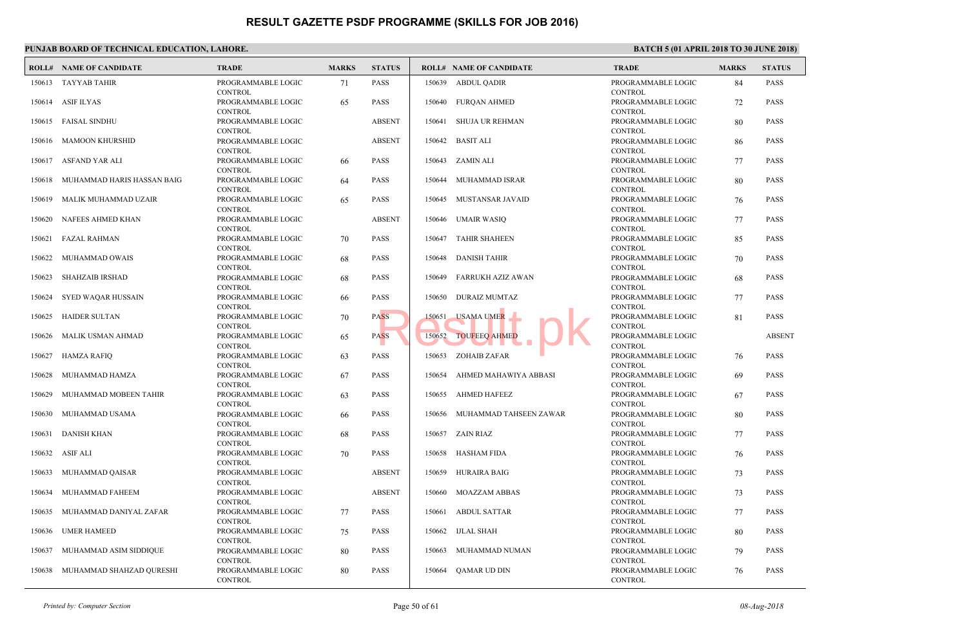|        | PUNJAB BOARD OF TECHNICAL EDUCATION, LAHORE. |                                                 |              |               |        |                                |                                            |
|--------|----------------------------------------------|-------------------------------------------------|--------------|---------------|--------|--------------------------------|--------------------------------------------|
|        | <b>ROLL# NAME OF CANDIDATE</b>               | <b>TRADE</b>                                    | <b>MARKS</b> | <b>STATUS</b> |        | <b>ROLL# NAME OF CANDIDATE</b> | TRAD                                       |
| 150613 | TAYYAB TAHIR                                 | PROGRAMMABLE LOGIC<br><b>CONTROL</b>            | 71           | PASS          |        | 150639 ABDUL QADIR             | PROGI<br><b>CONT</b>                       |
|        | 150614 ASIF ILYAS                            | PROGRAMMABLE LOGIC<br><b>CONTROL</b>            | 65           | PASS          | 150640 | <b>FUROAN AHMED</b>            | PROGI<br><b>CONT</b>                       |
| 150615 | FAISAL SINDHU                                | PROGRAMMABLE LOGIC<br><b>CONTROL</b>            |              | <b>ABSENT</b> | 150641 | SHUJA UR REHMAN                | <b>PROGI</b><br><b>CONT</b>                |
| 150616 | MAMOON KHURSHID                              | PROGRAMMABLE LOGIC<br><b>CONTROL</b>            |              | <b>ABSENT</b> | 150642 | <b>BASIT ALI</b>               | <b>PROGI</b><br><b>CONT</b>                |
|        | 150617 ASFAND YAR ALI                        | PROGRAMMABLE LOGIC<br><b>CONTROL</b>            | 66           | <b>PASS</b>   |        | 150643 ZAMIN ALI               | PROG!<br><b>CONT</b>                       |
| 150618 | MUHAMMAD HARIS HASSAN BAIG                   | PROGRAMMABLE LOGIC<br><b>CONTROL</b>            | 64           | PASS          | 150644 | MUHAMMAD ISRAR                 | <b>PROGI</b><br><b>CONT</b>                |
| 150619 | MALIK MUHAMMAD UZAIR                         | PROGRAMMABLE LOGIC<br><b>CONTROL</b>            | 65           | <b>PASS</b>   | 150645 | MUSTANSAR JAVAID               | <b>PROGI</b><br><b>CONT</b>                |
| 150620 | NAFEES AHMED KHAN                            | PROGRAMMABLE LOGIC<br><b>CONTROL</b>            |              | <b>ABSENT</b> | 150646 | UMAIR WASIQ                    | PROGI<br><b>CONT</b>                       |
| 150621 | FAZAL RAHMAN                                 | PROGRAMMABLE LOGIC<br><b>CONTROL</b>            | 70           | PASS          | 150647 | <b>TAHIR SHAHEEN</b>           | PROGI<br><b>CONT</b>                       |
| 150622 | MUHAMMAD OWAIS                               | PROGRAMMABLE LOGIC<br><b>CONTROL</b>            | 68           | <b>PASS</b>   | 150648 | <b>DANISH TAHIR</b>            | PROGI<br><b>CONT</b>                       |
| 150623 | <b>SHAHZAIB IRSHAD</b>                       | PROGRAMMABLE LOGIC<br><b>CONTROL</b>            | 68           | PASS          | 150649 | FARRUKH AZIZ AWAN              | <b>PROG</b><br><b>CONT</b>                 |
| 150624 | SYED WAQAR HUSSAIN                           | PROGRAMMABLE LOGIC<br><b>CONTROL</b>            | 66           | PASS          | 150650 | DURAIZ MUMTAZ                  | PROG!<br><b>CONT</b>                       |
| 150625 | <b>HAIDER SULTAN</b>                         | PROGRAMMABLE LOGIC<br><b>CONTROL</b>            | 70           | <b>PASS</b>   | 150651 | <b>USAMA UMER</b>              | PROGI<br><b>CONT</b>                       |
| 150626 | MALIK USMAN AHMAD                            | PROGRAMMABLE LOGIC<br><b>CONTROL</b>            | 65           | <b>PASS</b>   | 150652 | <b>TOUFEEQ AHMED</b>           | PROGI<br><b>CONT</b>                       |
| 150627 | <b>HAMZA RAFIQ</b>                           | PROGRAMMABLE LOGIC<br><b>CONTROL</b>            | 63           | <b>PASS</b>   | 150653 | ZOHAIB ZAFAR                   | PROGI<br><b>CONT</b>                       |
| 150628 | MUHAMMAD HAMZA                               | PROGRAMMABLE LOGIC<br><b>CONTROL</b>            | 67           | PASS          | 150654 | AHMED MAHAWIYA ABBASI          | <b>PROGI</b><br><b>CONT</b>                |
| 150629 | MUHAMMAD MOBEEN TAHIR                        | PROGRAMMABLE LOGIC                              | 63           | <b>PASS</b>   |        | 150655 AHMED HAFEEZ            | <b>PROGI</b>                               |
| 150630 | MUHAMMAD USAMA                               | <b>CONTROL</b><br>PROGRAMMABLE LOGIC            | 66           | PASS          |        | 150656 MUHAMMAD TAHSEEN ZAWAR  | <b>CONT</b><br>PROG!                       |
| 150631 | <b>DANISH KHAN</b>                           | <b>CONTROL</b><br>PROGRAMMABLE LOGIC            | 68           | PASS          |        | 150657 ZAIN RIAZ               | <b>CONT</b><br>PROGI                       |
| 150632 | <b>ASIF ALI</b>                              | <b>CONTROL</b><br>PROGRAMMABLE LOGIC            | 70           | PASS          | 150658 | <b>HASHAM FIDA</b>             | <b>CONT</b><br><b>PROGI</b>                |
| 150633 | MUHAMMAD QAISAR                              | <b>CONTROL</b><br>PROGRAMMABLE LOGIC            |              | <b>ABSENT</b> | 150659 | <b>HURAIRA BAIG</b>            | <b>CONT</b><br><b>PROGI</b>                |
| 150634 | MUHAMMAD FAHEEM                              | <b>CONTROL</b><br>PROGRAMMABLE LOGIC            |              | <b>ABSENT</b> | 150660 | <b>MOAZZAM ABBAS</b>           | <b>CONT</b><br>PROGI                       |
| 150635 | MUHAMMAD DANIYAL ZAFAR                       | <b>CONTROL</b><br>PROGRAMMABLE LOGIC            | 77           | PASS          | 150661 | <b>ABDUL SATTAR</b>            | <b>CONT</b><br>PROGI                       |
| 150636 | <b>UMER HAMEED</b>                           | <b>CONTROL</b><br>PROGRAMMABLE LOGIC            | 75           | PASS          | 150662 | <b>IJLAL SHAH</b>              | <b>CONT</b><br>PROGI                       |
| 150637 | MUHAMMAD ASIM SIDDIQUE                       | <b>CONTROL</b><br>PROGRAMMABLE LOGIC            | 80           | PASS          | 150663 | MUHAMMAD NUMAN                 | <b>CONT</b><br><b>PROG</b>                 |
| 150638 | MUHAMMAD SHAHZAD QURESHI                     | <b>CONTROL</b><br>PROGRAMMABLE LOGIC<br>CONTROL | 80           | PASS          | 150664 | QAMAR UD DIN                   | <b>CONT</b><br><b>PROGI</b><br><b>CONT</b> |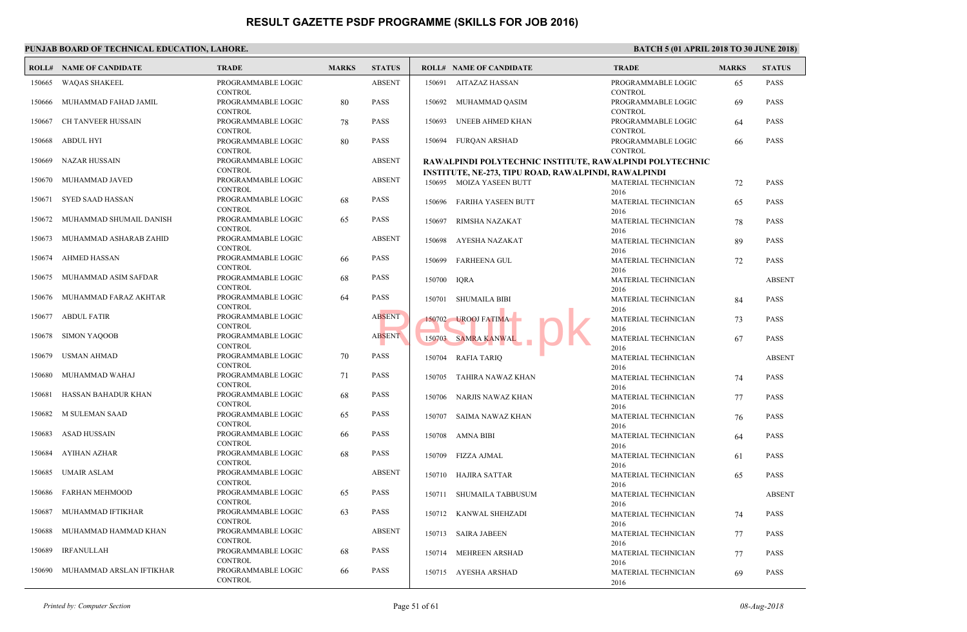|        | PUNJAB BOARD OF TECHNICAL EDUCATION, LAHORE. |                                                        |              |               |        |                                                                                  |                             |  |  |  |  |  |
|--------|----------------------------------------------|--------------------------------------------------------|--------------|---------------|--------|----------------------------------------------------------------------------------|-----------------------------|--|--|--|--|--|
|        | <b>ROLL# NAME OF CANDIDATE</b>               | <b>TRADE</b>                                           | <b>MARKS</b> | <b>STATUS</b> |        | <b>ROLL# NAME OF CANDIDATE</b>                                                   | TRAD                        |  |  |  |  |  |
| 150665 | WAQAS SHAKEEL                                | PROGRAMMABLE LOGIC<br><b>CONTROL</b>                   |              | <b>ABSENT</b> |        | 150691 AITAZAZ HASSAN                                                            | PROGI<br><b>CONT</b>        |  |  |  |  |  |
| 150666 | MUHAMMAD FAHAD JAMIL                         | PROGRAMMABLE LOGIC                                     | 80           | PASS          | 150692 | MUHAMMAD QASIM                                                                   | PROGI                       |  |  |  |  |  |
| 150667 | CH TANVEER HUSSAIN                           | <b>CONTROL</b><br>PROGRAMMABLE LOGIC                   | 78           | <b>PASS</b>   | 150693 | UNEEB AHMED KHAN                                                                 | <b>CONT</b><br><b>PROGI</b> |  |  |  |  |  |
| 150668 | <b>ABDUL HYI</b>                             | <b>CONTROL</b><br>PROGRAMMABLE LOGIC                   | 80           | PASS          | 150694 | <b>FURQAN ARSHAD</b>                                                             | <b>CONT</b><br>PROGI        |  |  |  |  |  |
| 150669 | NAZAR HUSSAIN                                | <b>CONTROL</b><br>PROGRAMMABLE LOGIC                   |              | <b>ABSENT</b> |        | RAWALPINDI POLYTECHNIC INSTITUTE, RAWALPI                                        | <b>CONT</b>                 |  |  |  |  |  |
| 150670 | MUHAMMAD JAVED                               | <b>CONTROL</b><br>PROGRAMMABLE LOGIC                   |              | <b>ABSENT</b> |        | <b>INSTITUTE, NE-273, TIPU ROAD, RAWALPINDI, RAW</b><br>150695 MOIZA YASEEN BUTT | <b>MATE</b>                 |  |  |  |  |  |
| 150671 | <b>SYED SAAD HASSAN</b>                      | <b>CONTROL</b><br>PROGRAMMABLE LOGIC                   | 68           | <b>PASS</b>   | 150696 | <b>FARIHA YASEEN BUTT</b>                                                        | 2016<br><b>MATE</b>         |  |  |  |  |  |
| 150672 | MUHAMMAD SHUMAIL DANISH                      | <b>CONTROL</b><br>PROGRAMMABLE LOGIC                   | 65           | PASS          | 150697 | RIMSHA NAZAKAT                                                                   | 2016<br><b>MATE</b>         |  |  |  |  |  |
| 150673 | MUHAMMAD ASHARAB ZAHID                       | <b>CONTROL</b><br>PROGRAMMABLE LOGIC                   |              | <b>ABSENT</b> | 150698 | AYESHA NAZAKAT                                                                   | 2016<br><b>MATE</b>         |  |  |  |  |  |
| 150674 | AHMED HASSAN                                 | <b>CONTROL</b><br>PROGRAMMABLE LOGIC                   | 66           | <b>PASS</b>   | 150699 | <b>FARHEENA GUL</b>                                                              | 2016<br><b>MATE</b>         |  |  |  |  |  |
| 150675 | MUHAMMAD ASIM SAFDAR                         | <b>CONTROL</b><br>PROGRAMMABLE LOGIC                   | 68           | PASS          | 150700 | <b>IQRA</b>                                                                      | 2016<br><b>MATE</b>         |  |  |  |  |  |
|        | 150676 MUHAMMAD FARAZ AKHTAR                 | <b>CONTROL</b><br>PROGRAMMABLE LOGIC                   | 64           | PASS          | 150701 | <b>SHUMAILA BIBI</b>                                                             | 2016<br><b>MATE</b>         |  |  |  |  |  |
| 150677 | <b>ABDUL FATIR</b>                           | <b>CONTROL</b><br>PROGRAMMABLE LOGIC                   |              | <b>ABSENT</b> |        | 150702 UROOJ FATIMA                                                              | 2016<br><b>MATE</b>         |  |  |  |  |  |
| 150678 | <b>SIMON YAQOOB</b>                          | <b>CONTROL</b><br>PROGRAMMABLE LOGIC<br><b>CONTROL</b> |              | <b>ABSENT</b> |        | 150703 SAMRA KANWAL                                                              | 2016<br><b>MATE</b>         |  |  |  |  |  |
| 150679 | <b>USMAN AHMAD</b>                           | PROGRAMMABLE LOGIC<br><b>CONTROL</b>                   | 70           | <b>PASS</b>   | 150704 | RAFIA TARIQ                                                                      | 2016<br><b>MATE</b>         |  |  |  |  |  |
| 150680 | MUHAMMAD WAHAJ                               | PROGRAMMABLE LOGIC<br><b>CONTROL</b>                   | 71           | PASS          | 150705 | TAHIRA NAWAZ KHAN                                                                | 2016<br><b>MATE</b>         |  |  |  |  |  |
| 150681 | HASSAN BAHADUR KHAN                          | PROGRAMMABLE LOGIC<br><b>CONTROL</b>                   | 68           | <b>PASS</b>   |        | 150706 NARJIS NAWAZ KHAN                                                         | 2016<br><b>MATE</b>         |  |  |  |  |  |
| 150682 | M SULEMAN SAAD                               | PROGRAMMABLE LOGIC<br><b>CONTROL</b>                   | 65           | PASS          | 150707 | SAIMA NAWAZ KHAN                                                                 | 2016<br><b>MATE</b>         |  |  |  |  |  |
| 150683 | ASAD HUSSAIN                                 | PROGRAMMABLE LOGIC<br><b>CONTROL</b>                   | 66           | PASS          | 150708 | AMNA BIBI                                                                        | 2016<br><b>MATE</b>         |  |  |  |  |  |
| 150684 | <b>AYIHAN AZHAR</b>                          | PROGRAMMABLE LOGIC<br><b>CONTROL</b>                   | 68           | PASS          | 150709 | FIZZA AJMAL                                                                      | 2016<br><b>MATE</b>         |  |  |  |  |  |
| 150685 | <b>UMAIR ASLAM</b>                           | PROGRAMMABLE LOGIC<br><b>CONTROL</b>                   |              | <b>ABSENT</b> | 150710 | HAJIRA SATTAR                                                                    | 2016<br><b>MATE</b>         |  |  |  |  |  |
| 150686 | FARHAN MEHMOOD                               | PROGRAMMABLE LOGIC<br><b>CONTROL</b>                   | 65           | PASS          |        | 150711 SHUMAILA TABBUSUM                                                         | 2016<br><b>MATE</b>         |  |  |  |  |  |
| 150687 | MUHAMMAD IFTIKHAR                            | PROGRAMMABLE LOGIC<br><b>CONTROL</b>                   | 63           | PASS          |        | 150712 KANWAL SHEHZADI                                                           | 2016<br><b>MATE</b>         |  |  |  |  |  |
| 150688 | MUHAMMAD HAMMAD KHAN                         | PROGRAMMABLE LOGIC<br><b>CONTROL</b>                   |              | <b>ABSENT</b> |        | 150713 SAIRA JABEEN                                                              | 2016<br><b>MATE</b>         |  |  |  |  |  |
| 150689 | IRFANULLAH                                   | PROGRAMMABLE LOGIC<br><b>CONTROL</b>                   | 68           | PASS          | 150714 | MEHREEN ARSHAD                                                                   | 2016<br><b>MATE</b>         |  |  |  |  |  |
| 150690 | MUHAMMAD ARSLAN IFTIKHAR                     | PROGRAMMABLE LOGIC<br><b>CONTROL</b>                   | 66           | PASS          |        | 150715 AYESHA ARSHAD                                                             | 2016<br><b>MATE</b><br>2016 |  |  |  |  |  |
|        |                                              |                                                        |              |               |        |                                                                                  |                             |  |  |  |  |  |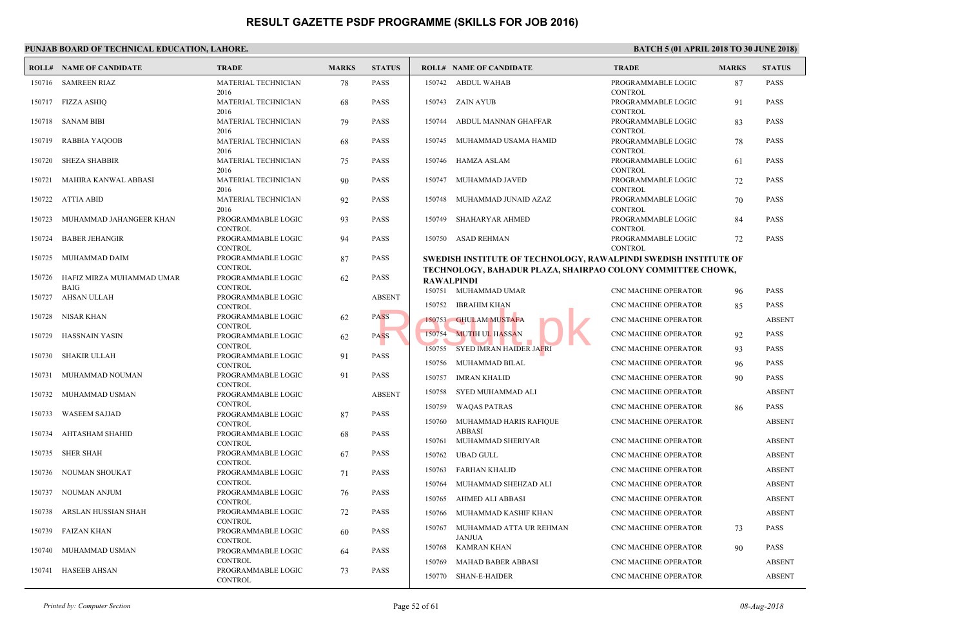|        | <b>ROLL# NAME OF CANDIDATE</b>    | <b>TRADE</b>                         | <b>MARKS</b> | <b>STATUS</b> |                  | <b>ROLL# NAME OF CANDIDATE</b>                                | <b>TRAL</b>                          |
|--------|-----------------------------------|--------------------------------------|--------------|---------------|------------------|---------------------------------------------------------------|--------------------------------------|
|        | 150716 SAMREEN RIAZ               | MATERIAL TECHNICIAN                  | 78           | <b>PASS</b>   |                  | 150742 ABDUL WAHAB                                            | <b>PROG</b>                          |
|        | 150717 FIZZA ASHIQ                | 2016<br>MATERIAL TECHNICIAN          | 68           | <b>PASS</b>   |                  | 150743 ZAIN AYUB                                              | <b>CONT</b><br><b>PROGI</b>          |
| 150718 | <b>SANAM BIBI</b>                 | 2016<br>MATERIAL TECHNICIAN          | 79           | <b>PASS</b>   | 150744           | ABDUL MANNAN GHAFFAR                                          | <b>CONT</b><br><b>PROGI</b>          |
| 150719 | RABBIA YAQOOB                     | 2016<br>MATERIAL TECHNICIAN          | 68           | <b>PASS</b>   | 150745           | MUHAMMAD USAMA HAMID                                          | <b>CONT</b><br><b>PROGI</b>          |
| 150720 | <b>SHEZA SHABBIR</b>              | 2016<br>MATERIAL TECHNICIAN          | 75           | <b>PASS</b>   |                  | 150746 HAMZA ASLAM                                            | <b>CONT</b><br>PROGI                 |
| 150721 | MAHIRA KANWAL ABBASI              | 2016<br>MATERIAL TECHNICIAN          | 90           | <b>PASS</b>   |                  | 150747 MUHAMMAD JAVED                                         | <b>CONT</b><br><b>PROGI</b>          |
| 150722 | ATTIA ABID                        | 2016<br>MATERIAL TECHNICIAN          | 92           | <b>PASS</b>   | 150748           | MUHAMMAD JUNAID AZAZ                                          | <b>CONT</b><br>PROGI                 |
| 150723 | MUHAMMAD JAHANGEER KHAN           | 2016<br>PROGRAMMABLE LOGIC           | 93           | <b>PASS</b>   | 150749           | SHAHARYAR AHMED                                               | <b>CONT</b><br>PROGI                 |
| 150724 | <b>BABER JEHANGIR</b>             | <b>CONTROL</b><br>PROGRAMMABLE LOGIC | 94           | <b>PASS</b>   |                  | 150750 ASAD REHMAN                                            | <b>CONT</b><br><b>PROG</b>           |
| 150725 | MUHAMMAD DAIM                     | <b>CONTROL</b><br>PROGRAMMABLE LOGIC | 87           | <b>PASS</b>   |                  | <b>SWEDISH INSTITUTE OF TECHNOLOGY, RAWALPIN</b>              | <b>CONT</b>                          |
|        | 150726 HAFIZ MIRZA MUHAMMAD UMAR  | <b>CONTROL</b><br>PROGRAMMABLE LOGIC | 62           | <b>PASS</b>   |                  | TECHNOLOGY, BAHADUR PLAZA, SHAIRPAO COLO<br><b>RAWALPINDI</b> |                                      |
|        | <b>BAIG</b><br>150727 AHSAN ULLAH | <b>CONTROL</b><br>PROGRAMMABLE LOGIC |              | <b>ABSENT</b> |                  | 150751 MUHAMMAD UMAR                                          | CNC <sub>N</sub>                     |
| 150728 | NISAR KHAN                        | <b>CONTROL</b><br>PROGRAMMABLE LOGIC | 62           | <b>PASS</b>   | 150752           | IBRAHIM KHAN<br>150753 GHULAM MUSTAFA                         | CNC <sub>N</sub><br>CNC <sub>N</sub> |
| 150729 | HASSNAIN YASIN                    | <b>CONTROL</b><br>PROGRAMMABLE LOGIC | 62           | <b>PASS</b>   |                  | 150754 MUTIH UL HASSAN                                        | CNC <sub>N</sub>                     |
| 150730 | <b>SHAKIR ULLAH</b>               | <b>CONTROL</b><br>PROGRAMMABLE LOGIC | 91           | <b>PASS</b>   | 150755           | <b>SYED IMRAN HAIDER JAFRI</b>                                | CNC <sub>N</sub>                     |
| 150731 | MUHAMMAD NOUMAN                   | <b>CONTROL</b><br>PROGRAMMABLE LOGIC | 91           | <b>PASS</b>   | 150757           | 150756 MUHAMMAD BILAL<br>IMRAN KHALID                         | CNC <sub>N</sub><br>CNC <sub>N</sub> |
| 150732 | MUHAMMAD USMAN                    | <b>CONTROL</b><br>PROGRAMMABLE LOGIC |              | <b>ABSENT</b> | 150758           | SYED MUHAMMAD ALI                                             | CNC <sub>N</sub>                     |
| 150733 | <b>WASEEM SAJJAD</b>              | <b>CONTROL</b><br>PROGRAMMABLE LOGIC | 87           | <b>PASS</b>   | 150759           | <b>WAQAS PATRAS</b>                                           | CNC <sub>N</sub>                     |
| 150734 | AHTASHAM SHAHID                   | <b>CONTROL</b><br>PROGRAMMABLE LOGIC | 68           | <b>PASS</b>   | 150760           | MUHAMMAD HARIS RAFIQUE<br><b>ABBASI</b>                       | CNC <sub>N</sub>                     |
| 150735 | <b>SHER SHAH</b>                  | <b>CONTROL</b><br>PROGRAMMABLE LOGIC | 67           | <b>PASS</b>   | 150761<br>150762 | MUHAMMAD SHERIYAR<br>UBAD GULL                                | CNC <sub>N</sub><br>CNC <sub>N</sub> |
| 150736 | NOUMAN SHOUKAT                    | <b>CONTROL</b><br>PROGRAMMABLE LOGIC | 71           | <b>PASS</b>   | 150763           | FARHAN KHALID                                                 | CNC <sub>N</sub>                     |
| 150737 | NOUMAN ANJUM                      | <b>CONTROL</b><br>PROGRAMMABLE LOGIC | 76           | <b>PASS</b>   | 150764           | MUHAMMAD SHEHZAD ALI                                          | CNC <sub>N</sub>                     |
| 150738 | ARSLAN HUSSIAN SHAH               | <b>CONTROL</b><br>PROGRAMMABLE LOGIC | 72           | <b>PASS</b>   | 150765<br>150766 | AHMED ALI ABBASI<br>MUHAMMAD KASHIF KHAN                      | CNC <sub>N</sub><br>CNC <sub>N</sub> |
| 150739 | FAIZAN KHAN                       | <b>CONTROL</b><br>PROGRAMMABLE LOGIC | 60           | <b>PASS</b>   |                  | 150767 MUHAMMAD ATTA UR REHMAN                                | CNC <sub>N</sub>                     |
| 150740 | MUHAMMAD USMAN                    | <b>CONTROL</b><br>PROGRAMMABLE LOGIC | 64           | <b>PASS</b>   | 150768           | <b>JANJUA</b><br>KAMRAN KHAN                                  | CNC <sub>N</sub>                     |
| 150741 | HASEEB AHSAN                      | <b>CONTROL</b><br>PROGRAMMABLE LOGIC | 73           | <b>PASS</b>   | 150769           | MAHAD BABER ABBASI                                            | CNC <sub>N</sub>                     |
|        |                                   | <b>CONTROL</b>                       |              |               |                  | 150770 SHAN-E-HAIDER                                          | CNC <sub>N</sub>                     |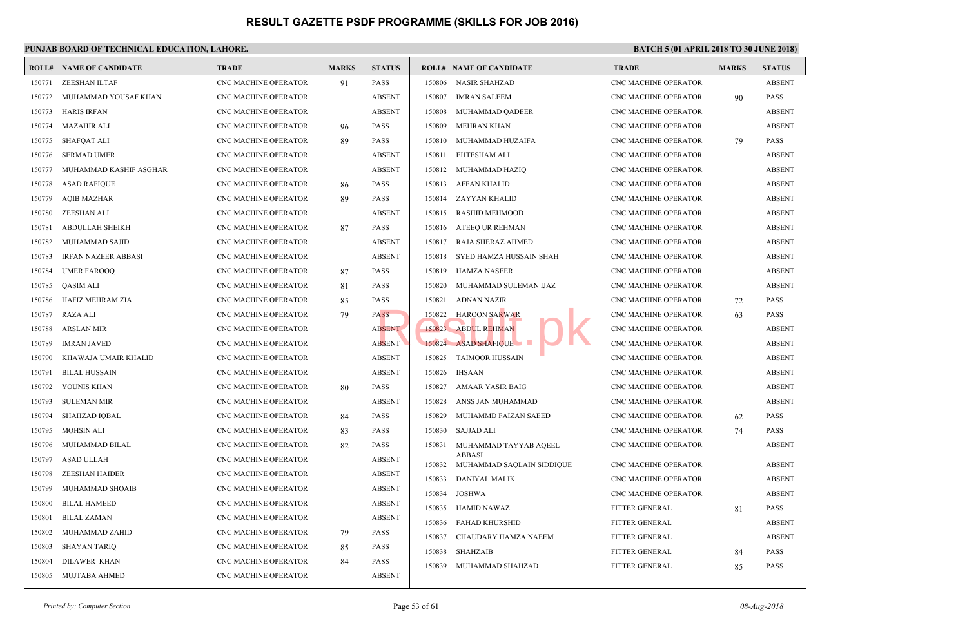|        | <b>ROLL# NAME OF CANDIDATE</b> | <b>TRADE</b>                | <b>MARKS</b> | <b>STATUS</b> |        | <b>ROLL# NAME OF CANDIDATE</b>             | <b>TRAL</b>      |
|--------|--------------------------------|-----------------------------|--------------|---------------|--------|--------------------------------------------|------------------|
| 150771 | <b>ZEESHAN ILTAF</b>           | <b>CNC MACHINE OPERATOR</b> | 91           | <b>PASS</b>   | 150806 | <b>NASIR SHAHZAD</b>                       | CNC <sub>N</sub> |
| 150772 | MUHAMMAD YOUSAF KHAN           | <b>CNC MACHINE OPERATOR</b> |              | <b>ABSENT</b> | 150807 | <b>IMRAN SALEEM</b>                        | CNC <sub>N</sub> |
| 150773 | <b>HARIS IRFAN</b>             | <b>CNC MACHINE OPERATOR</b> |              | <b>ABSENT</b> | 150808 | MUHAMMAD QADEER                            | CNC <sub>N</sub> |
| 150774 | <b>MAZAHIR ALI</b>             | CNC MACHINE OPERATOR        | 96           | <b>PASS</b>   | 150809 | MEHRAN KHAN                                | CNC <sub>N</sub> |
| 150775 | SHAFQAT ALI                    | CNC MACHINE OPERATOR        | 89           | <b>PASS</b>   | 150810 | MUHAMMAD HUZAIFA                           | CNC <sub>N</sub> |
| 150776 | <b>SERMAD UMER</b>             | <b>CNC MACHINE OPERATOR</b> |              | <b>ABSENT</b> | 150811 | EHTESHAM ALI                               | CNC <sub>N</sub> |
| 150777 | MUHAMMAD KASHIF ASGHAR         | <b>CNC MACHINE OPERATOR</b> |              | <b>ABSENT</b> | 150812 | MUHAMMAD HAZIQ                             | CNC <sub>N</sub> |
| 150778 | <b>ASAD RAFIQUE</b>            | <b>CNC MACHINE OPERATOR</b> | 86           | <b>PASS</b>   | 150813 | AFFAN KHALID                               | CNC <sub>N</sub> |
| 150779 | <b>AQIB MAZHAR</b>             | CNC MACHINE OPERATOR        | 89           | <b>PASS</b>   | 150814 | ZAYYAN KHALID                              | CNC <sub>N</sub> |
| 150780 | ZEESHAN ALI                    | <b>CNC MACHINE OPERATOR</b> |              | <b>ABSENT</b> | 150815 | RASHID MEHMOOD                             | CNC <sub>N</sub> |
| 150781 | <b>ABDULLAH SHEIKH</b>         | <b>CNC MACHINE OPERATOR</b> | 87           | <b>PASS</b>   | 150816 | ATEEQ UR REHMAN                            | CNC <sub>N</sub> |
| 150782 | MUHAMMAD SAJID                 | <b>CNC MACHINE OPERATOR</b> |              | <b>ABSENT</b> | 150817 | RAJA SHERAZ AHMED                          | CNC <sub>N</sub> |
| 150783 | <b>IRFAN NAZEER ABBASI</b>     | CNC MACHINE OPERATOR        |              | <b>ABSENT</b> | 150818 | SYED HAMZA HUSSAIN SHAH                    | CNC <sub>N</sub> |
| 150784 | <b>UMER FAROOQ</b>             | CNC MACHINE OPERATOR        | 87           | <b>PASS</b>   | 150819 | <b>HAMZA NASEER</b>                        | CNC N            |
| 150785 | <b>QASIM ALI</b>               | CNC MACHINE OPERATOR        | 81           | <b>PASS</b>   | 150820 | MUHAMMAD SULEMAN IJAZ                      | CNC <sub>N</sub> |
| 150786 | HAFIZ MEHRAM ZIA               | CNC MACHINE OPERATOR        | 85           | <b>PASS</b>   | 150821 | <b>ADNAN NAZIR</b>                         | CNC <sub>N</sub> |
| 150787 | RAZA ALI                       | <b>CNC MACHINE OPERATOR</b> | 79           | <b>PASS</b>   | 150822 | <b>HAROON SARWAR</b>                       | CNC <sub>N</sub> |
| 150788 | <b>ARSLAN MIR</b>              | CNC MACHINE OPERATOR        |              | <b>ABSENT</b> | 150823 | <b>ABDUL REHMAN</b>                        | CNC <sub>N</sub> |
| 150789 | <b>IMRAN JAVED</b>             | CNC MACHINE OPERATOR        |              | <b>ABSENT</b> |        | 150824 ASAD SHAFIQUE                       | CNC <sub>N</sub> |
| 150790 | KHAWAJA UMAIR KHALID           | <b>CNC MACHINE OPERATOR</b> |              | <b>ABSENT</b> | 150825 | <b>TAIMOOR HUSSAIN</b>                     | CNC <sub>N</sub> |
| 150791 | <b>BILAL HUSSAIN</b>           | CNC MACHINE OPERATOR        |              | <b>ABSENT</b> | 150826 | <b>IHSAAN</b>                              | CNC <sub>N</sub> |
| 150792 | YOUNIS KHAN                    | CNC MACHINE OPERATOR        | 80           | <b>PASS</b>   | 150827 | AMAAR YASIR BAIG                           | CNC <sub>N</sub> |
| 150793 | <b>SULEMAN MIR</b>             | CNC MACHINE OPERATOR        |              | <b>ABSENT</b> | 150828 | ANSS JAN MUHAMMAD                          | CNC N            |
| 150794 | <b>SHAHZAD IOBAL</b>           | <b>CNC MACHINE OPERATOR</b> | 84           | <b>PASS</b>   | 150829 | MUHAMMD FAIZAN SAEED                       | CNC <sub>N</sub> |
| 150795 | <b>MOHSIN ALI</b>              | <b>CNC MACHINE OPERATOR</b> | 83           | <b>PASS</b>   | 150830 | <b>SAJJAD ALI</b>                          | CNC <sub>N</sub> |
| 150796 | MUHAMMAD BILAL                 | <b>CNC MACHINE OPERATOR</b> | 82           | <b>PASS</b>   | 150831 | MUHAMMAD TAYYAB AQEEL                      | CNC <sub>N</sub> |
| 150797 | <b>ASAD ULLAH</b>              | CNC MACHINE OPERATOR        |              | <b>ABSENT</b> | 150832 | <b>ABBASI</b><br>MUHAMMAD SAQLAIN SIDDIQUE | CNC <sub>N</sub> |
| 150798 | <b>ZEESHAN HAIDER</b>          | CNC MACHINE OPERATOR        |              | <b>ABSENT</b> | 150833 | DANIYAL MALIK                              | CNC <sub>N</sub> |
| 150799 | MUHAMMAD SHOAIB                | CNC MACHINE OPERATOR        |              | <b>ABSENT</b> | 150834 | <b>JOSHWA</b>                              | CNC <sub>N</sub> |
| 150800 | <b>BILAL HAMEED</b>            | <b>CNC MACHINE OPERATOR</b> |              | <b>ABSENT</b> | 150835 | HAMID NAWAZ                                | <b>FITTE</b>     |
| 150801 | <b>BILAL ZAMAN</b>             | <b>CNC MACHINE OPERATOR</b> |              | <b>ABSENT</b> | 150836 | FAHAD KHURSHID                             | <b>FITTE</b>     |
| 150802 | MUHAMMAD ZAHID                 | CNC MACHINE OPERATOR        | 79           | <b>PASS</b>   | 150837 | CHAUDARY HAMZA NAEEM                       | <b>FITTEI</b>    |
| 150803 | <b>SHAYAN TARIQ</b>            | CNC MACHINE OPERATOR        | 85           | <b>PASS</b>   | 150838 | <b>SHAHZAIB</b>                            | <b>FITTE</b>     |
| 150804 | DILAWER KHAN                   | <b>CNC MACHINE OPERATOR</b> | 84           | <b>PASS</b>   | 150839 | MUHAMMAD SHAHZAD                           | <b>FITTE</b>     |
| 150805 | MUJTABA AHMED                  | <b>CNC MACHINE OPERATOR</b> |              | <b>ABSENT</b> |        |                                            |                  |
|        |                                |                             |              |               |        |                                            |                  |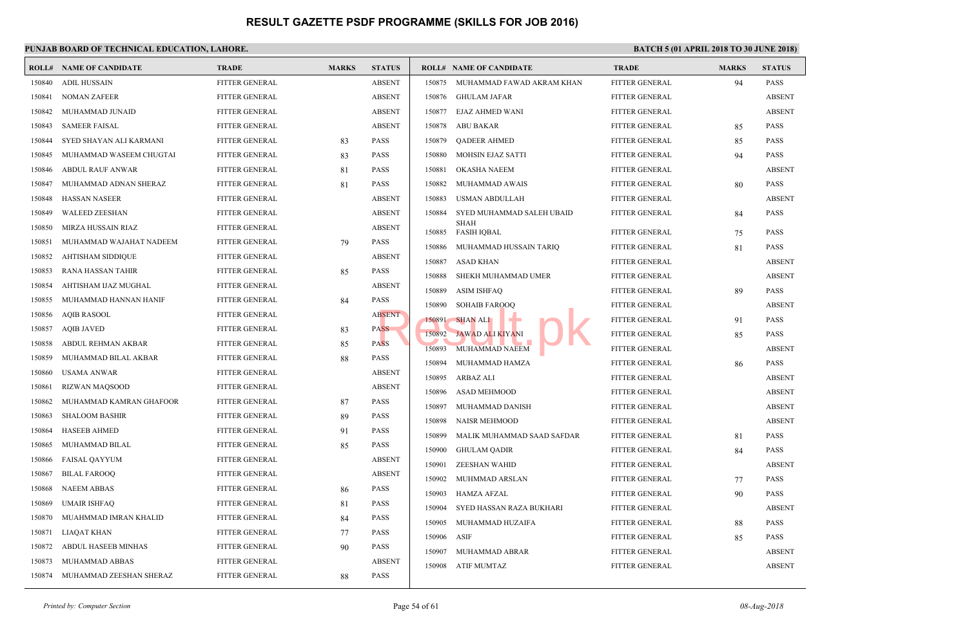| ROLL#  | <b>NAME OF CANDIDATE</b> | <b>TRADE</b>          | <b>MARKS</b> | <b>STATUS</b> |        | <b>ROLL# NAME OF CANDIDATE</b>    | <b>TRAL</b>   |
|--------|--------------------------|-----------------------|--------------|---------------|--------|-----------------------------------|---------------|
| 150840 | <b>ADIL HUSSAIN</b>      | <b>FITTER GENERAL</b> |              | <b>ABSENT</b> |        | 150875 MUHAMMAD FAWAD AKRAM KHAN  | <b>FITTE</b>  |
| 150841 | <b>NOMAN ZAFEER</b>      | FITTER GENERAL        |              | <b>ABSENT</b> | 150876 | GHULAM JAFAR                      | <b>FITTEI</b> |
| 150842 | MUHAMMAD JUNAID          | <b>FITTER GENERAL</b> |              | <b>ABSENT</b> | 150877 | EJAZ AHMED WANI                   | <b>FITTE</b>  |
| 150843 | <b>SAMEER FAISAL</b>     | FITTER GENERAL        |              | <b>ABSENT</b> | 150878 | <b>ABU BAKAR</b>                  | <b>FITTEI</b> |
| 150844 | SYED SHAYAN ALI KARMANI  | FITTER GENERAL        | 83           | <b>PASS</b>   | 150879 | <b>OADEER AHMED</b>               | <b>FITTE</b>  |
| 150845 | MUHAMMAD WASEEM CHUGTAI  | FITTER GENERAL        | 83           | <b>PASS</b>   | 150880 | MOHSIN EJAZ SATTI                 | <b>FITTE</b>  |
| 150846 | <b>ABDUL RAUF ANWAR</b>  | FITTER GENERAL        | 81           | <b>PASS</b>   | 150881 | OKASHA NAEEM                      | <b>FITTE</b>  |
| 150847 | MUHAMMAD ADNAN SHERAZ    | FITTER GENERAL        | 81           | <b>PASS</b>   | 150882 | MUHAMMAD AWAIS                    | <b>FITTE</b>  |
| 150848 | <b>HASSAN NASEER</b>     | FITTER GENERAL        |              | <b>ABSENT</b> | 150883 | USMAN ABDULLAH                    | <b>FITTE</b>  |
| 150849 | <b>WALEED ZEESHAN</b>    | FITTER GENERAL        |              | <b>ABSENT</b> | 150884 | SYED MUHAMMAD SALEH UBAID         | <b>FITTE</b>  |
| 150850 | MIRZA HUSSAIN RIAZ       | FITTER GENERAL        |              | <b>ABSENT</b> | 150885 | <b>SHAH</b><br><b>FASIH IQBAL</b> | <b>FITTE</b>  |
| 150851 | MUHAMMAD WAJAHAT NADEEM  | FITTER GENERAL        | 79           | <b>PASS</b>   | 150886 | MUHAMMAD HUSSAIN TARIQ            | <b>FITTE</b>  |
| 150852 | AHTISHAM SIDDIQUE        | FITTER GENERAL        |              | <b>ABSENT</b> | 150887 | <b>ASAD KHAN</b>                  | <b>FITTE</b>  |
| 150853 | <b>RANA HASSAN TAHIR</b> | FITTER GENERAL        | 85           | <b>PASS</b>   | 150888 | SHEKH MUHAMMAD UMER               | <b>FITTE</b>  |
| 150854 | AHTISHAM IJAZ MUGHAL     | FITTER GENERAL        |              | <b>ABSENT</b> | 150889 | <b>ASIM ISHFAQ</b>                | <b>FITTE</b>  |
| 150855 | MUHAMMAD HANNAN HANIF    | FITTER GENERAL        | 84           | <b>PASS</b>   | 150890 | <b>SOHAIB FAROOQ</b>              | <b>FITTE</b>  |
| 150856 | <b>AQIB RASOOL</b>       | FITTER GENERAL        |              | <b>ABSENT</b> | 150891 | <b>SHAN ALI</b>                   | <b>FITTE</b>  |
| 150857 | <b>AQIB JAVED</b>        | FITTER GENERAL        | 83           | <b>PASS</b>   | 150892 | <b>JAWAD ALI KIYANI</b>           | <b>FITTE</b>  |
| 150858 | ABDUL REHMAN AKBAR       | FITTER GENERAL        | 85           | <b>PASS</b>   | 150893 | MUHAMMAD NAEEM                    | <b>FITTE</b>  |
| 150859 | MUHAMMAD BILAL AKBAR     | FITTER GENERAL        | 88           | <b>PASS</b>   | 150894 | MUHAMMAD HAMZA                    | <b>FITTE</b>  |
| 150860 | <b>USAMA ANWAR</b>       | FITTER GENERAL        |              | <b>ABSENT</b> | 150895 | ARBAZ ALI                         | <b>FITTE</b>  |
| 150861 | RIZWAN MAQSOOD           | FITTER GENERAL        |              | <b>ABSENT</b> | 150896 | ASAD MEHMOOD                      | <b>FITTE</b>  |
| 150862 | MUHAMMAD KAMRAN GHAFOOR  | FITTER GENERAL        | 87           | <b>PASS</b>   | 150897 | MUHAMMAD DANISH                   | <b>FITTE</b>  |
| 150863 | <b>SHALOOM BASHIR</b>    | FITTER GENERAL        | 89           | <b>PASS</b>   | 150898 | <b>NAISR MEHMOOD</b>              | <b>FITTE</b>  |
| 150864 | <b>HASEEB AHMED</b>      | FITTER GENERAL        | 91           | <b>PASS</b>   | 150899 | MALIK MUHAMMAD SAAD SAFDAR        | <b>FITTE</b>  |
| 150865 | MUHAMMAD BILAL           | FITTER GENERAL        | 85           | <b>PASS</b>   | 150900 | <b>GHULAM QADIR</b>               | <b>FITTE</b>  |
| 150866 | <b>FAISAL QAYYUM</b>     | FITTER GENERAL        |              | <b>ABSENT</b> | 150901 | ZEESHAN WAHID                     | <b>FITTE</b>  |
| 150867 | <b>BILAL FAROOQ</b>      | FITTER GENERAL        |              | <b>ABSENT</b> | 150902 | MUHMMAD ARSLAN                    | <b>FITTE</b>  |
| 150868 | <b>NAEEM ABBAS</b>       | FITTER GENERAL        | 86           | <b>PASS</b>   | 150903 | <b>HAMZA AFZAL</b>                | <b>FITTE</b>  |
| 150869 | UMAIR ISHFAQ             | FITTER GENERAL        | 81           | <b>PASS</b>   | 150904 | SYED HASSAN RAZA BUKHARI          | <b>FITTE</b>  |
| 150870 | MUAHMMAD IMRAN KHALID    | FITTER GENERAL        | 84           | <b>PASS</b>   | 150905 | MUHAMMAD HUZAIFA                  | <b>FITTE</b>  |
| 150871 | LIAQAT KHAN              | FITTER GENERAL        | 77           | <b>PASS</b>   | 150906 | ASIF                              | <b>FITTE</b>  |
| 150872 | ABDUL HASEEB MINHAS      | FITTER GENERAL        | 90           | <b>PASS</b>   | 150907 | MUHAMMAD ABRAR                    | <b>FITTE</b>  |
| 150873 | MUHAMMAD ABBAS           | FITTER GENERAL        |              | <b>ABSENT</b> | 150908 | <b>ATIF MUMTAZ</b>                | <b>FITTE</b>  |
| 150874 | MUHAMMAD ZEESHAN SHERAZ  | FITTER GENERAL        | 88           | <b>PASS</b>   |        |                                   |               |
|        |                          |                       |              |               |        |                                   |               |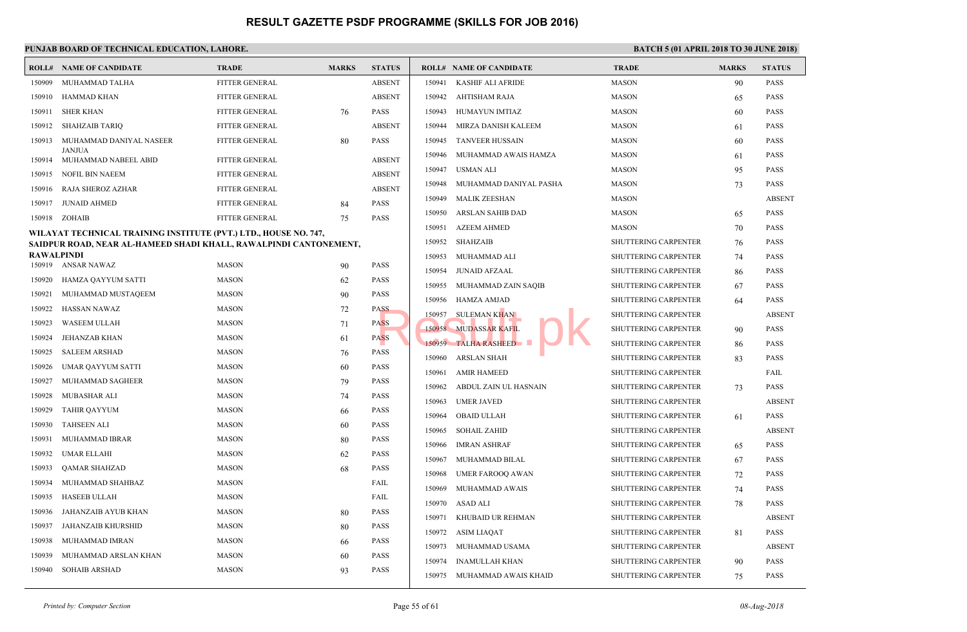|                                                                   | PUNJAB BOARD OF TECHNICAL EDUCATION, LAHORE.                     |                       |              |               |        |                                |                   |  |  |  |  |  |
|-------------------------------------------------------------------|------------------------------------------------------------------|-----------------------|--------------|---------------|--------|--------------------------------|-------------------|--|--|--|--|--|
|                                                                   | <b>ROLL# NAME OF CANDIDATE</b>                                   | <b>TRADE</b>          | <b>MARKS</b> | <b>STATUS</b> |        | <b>ROLL# NAME OF CANDIDATE</b> | <b>TRAD</b>       |  |  |  |  |  |
| 150909                                                            | MUHAMMAD TALHA                                                   | <b>FITTER GENERAL</b> |              | <b>ABSENT</b> | 150941 | KASHIF ALI AFRIDE              | <b>MASO</b>       |  |  |  |  |  |
| 150910                                                            | HAMMAD KHAN                                                      | <b>FITTER GENERAL</b> |              | <b>ABSENT</b> | 150942 | AHTISHAM RAJA                  | <b>MASO</b>       |  |  |  |  |  |
| 150911                                                            | <b>SHER KHAN</b>                                                 | <b>FITTER GENERAL</b> | 76           | <b>PASS</b>   | 150943 | HUMAYUN IMTIAZ                 | <b>MASO</b>       |  |  |  |  |  |
| 150912                                                            | SHAHZAIB TARIQ                                                   | FITTER GENERAL        |              | <b>ABSENT</b> | 150944 | MIRZA DANISH KALEEM            | <b>MASO</b>       |  |  |  |  |  |
| 150913                                                            | MUHAMMAD DANIYAL NASEER                                          | FITTER GENERAL        | 80           | <b>PASS</b>   | 150945 | <b>TANVEER HUSSAIN</b>         | <b>MASO</b>       |  |  |  |  |  |
|                                                                   | <b>JANJUA</b><br>150914 MUHAMMAD NABEEL ABID                     | <b>FITTER GENERAL</b> |              | <b>ABSENT</b> | 150946 | MUHAMMAD AWAIS HAMZA           | <b>MASO</b>       |  |  |  |  |  |
| 150915                                                            | NOFIL BIN NAEEM                                                  | <b>FITTER GENERAL</b> |              | <b>ABSENT</b> | 150947 | <b>USMAN ALI</b>               | MASO              |  |  |  |  |  |
| 150916                                                            | RAJA SHEROZ AZHAR                                                | <b>FITTER GENERAL</b> |              | <b>ABSENT</b> | 150948 | MUHAMMAD DANIYAL PASHA         | <b>MASO</b>       |  |  |  |  |  |
| 150917                                                            | <b>JUNAID AHMED</b>                                              | <b>FITTER GENERAL</b> | 84           | <b>PASS</b>   | 150949 | <b>MALIK ZEESHAN</b>           | <b>MASO</b>       |  |  |  |  |  |
|                                                                   | 150918 ZOHAIB                                                    | FITTER GENERAL        | 75           | <b>PASS</b>   | 150950 | ARSLAN SAHIB DAD               | <b>MASO</b>       |  |  |  |  |  |
|                                                                   | WILAYAT TECHNICAL TRAINING INSTITUTE (PVT.) LTD., HOUSE NO. 747, |                       |              |               | 150951 | <b>AZEEM AHMED</b>             | <b>MASO</b>       |  |  |  |  |  |
| SAIDPUR ROAD, NEAR AL-HAMEED SHADI KHALL, RAWALPINDI CANTONEMENT, |                                                                  |                       |              |               | 150952 | <b>SHAHZAIB</b>                | SHUT <sub>1</sub> |  |  |  |  |  |
| <b>RAWALPINDI</b>                                                 |                                                                  |                       |              |               | 150953 | MUHAMMAD ALI                   | SHUT <sub>1</sub> |  |  |  |  |  |
|                                                                   | 150919 ANSAR NAWAZ                                               | <b>MASON</b>          | 90           | <b>PASS</b>   | 150954 | <b>JUNAID AFZAAL</b>           | <b>SHUT1</b>      |  |  |  |  |  |
| 150920                                                            | HAMZA QAYYUM SATTI                                               | <b>MASON</b>          | 62           | PASS          | 150955 | MUHAMMAD ZAIN SAQIB            | SHUT <sub>1</sub> |  |  |  |  |  |
| 150921                                                            | MUHAMMAD MUSTAQEEM                                               | <b>MASON</b>          | 90           | PASS          | 150956 | <b>HAMZA AMJAD</b>             | <b>SHUT1</b>      |  |  |  |  |  |
| 150922                                                            | HASSAN NAWAZ                                                     | <b>MASON</b>          | 72           | <b>PASS</b>   | 150957 | <b>SULEMAN KHAN</b>            | SHUT <sub>1</sub> |  |  |  |  |  |
| 150923                                                            | <b>WASEEM ULLAH</b>                                              | <b>MASON</b>          | 71           | <b>PASS</b>   |        | 150958 MUDASSAR KAFIL          | <b>SHUTT</b>      |  |  |  |  |  |
| 150924                                                            | <b>JEHANZAB KHAN</b>                                             | <b>MASON</b>          | 61           | <b>PASS</b>   |        | 150959 TALHA RASHEED           | <b>SHUTT</b>      |  |  |  |  |  |
| 150925                                                            | <b>SALEEM ARSHAD</b>                                             | <b>MASON</b>          | 76           | <b>PASS</b>   | 150960 | <b>ARSLAN SHAH</b>             | <b>SHUTT</b>      |  |  |  |  |  |
| 150926                                                            | UMAR QAYYUM SATTI                                                | <b>MASON</b>          | 60           | <b>PASS</b>   | 150961 | <b>AMIR HAMEED</b>             | <b>SHUTT</b>      |  |  |  |  |  |
| 150927                                                            | MUHAMMAD SAGHEER                                                 | <b>MASON</b>          | 79           | <b>PASS</b>   | 150962 | ABDUL ZAIN UL HASNAIN          | <b>SHUTT</b>      |  |  |  |  |  |
| 150928                                                            | <b>MUBASHAR ALI</b>                                              | <b>MASON</b>          | 74           | <b>PASS</b>   | 150963 | <b>UMER JAVED</b>              | <b>SHUT1</b>      |  |  |  |  |  |
| 150929                                                            | <b>TAHIR QAYYUM</b>                                              | <b>MASON</b>          | 66           | <b>PASS</b>   | 150964 | <b>OBAID ULLAH</b>             | <b>SHUT1</b>      |  |  |  |  |  |
| 150930                                                            | <b>TAHSEEN ALI</b>                                               | <b>MASON</b>          | 60           | <b>PASS</b>   | 150965 | <b>SOHAIL ZAHID</b>            | <b>SHUTT</b>      |  |  |  |  |  |
| 150931                                                            | MUHAMMAD IBRAR                                                   | <b>MASON</b>          | 80           | <b>PASS</b>   | 150966 | <b>IMRAN ASHRAF</b>            | <b>SHUTT</b>      |  |  |  |  |  |
| 150932                                                            | <b>UMAR ELLAHI</b>                                               | <b>MASON</b>          | 62           | PASS          | 150967 | MUHAMMAD BILAL                 | <b>SHUT1</b>      |  |  |  |  |  |
| 150933                                                            | <b>QAMAR SHAHZAD</b>                                             | <b>MASON</b>          | 68           | PASS          | 150968 | <b>UMER FAROOQ AWAN</b>        | <b>SHUT1</b>      |  |  |  |  |  |
| 150934                                                            | MUHAMMAD SHAHBAZ                                                 | <b>MASON</b>          |              | FAIL          | 150969 | MUHAMMAD AWAIS                 | <b>SHUT1</b>      |  |  |  |  |  |
| 150935                                                            | <b>HASEEB ULLAH</b>                                              | <b>MASON</b>          |              | FAIL          | 150970 | ASAD ALI                       | <b>SHUTT</b>      |  |  |  |  |  |
| 150936                                                            | JAHANZAIB AYUB KHAN                                              | <b>MASON</b>          | 80           | <b>PASS</b>   | 150971 | KHUBAID UR REHMAN              | <b>SHUTT</b>      |  |  |  |  |  |
| 150937                                                            | JAHANZAIB KHURSHID                                               | <b>MASON</b>          | 80           | PASS          | 150972 | ASIM LIAQAT                    | SHUT <sub>1</sub> |  |  |  |  |  |
| 150938                                                            | MUHAMMAD IMRAN                                                   | <b>MASON</b>          | -66          | <b>PASS</b>   | 150973 | MUHAMMAD USAMA                 | <b>SHUTT</b>      |  |  |  |  |  |
| 150939                                                            | MUHAMMAD ARSLAN KHAN                                             | <b>MASON</b>          | 60           | <b>PASS</b>   | 150974 | <b>INAMULLAH KHAN</b>          | <b>SHUTT</b>      |  |  |  |  |  |
| 150940                                                            | <b>SOHAIB ARSHAD</b>                                             | <b>MASON</b>          | 93           | <b>PASS</b>   | 150975 | MUHAMMAD AWAIS KHAID           | <b>SHUTT</b>      |  |  |  |  |  |
|                                                                   |                                                                  |                       |              |               |        |                                |                   |  |  |  |  |  |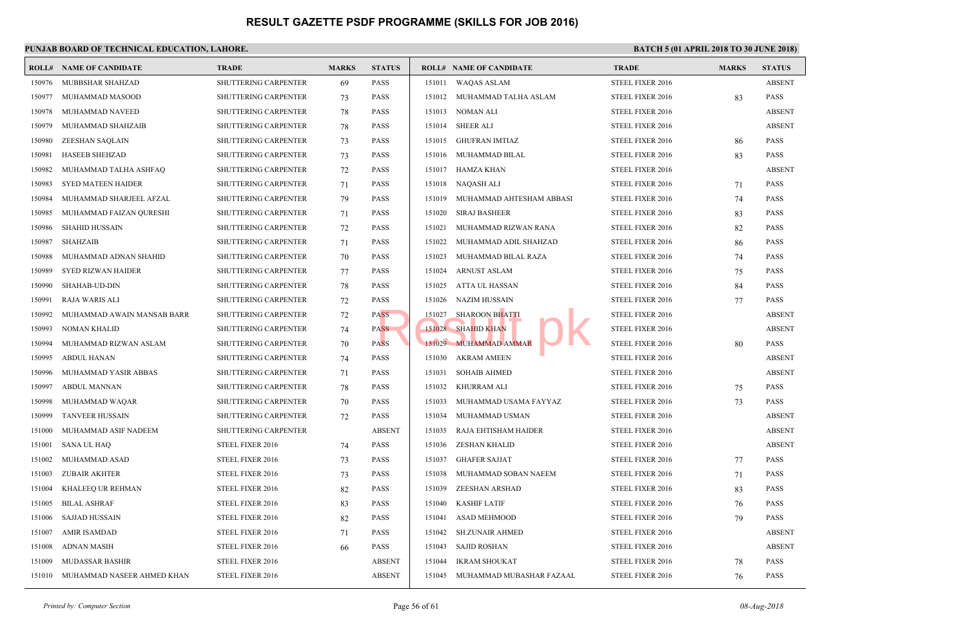|        | <b>ROLL# NAME OF CANDIDATE</b> | <b>TRADE</b>                | <b>MARKS</b> | <b>STATUS</b> |        | <b>ROLL# NAME OF CANDIDATE</b> | <b>TRAL</b>  |
|--------|--------------------------------|-----------------------------|--------------|---------------|--------|--------------------------------|--------------|
| 150976 | MUBBSHAR SHAHZAD               | SHUTTERING CARPENTER        | 69           | <b>PASS</b>   | 151011 | <b>WAQAS ASLAM</b>             | <b>STEEL</b> |
| 150977 | MUHAMMAD MASOOD                | <b>SHUTTERING CARPENTER</b> | 73           | <b>PASS</b>   | 151012 | MUHAMMAD TALHA ASLAM           | <b>STEEL</b> |
| 150978 | MUHAMMAD NAVEED                | SHUTTERING CARPENTER        | 78           | <b>PASS</b>   | 151013 | NOMAN ALI                      | <b>STEEL</b> |
| 150979 | MUHAMMAD SHAHZAIB              | <b>SHUTTERING CARPENTER</b> | 78           | <b>PASS</b>   | 151014 | <b>SHEER ALI</b>               | <b>STEEL</b> |
| 150980 | ZEESHAN SAQLAIN                | <b>SHUTTERING CARPENTER</b> | 73           | <b>PASS</b>   | 151015 | <b>GHUFRAN IMTIAZ</b>          | <b>STEEL</b> |
| 150981 | <b>HASEEB SHEHZAD</b>          | <b>SHUTTERING CARPENTER</b> | 73           | <b>PASS</b>   | 151016 | MUHAMMAD BILAL                 | <b>STEEL</b> |
| 150982 | MUHAMMAD TALHA ASHFAQ          | <b>SHUTTERING CARPENTER</b> | 72           | <b>PASS</b>   | 151017 | <b>HAMZA KHAN</b>              | <b>STEEL</b> |
| 150983 | <b>SYED MATEEN HAIDER</b>      | <b>SHUTTERING CARPENTER</b> | 71           | <b>PASS</b>   | 151018 | NAQASH ALI                     | <b>STEEL</b> |
| 150984 | MUHAMMAD SHARJEEL AFZAL        | SHUTTERING CARPENTER        | 79           | <b>PASS</b>   | 151019 | MUHAMMAD AHTESHAM ABBASI       | <b>STEEL</b> |
| 150985 | MUHAMMAD FAIZAN QURESHI        | <b>SHUTTERING CARPENTER</b> | 71           | <b>PASS</b>   | 151020 | <b>SIRAJ BASHEER</b>           | <b>STEEL</b> |
| 150986 | <b>SHAHID HUSSAIN</b>          | <b>SHUTTERING CARPENTER</b> | 72           | <b>PASS</b>   | 151021 | MUHAMMAD RIZWAN RANA           | <b>STEEL</b> |
| 150987 | <b>SHAHZAIB</b>                | SHUTTERING CARPENTER        | 71           | <b>PASS</b>   | 151022 | MUHAMMAD ADIL SHAHZAD          | <b>STEEL</b> |
| 150988 | MUHAMMAD ADNAN SHAHID          | SHUTTERING CARPENTER        | 70           | <b>PASS</b>   | 151023 | MUHAMMAD BILAL RAZA            | <b>STEEL</b> |
| 150989 | <b>SYED RIZWAN HAIDER</b>      | <b>SHUTTERING CARPENTER</b> | 77           | <b>PASS</b>   | 151024 | <b>ARNUST ASLAM</b>            | <b>STEEL</b> |
| 150990 | SHAHAB-UD-DIN                  | SHUTTERING CARPENTER        | 78           | <b>PASS</b>   | 151025 | ATTA UL HASSAN                 | <b>STEEL</b> |
| 150991 | RAJA WARIS ALI                 | <b>SHUTTERING CARPENTER</b> | 72           | <b>PASS</b>   | 151026 | <b>NAZIM HUSSAIN</b>           | <b>STEEL</b> |
| 150992 | MUHAMMAD AWAIN MANSAB BARR     | SHUTTERING CARPENTER        | 72           | <b>PASS</b>   | 151027 | <b>SHAROON BHATTI</b>          | <b>STEEL</b> |
| 150993 | NOMAN KHALID                   | <b>SHUTTERING CARPENTER</b> | 74           | <b>PASS</b>   | 151028 | <b>SHAHID KHAN</b>             | <b>STEEL</b> |
| 150994 | MUHAMMAD RIZWAN ASLAM          | <b>SHUTTERING CARPENTER</b> | 70           | <b>PASS</b>   |        | 151029 MUHAMMAD AMMAR          | <b>STEEL</b> |
| 150995 | <b>ABDUL HANAN</b>             | SHUTTERING CARPENTER        | 74           | <b>PASS</b>   | 151030 | <b>AKRAM AMEEN</b>             | <b>STEEL</b> |
| 150996 | MUHAMMAD YASIR ABBAS           | SHUTTERING CARPENTER        | 71           | <b>PASS</b>   | 151031 | <b>SOHAIB AHMED</b>            | <b>STEEL</b> |
| 150997 | <b>ABDUL MANNAN</b>            | SHUTTERING CARPENTER        | 78           | <b>PASS</b>   | 151032 | <b>KHURRAM ALI</b>             | <b>STEEL</b> |
| 150998 | MUHAMMAD WAQAR                 | <b>SHUTTERING CARPENTER</b> | 70           | <b>PASS</b>   | 151033 | MUHAMMAD USAMA FAYYAZ          | <b>STEEL</b> |
| 150999 | <b>TANVEER HUSSAIN</b>         | <b>SHUTTERING CARPENTER</b> | 72           | <b>PASS</b>   | 151034 | MUHAMMAD USMAN                 | <b>STEEL</b> |
| 151000 | MUHAMMAD ASIF NADEEM           | SHUTTERING CARPENTER        |              | <b>ABSENT</b> | 151035 | RAJA EHTISHAM HAIDER           | <b>STEEL</b> |
| 151001 | <b>SANA UL HAQ</b>             | STEEL FIXER 2016            | 74           | <b>PASS</b>   | 151036 | <b>ZESHAN KHALID</b>           | <b>STEEL</b> |
| 151002 | MUHAMMAD ASAD                  | STEEL FIXER 2016            | 73           | <b>PASS</b>   | 151037 | <b>GHAFER SAJJAT</b>           | <b>STEEL</b> |
| 151003 | <b>ZUBAIR AKHTER</b>           | STEEL FIXER 2016            | 73           | <b>PASS</b>   | 151038 | MUHAMMAD SOBAN NAEEM           | <b>STEEL</b> |
| 151004 | KHALEEQ UR REHMAN              | STEEL FIXER 2016            | 82           | <b>PASS</b>   | 151039 | ZEESHAN ARSHAD                 | <b>STEEL</b> |
| 151005 | <b>BILAL ASHRAF</b>            | STEEL FIXER 2016            | 83           | <b>PASS</b>   | 151040 | <b>KASHIF LATIF</b>            | <b>STEEL</b> |
| 151006 | SAJJAD HUSSAIN                 | STEEL FIXER 2016            | 82           | <b>PASS</b>   | 151041 | <b>ASAD MEHMOOD</b>            | <b>STEEL</b> |
| 151007 | <b>AMIR ISAMDAD</b>            | STEEL FIXER 2016            | 71           | <b>PASS</b>   | 151042 | <b>SH.ZUNAIR AHMED</b>         | <b>STEEL</b> |
| 151008 | <b>ADNAN MASIH</b>             | STEEL FIXER 2016            | 66           | <b>PASS</b>   | 151043 | <b>SAJID ROSHAN</b>            | <b>STEEL</b> |
| 151009 | <b>MUDASSAR BASHIR</b>         | STEEL FIXER 2016            |              | <b>ABSENT</b> | 151044 | <b>IKRAM SHOUKAT</b>           | <b>STEEL</b> |
| 151010 | MUHAMMAD NASEER AHMED KHAN     | STEEL FIXER 2016            |              | <b>ABSENT</b> | 151045 | MUHAMMAD MUBASHAR FAZAAL       | <b>STEEL</b> |
|        |                                |                             |              |               |        |                                |              |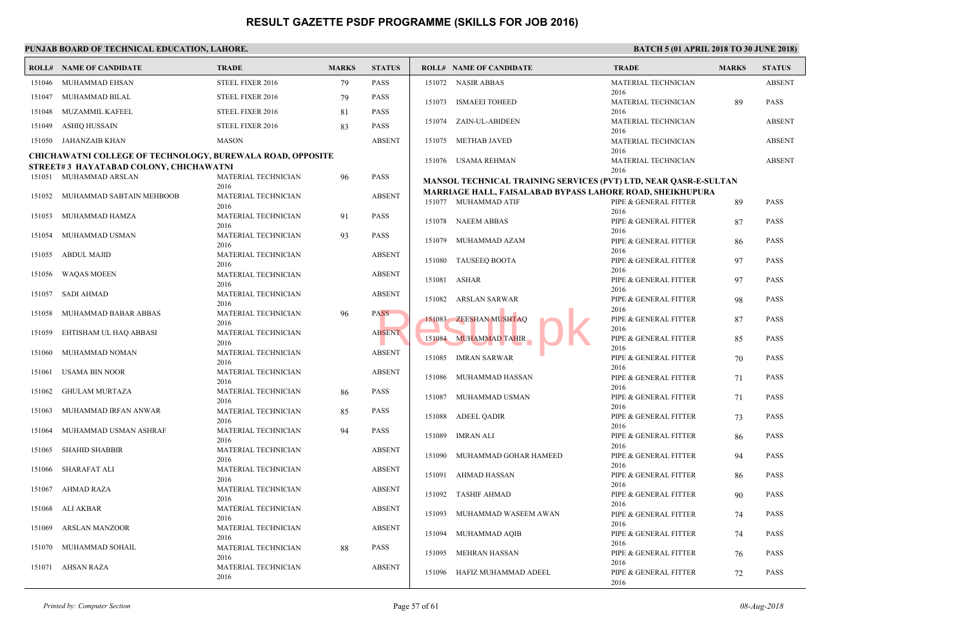|        | <b>ROLL# NAME OF CANDIDATE</b>                                                                              | <b>TRADE</b>                       | <b>MARKS</b> | <b>STATUS</b> | <b>ROLL# NAME OF CANDIDATE</b>                     | <b>TRAL</b>         |
|--------|-------------------------------------------------------------------------------------------------------------|------------------------------------|--------------|---------------|----------------------------------------------------|---------------------|
|        | 151046 MUHAMMAD EHSAN                                                                                       | STEEL FIXER 2016                   | 79           | <b>PASS</b>   | 151072 NASIR ABBAS                                 | <b>MATE</b>         |
| 151047 | MUHAMMAD BILAL                                                                                              | STEEL FIXER 2016                   | 79           | <b>PASS</b>   | 151073 ISMAEEI TOHEED                              | 2016<br><b>MATE</b> |
| 151048 | MUZAMMIL KAFEEL                                                                                             | STEEL FIXER 2016                   | 81           | <b>PASS</b>   |                                                    | 2016                |
| 151049 | ASHIQ HUSSAIN                                                                                               | STEEL FIXER 2016                   | 83           | <b>PASS</b>   | 151074 ZAIN-UL-ABIDEEN                             | <b>MATE</b>         |
|        | 151050 JAHANZAIB KHAN                                                                                       | <b>MASON</b>                       |              | <b>ABSENT</b> | 151075 METHAB JAVED                                | 2016<br><b>MATE</b> |
|        |                                                                                                             |                                    |              |               |                                                    | 2016                |
|        | <b>CHICHAWATNI COLLEGE OF TECHNOLOGY, BUREWALA ROAD, OPPOSITE</b><br>STREET#3 HAYATABAD COLONY, CHICHAWATNI |                                    |              |               | 151076 USAMA REHMAN                                | <b>MATE</b>         |
|        | 151051 MUHAMMAD ARSLAN                                                                                      | MATERIAL TECHNICIAN                | 96           | <b>PASS</b>   | <b>MANSOL TECHNICAL TRAINING SERVICES (PVT) LT</b> | 2016                |
|        |                                                                                                             | 2016                               |              |               | <b>MARRIAGE HALL, FAISALABAD BYPASS LAHORE R</b>   |                     |
| 151052 | MUHAMMAD SABTAIN MEHBOOB                                                                                    | MATERIAL TECHNICIAN<br>2016        |              | <b>ABSENT</b> | 151077 MUHAMMAD ATIF                               | PIPE &              |
| 151053 | MUHAMMAD HAMZA                                                                                              | MATERIAL TECHNICIAN                | 91           | <b>PASS</b>   |                                                    | 2016                |
|        |                                                                                                             | 2016                               |              |               | 151078 NAEEM ABBAS                                 | PIPE &<br>2016      |
| 151054 | MUHAMMAD USMAN                                                                                              | MATERIAL TECHNICIAN<br>2016        | 93           | <b>PASS</b>   | 151079<br>MUHAMMAD AZAM                            | PIPE &              |
| 151055 | ABDUL MAJID                                                                                                 | MATERIAL TECHNICIAN                |              | <b>ABSENT</b> |                                                    | 2016                |
|        |                                                                                                             | 2016                               |              |               | 151080 TAUSEEQ BOOTA                               | PIPE &<br>2016      |
| 151056 | <b>WAQAS MOEEN</b>                                                                                          | MATERIAL TECHNICIAN                |              | <b>ABSENT</b> | 151081 ASHAR                                       | PIPE &              |
| 151057 | SADI AHMAD                                                                                                  | 2016<br>MATERIAL TECHNICIAN        |              | <b>ABSENT</b> |                                                    | 2016                |
|        |                                                                                                             | 2016                               |              |               | ARSLAN SARWAR<br>151082                            | PIPE &<br>2016      |
| 151058 | MUHAMMAD BABAR ABBAS                                                                                        | MATERIAL TECHNICIAN                | 96           | <b>PASS</b>   | 151083 ZEESHAN MUSHTAQ                             | PIPE &              |
| 151059 | EHTISHAM UL HAQ ABBASI                                                                                      | 2016<br>MATERIAL TECHNICIAN        |              | <b>ABSENT</b> |                                                    | 2016                |
|        |                                                                                                             | 2016                               |              |               | 151084 MUHAMMAD TAHIR                              | PIPE &              |
| 151060 | MUHAMMAD NOMAN                                                                                              | MATERIAL TECHNICIAN                |              | <b>ABSENT</b> | 151085 IMRAN SARWAR                                | 2016<br>PIPE &      |
| 151061 | USAMA BIN NOOR                                                                                              | 2016<br>MATERIAL TECHNICIAN        |              | <b>ABSENT</b> |                                                    | 2016                |
|        |                                                                                                             | 2016                               |              |               | 151086 MUHAMMAD HASSAN                             | PIPE &              |
| 151062 | <b>GHULAM MURTAZA</b>                                                                                       | MATERIAL TECHNICIAN                | 86           | <b>PASS</b>   | MUHAMMAD USMAN<br>151087                           | 2016<br>PIPE &      |
|        |                                                                                                             | 2016                               |              | <b>PASS</b>   |                                                    | 2016                |
| 151063 | MUHAMMAD IRFAN ANWAR                                                                                        | MATERIAL TECHNICIAN<br>2016        | 85           |               | 151088 ADEEL QADIR                                 | PIPE &              |
| 151064 | MUHAMMAD USMAN ASHRAF                                                                                       | MATERIAL TECHNICIAN                | 94           | <b>PASS</b>   | 151089 IMRAN ALI                                   | 2016<br>PIPE &      |
|        |                                                                                                             | 2016                               |              |               |                                                    | 2016                |
| 151065 | SHAHID SHABBIR                                                                                              | MATERIAL TECHNICIAN<br>2016        |              | <b>ABSENT</b> | 151090<br>MUHAMMAD GOHAR HAMEED                    | PIPE &              |
| 151066 | <b>SHARAFAT ALI</b>                                                                                         | MATERIAL TECHNICIAN                |              | <b>ABSENT</b> |                                                    | 2016                |
|        |                                                                                                             | 2016                               |              |               | 151091<br>AHMAD HASSAN                             | PIPE &<br>2016      |
| 151067 | AHMAD RAZA                                                                                                  | <b>MATERIAL TECHNICIAN</b><br>2016 |              | <b>ABSENT</b> | 151092 TASHIF AHMAD                                | PIPE &              |
| 151068 | ALI AKBAR                                                                                                   | MATERIAL TECHNICIAN                |              | <b>ABSENT</b> |                                                    | 2016                |
|        |                                                                                                             | 2016                               |              |               | 151093 MUHAMMAD WASEEM AWAN                        | PIPE &<br>2016      |
| 151069 | ARSLAN MANZOOR                                                                                              | <b>MATERIAL TECHNICIAN</b><br>2016 |              | <b>ABSENT</b> | 151094 MUHAMMAD AQIB                               | PIPE &              |
| 151070 | MUHAMMAD SOHAIL                                                                                             | MATERIAL TECHNICIAN                | 88           | <b>PASS</b>   |                                                    | 2016                |
|        |                                                                                                             | 2016                               |              |               | 151095<br>MEHRAN HASSAN                            | PIPE &<br>2016      |
| 151071 | AHSAN RAZA                                                                                                  | <b>MATERIAL TECHNICIAN</b>         |              | <b>ABSENT</b> | 151096 HAFIZ MUHAMMAD ADEEL                        | PIPE &              |
|        |                                                                                                             | 2016                               |              |               |                                                    | 2016                |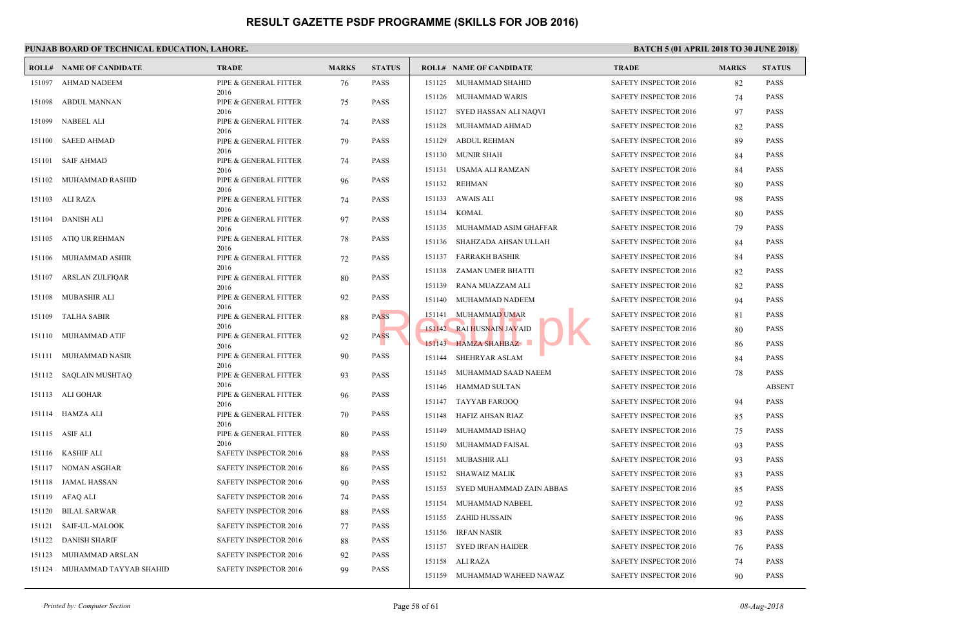|        | <b>ROLL# NAME OF CANDIDATE</b> | <b>TRADE</b>                  | <b>MARKS</b> | <b>STATUS</b> |        | <b>ROLL# NAME OF CANDIDATE</b> | <b>TRAD</b>  |
|--------|--------------------------------|-------------------------------|--------------|---------------|--------|--------------------------------|--------------|
| 151097 | <b>AHMAD NADEEM</b>            | PIPE & GENERAL FITTER         | 76           | <b>PASS</b>   | 151125 | MUHAMMAD SHAHID                | <b>SAFET</b> |
| 151098 | ABDUL MANNAN                   | 2016<br>PIPE & GENERAL FITTER | 75           | <b>PASS</b>   |        | 151126 MUHAMMAD WARIS          | <b>SAFET</b> |
|        |                                | 2016                          |              |               |        | 151127 SYED HASSAN ALI NAQVI   | <b>SAFET</b> |
| 151099 | NABEEL ALI                     | PIPE & GENERAL FITTER         | 74           | <b>PASS</b>   | 151128 | MUHAMMAD AHMAD                 | <b>SAFET</b> |
| 151100 | <b>SAEED AHMAD</b>             | 2016<br>PIPE & GENERAL FITTER | 79           | <b>PASS</b>   | 151129 | ABDUL REHMAN                   | <b>SAFET</b> |
|        |                                | 2016                          |              |               |        | 151130 MUNIR SHAH              | <b>SAFET</b> |
| 151101 | SAIF AHMAD                     | PIPE & GENERAL FITTER<br>2016 | 74           | <b>PASS</b>   |        | 151131 USAMA ALI RAMZAN        | <b>SAFET</b> |
| 151102 | MUHAMMAD RASHID                | PIPE & GENERAL FITTER         | 96           | <b>PASS</b>   | 151132 | REHMAN                         | <b>SAFET</b> |
| 151103 | ALI RAZA                       | 2016<br>PIPE & GENERAL FITTER | 74           | <b>PASS</b>   | 151133 | AWAIS ALI                      | <b>SAFET</b> |
|        |                                | 2016                          |              |               | 151134 | KOMAL                          | <b>SAFET</b> |
| 151104 | DANISH ALI                     | PIPE & GENERAL FITTER<br>2016 | 97           | <b>PASS</b>   | 151135 | MUHAMMAD ASIM GHAFFAR          | <b>SAFET</b> |
| 151105 | ATIQ UR REHMAN                 | PIPE & GENERAL FITTER         | 78           | <b>PASS</b>   | 151136 | SHAHZADA AHSAN ULLAH           | <b>SAFET</b> |
|        |                                | 2016                          |              |               | 151137 | FARRAKH BASHIR                 | <b>SAFET</b> |
| 151106 | MUHAMMAD ASHIR                 | PIPE & GENERAL FITTER<br>2016 | 72           | <b>PASS</b>   | 151138 | ZAMAN UMER BHATTI              | <b>SAFET</b> |
| 151107 | ARSLAN ZULFIQAR                | PIPE & GENERAL FITTER         | 80           | <b>PASS</b>   | 151139 | RANA MUAZZAM ALI               | <b>SAFET</b> |
| 151108 | MUBASHIR ALI                   | 2016<br>PIPE & GENERAL FITTER | 92           | PASS          |        |                                |              |
|        |                                | 2016                          |              |               | 151140 | MUHAMMAD NADEEM                | <b>SAFET</b> |
| 151109 | TALHA SABIR                    | PIPE & GENERAL FITTER<br>2016 | 88           | PASS          |        | 151141 MUHAMMAD UMAR           | <b>SAFET</b> |
| 151110 | MUHAMMAD ATIF                  | PIPE & GENERAL FITTER         | 92           | <b>PASS</b>   |        | 151142 RAI HUSNAIN JAVAID      | <b>SAFET</b> |
|        | 151111 MUHAMMAD NASIR          | 2016                          |              | <b>PASS</b>   |        | 151143 HAMZA SHAHBAZ           | <b>SAFET</b> |
|        |                                | PIPE & GENERAL FITTER<br>2016 | 90           |               | 151144 | SHEHRYAR ASLAM                 | <b>SAFET</b> |
|        | 151112 SAQLAIN MUSHTAQ         | PIPE & GENERAL FITTER         | 93           | <b>PASS</b>   | 151145 | MUHAMMAD SAAD NAEEM            | <b>SAFET</b> |
|        | 151113 ALI GOHAR               | 2016<br>PIPE & GENERAL FITTER | 96           | PASS          | 151146 | HAMMAD SULTAN                  | <b>SAFET</b> |
|        |                                | 2016                          |              |               | 151147 | TAYYAB FAROOQ                  | <b>SAFET</b> |
|        | 151114 HAMZA ALI               | PIPE & GENERAL FITTER<br>2016 | 70           | <b>PASS</b>   | 151148 | HAFIZ AHSAN RIAZ               | <b>SAFET</b> |
|        | 151115 ASIF ALI                | PIPE & GENERAL FITTER         | 80           | <b>PASS</b>   | 151149 | MUHAMMAD ISHAQ                 | <b>SAFET</b> |
| 151116 | KASHIF ALI                     | 2016<br>SAFETY INSPECTOR 2016 | 88           | <b>PASS</b>   | 151150 | MUHAMMAD FAISAL                | <b>SAFET</b> |
|        |                                |                               |              |               | 151151 | MUBASHIR ALI                   | <b>SAFET</b> |
| 151117 | NOMAN ASGHAR                   | SAFETY INSPECTOR 2016         | 86           | <b>PASS</b>   | 151152 | SHAWAIZ MALIK                  | <b>SAFET</b> |
| 151118 | JAMAL HASSAN                   | <b>SAFETY INSPECTOR 2016</b>  | 90           | PASS          | 151153 | SYED MUHAMMAD ZAIN ABBAS       | <b>SAFET</b> |
| 151119 | AFAQ ALI                       | SAFETY INSPECTOR 2016         | 74           | PASS          | 151154 | MUHAMMAD NABEEL                | <b>SAFET</b> |
| 151120 | <b>BILAL SARWAR</b>            | <b>SAFETY INSPECTOR 2016</b>  | 88           | <b>PASS</b>   | 151155 | ZAHID HUSSAIN                  | <b>SAFET</b> |
| 151121 | SAIF-UL-MALOOK                 | SAFETY INSPECTOR 2016         | 77           | PASS          | 151156 | IRFAN NASIR                    | <b>SAFET</b> |
| 151122 | DANISH SHARIF                  | <b>SAFETY INSPECTOR 2016</b>  | 88           | <b>PASS</b>   |        | 151157 SYED IRFAN HAIDER       | <b>SAFET</b> |
| 151123 | MUHAMMAD ARSLAN                | SAFETY INSPECTOR 2016         | 92           | <b>PASS</b>   |        | 151158 ALI RAZA                | <b>SAFET</b> |
|        | 151124 MUHAMMAD TAYYAB SHAHID  | <b>SAFETY INSPECTOR 2016</b>  | 99           | <b>PASS</b>   |        | 151159 MUHAMMAD WAHEED NAWAZ   | <b>SAFET</b> |
|        |                                |                               |              |               |        |                                |              |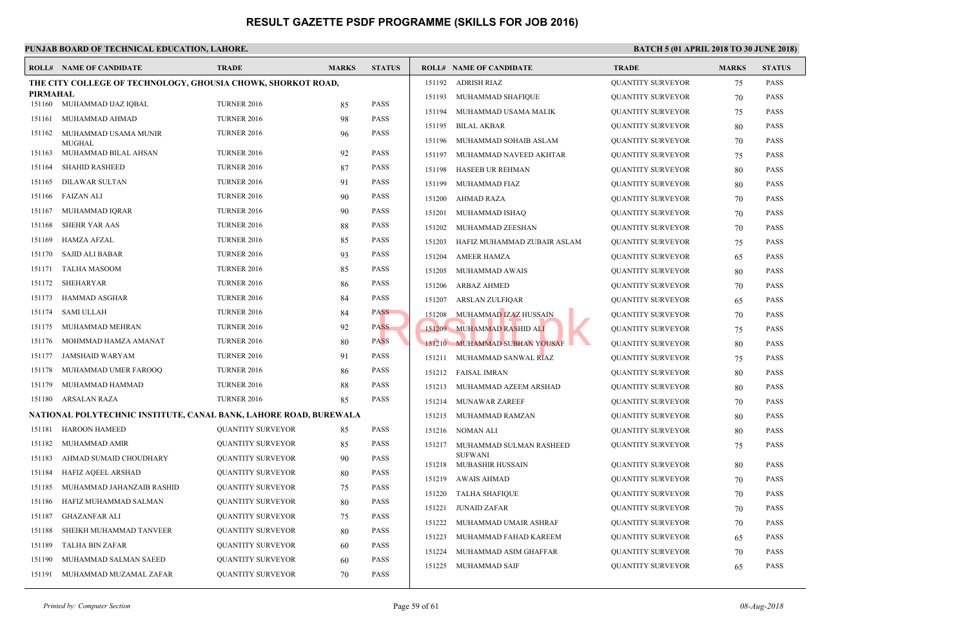|          | <b>ROLL# NAME OF CANDIDATE</b>                                    | <b>TRADE</b>             | <b>MARKS</b> | <b>STATUS</b>              |        | <b>ROLL# NAME OF CANDIDATE</b> | <b>TRAL</b> |
|----------|-------------------------------------------------------------------|--------------------------|--------------|----------------------------|--------|--------------------------------|-------------|
|          | THE CITY COLLEGE OF TECHNOLOGY, GHOUSIA CHOWK, SHORKOT ROAD,      |                          |              |                            | 151192 | <b>ADRISH RIAZ</b>             | <b>QUAN</b> |
| PIRMAHAL |                                                                   |                          |              |                            | 151193 | MUHAMMAD SHAFIQUE              | QUAN        |
|          | 151160 MUHAMMAD IJAZ IQBAL                                        | <b>TURNER 2016</b>       | 85           | <b>PASS</b><br><b>PASS</b> | 151194 | MUHAMMAD USAMA MALIK           | <b>QUAN</b> |
| 151161   | MUHAMMAD AHMAD                                                    | <b>TURNER 2016</b>       | 98           |                            | 151195 | BILAL AKBAR                    | <b>QUAN</b> |
| 151162   | MUHAMMAD USAMA MUNIR<br><b>MUGHAL</b>                             | <b>TURNER 2016</b>       | 96           | <b>PASS</b>                | 151196 | MUHAMMAD SOHAIB ASLAM          | <b>QUAN</b> |
| 151163   | MUHAMMAD BILAL AHSAN                                              | <b>TURNER 2016</b>       | 92           | <b>PASS</b>                | 151197 | MUHAMMAD NAVEED AKHTAR         | <b>QUAN</b> |
| 151164   | <b>SHAHID RASHEED</b>                                             | <b>TURNER 2016</b>       | 87           | <b>PASS</b>                | 151198 | HASEEB UR REHMAN               | <b>QUAN</b> |
| 151165   | <b>DILAWAR SULTAN</b>                                             | <b>TURNER 2016</b>       | 91           | <b>PASS</b>                | 151199 | MUHAMMAD FIAZ                  | <b>QUAN</b> |
| 151166   | <b>FAIZAN ALI</b>                                                 | <b>TURNER 2016</b>       | 90           | <b>PASS</b>                | 151200 | AHMAD RAZA                     | <b>QUAN</b> |
| 151167   | MUHAMMAD IQRAR                                                    | <b>TURNER 2016</b>       | 90           | <b>PASS</b>                | 151201 | MUHAMMAD ISHAQ                 | <b>QUAN</b> |
| 151168   | <b>SHEHR YAR AAS</b>                                              | <b>TURNER 2016</b>       | 88           | <b>PASS</b>                | 151202 | MUHAMMAD ZEESHAN               | <b>QUAN</b> |
| 151169   | <b>HAMZA AFZAL</b>                                                | <b>TURNER 2016</b>       | 85           | <b>PASS</b>                | 151203 | HAFIZ MUHAMMAD ZUBAIR ASLAM    | <b>QUAN</b> |
| 151170   | <b>SAJID ALI BABAR</b>                                            | <b>TURNER 2016</b>       | 93           | <b>PASS</b>                | 151204 | <b>AMEER HAMZA</b>             | <b>QUAN</b> |
| 151171   | <b>TALHA MASOOM</b>                                               | <b>TURNER 2016</b>       | 85           | <b>PASS</b>                | 151205 | MUHAMMAD AWAIS                 | <b>QUAN</b> |
| 151172   | SHEHARYAR                                                         | <b>TURNER 2016</b>       | 86           | <b>PASS</b>                | 151206 | <b>ARBAZ AHMED</b>             | <b>QUAN</b> |
| 151173   | <b>HAMMAD ASGHAR</b>                                              | <b>TURNER 2016</b>       | 84           | <b>PASS</b>                | 151207 | ARSLAN ZULFIQAR                | <b>QUAN</b> |
| 151174   | <b>SAMI ULLAH</b>                                                 | <b>TURNER 2016</b>       | 84           | <b>PASS</b>                | 151208 | MUHAMMAD IZAZ HUSSAIN          | <b>QUAN</b> |
| 151175   | MUHAMMAD MEHRAN                                                   | <b>TURNER 2016</b>       | 92           | <b>PASS</b>                |        | 151209 MUHAMMAD RASHID ALI     | <b>QUAN</b> |
| 151176   | MOHMMAD HAMZA AMANAT                                              | <b>TURNER 2016</b>       | 80           | <b>PASS</b>                |        | 151210 MUHAMMAD SUBHAN YOUSAF  | <b>QUAN</b> |
| 151177   | <b>JAMSHAID WARYAM</b>                                            | <b>TURNER 2016</b>       | 91           | <b>PASS</b>                |        | 151211 MUHAMMAD SANWAL RIAZ    | <b>QUAN</b> |
| 151178   | MUHAMMAD UMER FAROOQ                                              | <b>TURNER 2016</b>       | 86           | <b>PASS</b>                |        | 151212 FAISAL IMRAN            | <b>QUAN</b> |
| 151179   | MUHAMMAD HAMMAD                                                   | <b>TURNER 2016</b>       | 88           | <b>PASS</b>                |        | 151213 MUHAMMAD AZEEM ARSHAD   | <b>QUAN</b> |
| 151180   | ARSALAN RAZA                                                      | <b>TURNER 2016</b>       | 85           | <b>PASS</b>                | 151214 | MUNAWAR ZAREEF                 | <b>QUAN</b> |
|          | NATIONAL POLYTECHNIC INSTITUTE, CANAL BANK, LAHORE ROAD, BUREWALA |                          |              |                            |        | 151215 MUHAMMAD RAMZAN         | <b>QUAN</b> |
| 151181   | <b>HAROON HAMEED</b>                                              | QUANTITY SURVEYOR        | 85           | <b>PASS</b>                | 151216 | NOMAN ALI                      | <b>QUAN</b> |
| 151182   | MUHAMMAD AMIR                                                     | QUANTITY SURVEYOR        | 85           | <b>PASS</b>                |        | 151217 MUHAMMAD SULMAN RASHEED | <b>QUAN</b> |
| 151183   | AHMAD SUMAID CHOUDHARY                                            | QUANTITY SURVEYOR        | 90           | <b>PASS</b>                |        | <b>SUFWANI</b>                 |             |
| 151184   | HAFIZ AQEEL ARSHAD                                                | QUANTITY SURVEYOR        | 80           | <b>PASS</b>                |        | 151218 MUBASHIR HUSSAIN        | <b>OUAN</b> |
| 151185   | MUHAMMAD JAHANZAIB RASHID                                         | QUANTITY SURVEYOR        | 75           | <b>PASS</b>                | 151219 | AWAIS AHMAD                    | <b>QUAN</b> |
| 151186   | HAFIZ MUHAMMAD SALMAN                                             | QUANTITY SURVEYOR        | 80           | <b>PASS</b>                | 151220 | <b>TALHA SHAFIQUE</b>          | <b>QUAN</b> |
| 151187   | <b>GHAZANFAR ALI</b>                                              | <b>QUANTITY SURVEYOR</b> | 75           | <b>PASS</b>                | 151221 | JUNAID ZAFAR                   | <b>QUAN</b> |
| 151188   | SHEIKH MUHAMMAD TANVEER                                           | QUANTITY SURVEYOR        | 80           | <b>PASS</b>                | 151222 | MUHAMMAD UMAIR ASHRAF          | <b>QUAN</b> |
| 151189   | <b>TALHA BIN ZAFAR</b>                                            | <b>QUANTITY SURVEYOR</b> | 60           | <b>PASS</b>                | 151223 | MUHAMMAD FAHAD KAREEM          | <b>QUAN</b> |
| 151190   | MUHAMMAD SALMAN SAEED                                             | <b>QUANTITY SURVEYOR</b> | 60           | <b>PASS</b>                | 151224 | MUHAMMAD ASIM GHAFFAR          | <b>QUAN</b> |
| 151191   | MUHAMMAD MUZAMAL ZAFAR                                            | <b>QUANTITY SURVEYOR</b> | 70           | <b>PASS</b>                | 151225 | MUHAMMAD SAIF                  | <b>QUAN</b> |
|          |                                                                   |                          |              |                            |        |                                |             |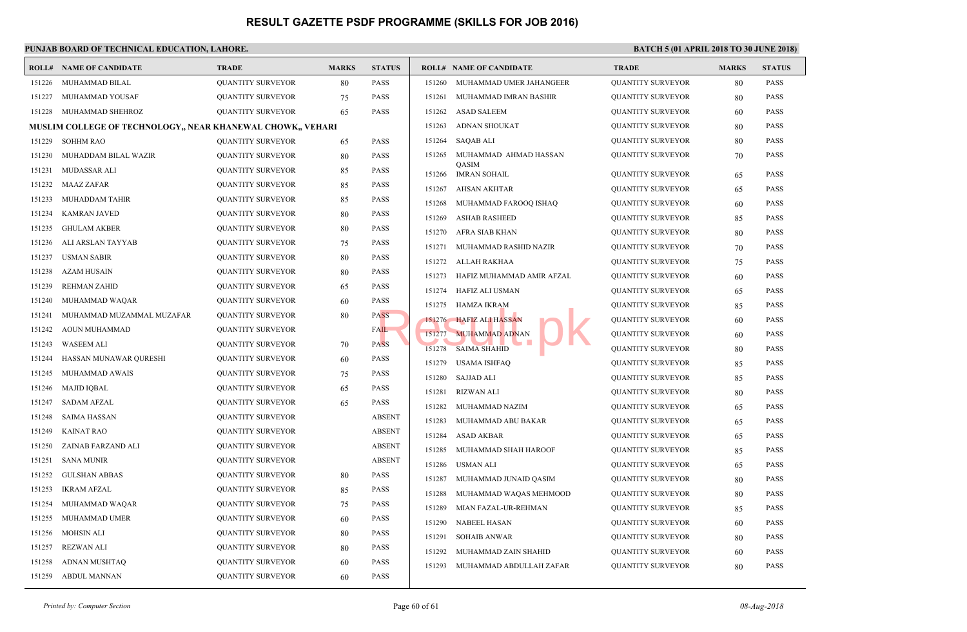#### **PUNJAB BOARD OF TECHNICAL EDUCATION, LAHORE. ROLL# NAME OF CANDIDATE TRADE MARKS STATUS ROLL# NAME OF CANDIDATE TRADE MARKS STATUS** 151226 MUHAMMAD BILAL QUANTITY SURVEYOR 80 PASS 151227 MUHAMMAD YOUSAF QUANTITY SURVEYOR 75 PASS 151228 MUHAMMAD SHEHROZ QUANTITY SURVEYOR 65 PASS **MUSLIM COLLEGE OF TECHNOLOGY,, NEAR KHANEWAL CHOWK,, VEHARI** 151229 SOHHM RAO QUANTITY SURVEYOR 65 PASS 151230 MUHADDAM BILAL WAZIR QUANTITY SURVEYOR 80 PASS 151231 MUDASSAR ALI QUANTITY SURVEYOR 85 PASS 151232 MAAZ ZAFAR QUANTITY SURVEYOR 85 PASS 151233 MUHADDAM TAHIR QUANTITY SURVEYOR 85 PASS 151234 KAMRAN JAVED QUANTITY SURVEYOR 80 PASS 151235 GHULAM AKBER QUANTITY SURVEYOR 80 PASS 151236 ALI ARSLAN TAYYAB QUANTITY SURVEYOR 75 PASS 151237 USMAN SABIR QUANTITY SURVEYOR 80 PASS 151238 AZAM HUSAIN QUANTITY SURVEYOR 80 PASS 151239 REHMAN ZAHID QUANTITY SURVEYOR 65 PASS 151240 MUHAMMAD WAQAR QUANTITY SURVEYOR 60 PASS 151241 MUHAMMAD MUZAMMAL MUZAFAR QUANTITY SURVEYOR 80 PASS 151242 AOUN MUHAMMAD QUANTITY SURVEYOR FAIL 151243 WASEEM ALI QUANTITY SURVEYOR 70 PASS 151244 HASSAN MUNAWAR QURESHI QUANTITY SURVEYOR 60 PASS 151245 MUHAMMAD AWAIS QUANTITY SURVEYOR 75 PASS 151246 MAJID IQBAL QUANTITY SURVEYOR 65 PASS 151247 SADAM AFZAL QUANTITY SURVEYOR 65 PASS 151248 SAIMA HASSAN QUANTITY SURVEYOR ABSENT 151249 KAINAT RAO QUANTITY SURVEYOR ABSENT 151250 ZAINAB FARZAND ALI QUANTITY SURVEYOR ABSENT 151251 SANA MUNIR QUANTITY SURVEYOR ABSENT 151252 GULSHAN ABBAS QUANTITY SURVEYOR 80 PASS 151253 IKRAM AFZAL QUANTITY SURVEYOR 85 PASS 151254 MUHAMMAD WAQAR QUANTITY SURVEYOR 75 PASS 151255 MUHAMMAD UMER QUANTITY SURVEYOR 60 PASS 151256 MOHSIN ALI QUANTITY SURVEYOR 80 PASS 151257 REZWAN ALI QUANTITY SURVEYOR 80 PASS 151258 ADNAN MUSHTAQ QUANTITY SURVEYOR 60 PASS 151259 ABDUL MANNAN QUANTITY SURVEYOR 60 PASS 151260 MUHAMMAD UMER JAHANGEER QUAN 151261 MUHAMMAD IMRAN BASHIR QUAN 151262 ASAD SALEEM QUAN 151263 ADNAN SHOUKAT QUAN 151264 SAQAB ALI QUAN [MUHAMMAD AHMAD HASSAN](http://www.result.pk/) QUAN QASIM 151265 151266 IMRAN SOHAIL QUAN 151267 AHSAN AKHTAR QUAN 151268 MUHAMMAD FAROOQ ISHAQ QUAN 151269 ASHAB RASHEED QUAN 151270 AFRA SIAB KHAN QUAN 151271 MUHAMMAD RASHID NAZIR QUAN 151272 ALLAH RAKHAA QUAN 151273 HAFIZ MUHAMMAD AMIR AFZAL QUAN 151274 HAFIZ ALI USMAN QUAN 151275 HAMZA IKRAM QUAN 151276 HAFIZ ALI HASSAN QUAN 151277 MUHAMMAD ADNAN NAMA QUANTITY SURVEYOR 60 PASSES 151278 SAIMA SHAHID QUAN 151279 USAMA ISHFAQ QUAN 151280 SAJJAD ALI QUAN 151281 RIZWAN ALI QUAN 151282 MUHAMMAD NAZIM QUAN 151283 MUHAMMAD ABU BAKAR QUAN 151284 ASAD AKBAR QUAN 151285 MUHAMMAD SHAH HAROOF QUAN 151286 USMAN ALI QUANTITY SURVEYOR 65 PASS 151287 MUHAMMAD JUNAID QASIM QUAN 151288 MUHAMMAD WAQAS MEHMOOD QUAN 151289 MIAN FAZAL-UR-REHMAN QUAN 151290 NABEEL HASAN QUAN 151291 SOHAIB ANWAR QUAN 151292 MUHAMMAD ZAIN SHAHID QUAN 151293 MUHAMMAD ABDULLAH ZAFAR QUAN ASS 151275 HAMZA IKRAM<br>AL 151277 MUHAMMAD ADNAN 151278 SAIMA SHAHID